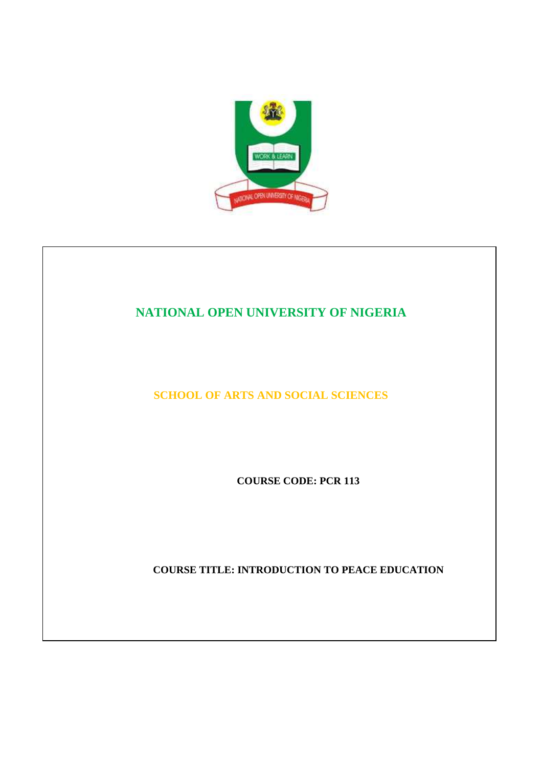

## **NATIONAL OPEN UNIVERSITY OF NIGERIA**

**SCHOOL OF ARTS AND SOCIAL SCIENCES** 

**COURSE CODE: PCR 113**

**COURSE TITLE: INTRODUCTION TO PEACE EDUCATION**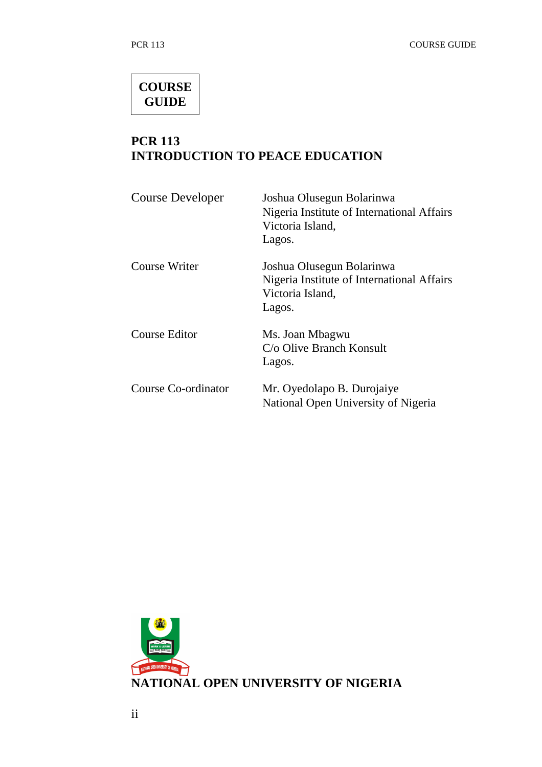# **COURSE GUIDE**

## **PCR 113 INTRODUCTION TO PEACE EDUCATION**

| <b>Course Developer</b>    | Joshua Olusegun Bolarinwa<br>Nigeria Institute of International Affairs<br>Victoria Island,<br>Lagos. |
|----------------------------|-------------------------------------------------------------------------------------------------------|
| Course Writer              | Joshua Olusegun Bolarinwa<br>Nigeria Institute of International Affairs<br>Victoria Island,<br>Lagos. |
| <b>Course Editor</b>       | Ms. Joan Mbagwu<br>C/o Olive Branch Konsult<br>Lagos.                                                 |
| <b>Course Co-ordinator</b> | Mr. Oyedolapo B. Durojaiye<br>National Open University of Nigeria                                     |

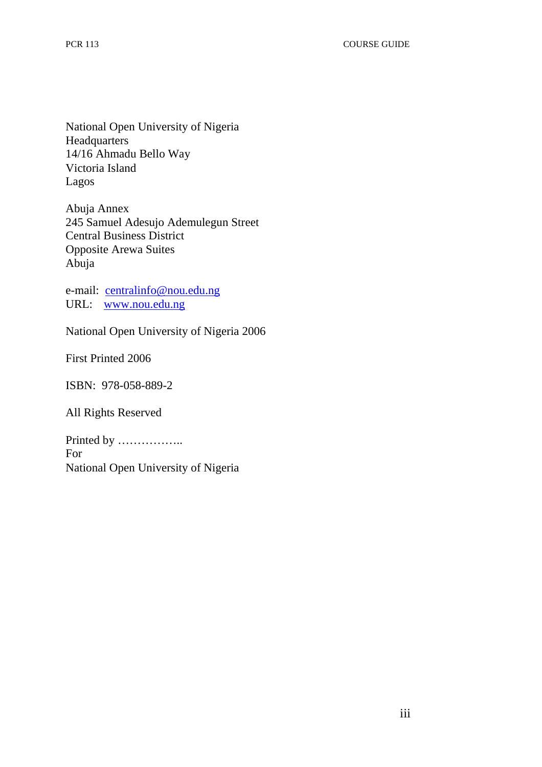National Open University of Nigeria Headquarters 14/16 Ahmadu Bello Way Victoria Island Lagos

Abuja Annex 245 Samuel Adesujo Ademulegun Street Central Business District Opposite Arewa Suites Abuja

e-mail: centralinfo@nou.edu.ng URL: www.nou.edu.ng

National Open University of Nigeria 2006

First Printed 2006

ISBN: 978-058-889-2

All Rights Reserved

Printed by …………….. For National Open University of Nigeria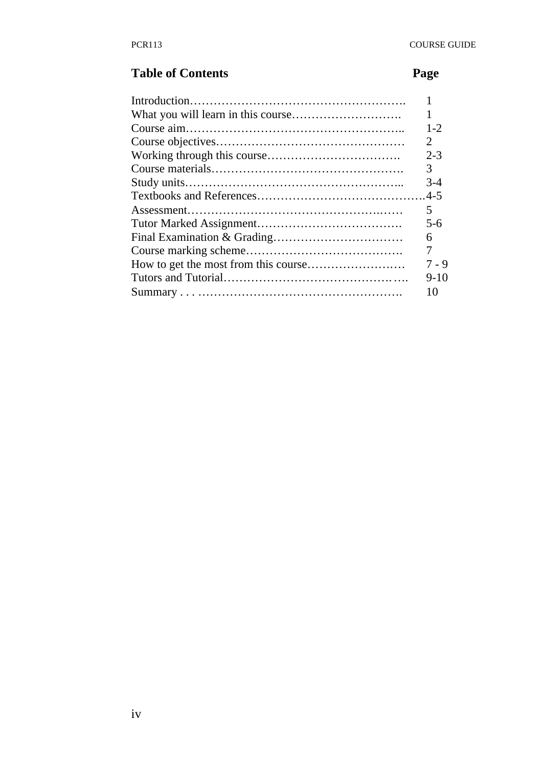# **Table of Contents** Page

| $1 - 2$               |
|-----------------------|
| $\mathcal{D}_{\cdot}$ |
| $2 - 3$               |
| 3                     |
| $3-4$                 |
|                       |
| 5                     |
| $5 - 6$               |
| 6                     |
| 7                     |
| 7 - 9                 |
| $9 - 10$              |
|                       |
|                       |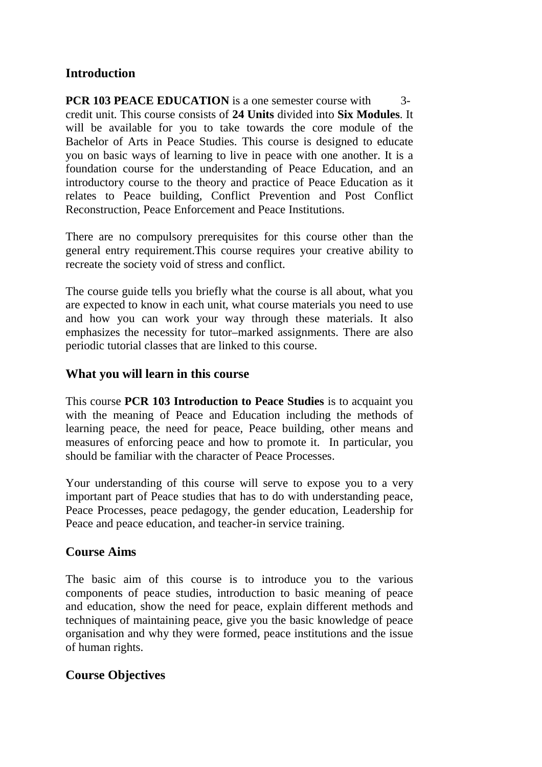## **Introduction**

**PCR 103 PEACE EDUCATION** is a one semester course with 3credit unit. This course consists of **24 Units** divided into **Six Modules**. It will be available for you to take towards the core module of the Bachelor of Arts in Peace Studies. This course is designed to educate you on basic ways of learning to live in peace with one another. It is a foundation course for the understanding of Peace Education, and an introductory course to the theory and practice of Peace Education as it relates to Peace building, Conflict Prevention and Post Conflict Reconstruction, Peace Enforcement and Peace Institutions.

There are no compulsory prerequisites for this course other than the general entry requirement.This course requires your creative ability to recreate the society void of stress and conflict.

The course guide tells you briefly what the course is all about, what you are expected to know in each unit, what course materials you need to use and how you can work your way through these materials. It also emphasizes the necessity for tutor–marked assignments. There are also periodic tutorial classes that are linked to this course.

## **What you will learn in this course**

This course **PCR 103 Introduction to Peace Studies** is to acquaint you with the meaning of Peace and Education including the methods of learning peace, the need for peace, Peace building, other means and measures of enforcing peace and how to promote it. In particular, you should be familiar with the character of Peace Processes.

Your understanding of this course will serve to expose you to a very important part of Peace studies that has to do with understanding peace, Peace Processes, peace pedagogy, the gender education, Leadership for Peace and peace education, and teacher-in service training.

## **Course Aims**

The basic aim of this course is to introduce you to the various components of peace studies, introduction to basic meaning of peace and education, show the need for peace, explain different methods and techniques of maintaining peace, give you the basic knowledge of peace organisation and why they were formed, peace institutions and the issue of human rights.

## **Course Objectives**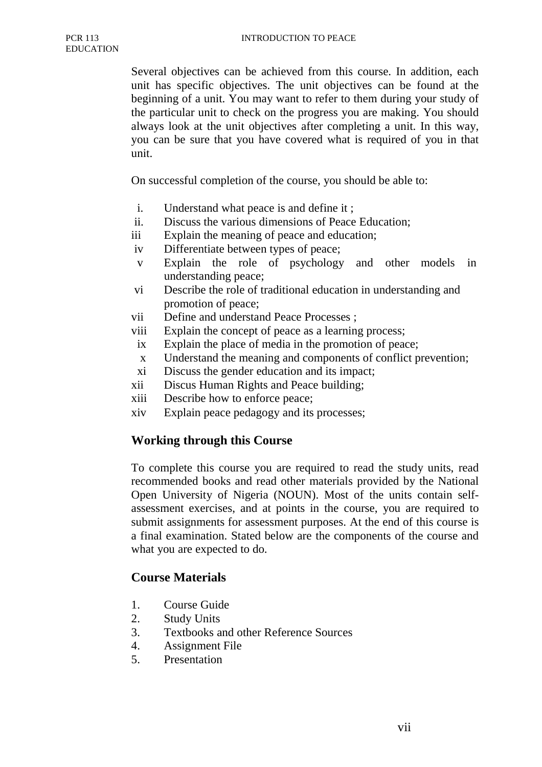Several objectives can be achieved from this course. In addition, each unit has specific objectives. The unit objectives can be found at the beginning of a unit. You may want to refer to them during your study of the particular unit to check on the progress you are making. You should always look at the unit objectives after completing a unit. In this way, you can be sure that you have covered what is required of you in that unit.

On successful completion of the course, you should be able to:

- i. Understand what peace is and define it ;
- ii. Discuss the various dimensions of Peace Education;
- iii Explain the meaning of peace and education;
- iv Differentiate between types of peace;
- v Explain the role of psychology and other models in understanding peace;
- vi Describe the role of traditional education in understanding and promotion of peace;
- vii Define and understand Peace Processes ;
- viii Explain the concept of peace as a learning process;
- ix Explain the place of media in the promotion of peace;
- x Understand the meaning and components of conflict prevention;
- xi Discuss the gender education and its impact;
- xii Discus Human Rights and Peace building;
- xiii Describe how to enforce peace;
- xiv Explain peace pedagogy and its processes;

#### **Working through this Course**

To complete this course you are required to read the study units, read recommended books and read other materials provided by the National Open University of Nigeria (NOUN). Most of the units contain selfassessment exercises, and at points in the course, you are required to submit assignments for assessment purposes. At the end of this course is a final examination. Stated below are the components of the course and what you are expected to do.

#### **Course Materials**

- 1. Course Guide
- 2. Study Units
- 3. Textbooks and other Reference Sources
- 4. Assignment File
- 5. Presentation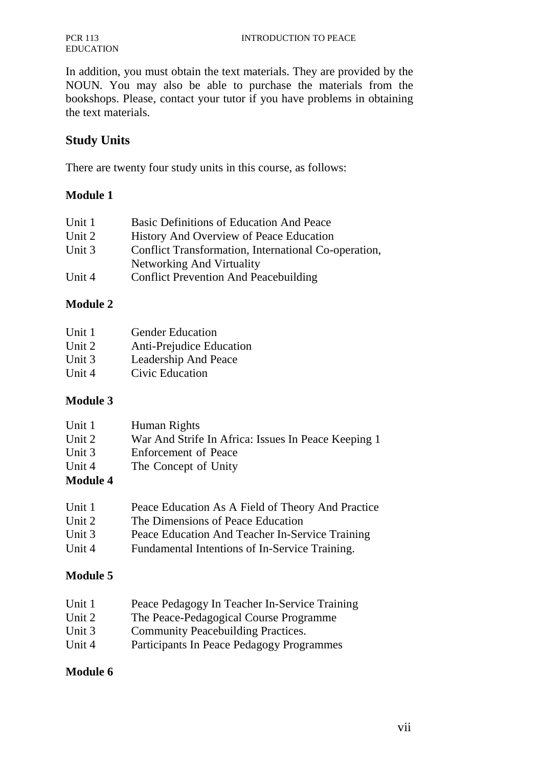In addition, you must obtain the text materials. They are provided by the NOUN. You may also be able to purchase the materials from the bookshops. Please, contact your tutor if you have problems in obtaining the text materials.

## **Study Units**

There are twenty four study units in this course, as follows:

#### **Module 1**

| Unit 1 | Basic Definitions of Education And Peace             |
|--------|------------------------------------------------------|
| Unit 2 | History And Overview of Peace Education              |
| Unit 3 | Conflict Transformation, International Co-operation, |
|        | Networking And Virtuality                            |
| Unit 4 | <b>Conflict Prevention And Peacebuilding</b>         |

#### **Module 2**

| Unit 1 | <b>Gender Education</b>  |
|--------|--------------------------|
| Unit 2 | Anti-Prejudice Education |
| Unit 3 | Leadership And Peace     |
| Unit 4 | Civic Education          |

#### **Module 3**

| Unit 1              | Human Rights                                        |
|---------------------|-----------------------------------------------------|
| Unit 2              | War And Strife In Africa: Issues In Peace Keeping 1 |
| Unit 3              | Enforcement of Peace                                |
| Unit 4              | The Concept of Unity                                |
| $M$ odula $\Lambda$ |                                                     |

#### **Module 4**

| Unit 1   | Peace Education As A Field of Theory And Practice |
|----------|---------------------------------------------------|
| Unit 2   | The Dimensions of Peace Education                 |
| Unit $3$ | Peace Education And Teacher In-Service Training   |
| Unit 4   | Fundamental Intentions of In-Service Training.    |

## **Module 5**

| Peace Pedagogy In Teacher In-Service Training |
|-----------------------------------------------|
|                                               |

- Unit 2 The Peace-Pedagogical Course Programme
- Unit 3 Community Peacebuilding Practices.
- Unit 4 Participants In Peace Pedagogy Programmes

#### **Module 6**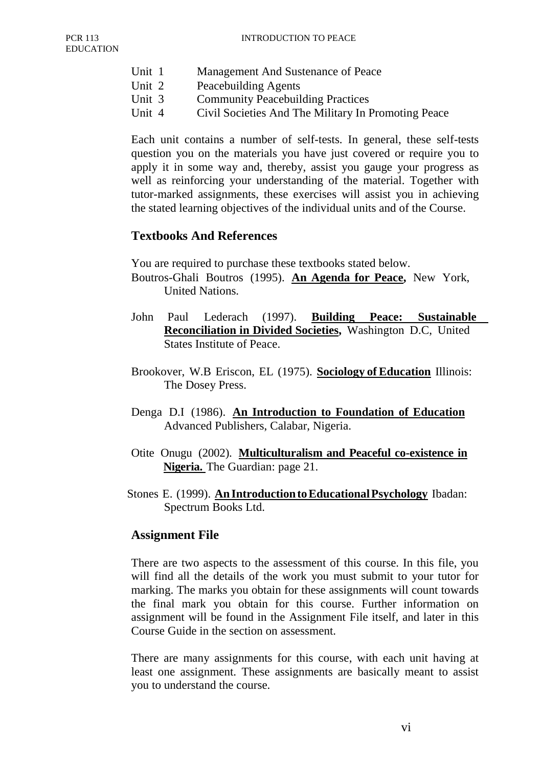- Unit 1 Management And Sustenance of Peace
- Unit 2 Peacebuilding Agents
- Unit 3 Community Peacebuilding Practices
- Unit 4 Civil Societies And The Military In Promoting Peace

Each unit contains a number of self-tests. In general, these self-tests question you on the materials you have just covered or require you to apply it in some way and, thereby, assist you gauge your progress as well as reinforcing your understanding of the material. Together with tutor-marked assignments, these exercises will assist you in achieving the stated learning objectives of the individual units and of the Course.

#### **Textbooks And References**

You are required to purchase these textbooks stated below.

- Boutros-Ghali Boutros (1995). **An Agenda for Peace,** New York, United Nations.
- John Paul Lederach (1997). **Building Peace: Sustainable Reconciliation in Divided Societies,** Washington D.C, United States Institute of Peace.
- Brookover, W.B Eriscon, EL (1975). **Sociology of Education** Illinois: The Dosey Press.
- Denga D.I (1986). **An Introduction to Foundation of Education** Advanced Publishers, Calabar, Nigeria.
- Otite Onugu (2002). **Multiculturalism and Peaceful co-existence in Nigeria.** The Guardian: page 21.
- Stones E. (1999). **An Introduction to Educational Psychology** Ibadan: Spectrum Books Ltd.

#### **Assignment File**

There are two aspects to the assessment of this course. In this file, you will find all the details of the work you must submit to your tutor for marking. The marks you obtain for these assignments will count towards the final mark you obtain for this course. Further information on assignment will be found in the Assignment File itself, and later in this Course Guide in the section on assessment.

There are many assignments for this course, with each unit having at least one assignment. These assignments are basically meant to assist you to understand the course.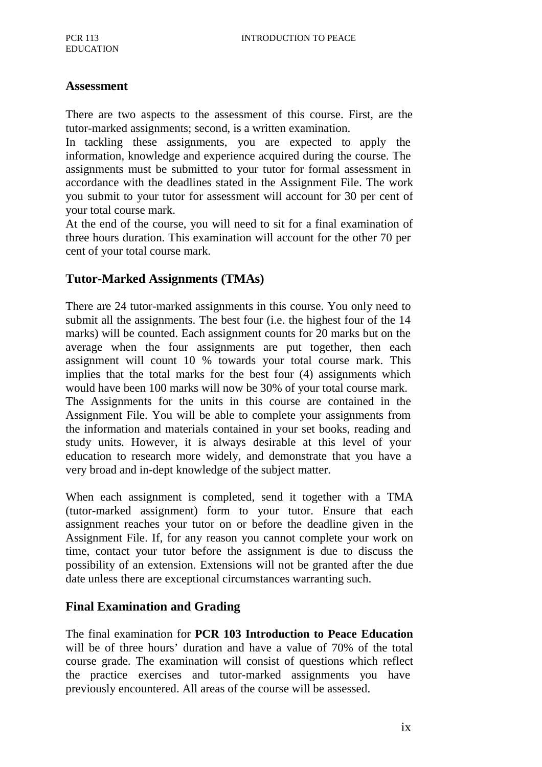#### **Assessment**

There are two aspects to the assessment of this course. First, are the tutor-marked assignments; second, is a written examination.

In tackling these assignments, you are expected to apply the information, knowledge and experience acquired during the course. The assignments must be submitted to your tutor for formal assessment in accordance with the deadlines stated in the Assignment File. The work you submit to your tutor for assessment will account for 30 per cent of your total course mark.

At the end of the course, you will need to sit for a final examination of three hours duration. This examination will account for the other 70 per cent of your total course mark.

## **Tutor-Marked Assignments (TMAs)**

There are 24 tutor-marked assignments in this course. You only need to submit all the assignments. The best four (i.e. the highest four of the 14 marks) will be counted. Each assignment counts for 20 marks but on the average when the four assignments are put together, then each assignment will count 10 % towards your total course mark. This implies that the total marks for the best four (4) assignments which would have been 100 marks will now be 30% of your total course mark. The Assignments for the units in this course are contained in the Assignment File. You will be able to complete your assignments from the information and materials contained in your set books, reading and study units. However, it is always desirable at this level of your education to research more widely, and demonstrate that you have a very broad and in-dept knowledge of the subject matter.

When each assignment is completed, send it together with a TMA (tutor-marked assignment) form to your tutor. Ensure that each assignment reaches your tutor on or before the deadline given in the Assignment File. If, for any reason you cannot complete your work on time, contact your tutor before the assignment is due to discuss the possibility of an extension. Extensions will not be granted after the due date unless there are exceptional circumstances warranting such.

## **Final Examination and Grading**

The final examination for **PCR 103 Introduction to Peace Education**  will be of three hours' duration and have a value of 70% of the total course grade. The examination will consist of questions which reflect the practice exercises and tutor-marked assignments you have previously encountered. All areas of the course will be assessed.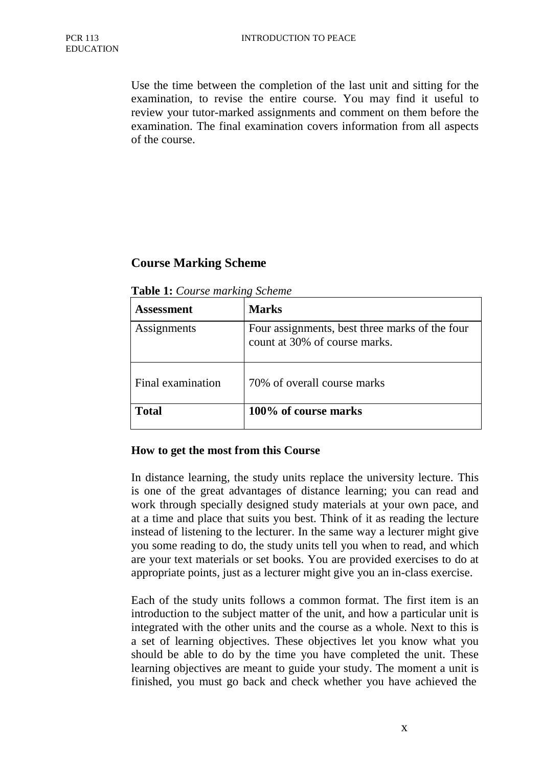Use the time between the completion of the last unit and sitting for the examination, to revise the entire course. You may find it useful to review your tutor-marked assignments and comment on them before the examination. The final examination covers information from all aspects of the course.

## **Course Marking Scheme**

|  | Table 1: Course marking Scheme |
|--|--------------------------------|
|  |                                |

| <b>Assessment</b> | <b>Marks</b>                                                                    |
|-------------------|---------------------------------------------------------------------------------|
| Assignments       | Four assignments, best three marks of the four<br>count at 30% of course marks. |
| Final examination | 70% of overall course marks                                                     |
| <b>Total</b>      | 100% of course marks                                                            |

#### **How to get the most from this Course**

In distance learning, the study units replace the university lecture. This is one of the great advantages of distance learning; you can read and work through specially designed study materials at your own pace, and at a time and place that suits you best. Think of it as reading the lecture instead of listening to the lecturer. In the same way a lecturer might give you some reading to do, the study units tell you when to read, and which are your text materials or set books. You are provided exercises to do at appropriate points, just as a lecturer might give you an in-class exercise.

Each of the study units follows a common format. The first item is an introduction to the subject matter of the unit, and how a particular unit is integrated with the other units and the course as a whole. Next to this is a set of learning objectives. These objectives let you know what you should be able to do by the time you have completed the unit. These learning objectives are meant to guide your study. The moment a unit is finished, you must go back and check whether you have achieved the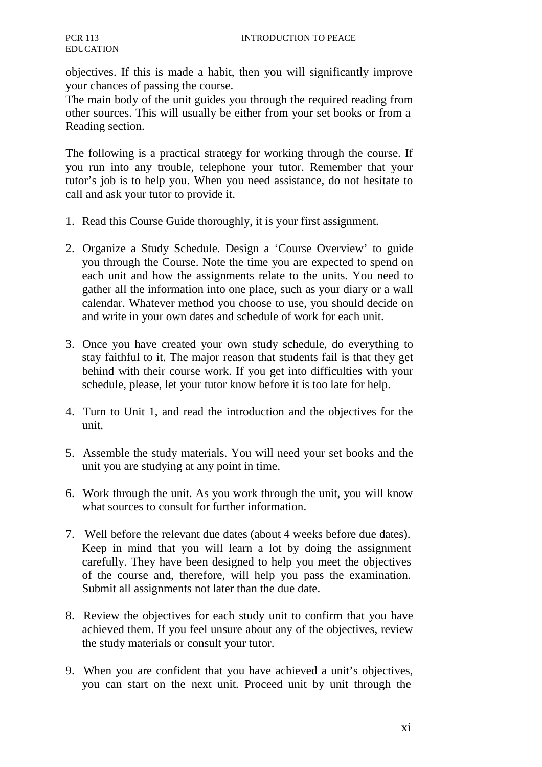objectives. If this is made a habit, then you will significantly improve your chances of passing the course.

The main body of the unit guides you through the required reading from other sources. This will usually be either from your set books or from a Reading section.

The following is a practical strategy for working through the course. If you run into any trouble, telephone your tutor. Remember that your tutor's job is to help you. When you need assistance, do not hesitate to call and ask your tutor to provide it.

- 1. Read this Course Guide thoroughly, it is your first assignment.
- 2. Organize a Study Schedule. Design a 'Course Overview' to guide you through the Course. Note the time you are expected to spend on each unit and how the assignments relate to the units. You need to gather all the information into one place, such as your diary or a wall calendar. Whatever method you choose to use, you should decide on and write in your own dates and schedule of work for each unit.
- 3. Once you have created your own study schedule, do everything to stay faithful to it. The major reason that students fail is that they get behind with their course work. If you get into difficulties with your schedule, please, let your tutor know before it is too late for help.
- 4. Turn to Unit 1, and read the introduction and the objectives for the unit.
- 5. Assemble the study materials. You will need your set books and the unit you are studying at any point in time.
- 6. Work through the unit. As you work through the unit, you will know what sources to consult for further information.
- 7. Well before the relevant due dates (about 4 weeks before due dates). Keep in mind that you will learn a lot by doing the assignment carefully. They have been designed to help you meet the objectives of the course and, therefore, will help you pass the examination. Submit all assignments not later than the due date.
- 8. Review the objectives for each study unit to confirm that you have achieved them. If you feel unsure about any of the objectives, review the study materials or consult your tutor.
- 9. When you are confident that you have achieved a unit's objectives, you can start on the next unit. Proceed unit by unit through the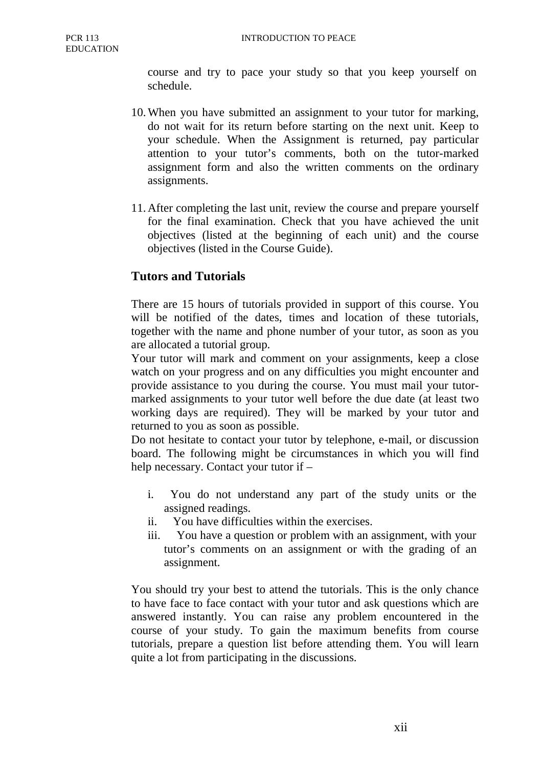course and try to pace your study so that you keep yourself on schedule.

- 10. When you have submitted an assignment to your tutor for marking, do not wait for its return before starting on the next unit. Keep to your schedule. When the Assignment is returned, pay particular attention to your tutor's comments, both on the tutor-marked assignment form and also the written comments on the ordinary assignments.
- 11. After completing the last unit, review the course and prepare yourself for the final examination. Check that you have achieved the unit objectives (listed at the beginning of each unit) and the course objectives (listed in the Course Guide).

## **Tutors and Tutorials**

There are 15 hours of tutorials provided in support of this course. You will be notified of the dates, times and location of these tutorials, together with the name and phone number of your tutor, as soon as you are allocated a tutorial group.

Your tutor will mark and comment on your assignments, keep a close watch on your progress and on any difficulties you might encounter and provide assistance to you during the course. You must mail your tutormarked assignments to your tutor well before the due date (at least two working days are required). They will be marked by your tutor and returned to you as soon as possible.

Do not hesitate to contact your tutor by telephone, e-mail, or discussion board. The following might be circumstances in which you will find help necessary. Contact your tutor if –

- i. You do not understand any part of the study units or the assigned readings.
- ii. You have difficulties within the exercises.
- iii. You have a question or problem with an assignment, with your tutor's comments on an assignment or with the grading of an assignment.

You should try your best to attend the tutorials. This is the only chance to have face to face contact with your tutor and ask questions which are answered instantly. You can raise any problem encountered in the course of your study. To gain the maximum benefits from course tutorials, prepare a question list before attending them. You will learn quite a lot from participating in the discussions.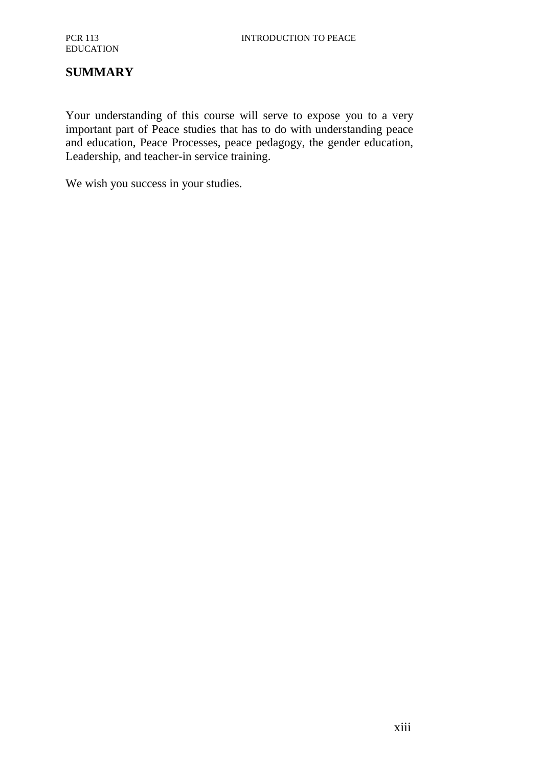## **SUMMARY**

Your understanding of this course will serve to expose you to a very important part of Peace studies that has to do with understanding peace and education, Peace Processes, peace pedagogy, the gender education, Leadership, and teacher-in service training.

We wish you success in your studies.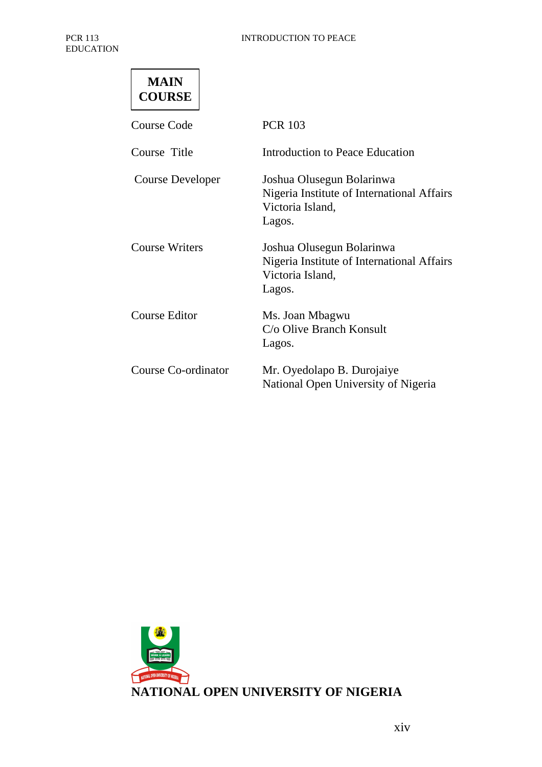| MAIN          |  |
|---------------|--|
| <b>COURSE</b> |  |

| Course Code           | <b>PCR 103</b>                                                                                        |
|-----------------------|-------------------------------------------------------------------------------------------------------|
| Course Title          | Introduction to Peace Education                                                                       |
| Course Developer      | Joshua Olusegun Bolarinwa<br>Nigeria Institute of International Affairs<br>Victoria Island,<br>Lagos. |
| <b>Course Writers</b> | Joshua Olusegun Bolarinwa<br>Nigeria Institute of International Affairs<br>Victoria Island,<br>Lagos. |
| <b>Course Editor</b>  | Ms. Joan Mbagwu<br>C/o Olive Branch Konsult<br>Lagos.                                                 |
| Course Co-ordinator   | Mr. Oyedolapo B. Durojaiye<br>National Open University of Nigeria                                     |

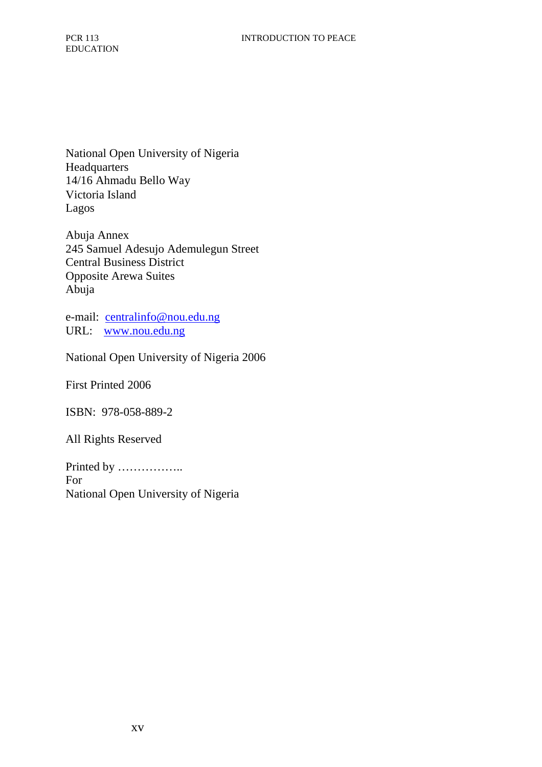National Open University of Nigeria **Headquarters** 14/16 Ahmadu Bello Way Victoria Island Lagos

Abuja Annex 245 Samuel Adesujo Ademulegun Street Central Business District Opposite Arewa Suites Abuja

e-mail: centralinfo@nou.edu.ng URL: www.nou.edu.ng

National Open University of Nigeria 2006

First Printed 2006

ISBN: 978-058-889-2

All Rights Reserved

Printed by …………….. For National Open University of Nigeria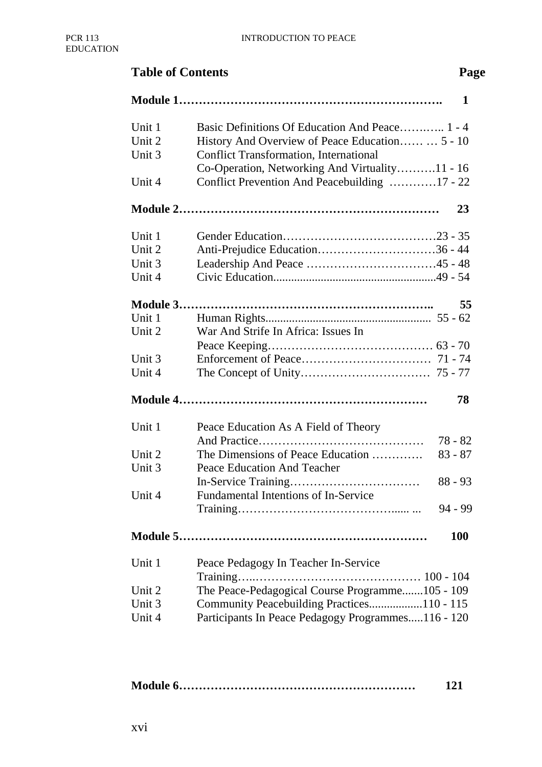# **Table of Contents** Page **Module 1…………………………………………………………. 1** Unit 1 Basic Definitions Of Education And Peace............ 1 - 4 Unit 2 History And Overview of Peace Education…… … 5 - 10 Unit 3 Conflict Transformation, International Co-Operation, Networking And Virtuality……….11 - 16 Unit 4 Conflict Prevention And Peacebuilding …………17 - 22 **Module 2………………………………………………………… 23** Unit 1 Gender Education…………………………………23 - 35 Unit 2 Anti-Prejudice Education…………………………36 - 44 Unit 3 Leadership And Peace ………………………………45 - 48 Unit 4 Civic Education.......................................................49 - 54 **Module 3……………………………………………………….. 55** Unit 1 Human Rights........................................................ 55 - 62 Unit 2 War And Strife In Africa: Issues In Peace Keeping…………………………………… 63 - 70 Unit 3 Enforcement of Peace…………………………… 71 - 74 Unit 4 The Concept of Unity…………………………… 75 - 77 **Module 4……………………………………………………… 78** Unit 1 Peace Education As A Field of Theory And Practice…………………………………… 78 - 82 Unit 2 The Dimensions of Peace Education …………. 83 - 87 Unit 3 Peace Education And Teacher In-Service Training…………………………… 88 - 93 Unit 4 Fundamental Intentions of In-Service Training…………………………………...... ... 94 - 99 **Module 5……………………………………………………… 100** Unit 1 Peace Pedagogy In Teacher In-Service Training…..…………………………………… 100 - 104 Unit 2 The Peace-Pedagogical Course Programme.......105 - 109 Unit 3 Community Peacebuilding Practices..................110 - 115 Unit 4 Participants In Peace Pedagogy Programmes.....116 - 120

|  | 121 |
|--|-----|
|--|-----|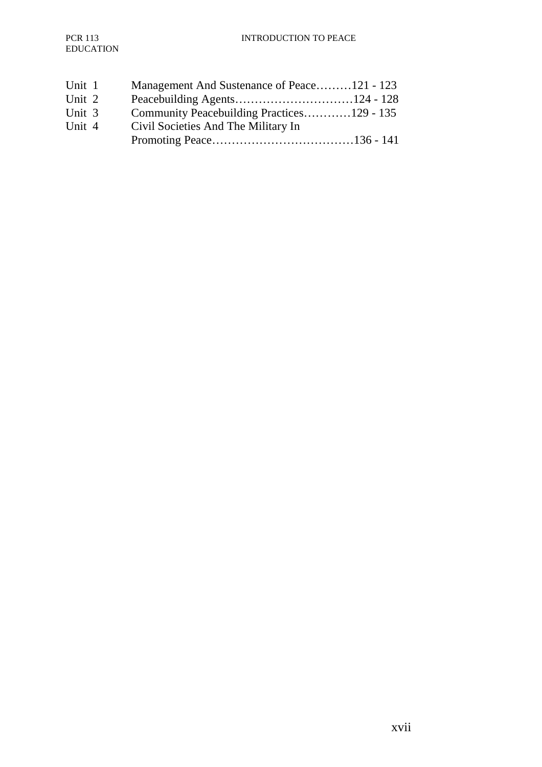| Unit 1 | Management And Sustenance of Peace121 - 123 |
|--------|---------------------------------------------|
| Unit 2 |                                             |
| Unit 3 | Community Peacebuilding Practices129 - 135  |
| Unit 4 | Civil Societies And The Military In         |
|        |                                             |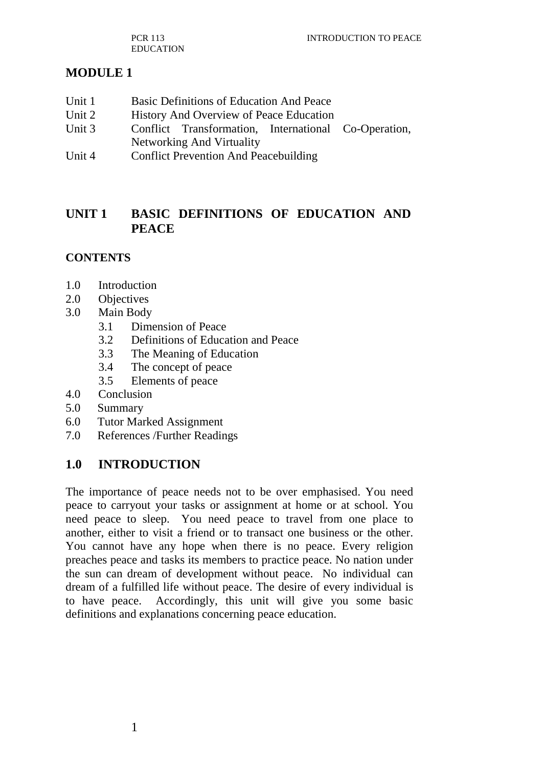PCR 113 EDUCATION

## **MODULE 1**

- Unit 1 Basic Definitions of Education And Peace
- Unit 2 History And Overview of Peace Education
- Unit 3 Conflict Transformation, International Co-Operation, Networking And Virtuality
- Unit 4 Conflict Prevention And Peacebuilding

## **UNIT 1 BASIC DEFINITIONS OF EDUCATION AND PEACE**

#### **CONTENTS**

- 1.0 Introduction
- 2.0 Objectives
- 3.0 Main Body
	- 3.1 Dimension of Peace
	- 3.2 Definitions of Education and Peace
	- 3.3 The Meaning of Education
	- 3.4 The concept of peace
	- 3.5 Elements of peace
- 4.0 Conclusion
- 5.0 Summary
- 6.0 Tutor Marked Assignment
- 7.0 References /Further Readings

#### **1.0 INTRODUCTION**

The importance of peace needs not to be over emphasised. You need peace to carryout your tasks or assignment at home or at school. You need peace to sleep. You need peace to travel from one place to another, either to visit a friend or to transact one business or the other. You cannot have any hope when there is no peace. Every religion preaches peace and tasks its members to practice peace. No nation under the sun can dream of development without peace. No individual can dream of a fulfilled life without peace. The desire of every individual is to have peace. Accordingly, this unit will give you some basic definitions and explanations concerning peace education.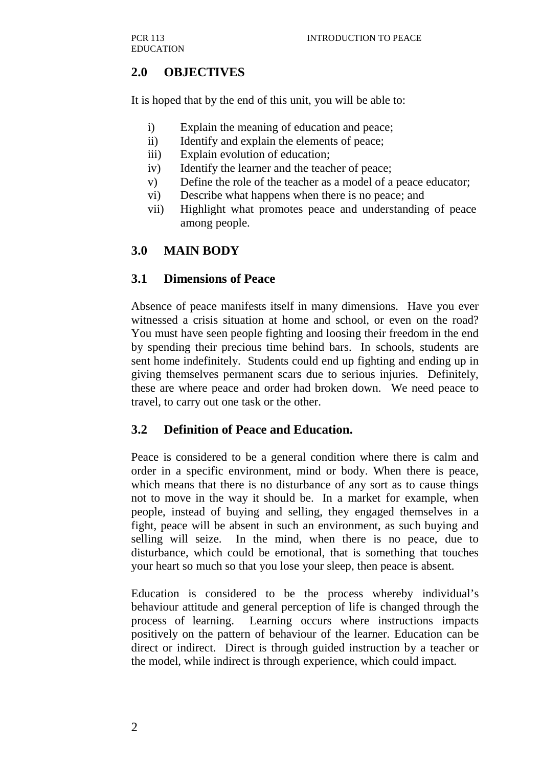## **2.0 OBJECTIVES**

It is hoped that by the end of this unit, you will be able to:

- i) Explain the meaning of education and peace;
- ii) Identify and explain the elements of peace;
- iii) Explain evolution of education;
- iv) Identify the learner and the teacher of peace;
- v) Define the role of the teacher as a model of a peace educator;
- vi) Describe what happens when there is no peace; and
- vii) Highlight what promotes peace and understanding of peace among people.

## **3.0 MAIN BODY**

#### **3.1 Dimensions of Peace**

Absence of peace manifests itself in many dimensions. Have you ever witnessed a crisis situation at home and school, or even on the road? You must have seen people fighting and loosing their freedom in the end by spending their precious time behind bars. In schools, students are sent home indefinitely. Students could end up fighting and ending up in giving themselves permanent scars due to serious injuries. Definitely, these are where peace and order had broken down. We need peace to travel, to carry out one task or the other.

#### **3.2 Definition of Peace and Education.**

Peace is considered to be a general condition where there is calm and order in a specific environment, mind or body. When there is peace, which means that there is no disturbance of any sort as to cause things not to move in the way it should be. In a market for example, when people, instead of buying and selling, they engaged themselves in a fight, peace will be absent in such an environment, as such buying and selling will seize. In the mind, when there is no peace, due to disturbance, which could be emotional, that is something that touches your heart so much so that you lose your sleep, then peace is absent.

Education is considered to be the process whereby individual's behaviour attitude and general perception of life is changed through the process of learning. Learning occurs where instructions impacts positively on the pattern of behaviour of the learner. Education can be direct or indirect. Direct is through guided instruction by a teacher or the model, while indirect is through experience, which could impact.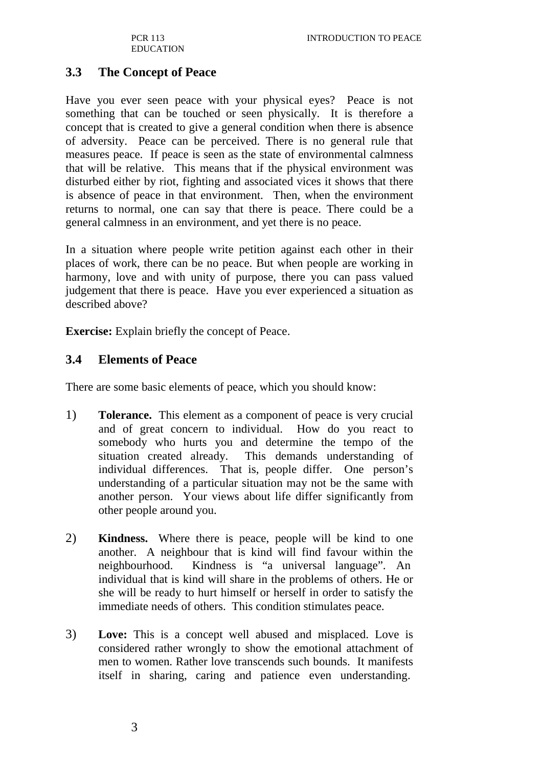PCR 113 EDUCATION

## **3.3 The Concept of Peace**

Have you ever seen peace with your physical eyes? Peace is not something that can be touched or seen physically. It is therefore a concept that is created to give a general condition when there is absence of adversity. Peace can be perceived. There is no general rule that measures peace. If peace is seen as the state of environmental calmness that will be relative. This means that if the physical environment was disturbed either by riot, fighting and associated vices it shows that there is absence of peace in that environment. Then, when the environment returns to normal, one can say that there is peace. There could be a general calmness in an environment, and yet there is no peace.

In a situation where people write petition against each other in their places of work, there can be no peace. But when people are working in harmony, love and with unity of purpose, there you can pass valued judgement that there is peace. Have you ever experienced a situation as described above?

**Exercise:** Explain briefly the concept of Peace.

#### **3.4 Elements of Peace**

There are some basic elements of peace, which you should know:

- 1) **Tolerance.** This element as a component of peace is very crucial and of great concern to individual. How do you react to somebody who hurts you and determine the tempo of the situation created already. This demands understanding of individual differences. That is, people differ. One person's understanding of a particular situation may not be the same with another person. Your views about life differ significantly from other people around you.
- 2) **Kindness.** Where there is peace, people will be kind to one another. A neighbour that is kind will find favour within the neighbourhood. Kindness is "a universal language". An individual that is kind will share in the problems of others. He or she will be ready to hurt himself or herself in order to satisfy the immediate needs of others. This condition stimulates peace.
- 3) **Love:** This is a concept well abused and misplaced. Love is considered rather wrongly to show the emotional attachment of men to women. Rather love transcends such bounds. It manifests itself in sharing, caring and patience even understanding.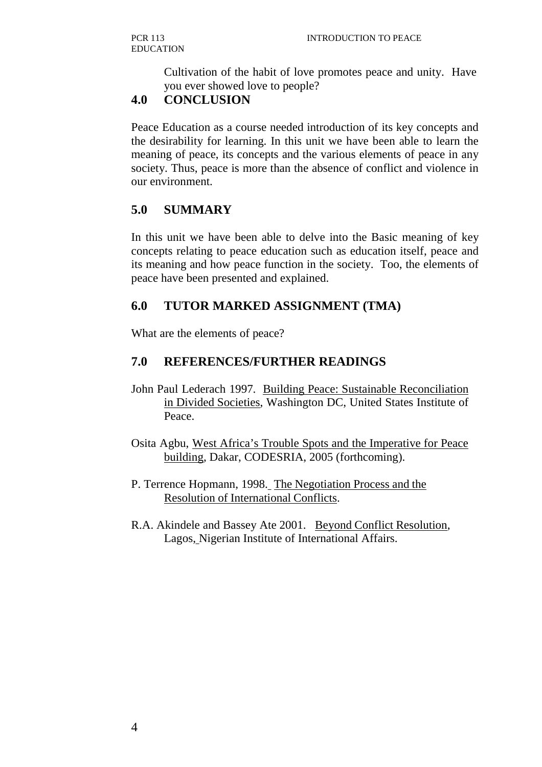Cultivation of the habit of love promotes peace and unity. Have you ever showed love to people?

## **4.0 CONCLUSION**

Peace Education as a course needed introduction of its key concepts and the desirability for learning. In this unit we have been able to learn the meaning of peace, its concepts and the various elements of peace in any society. Thus, peace is more than the absence of conflict and violence in our environment.

## **5.0 SUMMARY**

In this unit we have been able to delve into the Basic meaning of key concepts relating to peace education such as education itself, peace and its meaning and how peace function in the society. Too, the elements of peace have been presented and explained.

## **6.0 TUTOR MARKED ASSIGNMENT (TMA)**

What are the elements of peace?

## **7.0 REFERENCES/FURTHER READINGS**

- John Paul Lederach 1997. Building Peace: Sustainable Reconciliation in Divided Societies, Washington DC, United States Institute of Peace.
- Osita Agbu, West Africa's Trouble Spots and the Imperative for Peace building, Dakar, CODESRIA, 2005 (forthcoming).
- P. Terrence Hopmann, 1998. The Negotiation Process and the Resolution of International Conflicts.
- R.A. Akindele and Bassey Ate 2001. Beyond Conflict Resolution, Lagos, Nigerian Institute of International Affairs.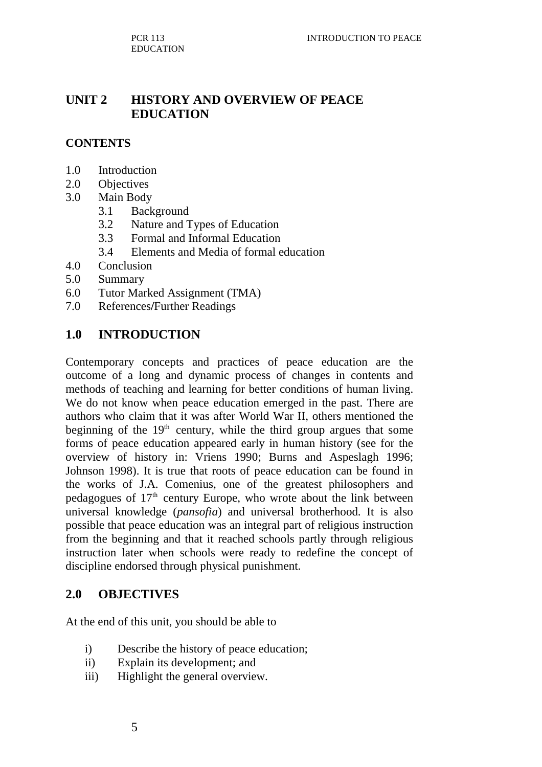## **UNIT 2 HISTORY AND OVERVIEW OF PEACE EDUCATION**

#### **CONTENTS**

- 1.0 Introduction
- 2.0 Objectives
- 3.0 Main Body
	- 3.1 Background
	- 3.2 Nature and Types of Education
	- 3.3 Formal and Informal Education
	- 3.4 Elements and Media of formal education
- 4.0 Conclusion
- 5.0 Summary
- 6.0 Tutor Marked Assignment (TMA)
- 7.0 References**/**Further Readings

## **1.0 INTRODUCTION**

Contemporary concepts and practices of peace education are the outcome of a long and dynamic process of changes in contents and methods of teaching and learning for better conditions of human living. We do not know when peace education emerged in the past. There are authors who claim that it was after World War II, others mentioned the beginning of the  $19<sup>th</sup>$  century, while the third group argues that some forms of peace education appeared early in human history (see for the overview of history in: Vriens 1990; Burns and Aspeslagh 1996; Johnson 1998). It is true that roots of peace education can be found in the works of J.A. Comenius, one of the greatest philosophers and pedagogues of  $17<sup>th</sup>$  century Europe, who wrote about the link between universal knowledge (*pansofia*) and universal brotherhood. It is also possible that peace education was an integral part of religious instruction from the beginning and that it reached schools partly through religious instruction later when schools were ready to redefine the concept of discipline endorsed through physical punishment.

#### **2.0 OBJECTIVES**

At the end of this unit, you should be able to

- i) Describe the history of peace education;
- ii) Explain its development; and
- iii) Highlight the general overview.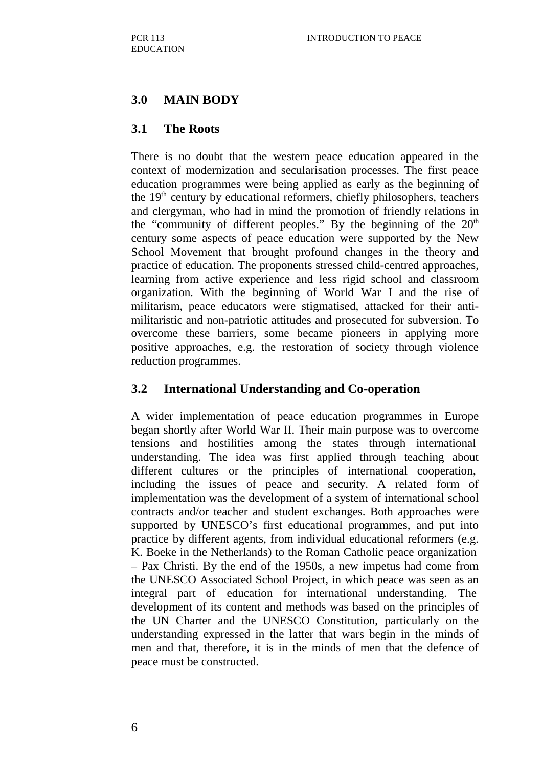## **3.0 MAIN BODY**

## **3.1 The Roots**

There is no doubt that the western peace education appeared in the context of modernization and secularisation processes. The first peace education programmes were being applied as early as the beginning of the 19th century by educational reformers, chiefly philosophers, teachers and clergyman, who had in mind the promotion of friendly relations in the "community of different peoples." By the beginning of the  $20<sup>th</sup>$ century some aspects of peace education were supported by the New School Movement that brought profound changes in the theory and practice of education. The proponents stressed child-centred approaches, learning from active experience and less rigid school and classroom organization. With the beginning of World War I and the rise of militarism, peace educators were stigmatised, attacked for their antimilitaristic and non-patriotic attitudes and prosecuted for subversion. To overcome these barriers, some became pioneers in applying more positive approaches, e.g. the restoration of society through violence reduction programmes.

## **3.2 International Understanding and Co-operation**

A wider implementation of peace education programmes in Europe began shortly after World War II. Their main purpose was to overcome tensions and hostilities among the states through international understanding. The idea was first applied through teaching about different cultures or the principles of international cooperation, including the issues of peace and security. A related form of implementation was the development of a system of international school contracts and/or teacher and student exchanges. Both approaches were supported by UNESCO's first educational programmes, and put into practice by different agents, from individual educational reformers (e.g. K. Boeke in the Netherlands) to the Roman Catholic peace organization – Pax Christi. By the end of the 1950s, a new impetus had come from the UNESCO Associated School Project, in which peace was seen as an integral part of education for international understanding. The development of its content and methods was based on the principles of the UN Charter and the UNESCO Constitution, particularly on the understanding expressed in the latter that wars begin in the minds of men and that, therefore, it is in the minds of men that the defence of peace must be constructed.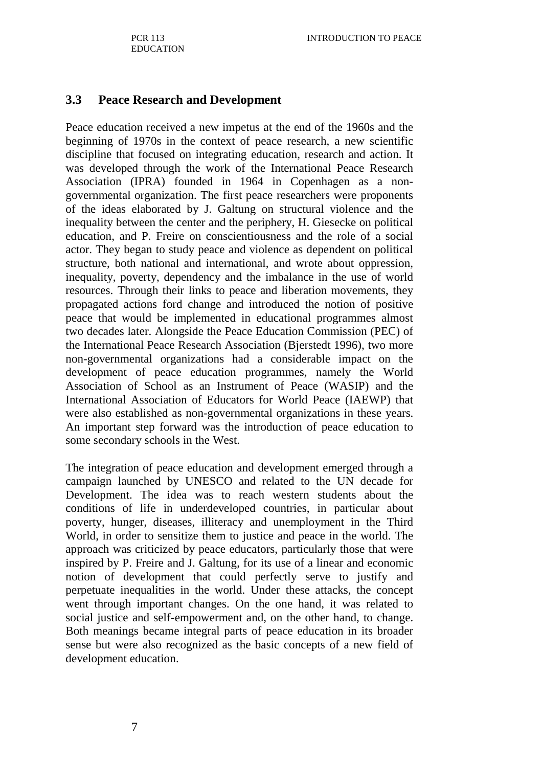#### **3.3 Peace Research and Development**

Peace education received a new impetus at the end of the 1960s and the beginning of 1970s in the context of peace research, a new scientific discipline that focused on integrating education, research and action. It was developed through the work of the International Peace Research Association (IPRA) founded in 1964 in Copenhagen as a nongovernmental organization. The first peace researchers were proponents of the ideas elaborated by J. Galtung on structural violence and the inequality between the center and the periphery, H. Giesecke on political education, and P. Freire on conscientiousness and the role of a social actor. They began to study peace and violence as dependent on political structure, both national and international, and wrote about oppression, inequality, poverty, dependency and the imbalance in the use of world resources. Through their links to peace and liberation movements, they propagated actions ford change and introduced the notion of positive peace that would be implemented in educational programmes almost two decades later. Alongside the Peace Education Commission (PEC) of the International Peace Research Association (Bjerstedt 1996), two more non-governmental organizations had a considerable impact on the development of peace education programmes, namely the World Association of School as an Instrument of Peace (WASIP) and the International Association of Educators for World Peace (IAEWP) that were also established as non-governmental organizations in these years. An important step forward was the introduction of peace education to some secondary schools in the West.

The integration of peace education and development emerged through a campaign launched by UNESCO and related to the UN decade for Development. The idea was to reach western students about the conditions of life in underdeveloped countries, in particular about poverty, hunger, diseases, illiteracy and unemployment in the Third World, in order to sensitize them to justice and peace in the world. The approach was criticized by peace educators, particularly those that were inspired by P. Freire and J. Galtung, for its use of a linear and economic notion of development that could perfectly serve to justify and perpetuate inequalities in the world. Under these attacks, the concept went through important changes. On the one hand, it was related to social justice and self-empowerment and, on the other hand, to change. Both meanings became integral parts of peace education in its broader sense but were also recognized as the basic concepts of a new field of development education.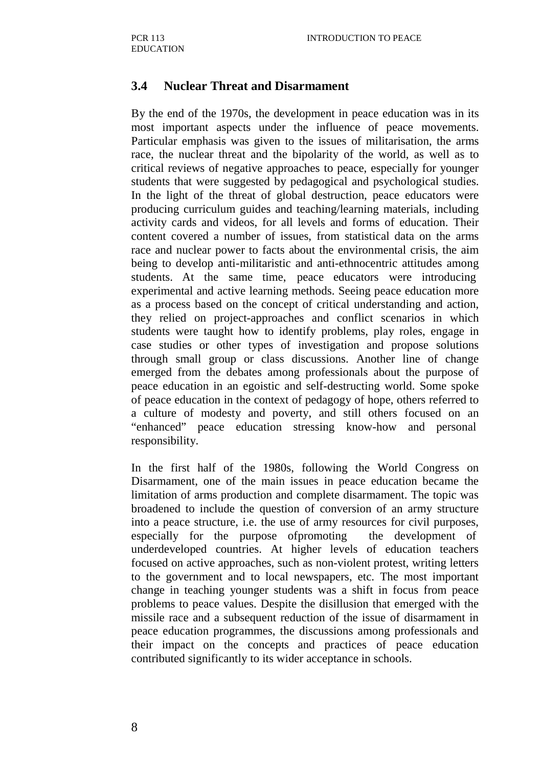#### **3.4 Nuclear Threat and Disarmament**

By the end of the 1970s, the development in peace education was in its most important aspects under the influence of peace movements. Particular emphasis was given to the issues of militarisation, the arms race, the nuclear threat and the bipolarity of the world, as well as to critical reviews of negative approaches to peace, especially for younger students that were suggested by pedagogical and psychological studies. In the light of the threat of global destruction, peace educators were producing curriculum guides and teaching/learning materials, including activity cards and videos, for all levels and forms of education. Their content covered a number of issues, from statistical data on the arms race and nuclear power to facts about the environmental crisis, the aim being to develop anti-militaristic and anti-ethnocentric attitudes among students. At the same time, peace educators were introducing experimental and active learning methods. Seeing peace education more as a process based on the concept of critical understanding and action, they relied on project-approaches and conflict scenarios in which students were taught how to identify problems, play roles, engage in case studies or other types of investigation and propose solutions through small group or class discussions. Another line of change emerged from the debates among professionals about the purpose of peace education in an egoistic and self-destructing world. Some spoke of peace education in the context of pedagogy of hope, others referred to a culture of modesty and poverty, and still others focused on an "enhanced" peace education stressing know-how and personal responsibility.

In the first half of the 1980s, following the World Congress on Disarmament, one of the main issues in peace education became the limitation of arms production and complete disarmament. The topic was broadened to include the question of conversion of an army structure into a peace structure, i.e. the use of army resources for civil purposes, especially for the purpose of promoting the development of underdeveloped countries. At higher levels of education teachers focused on active approaches, such as non-violent protest, writing letters to the government and to local newspapers, etc. The most important change in teaching younger students was a shift in focus from peace problems to peace values. Despite the disillusion that emerged with the missile race and a subsequent reduction of the issue of disarmament in peace education programmes, the discussions among professionals and their impact on the concepts and practices of peace education contributed significantly to its wider acceptance in schools.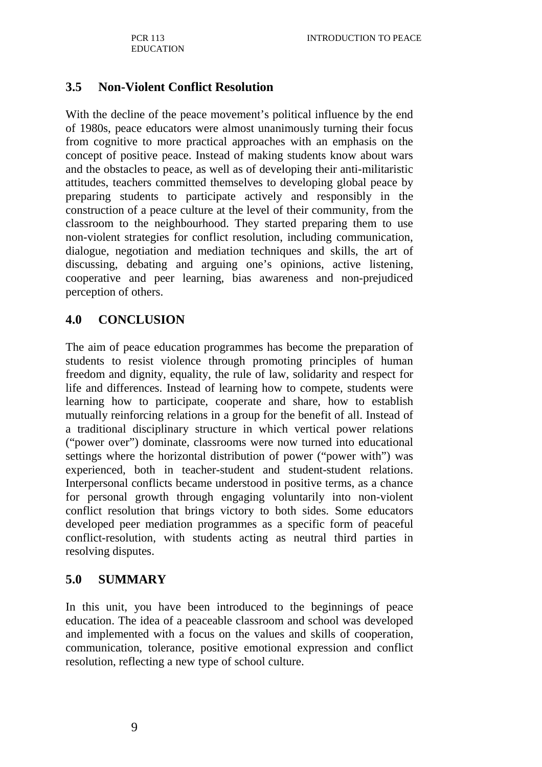#### **3.5 Non-Violent Conflict Resolution**

With the decline of the peace movement's political influence by the end of 1980s, peace educators were almost unanimously turning their focus from cognitive to more practical approaches with an emphasis on the concept of positive peace. Instead of making students know about wars and the obstacles to peace, as well as of developing their anti-militaristic attitudes, teachers committed themselves to developing global peace by preparing students to participate actively and responsibly in the construction of a peace culture at the level of their community, from the classroom to the neighbourhood. They started preparing them to use non-violent strategies for conflict resolution, including communication, dialogue, negotiation and mediation techniques and skills, the art of discussing, debating and arguing one's opinions, active listening, cooperative and peer learning, bias awareness and non-prejudiced perception of others.

#### **4.0 CONCLUSION**

The aim of peace education programmes has become the preparation of students to resist violence through promoting principles of human freedom and dignity, equality, the rule of law, solidarity and respect for life and differences. Instead of learning how to compete, students were learning how to participate, cooperate and share, how to establish mutually reinforcing relations in a group for the benefit of all. Instead of a traditional disciplinary structure in which vertical power relations ("power over") dominate, classrooms were now turned into educational settings where the horizontal distribution of power ("power with") was experienced, both in teacher-student and student-student relations. Interpersonal conflicts became understood in positive terms, as a chance for personal growth through engaging voluntarily into non-violent conflict resolution that brings victory to both sides. Some educators developed peer mediation programmes as a specific form of peaceful conflict-resolution, with students acting as neutral third parties in resolving disputes.

#### **5.0 SUMMARY**

In this unit, you have been introduced to the beginnings of peace education. The idea of a peaceable classroom and school was developed and implemented with a focus on the values and skills of cooperation, communication, tolerance, positive emotional expression and conflict resolution, reflecting a new type of school culture.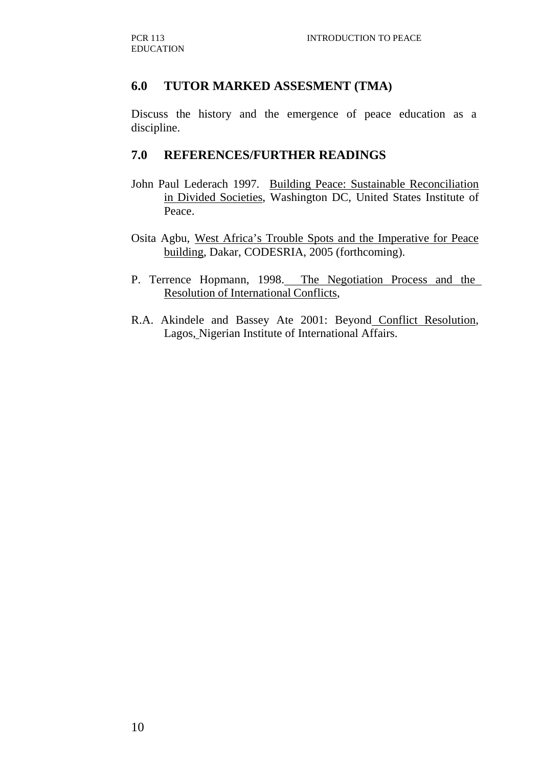## **6.0 TUTOR MARKED ASSESMENT (TMA)**

Discuss the history and the emergence of peace education as a discipline.

#### **7.0 REFERENCES/FURTHER READINGS**

- John Paul Lederach 1997. Building Peace: Sustainable Reconciliation in Divided Societies, Washington DC, United States Institute of Peace.
- Osita Agbu, West Africa's Trouble Spots and the Imperative for Peace building, Dakar, CODESRIA, 2005 (forthcoming).
- P. Terrence Hopmann, 1998. The Negotiation Process and the Resolution of International Conflicts,
- R.A. Akindele and Bassey Ate 2001: Beyond Conflict Resolution, Lagos, Nigerian Institute of International Affairs.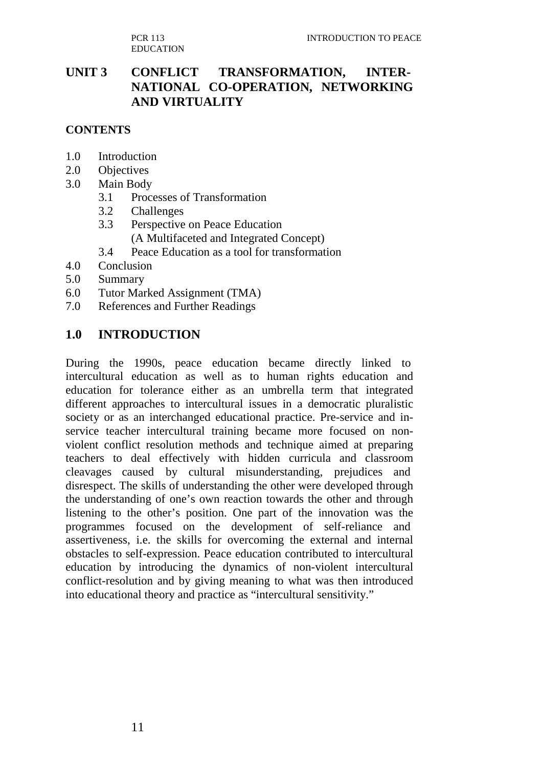PCR 113 EDUCATION

## **UNIT 3 CONFLICT TRANSFORMATION, INTER-NATIONAL CO-OPERATION, NETWORKING AND VIRTUALITY**

### **CONTENTS**

- 1.0 Introduction
- 2.0 Objectives
- 3.0 Main Body
	- 3.1 Processes of Transformation
	- 3.2 Challenges
	- 3.3 Perspective on Peace Education
		- (A Multifaceted and Integrated Concept)
	- 3.4 Peace Education as a tool for transformation
- 4.0 Conclusion
- 5.0 Summary
- 6.0 Tutor Marked Assignment (TMA)
- 7.0 References and Further Readings

#### **1.0 INTRODUCTION**

During the 1990s, peace education became directly linked to intercultural education as well as to human rights education and education for tolerance either as an umbrella term that integrated different approaches to intercultural issues in a democratic pluralistic society or as an interchanged educational practice. Pre-service and inservice teacher intercultural training became more focused on nonviolent conflict resolution methods and technique aimed at preparing teachers to deal effectively with hidden curricula and classroom cleavages caused by cultural misunderstanding, prejudices and disrespect. The skills of understanding the other were developed through the understanding of one's own reaction towards the other and through listening to the other's position. One part of the innovation was the programmes focused on the development of self-reliance and assertiveness, i.e. the skills for overcoming the external and internal obstacles to self-expression. Peace education contributed to intercultural education by introducing the dynamics of non-violent intercultural conflict-resolution and by giving meaning to what was then introduced into educational theory and practice as "intercultural sensitivity."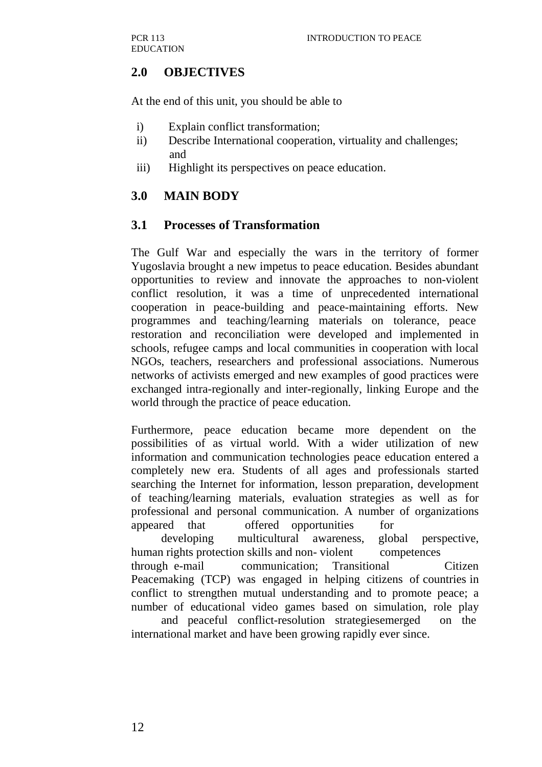## **2.0 OBJECTIVES**

At the end of this unit, you should be able to

- i) Explain conflict transformation;
- ii) Describe International cooperation, virtuality and challenges; and
- iii) Highlight its perspectives on peace education.

## **3.0 MAIN BODY**

## **3.1 Processes of Transformation**

The Gulf War and especially the wars in the territory of former Yugoslavia brought a new impetus to peace education. Besides abundant opportunities to review and innovate the approaches to non-violent conflict resolution, it was a time of unprecedented international cooperation in peace-building and peace-maintaining efforts. New programmes and teaching/learning materials on tolerance, peace restoration and reconciliation were developed and implemented in schools, refugee camps and local communities in cooperation with local NGOs, teachers, researchers and professional associations. Numerous networks of activists emerged and new examples of good practices were exchanged intra-regionally and inter-regionally, linking Europe and the world through the practice of peace education.

Furthermore, peace education became more dependent on the possibilities of as virtual world. With a wider utilization of new information and communication technologies peace education entered a completely new era. Students of all ages and professionals started searching the Internet for information, lesson preparation, development of teaching/learning materials, evaluation strategies as well as for professional and personal communication. A number of organizations appeared that offered opportunities for

 developing multicultural awareness, global perspective, human rights protection skills and non-violent competences through e-mail communication; Transitional Citizen Peacemaking (TCP) was engaged in helping citizens of countries in conflict to strengthen mutual understanding and to promote peace; a

number of educational video games based on simulation, role play and peaceful conflict-resolution strategiesemerged on the international market and have been growing rapidly ever since.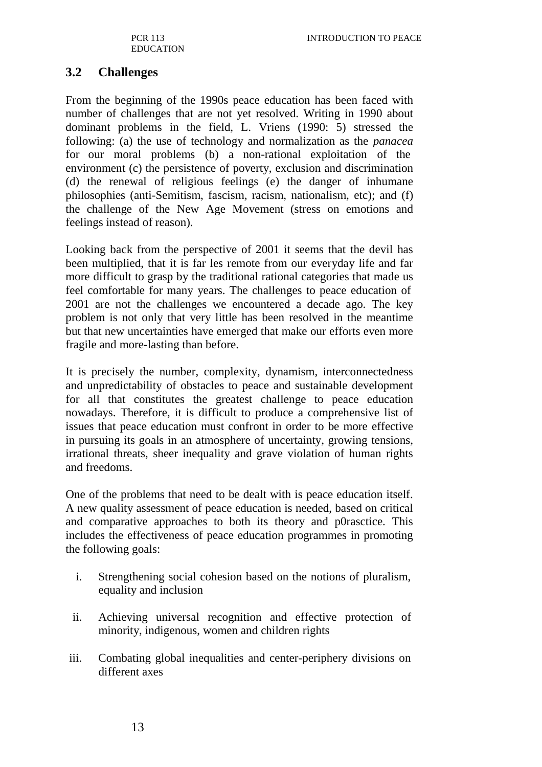## **3.2 Challenges**

From the beginning of the 1990s peace education has been faced with number of challenges that are not yet resolved. Writing in 1990 about dominant problems in the field, L. Vriens (1990: 5) stressed the following: (a) the use of technology and normalization as the *panacea*  for our moral problems (b) a non-rational exploitation of the environment (c) the persistence of poverty, exclusion and discrimination (d) the renewal of religious feelings (e) the danger of inhumane philosophies (anti-Semitism, fascism, racism, nationalism, etc); and (f) the challenge of the New Age Movement (stress on emotions and feelings instead of reason).

Looking back from the perspective of 2001 it seems that the devil has been multiplied, that it is far les remote from our everyday life and far more difficult to grasp by the traditional rational categories that made us feel comfortable for many years. The challenges to peace education of 2001 are not the challenges we encountered a decade ago. The key problem is not only that very little has been resolved in the meantime but that new uncertainties have emerged that make our efforts even more fragile and more-lasting than before.

It is precisely the number, complexity, dynamism, interconnectedness and unpredictability of obstacles to peace and sustainable development for all that constitutes the greatest challenge to peace education nowadays. Therefore, it is difficult to produce a comprehensive list of issues that peace education must confront in order to be more effective in pursuing its goals in an atmosphere of uncertainty, growing tensions, irrational threats, sheer inequality and grave violation of human rights and freedoms.

One of the problems that need to be dealt with is peace education itself. A new quality assessment of peace education is needed, based on critical and comparative approaches to both its theory and p0rasctice. This includes the effectiveness of peace education programmes in promoting the following goals:

- i. Strengthening social cohesion based on the notions of pluralism, equality and inclusion
- ii. Achieving universal recognition and effective protection of minority, indigenous, women and children rights
- iii. Combating global inequalities and center-periphery divisions on different axes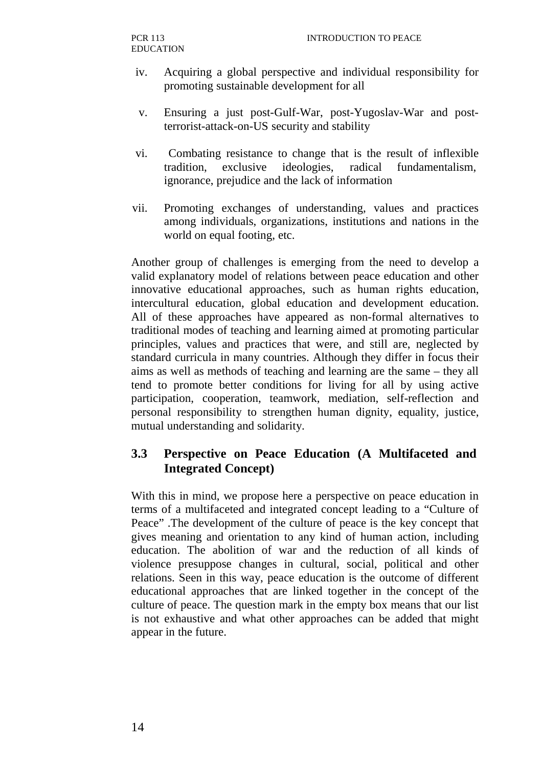- iv. Acquiring a global perspective and individual responsibility for promoting sustainable development for all
- v. Ensuring a just post-Gulf-War, post-Yugoslav-War and postterrorist-attack-on-US security and stability
- vi. Combating resistance to change that is the result of inflexible tradition, exclusive ideologies, radical fundamentalism, ignorance, prejudice and the lack of information
- vii. Promoting exchanges of understanding, values and practices among individuals, organizations, institutions and nations in the world on equal footing, etc.

Another group of challenges is emerging from the need to develop a valid explanatory model of relations between peace education and other innovative educational approaches, such as human rights education, intercultural education, global education and development education. All of these approaches have appeared as non-formal alternatives to traditional modes of teaching and learning aimed at promoting particular principles, values and practices that were, and still are, neglected by standard curricula in many countries. Although they differ in focus their aims as well as methods of teaching and learning are the same – they all tend to promote better conditions for living for all by using active participation, cooperation, teamwork, mediation, self-reflection and personal responsibility to strengthen human dignity, equality, justice, mutual understanding and solidarity.

## **3.3 Perspective on Peace Education (A Multifaceted and Integrated Concept)**

With this in mind, we propose here a perspective on peace education in terms of a multifaceted and integrated concept leading to a "Culture of Peace" .The development of the culture of peace is the key concept that gives meaning and orientation to any kind of human action, including education. The abolition of war and the reduction of all kinds of violence presuppose changes in cultural, social, political and other relations. Seen in this way, peace education is the outcome of different educational approaches that are linked together in the concept of the culture of peace. The question mark in the empty box means that our list is not exhaustive and what other approaches can be added that might appear in the future.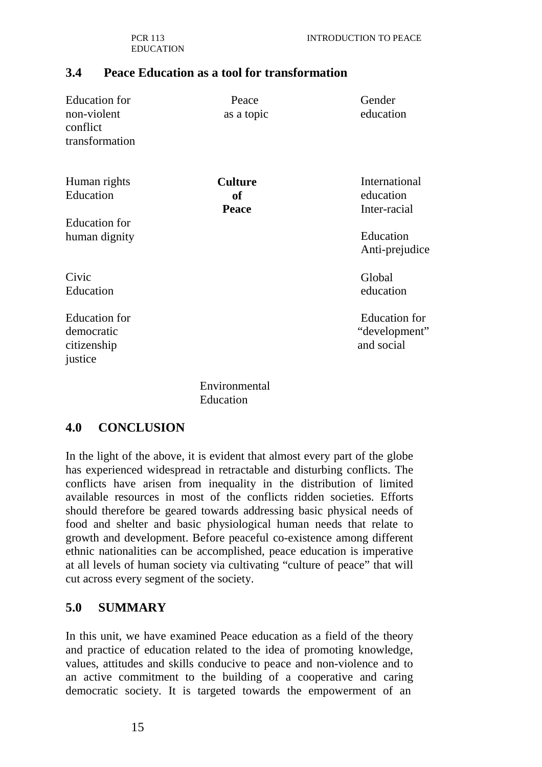PCR 113 EDUCATION

#### **3.4 Peace Education as a tool for transformation**

| <b>Education</b> for<br>non-violent<br>conflict<br>transformation | Peace<br>as a topic                         | Gender<br>education                                 |
|-------------------------------------------------------------------|---------------------------------------------|-----------------------------------------------------|
| Human rights<br>Education                                         | <b>Culture</b><br><b>of</b><br><b>Peace</b> | International<br>education<br>Inter-racial          |
| <b>Education</b> for<br>human dignity                             |                                             | Education<br>Anti-prejudice                         |
| Civic<br>Education                                                |                                             | Global<br>education                                 |
| <b>Education</b> for<br>democratic<br>citizenship<br>justice      |                                             | <b>Education</b> for<br>"development"<br>and social |
|                                                                   |                                             |                                                     |

Environmental **Education** 

#### **4.0 CONCLUSION**

In the light of the above, it is evident that almost every part of the globe has experienced widespread in retractable and disturbing conflicts. The conflicts have arisen from inequality in the distribution of limited available resources in most of the conflicts ridden societies. Efforts should therefore be geared towards addressing basic physical needs of food and shelter and basic physiological human needs that relate to growth and development. Before peaceful co-existence among different ethnic nationalities can be accomplished, peace education is imperative at all levels of human society via cultivating "culture of peace" that will cut across every segment of the society.

#### **5.0 SUMMARY**

In this unit, we have examined Peace education as a field of the theory and practice of education related to the idea of promoting knowledge, values, attitudes and skills conducive to peace and non-violence and to an active commitment to the building of a cooperative and caring democratic society. It is targeted towards the empowerment of an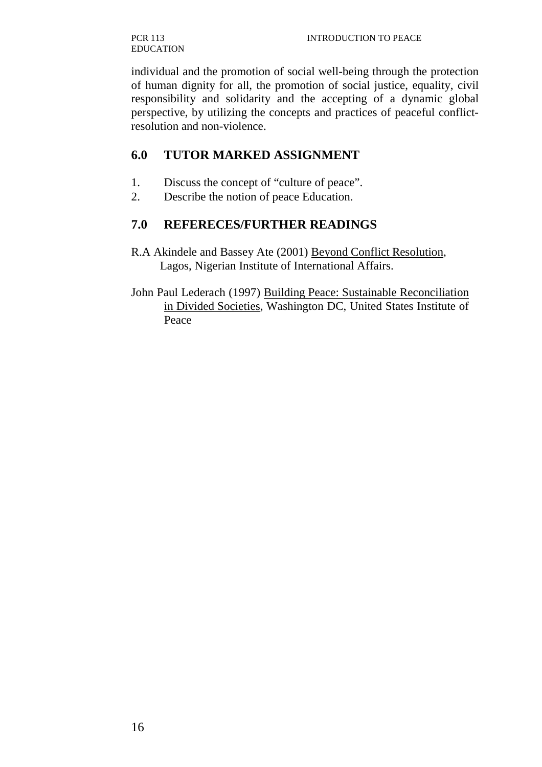individual and the promotion of social well-being through the protection of human dignity for all, the promotion of social justice, equality, civil responsibility and solidarity and the accepting of a dynamic global perspective, by utilizing the concepts and practices of peaceful conflictresolution and non-violence.

## **6.0 TUTOR MARKED ASSIGNMENT**

- 1. Discuss the concept of "culture of peace".
- 2. Describe the notion of peace Education.

## **7.0 REFERECES/FURTHER READINGS**

- R.A Akindele and Bassey Ate (2001) Beyond Conflict Resolution, Lagos, Nigerian Institute of International Affairs.
- John Paul Lederach (1997) Building Peace: Sustainable Reconciliation in Divided Societies, Washington DC, United States Institute of Peace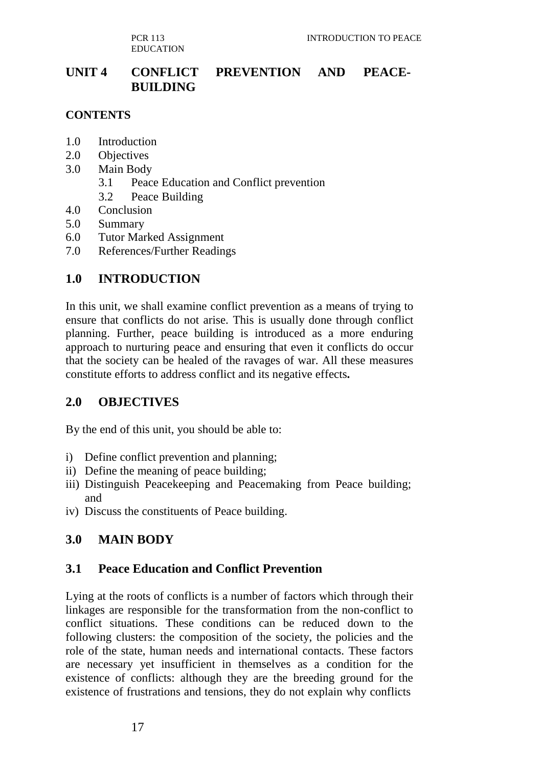PCR 113 EDUCATION

## **UNIT 4 CONFLICT PREVENTION AND PEACE-BUILDING**

#### **CONTENTS**

- 1.0 Introduction
- 2.0 Objectives
- 3.0 Main Body
	- 3.1 Peace Education and Conflict prevention
	- 3.2 Peace Building
- 4.0 Conclusion
- 5.0 Summary
- 6.0 Tutor Marked Assignment
- 7.0 References/Further Readings

## **1.0 INTRODUCTION**

In this unit, we shall examine conflict prevention as a means of trying to ensure that conflicts do not arise. This is usually done through conflict planning. Further, peace building is introduced as a more enduring approach to nurturing peace and ensuring that even it conflicts do occur that the society can be healed of the ravages of war. All these measures constitute efforts to address conflict and its negative effects**.**

## **2.0 OBJECTIVES**

By the end of this unit, you should be able to:

- i) Define conflict prevention and planning;
- ii) Define the meaning of peace building;
- iii) Distinguish Peacekeeping and Peacemaking from Peace building; and
- iv) Discuss the constituents of Peace building.

## **3.0 MAIN BODY**

## **3.1 Peace Education and Conflict Prevention**

Lying at the roots of conflicts is a number of factors which through their linkages are responsible for the transformation from the non-conflict to conflict situations. These conditions can be reduced down to the following clusters: the composition of the society, the policies and the role of the state, human needs and international contacts. These factors are necessary yet insufficient in themselves as a condition for the existence of conflicts: although they are the breeding ground for the existence of frustrations and tensions, they do not explain why conflicts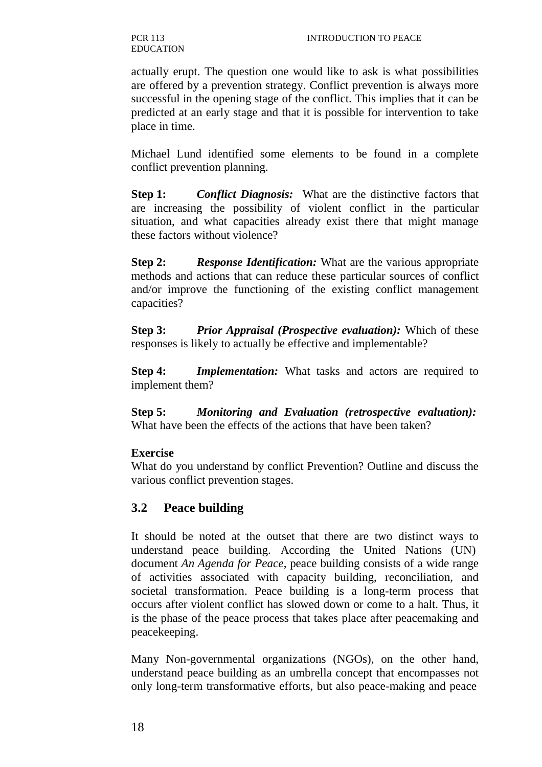actually erupt. The question one would like to ask is what possibilities are offered by a prevention strategy. Conflict prevention is always more successful in the opening stage of the conflict. This implies that it can be predicted at an early stage and that it is possible for intervention to take place in time.

Michael Lund identified some elements to be found in a complete conflict prevention planning.

**Step 1:** *Conflict Diagnosis:* What are the distinctive factors that are increasing the possibility of violent conflict in the particular situation, and what capacities already exist there that might manage these factors without violence?

**Step 2:** *Response Identification:* What are the various appropriate methods and actions that can reduce these particular sources of conflict and/or improve the functioning of the existing conflict management capacities?

**Step 3:** *Prior Appraisal (Prospective evaluation):* Which of these responses is likely to actually be effective and implementable?

**Step 4:** *Implementation:* What tasks and actors are required to implement them?

**Step 5:** *Monitoring and Evaluation (retrospective evaluation):* What have been the effects of the actions that have been taken?

## **Exercise**

What do you understand by conflict Prevention? Outline and discuss the various conflict prevention stages.

## **3.2 Peace building**

It should be noted at the outset that there are two distinct ways to understand peace building. According the United Nations (UN) document *An Agenda for Peace*, peace building consists of a wide range of activities associated with capacity building, reconciliation, and societal transformation. Peace building is a long-term process that occurs after violent conflict has slowed down or come to a halt. Thus, it is the phase of the peace process that takes place after peacemaking and peacekeeping.

Many Non-governmental organizations (NGOs), on the other hand, understand peace building as an umbrella concept that encompasses not only long-term transformative efforts, but also peace-making and peace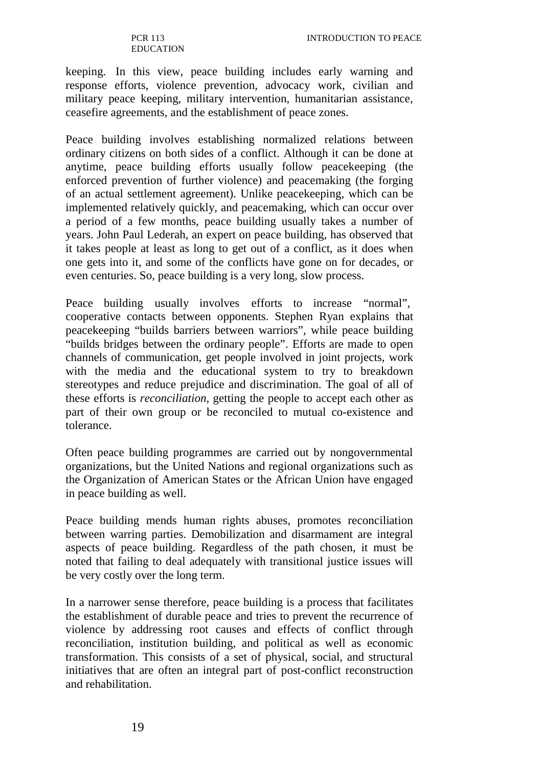keeping. In this view, peace building includes early warning and response efforts, violence prevention, advocacy work, civilian and military peace keeping, military intervention, humanitarian assistance, ceasefire agreements, and the establishment of peace zones.

Peace building involves establishing normalized relations between ordinary citizens on both sides of a conflict. Although it can be done at anytime, peace building efforts usually follow peacekeeping (the enforced prevention of further violence) and peacemaking (the forging of an actual settlement agreement). Unlike peacekeeping, which can be implemented relatively quickly, and peacemaking, which can occur over a period of a few months, peace building usually takes a number of years. John Paul Lederah, an expert on peace building, has observed that it takes people at least as long to get out of a conflict, as it does when one gets into it, and some of the conflicts have gone on for decades, or even centuries. So, peace building is a very long, slow process.

Peace building usually involves efforts to increase "normal", cooperative contacts between opponents. Stephen Ryan explains that peacekeeping "builds barriers between warriors", while peace building "builds bridges between the ordinary people". Efforts are made to open channels of communication, get people involved in joint projects, work with the media and the educational system to try to breakdown stereotypes and reduce prejudice and discrimination. The goal of all of these efforts is *reconciliation,* getting the people to accept each other as part of their own group or be reconciled to mutual co-existence and tolerance.

Often peace building programmes are carried out by nongovernmental organizations, but the United Nations and regional organizations such as the Organization of American States or the African Union have engaged in peace building as well.

Peace building mends human rights abuses, promotes reconciliation between warring parties. Demobilization and disarmament are integral aspects of peace building. Regardless of the path chosen, it must be noted that failing to deal adequately with transitional justice issues will be very costly over the long term.

In a narrower sense therefore, peace building is a process that facilitates the establishment of durable peace and tries to prevent the recurrence of violence by addressing root causes and effects of conflict through reconciliation, institution building, and political as well as economic transformation. This consists of a set of physical, social, and structural initiatives that are often an integral part of post-conflict reconstruction and rehabilitation.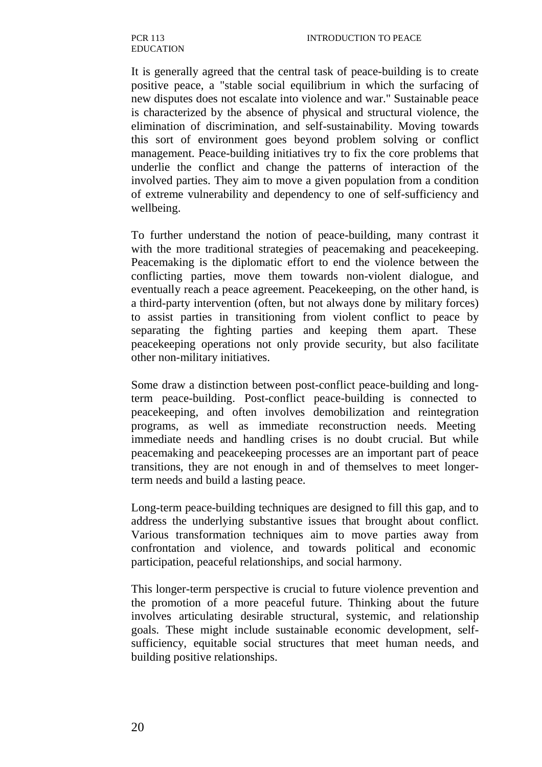It is generally agreed that the central task of peace-building is to create positive peace, a "stable social equilibrium in which the surfacing of new disputes does not escalate into violence and war." Sustainable peace is characterized by the absence of physical and structural violence, the elimination of discrimination, and self-sustainability. Moving towards this sort of environment goes beyond problem solving or conflict management. Peace-building initiatives try to fix the core problems that underlie the conflict and change the patterns of interaction of the involved parties. They aim to move a given population from a condition of extreme vulnerability and dependency to one of self-sufficiency and wellbeing.

To further understand the notion of peace-building, many contrast it with the more traditional strategies of peacemaking and peacekeeping. Peacemaking is the diplomatic effort to end the violence between the conflicting parties, move them towards non-violent dialogue, and eventually reach a peace agreement. Peacekeeping, on the other hand, is a third-party intervention (often, but not always done by military forces) to assist parties in transitioning from violent conflict to peace by separating the fighting parties and keeping them apart. These peacekeeping operations not only provide security, but also facilitate other non-military initiatives.

Some draw a distinction between post-conflict peace-building and longterm peace-building. Post-conflict peace-building is connected to peacekeeping, and often involves demobilization and reintegration programs, as well as immediate reconstruction needs. Meeting immediate needs and handling crises is no doubt crucial. But while peacemaking and peacekeeping processes are an important part of peace transitions, they are not enough in and of themselves to meet longerterm needs and build a lasting peace.

Long-term peace-building techniques are designed to fill this gap, and to address the underlying substantive issues that brought about conflict. Various transformation techniques aim to move parties away from confrontation and violence, and towards political and economic participation, peaceful relationships, and social harmony.

This longer-term perspective is crucial to future violence prevention and the promotion of a more peaceful future. Thinking about the future involves articulating desirable structural, systemic, and relationship goals. These might include sustainable economic development, selfsufficiency, equitable social structures that meet human needs, and building positive relationships.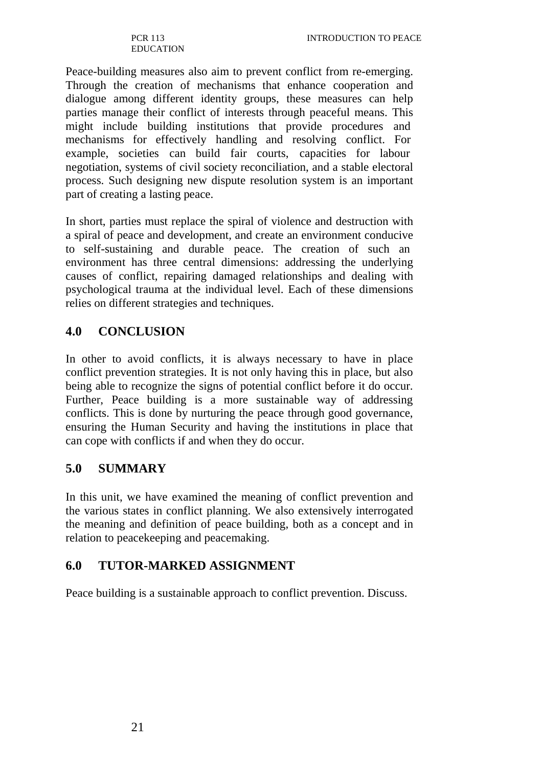Peace-building measures also aim to prevent conflict from re-emerging. Through the creation of mechanisms that enhance cooperation and dialogue among different identity groups, these measures can help parties manage their conflict of interests through peaceful means. This might include building institutions that provide procedures and mechanisms for effectively handling and resolving conflict. For example, societies can build fair courts, capacities for labour negotiation, systems of civil society reconciliation, and a stable electoral process. Such designing new dispute resolution system is an important part of creating a lasting peace.

In short, parties must replace the spiral of violence and destruction with a spiral of peace and development, and create an environment conducive to self-sustaining and durable peace. The creation of such an environment has three central dimensions: addressing the underlying causes of conflict, repairing damaged relationships and dealing with psychological trauma at the individual level. Each of these dimensions relies on different strategies and techniques.

# **4.0 CONCLUSION**

In other to avoid conflicts, it is always necessary to have in place conflict prevention strategies. It is not only having this in place, but also being able to recognize the signs of potential conflict before it do occur. Further, Peace building is a more sustainable way of addressing conflicts. This is done by nurturing the peace through good governance, ensuring the Human Security and having the institutions in place that can cope with conflicts if and when they do occur.

# **5.0 SUMMARY**

In this unit, we have examined the meaning of conflict prevention and the various states in conflict planning. We also extensively interrogated the meaning and definition of peace building, both as a concept and in relation to peacekeeping and peacemaking.

# **6.0 TUTOR-MARKED ASSIGNMENT**

Peace building is a sustainable approach to conflict prevention. Discuss.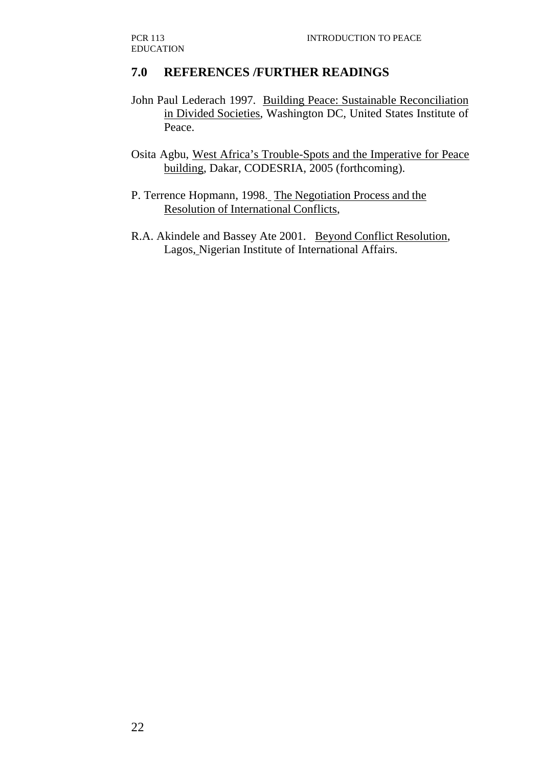# **7.0 REFERENCES /FURTHER READINGS**

- John Paul Lederach 1997. Building Peace: Sustainable Reconciliation in Divided Societies, Washington DC, United States Institute of Peace.
- Osita Agbu, West Africa's Trouble-Spots and the Imperative for Peace building, Dakar, CODESRIA, 2005 (forthcoming).
- P. Terrence Hopmann, 1998. The Negotiation Process and the Resolution of International Conflicts,
- R.A. Akindele and Bassey Ate 2001. Beyond Conflict Resolution, Lagos, Nigerian Institute of International Affairs.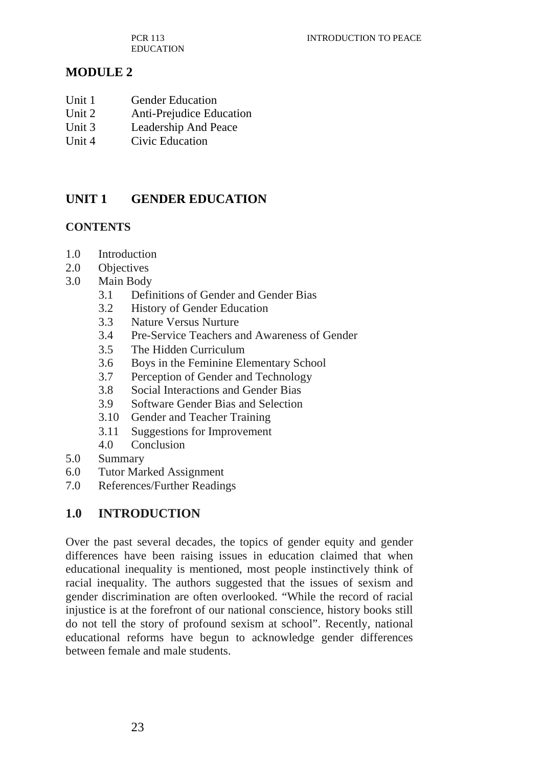PCR 113 EDUCATION

# **MODULE 2**

- Unit 1 Gender Education
- Unit 2 Anti-Prejudice Education
- Unit 3 Leadership And Peace
- Unit 4 Civic Education

# **UNIT 1 GENDER EDUCATION**

#### **CONTENTS**

- 1.0 Introduction
- 2.0 Objectives
- 3.0 Main Body
	- 3.1 Definitions of Gender and Gender Bias
	- 3.2 History of Gender Education
	- 3.3 Nature Versus Nurture
	- 3.4 Pre-Service Teachers and Awareness of Gender
	- 3.5 The Hidden Curriculum
	- 3.6 Boys in the Feminine Elementary School
	- 3.7 Perception of Gender and Technology
	- 3.8 Social Interactions and Gender Bias
	- 3.9 Software Gender Bias and Selection
	- 3.10 Gender and Teacher Training
	- 3.11 Suggestions for Improvement
	- 4.0 Conclusion
- 5.0 Summary
- 6.0 Tutor Marked Assignment
- 7.0 References/Further Readings

### **1.0 INTRODUCTION**

Over the past several decades, the topics of gender equity and gender differences have been raising issues in education claimed that when educational inequality is mentioned, most people instinctively think of racial inequality. The authors suggested that the issues of sexism and gender discrimination are often overlooked. "While the record of racial injustice is at the forefront of our national conscience, history books still do not tell the story of profound sexism at school". Recently, national educational reforms have begun to acknowledge gender differences between female and male students.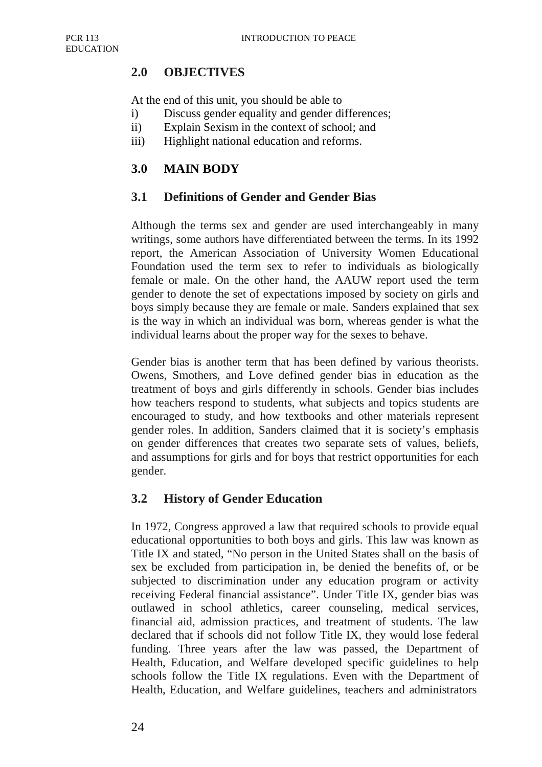# **2.0 OBJECTIVES**

At the end of this unit, you should be able to

- i) Discuss gender equality and gender differences;
- ii) Explain Sexism in the context of school; and
- iii) Highlight national education and reforms.

# **3.0 MAIN BODY**

# **3.1 Definitions of Gender and Gender Bias**

Although the terms sex and gender are used interchangeably in many writings, some authors have differentiated between the terms. In its 1992 report, the American Association of University Women Educational Foundation used the term sex to refer to individuals as biologically female or male. On the other hand, the AAUW report used the term gender to denote the set of expectations imposed by society on girls and boys simply because they are female or male. Sanders explained that sex is the way in which an individual was born, whereas gender is what the individual learns about the proper way for the sexes to behave.

Gender bias is another term that has been defined by various theorists. Owens, Smothers, and Love defined gender bias in education as the treatment of boys and girls differently in schools. Gender bias includes how teachers respond to students, what subjects and topics students are encouraged to study, and how textbooks and other materials represent gender roles. In addition, Sanders claimed that it is society's emphasis on gender differences that creates two separate sets of values, beliefs, and assumptions for girls and for boys that restrict opportunities for each gender.

# **3.2 History of Gender Education**

In 1972, Congress approved a law that required schools to provide equal educational opportunities to both boys and girls. This law was known as Title IX and stated, "No person in the United States shall on the basis of sex be excluded from participation in, be denied the benefits of, or be subjected to discrimination under any education program or activity receiving Federal financial assistance". Under Title IX, gender bias was outlawed in school athletics, career counseling, medical services, financial aid, admission practices, and treatment of students. The law declared that if schools did not follow Title IX, they would lose federal funding. Three years after the law was passed, the Department of Health, Education, and Welfare developed specific guidelines to help schools follow the Title IX regulations. Even with the Department of Health, Education, and Welfare guidelines, teachers and administrators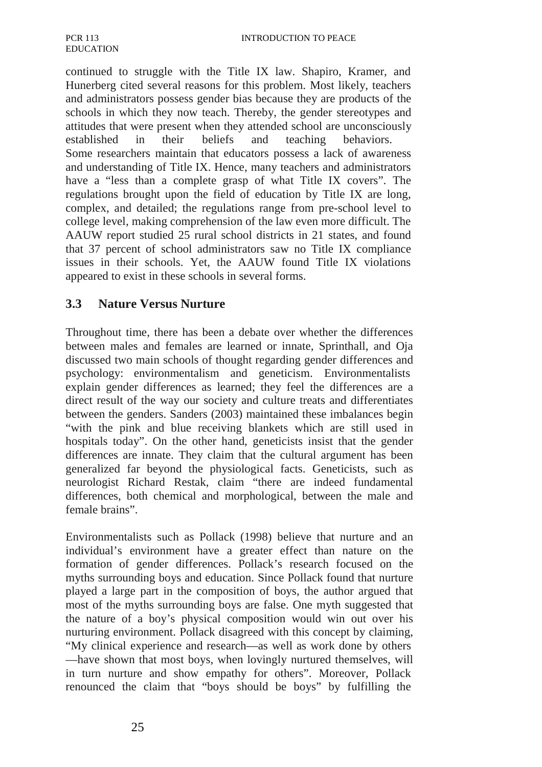continued to struggle with the Title IX law. Shapiro, Kramer, and Hunerberg cited several reasons for this problem. Most likely, teachers and administrators possess gender bias because they are products of the schools in which they now teach. Thereby, the gender stereotypes and attitudes that were present when they attended school are unconsciously established in their beliefs and teaching behaviors. Some researchers maintain that educators possess a lack of awareness and understanding of Title IX. Hence, many teachers and administrators have a "less than a complete grasp of what Title IX covers". The regulations brought upon the field of education by Title IX are long, complex, and detailed; the regulations range from pre-school level to college level, making comprehension of the law even more difficult. The AAUW report studied 25 rural school districts in 21 states, and found that 37 percent of school administrators saw no Title IX compliance issues in their schools. Yet, the AAUW found Title IX violations appeared to exist in these schools in several forms.

### **3.3 Nature Versus Nurture**

Throughout time, there has been a debate over whether the differences between males and females are learned or innate, Sprinthall, and Oja discussed two main schools of thought regarding gender differences and psychology: environmentalism and geneticism. Environmentalists explain gender differences as learned; they feel the differences are a direct result of the way our society and culture treats and differentiates between the genders. Sanders (2003) maintained these imbalances begin "with the pink and blue receiving blankets which are still used in hospitals today". On the other hand, geneticists insist that the gender differences are innate. They claim that the cultural argument has been generalized far beyond the physiological facts. Geneticists, such as neurologist Richard Restak, claim "there are indeed fundamental differences, both chemical and morphological, between the male and female brains".

Environmentalists such as Pollack (1998) believe that nurture and an individual's environment have a greater effect than nature on the formation of gender differences. Pollack's research focused on the myths surrounding boys and education. Since Pollack found that nurture played a large part in the composition of boys, the author argued that most of the myths surrounding boys are false. One myth suggested that the nature of a boy's physical composition would win out over his nurturing environment. Pollack disagreed with this concept by claiming, "My clinical experience and research—as well as work done by others —have shown that most boys, when lovingly nurtured themselves, will in turn nurture and show empathy for others". Moreover, Pollack renounced the claim that "boys should be boys" by fulfilling the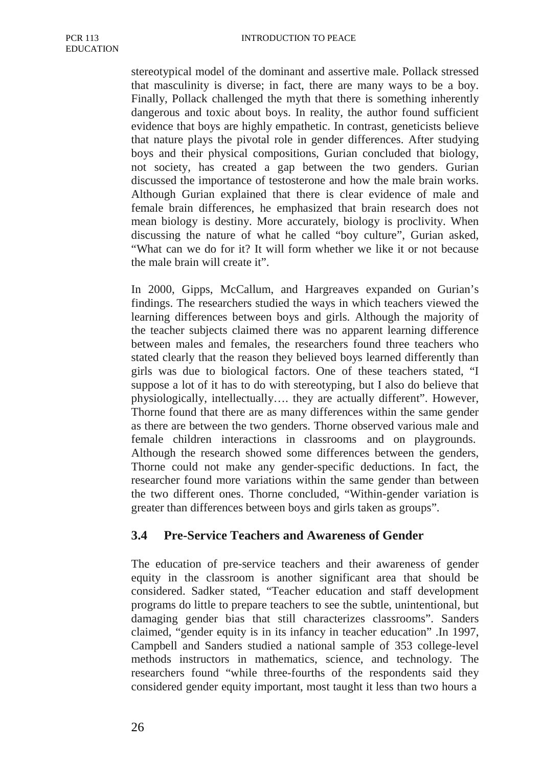stereotypical model of the dominant and assertive male. Pollack stressed that masculinity is diverse; in fact, there are many ways to be a boy. Finally, Pollack challenged the myth that there is something inherently dangerous and toxic about boys. In reality, the author found sufficient evidence that boys are highly empathetic. In contrast, geneticists believe that nature plays the pivotal role in gender differences. After studying boys and their physical compositions, Gurian concluded that biology, not society, has created a gap between the two genders. Gurian discussed the importance of testosterone and how the male brain works. Although Gurian explained that there is clear evidence of male and female brain differences, he emphasized that brain research does not mean biology is destiny. More accurately, biology is proclivity. When discussing the nature of what he called "boy culture", Gurian asked, "What can we do for it? It will form whether we like it or not because the male brain will create it".

In 2000, Gipps, McCallum, and Hargreaves expanded on Gurian's findings. The researchers studied the ways in which teachers viewed the learning differences between boys and girls. Although the majority of the teacher subjects claimed there was no apparent learning difference between males and females, the researchers found three teachers who stated clearly that the reason they believed boys learned differently than girls was due to biological factors. One of these teachers stated, "I suppose a lot of it has to do with stereotyping, but I also do believe that physiologically, intellectually…. they are actually different". However, Thorne found that there are as many differences within the same gender as there are between the two genders. Thorne observed various male and female children interactions in classrooms and on playgrounds. Although the research showed some differences between the genders, Thorne could not make any gender-specific deductions. In fact, the researcher found more variations within the same gender than between the two different ones. Thorne concluded, "Within-gender variation is greater than differences between boys and girls taken as groups".

### **3.4 Pre-Service Teachers and Awareness of Gender**

The education of pre-service teachers and their awareness of gender equity in the classroom is another significant area that should be considered. Sadker stated, "Teacher education and staff development programs do little to prepare teachers to see the subtle, unintentional, but damaging gender bias that still characterizes classrooms". Sanders claimed, "gender equity is in its infancy in teacher education" .In 1997, Campbell and Sanders studied a national sample of 353 college-level methods instructors in mathematics, science, and technology. The researchers found "while three-fourths of the respondents said they considered gender equity important, most taught it less than two hours a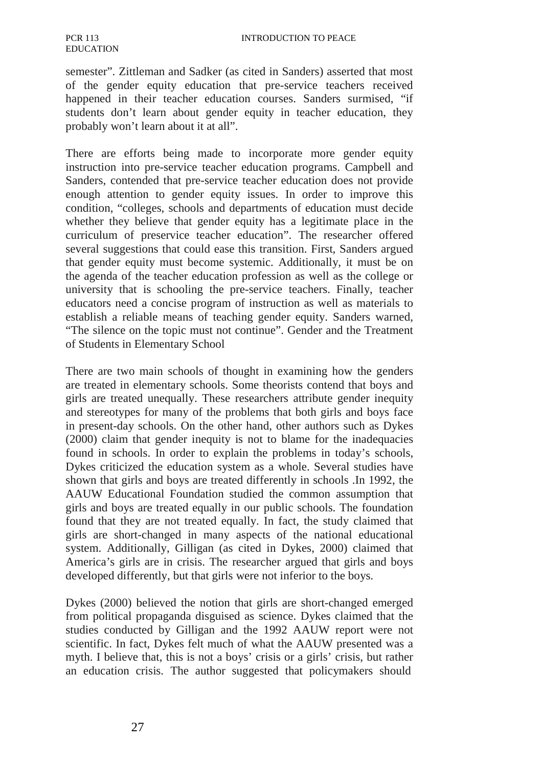semester". Zittleman and Sadker (as cited in Sanders) asserted that most of the gender equity education that pre-service teachers received happened in their teacher education courses. Sanders surmised, "if students don't learn about gender equity in teacher education, they probably won't learn about it at all".

There are efforts being made to incorporate more gender equity instruction into pre-service teacher education programs. Campbell and Sanders, contended that pre-service teacher education does not provide enough attention to gender equity issues. In order to improve this condition, "colleges, schools and departments of education must decide whether they believe that gender equity has a legitimate place in the curriculum of preservice teacher education". The researcher offered several suggestions that could ease this transition. First, Sanders argued that gender equity must become systemic. Additionally, it must be on the agenda of the teacher education profession as well as the college or university that is schooling the pre-service teachers. Finally, teacher educators need a concise program of instruction as well as materials to establish a reliable means of teaching gender equity. Sanders warned, "The silence on the topic must not continue". Gender and the Treatment of Students in Elementary School

There are two main schools of thought in examining how the genders are treated in elementary schools. Some theorists contend that boys and girls are treated unequally. These researchers attribute gender inequity and stereotypes for many of the problems that both girls and boys face in present-day schools. On the other hand, other authors such as Dykes (2000) claim that gender inequity is not to blame for the inadequacies found in schools. In order to explain the problems in today's schools, Dykes criticized the education system as a whole. Several studies have shown that girls and boys are treated differently in schools .In 1992, the AAUW Educational Foundation studied the common assumption that girls and boys are treated equally in our public schools. The foundation found that they are not treated equally. In fact, the study claimed that girls are short-changed in many aspects of the national educational system. Additionally, Gilligan (as cited in Dykes, 2000) claimed that America's girls are in crisis. The researcher argued that girls and boys developed differently, but that girls were not inferior to the boys.

Dykes (2000) believed the notion that girls are short-changed emerged from political propaganda disguised as science. Dykes claimed that the studies conducted by Gilligan and the 1992 AAUW report were not scientific. In fact, Dykes felt much of what the AAUW presented was a myth. I believe that, this is not a boys' crisis or a girls' crisis, but rather an education crisis. The author suggested that policymakers should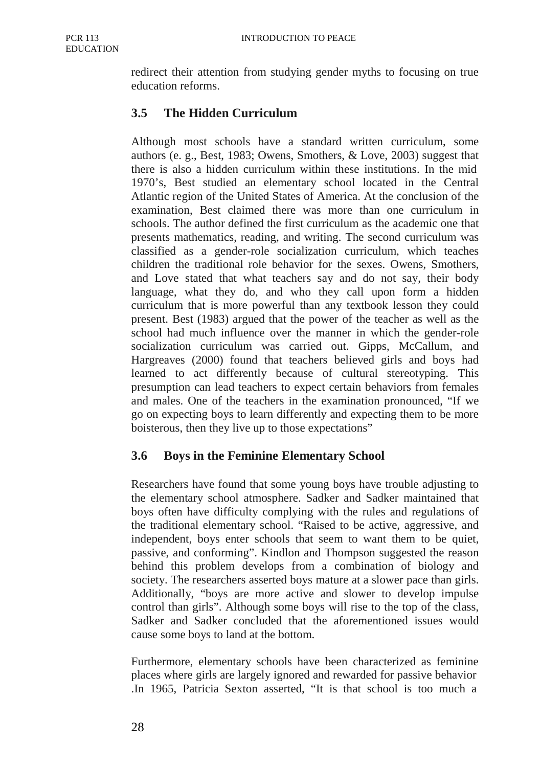redirect their attention from studying gender myths to focusing on true education reforms.

# **3.5 The Hidden Curriculum**

Although most schools have a standard written curriculum, some authors (e. g., Best, 1983; Owens, Smothers, & Love, 2003) suggest that there is also a hidden curriculum within these institutions. In the mid 1970's, Best studied an elementary school located in the Central Atlantic region of the United States of America. At the conclusion of the examination, Best claimed there was more than one curriculum in schools. The author defined the first curriculum as the academic one that presents mathematics, reading, and writing. The second curriculum was classified as a gender-role socialization curriculum, which teaches children the traditional role behavior for the sexes. Owens, Smothers, and Love stated that what teachers say and do not say, their body language, what they do, and who they call upon form a hidden curriculum that is more powerful than any textbook lesson they could present. Best (1983) argued that the power of the teacher as well as the school had much influence over the manner in which the gender-role socialization curriculum was carried out. Gipps, McCallum, and Hargreaves (2000) found that teachers believed girls and boys had learned to act differently because of cultural stereotyping. This presumption can lead teachers to expect certain behaviors from females and males. One of the teachers in the examination pronounced, "If we go on expecting boys to learn differently and expecting them to be more boisterous, then they live up to those expectations"

# **3.6 Boys in the Feminine Elementary School**

Researchers have found that some young boys have trouble adjusting to the elementary school atmosphere. Sadker and Sadker maintained that boys often have difficulty complying with the rules and regulations of the traditional elementary school. "Raised to be active, aggressive, and independent, boys enter schools that seem to want them to be quiet, passive, and conforming". Kindlon and Thompson suggested the reason behind this problem develops from a combination of biology and society. The researchers asserted boys mature at a slower pace than girls. Additionally, "boys are more active and slower to develop impulse control than girls". Although some boys will rise to the top of the class, Sadker and Sadker concluded that the aforementioned issues would cause some boys to land at the bottom.

Furthermore, elementary schools have been characterized as feminine places where girls are largely ignored and rewarded for passive behavior .In 1965, Patricia Sexton asserted, "It is that school is too much a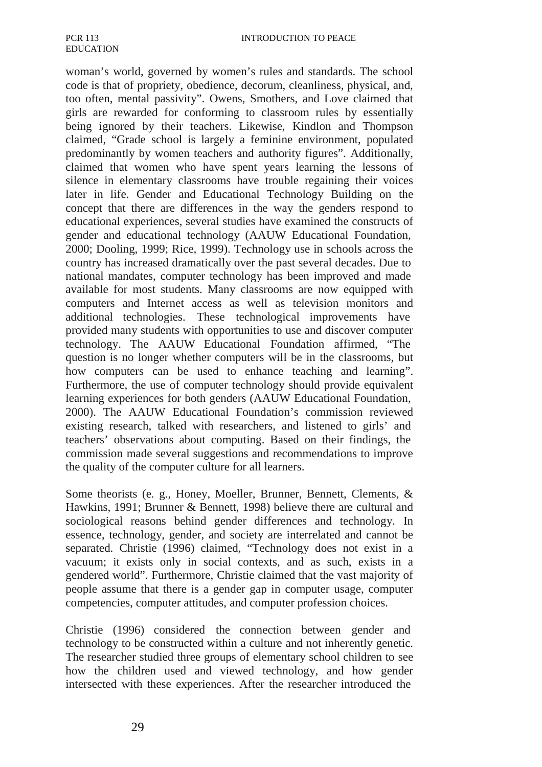woman's world, governed by women's rules and standards. The school code is that of propriety, obedience, decorum, cleanliness, physical, and, too often, mental passivity". Owens, Smothers, and Love claimed that girls are rewarded for conforming to classroom rules by essentially being ignored by their teachers. Likewise, Kindlon and Thompson claimed, "Grade school is largely a feminine environment, populated predominantly by women teachers and authority figures". Additionally, claimed that women who have spent years learning the lessons of silence in elementary classrooms have trouble regaining their voices later in life. Gender and Educational Technology Building on the concept that there are differences in the way the genders respond to educational experiences, several studies have examined the constructs of gender and educational technology (AAUW Educational Foundation, 2000; Dooling, 1999; Rice, 1999). Technology use in schools across the country has increased dramatically over the past several decades. Due to national mandates, computer technology has been improved and made available for most students. Many classrooms are now equipped with computers and Internet access as well as television monitors and additional technologies. These technological improvements have provided many students with opportunities to use and discover computer technology. The AAUW Educational Foundation affirmed, "The question is no longer whether computers will be in the classrooms, but how computers can be used to enhance teaching and learning". Furthermore, the use of computer technology should provide equivalent learning experiences for both genders (AAUW Educational Foundation, 2000). The AAUW Educational Foundation's commission reviewed existing research, talked with researchers, and listened to girls' and teachers' observations about computing. Based on their findings, the commission made several suggestions and recommendations to improve the quality of the computer culture for all learners.

Some theorists (e. g., Honey, Moeller, Brunner, Bennett, Clements, & Hawkins, 1991; Brunner & Bennett, 1998) believe there are cultural and sociological reasons behind gender differences and technology. In essence, technology, gender, and society are interrelated and cannot be separated. Christie (1996) claimed, "Technology does not exist in a vacuum; it exists only in social contexts, and as such, exists in a gendered world". Furthermore, Christie claimed that the vast majority of people assume that there is a gender gap in computer usage, computer competencies, computer attitudes, and computer profession choices.

Christie (1996) considered the connection between gender and technology to be constructed within a culture and not inherently genetic. The researcher studied three groups of elementary school children to see how the children used and viewed technology, and how gender intersected with these experiences. After the researcher introduced the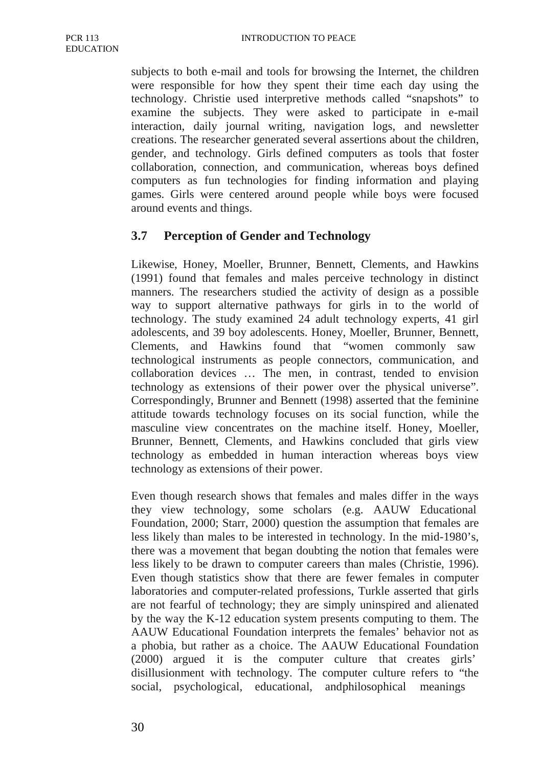subjects to both e-mail and tools for browsing the Internet, the children were responsible for how they spent their time each day using the technology. Christie used interpretive methods called "snapshots" to examine the subjects. They were asked to participate in e-mail interaction, daily journal writing, navigation logs, and newsletter creations. The researcher generated several assertions about the children, gender, and technology. Girls defined computers as tools that foster collaboration, connection, and communication, whereas boys defined computers as fun technologies for finding information and playing games. Girls were centered around people while boys were focused around events and things.

### **3.7 Perception of Gender and Technology**

Likewise, Honey, Moeller, Brunner, Bennett, Clements, and Hawkins (1991) found that females and males perceive technology in distinct manners. The researchers studied the activity of design as a possible way to support alternative pathways for girls in to the world of technology. The study examined 24 adult technology experts, 41 girl adolescents, and 39 boy adolescents. Honey, Moeller, Brunner, Bennett, Clements, and Hawkins found that "women commonly saw technological instruments as people connectors, communication, and collaboration devices … The men, in contrast, tended to envision technology as extensions of their power over the physical universe". Correspondingly, Brunner and Bennett (1998) asserted that the feminine attitude towards technology focuses on its social function, while the masculine view concentrates on the machine itself. Honey, Moeller, Brunner, Bennett, Clements, and Hawkins concluded that girls view technology as embedded in human interaction whereas boys view technology as extensions of their power.

Even though research shows that females and males differ in the ways they view technology, some scholars (e.g. AAUW Educational Foundation, 2000; Starr, 2000) question the assumption that females are less likely than males to be interested in technology. In the mid-1980's, there was a movement that began doubting the notion that females were less likely to be drawn to computer careers than males (Christie, 1996). Even though statistics show that there are fewer females in computer laboratories and computer-related professions, Turkle asserted that girls are not fearful of technology; they are simply uninspired and alienated by the way the K-12 education system presents computing to them. The AAUW Educational Foundation interprets the females' behavior not as a phobia, but rather as a choice. The AAUW Educational Foundation (2000) argued it is the computer culture that creates girls' disillusionment with technology. The computer culture refers to "the social, psychological, educational, and philosophical meanings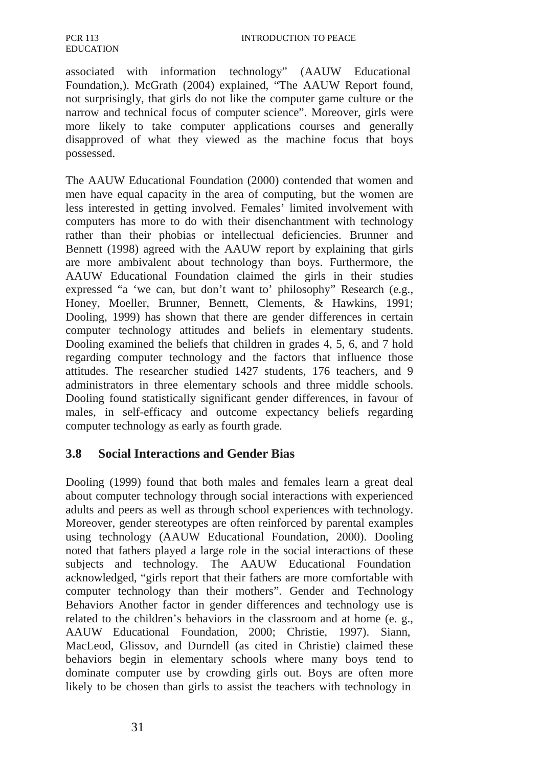associated with information technology" (AAUW Educational Foundation,). McGrath (2004) explained, "The AAUW Report found, not surprisingly, that girls do not like the computer game culture or the narrow and technical focus of computer science". Moreover, girls were more likely to take computer applications courses and generally disapproved of what they viewed as the machine focus that boys possessed.

The AAUW Educational Foundation (2000) contended that women and men have equal capacity in the area of computing, but the women are less interested in getting involved. Females' limited involvement with computers has more to do with their disenchantment with technology rather than their phobias or intellectual deficiencies. Brunner and Bennett (1998) agreed with the AAUW report by explaining that girls are more ambivalent about technology than boys. Furthermore, the AAUW Educational Foundation claimed the girls in their studies expressed "a 'we can, but don't want to' philosophy" Research (e.g., Honey, Moeller, Brunner, Bennett, Clements, & Hawkins, 1991; Dooling, 1999) has shown that there are gender differences in certain computer technology attitudes and beliefs in elementary students. Dooling examined the beliefs that children in grades 4, 5, 6, and 7 hold regarding computer technology and the factors that influence those attitudes. The researcher studied 1427 students, 176 teachers, and 9 administrators in three elementary schools and three middle schools. Dooling found statistically significant gender differences, in favour of males, in self-efficacy and outcome expectancy beliefs regarding computer technology as early as fourth grade.

### **3.8 Social Interactions and Gender Bias**

Dooling (1999) found that both males and females learn a great deal about computer technology through social interactions with experienced adults and peers as well as through school experiences with technology. Moreover, gender stereotypes are often reinforced by parental examples using technology (AAUW Educational Foundation, 2000). Dooling noted that fathers played a large role in the social interactions of these subjects and technology. The AAUW Educational Foundation acknowledged, "girls report that their fathers are more comfortable with computer technology than their mothers". Gender and Technology Behaviors Another factor in gender differences and technology use is related to the children's behaviors in the classroom and at home (e. g., AAUW Educational Foundation, 2000; Christie, 1997). Siann, MacLeod, Glissov, and Durndell (as cited in Christie) claimed these behaviors begin in elementary schools where many boys tend to dominate computer use by crowding girls out. Boys are often more likely to be chosen than girls to assist the teachers with technology in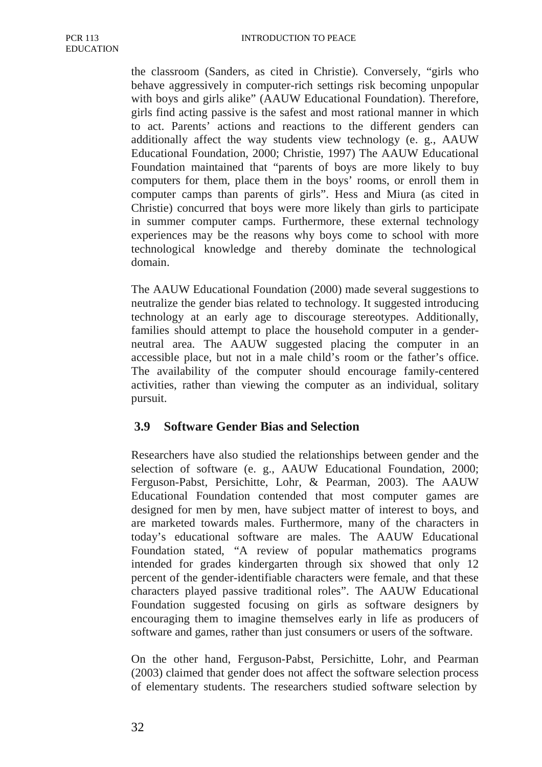the classroom (Sanders, as cited in Christie). Conversely, "girls who behave aggressively in computer-rich settings risk becoming unpopular with boys and girls alike" (AAUW Educational Foundation). Therefore, girls find acting passive is the safest and most rational manner in which to act. Parents' actions and reactions to the different genders can additionally affect the way students view technology (e. g., AAUW Educational Foundation, 2000; Christie, 1997) The AAUW Educational Foundation maintained that "parents of boys are more likely to buy computers for them, place them in the boys' rooms, or enroll them in computer camps than parents of girls". Hess and Miura (as cited in Christie) concurred that boys were more likely than girls to participate in summer computer camps. Furthermore, these external technology experiences may be the reasons why boys come to school with more technological knowledge and thereby dominate the technological domain.

The AAUW Educational Foundation (2000) made several suggestions to neutralize the gender bias related to technology. It suggested introducing technology at an early age to discourage stereotypes. Additionally, families should attempt to place the household computer in a genderneutral area. The AAUW suggested placing the computer in an accessible place, but not in a male child's room or the father's office. The availability of the computer should encourage family-centered activities, rather than viewing the computer as an individual, solitary pursuit.

# **3.9 Software Gender Bias and Selection**

Researchers have also studied the relationships between gender and the selection of software (e. g., AAUW Educational Foundation, 2000; Ferguson-Pabst, Persichitte, Lohr, & Pearman, 2003). The AAUW Educational Foundation contended that most computer games are designed for men by men, have subject matter of interest to boys, and are marketed towards males. Furthermore, many of the characters in today's educational software are males. The AAUW Educational Foundation stated, "A review of popular mathematics programs intended for grades kindergarten through six showed that only 12 percent of the gender-identifiable characters were female, and that these characters played passive traditional roles". The AAUW Educational Foundation suggested focusing on girls as software designers by encouraging them to imagine themselves early in life as producers of software and games, rather than just consumers or users of the software.

On the other hand, Ferguson-Pabst, Persichitte, Lohr, and Pearman (2003) claimed that gender does not affect the software selection process of elementary students. The researchers studied software selection by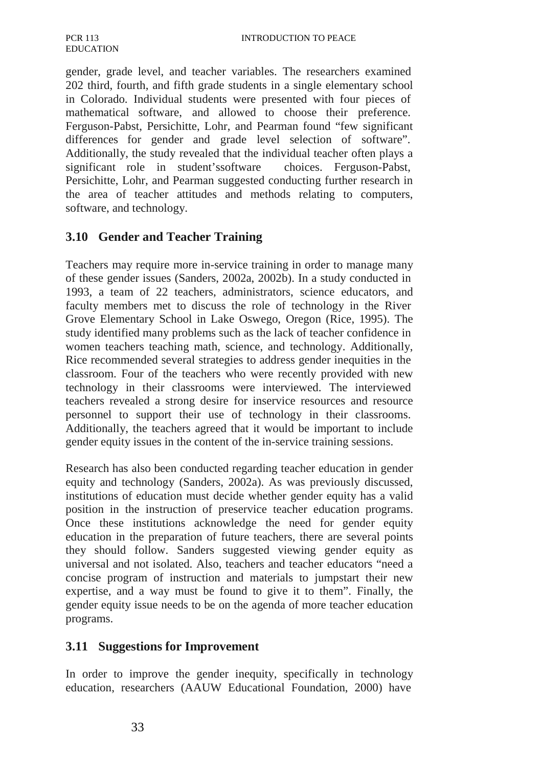gender, grade level, and teacher variables. The researchers examined 202 third, fourth, and fifth grade students in a single elementary school in Colorado. Individual students were presented with four pieces of mathematical software, and allowed to choose their preference. Ferguson-Pabst, Persichitte, Lohr, and Pearman found "few significant differences for gender and grade level selection of software". Additionally, the study revealed that the individual teacher often plays a significant role in student'ssoftware choices. Ferguson-Pabst, Persichitte, Lohr, and Pearman suggested conducting further research in the area of teacher attitudes and methods relating to computers, software, and technology.

# **3.10 Gender and Teacher Training**

Teachers may require more in-service training in order to manage many of these gender issues (Sanders, 2002a, 2002b). In a study conducted in 1993, a team of 22 teachers, administrators, science educators, and faculty members met to discuss the role of technology in the River Grove Elementary School in Lake Oswego, Oregon (Rice, 1995). The study identified many problems such as the lack of teacher confidence in women teachers teaching math, science, and technology. Additionally, Rice recommended several strategies to address gender inequities in the classroom. Four of the teachers who were recently provided with new technology in their classrooms were interviewed. The interviewed teachers revealed a strong desire for inservice resources and resource personnel to support their use of technology in their classrooms. Additionally, the teachers agreed that it would be important to include gender equity issues in the content of the in-service training sessions.

Research has also been conducted regarding teacher education in gender equity and technology (Sanders, 2002a). As was previously discussed, institutions of education must decide whether gender equity has a valid position in the instruction of preservice teacher education programs. Once these institutions acknowledge the need for gender equity education in the preparation of future teachers, there are several points they should follow. Sanders suggested viewing gender equity as universal and not isolated. Also, teachers and teacher educators "need a concise program of instruction and materials to jumpstart their new expertise, and a way must be found to give it to them". Finally, the gender equity issue needs to be on the agenda of more teacher education programs.

### **3.11 Suggestions for Improvement**

In order to improve the gender inequity, specifically in technology education, researchers (AAUW Educational Foundation, 2000) have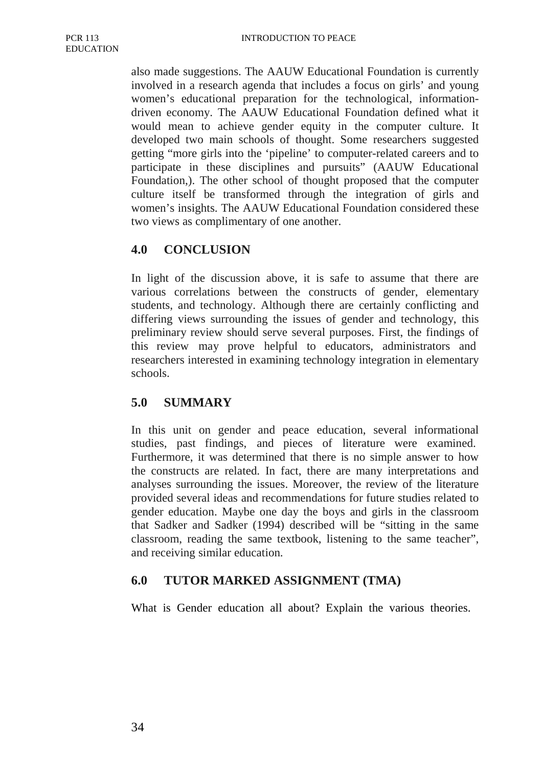also made suggestions. The AAUW Educational Foundation is currently involved in a research agenda that includes a focus on girls' and young women's educational preparation for the technological, informationdriven economy. The AAUW Educational Foundation defined what it would mean to achieve gender equity in the computer culture. It developed two main schools of thought. Some researchers suggested getting "more girls into the 'pipeline' to computer-related careers and to participate in these disciplines and pursuits" (AAUW Educational Foundation,). The other school of thought proposed that the computer culture itself be transformed through the integration of girls and women's insights. The AAUW Educational Foundation considered these two views as complimentary of one another.

# **4.0 CONCLUSION**

In light of the discussion above, it is safe to assume that there are various correlations between the constructs of gender, elementary students, and technology. Although there are certainly conflicting and differing views surrounding the issues of gender and technology, this preliminary review should serve several purposes. First, the findings of this review may prove helpful to educators, administrators and researchers interested in examining technology integration in elementary schools.

### **5.0 SUMMARY**

In this unit on gender and peace education, several informational studies, past findings, and pieces of literature were examined. Furthermore, it was determined that there is no simple answer to how the constructs are related. In fact, there are many interpretations and analyses surrounding the issues. Moreover, the review of the literature provided several ideas and recommendations for future studies related to gender education. Maybe one day the boys and girls in the classroom that Sadker and Sadker (1994) described will be "sitting in the same classroom, reading the same textbook, listening to the same teacher", and receiving similar education.

### **6.0 TUTOR MARKED ASSIGNMENT (TMA)**

What is Gender education all about? Explain the various theories.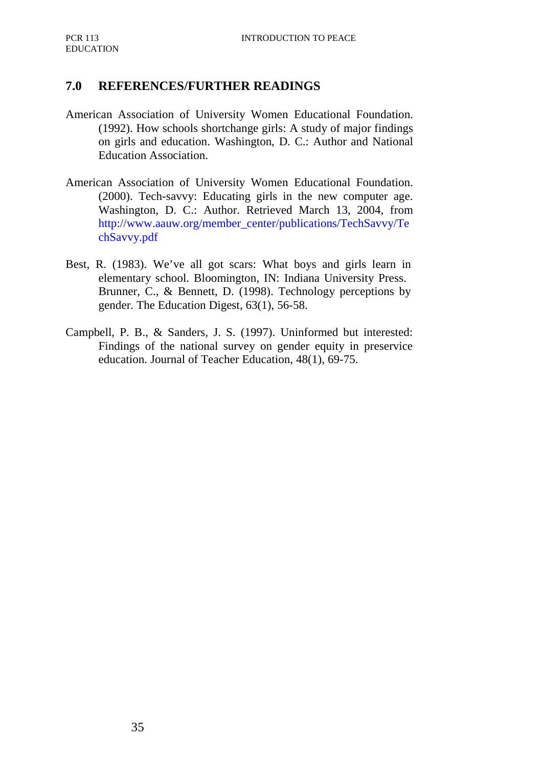### **7.0 REFERENCES/FURTHER READINGS**

- American Association of University Women Educational Foundation. (1992). How schools shortchange girls: A study of major findings on girls and education. Washington, D. C.: Author and National Education Association.
- American Association of University Women Educational Foundation. (2000). Tech-savvy: Educating girls in the new computer age. Washington, D. C.: Author. Retrieved March 13, 2004, from http://www.aauw.org/member\_center/publications/TechSavvy/Te chSavvy.pdf
- Best, R. (1983). We've all got scars: What boys and girls learn in elementary school. Bloomington, IN: Indiana University Press. Brunner, C., & Bennett, D. (1998). Technology perceptions by gender. The Education Digest, 63(1), 56-58.
- Campbell, P. B., & Sanders, J. S. (1997). Uninformed but interested: Findings of the national survey on gender equity in preservice education. Journal of Teacher Education, 48(1), 69-75.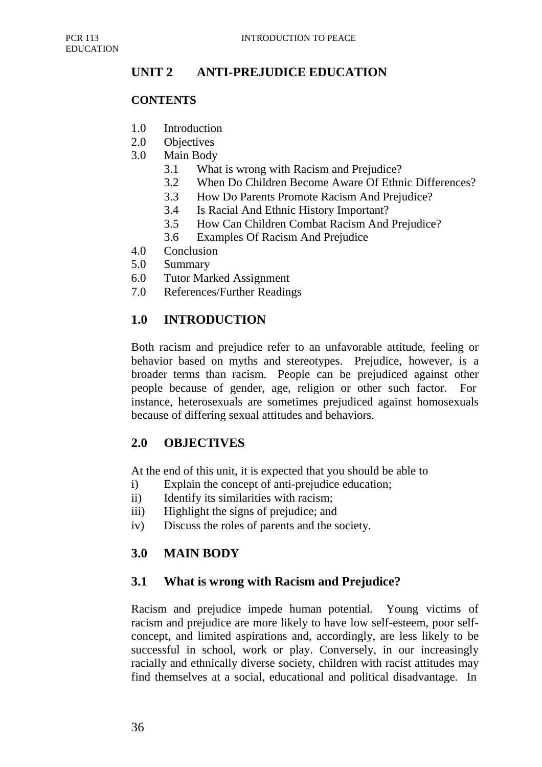# **UNIT 2 ANTI-PREJUDICE EDUCATION**

### **CONTENTS**

- 1.0 Introduction
- 2.0 Objectives
- 3.0 Main Body
	- 3.1 What is wrong with Racism and Prejudice?
	- 3.2 When Do Children Become Aware Of Ethnic Differences?
	- 3.3 How Do Parents Promote Racism And Prejudice?
	- 3.4 Is Racial And Ethnic History Important?
	- 3.5 How Can Children Combat Racism And Prejudice?
	- 3.6 Examples Of Racism And Prejudice
- 4.0 Conclusion
- 5.0 Summary
- 6.0 Tutor Marked Assignment
- 7.0 References/Further Readings

# **1.0 INTRODUCTION**

Both racism and prejudice refer to an unfavorable attitude, feeling or behavior based on myths and stereotypes. Prejudice, however, is a broader terms than racism. People can be prejudiced against other people because of gender, age, religion or other such factor. For instance, heterosexuals are sometimes prejudiced against homosexuals because of differing sexual attitudes and behaviors.

# **2.0 OBJECTIVES**

At the end of this unit, it is expected that you should be able to

- i) Explain the concept of anti-prejudice education;
- ii) Identify its similarities with racism;
- iii) Highlight the signs of prejudice; and
- iv) Discuss the roles of parents and the society.

# **3.0 MAIN BODY**

# **3.1 What is wrong with Racism and Prejudice?**

Racism and prejudice impede human potential. Young victims of racism and prejudice are more likely to have low self-esteem, poor selfconcept, and limited aspirations and, accordingly, are less likely to be successful in school, work or play. Conversely, in our increasingly racially and ethnically diverse society, children with racist attitudes may find themselves at a social, educational and political disadvantage. In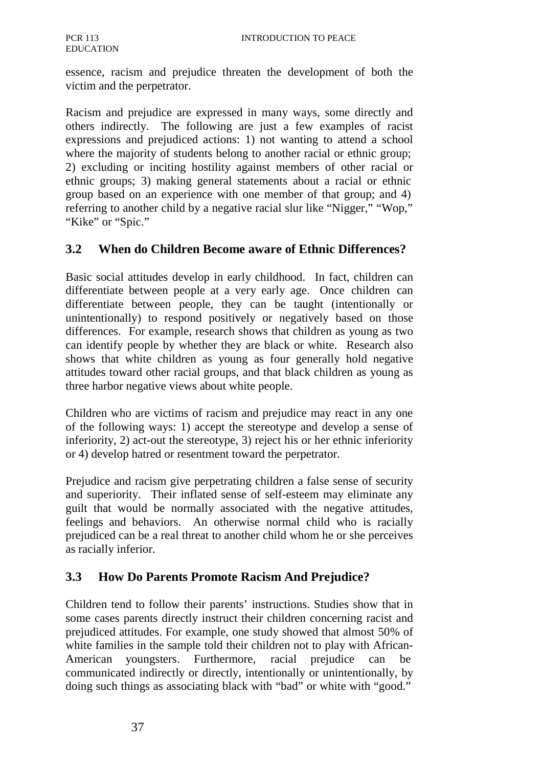essence, racism and prejudice threaten the development of both the victim and the perpetrator.

Racism and prejudice are expressed in many ways, some directly and others indirectly. The following are just a few examples of racist expressions and prejudiced actions: 1) not wanting to attend a school where the majority of students belong to another racial or ethnic group; 2) excluding or inciting hostility against members of other racial or ethnic groups; 3) making general statements about a racial or ethnic group based on an experience with one member of that group; and 4) referring to another child by a negative racial slur like "Nigger," "Wop," "Kike" or "Spic."

### **3.2 When do Children Become aware of Ethnic Differences?**

Basic social attitudes develop in early childhood. In fact, children can differentiate between people at a very early age. Once children can differentiate between people, they can be taught (intentionally or unintentionally) to respond positively or negatively based on those differences. For example, research shows that children as young as two can identify people by whether they are black or white. Research also shows that white children as young as four generally hold negative attitudes toward other racial groups, and that black children as young as three harbor negative views about white people.

Children who are victims of racism and prejudice may react in any one of the following ways: 1) accept the stereotype and develop a sense of inferiority, 2) act-out the stereotype, 3) reject his or her ethnic inferiority or 4) develop hatred or resentment toward the perpetrator.

Prejudice and racism give perpetrating children a false sense of security and superiority. Their inflated sense of self-esteem may eliminate any guilt that would be normally associated with the negative attitudes, feelings and behaviors. An otherwise normal child who is racially prejudiced can be a real threat to another child whom he or she perceives as racially inferior.

# **3.3 How Do Parents Promote Racism And Prejudice?**

Children tend to follow their parents' instructions. Studies show that in some cases parents directly instruct their children concerning racist and prejudiced attitudes. For example, one study showed that almost 50% of white families in the sample told their children not to play with African-American youngsters. Furthermore, racial prejudice can be communicated indirectly or directly, intentionally or unintentionally, by doing such things as associating black with "bad" or white with "good."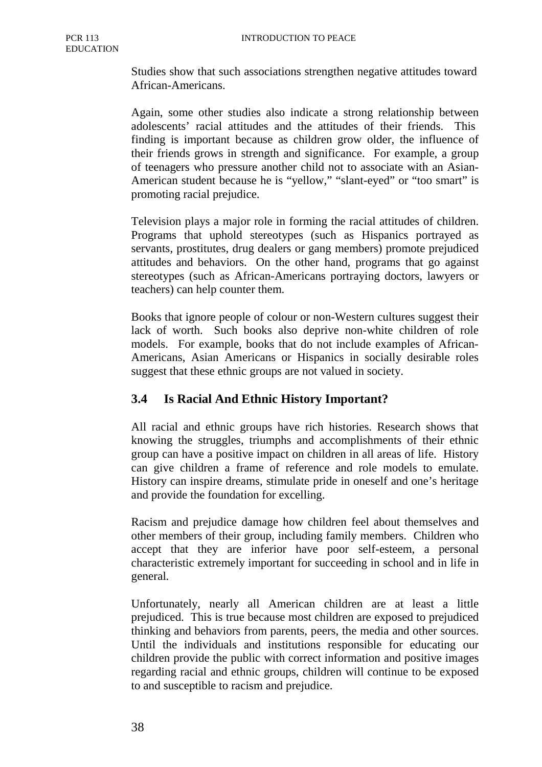Studies show that such associations strengthen negative attitudes toward African-Americans.

Again, some other studies also indicate a strong relationship between adolescents' racial attitudes and the attitudes of their friends. This finding is important because as children grow older, the influence of their friends grows in strength and significance. For example, a group of teenagers who pressure another child not to associate with an Asian-American student because he is "yellow," "slant-eyed" or "too smart" is promoting racial prejudice.

Television plays a major role in forming the racial attitudes of children. Programs that uphold stereotypes (such as Hispanics portrayed as servants, prostitutes, drug dealers or gang members) promote prejudiced attitudes and behaviors. On the other hand, programs that go against stereotypes (such as African-Americans portraying doctors, lawyers or teachers) can help counter them.

Books that ignore people of colour or non-Western cultures suggest their lack of worth. Such books also deprive non-white children of role models. For example, books that do not include examples of African-Americans, Asian Americans or Hispanics in socially desirable roles suggest that these ethnic groups are not valued in society.

# **3.4 Is Racial And Ethnic History Important?**

All racial and ethnic groups have rich histories. Research shows that knowing the struggles, triumphs and accomplishments of their ethnic group can have a positive impact on children in all areas of life. History can give children a frame of reference and role models to emulate. History can inspire dreams, stimulate pride in oneself and one's heritage and provide the foundation for excelling.

Racism and prejudice damage how children feel about themselves and other members of their group, including family members. Children who accept that they are inferior have poor self-esteem, a personal characteristic extremely important for succeeding in school and in life in general.

Unfortunately, nearly all American children are at least a little prejudiced. This is true because most children are exposed to prejudiced thinking and behaviors from parents, peers, the media and other sources. Until the individuals and institutions responsible for educating our children provide the public with correct information and positive images regarding racial and ethnic groups, children will continue to be exposed to and susceptible to racism and prejudice.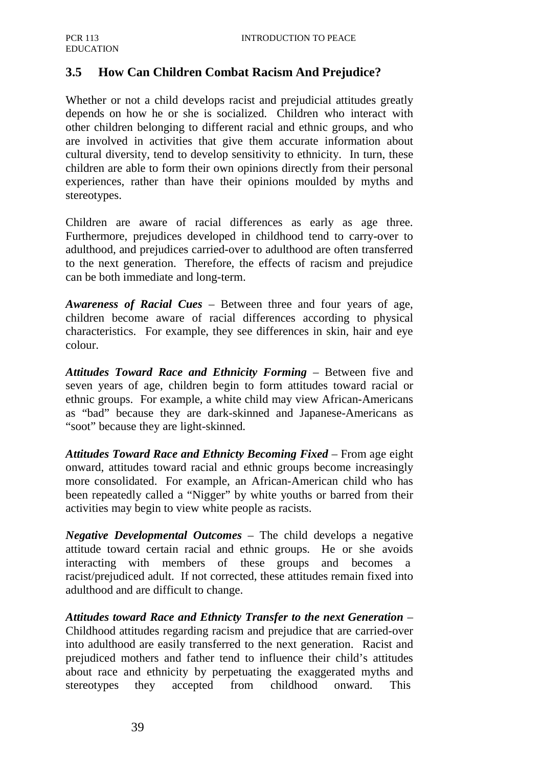# **3.5 How Can Children Combat Racism And Prejudice?**

Whether or not a child develops racist and prejudicial attitudes greatly depends on how he or she is socialized. Children who interact with other children belonging to different racial and ethnic groups, and who are involved in activities that give them accurate information about cultural diversity, tend to develop sensitivity to ethnicity. In turn, these children are able to form their own opinions directly from their personal experiences, rather than have their opinions moulded by myths and stereotypes.

Children are aware of racial differences as early as age three. Furthermore, prejudices developed in childhood tend to carry-over to adulthood, and prejudices carried-over to adulthood are often transferred to the next generation. Therefore, the effects of racism and prejudice can be both immediate and long-term.

*Awareness of Racial Cues* – Between three and four years of age, children become aware of racial differences according to physical characteristics. For example, they see differences in skin, hair and eye colour.

*Attitudes Toward Race and Ethnicity Forming* – Between five and seven years of age, children begin to form attitudes toward racial or ethnic groups. For example, a white child may view African-Americans as "bad" because they are dark-skinned and Japanese-Americans as "soot" because they are light-skinned.

Attitudes Toward Race and Ethnicty Becoming Fixed – From age eight onward, attitudes toward racial and ethnic groups become increasingly more consolidated. For example, an African-American child who has been repeatedly called a "Nigger" by white youths or barred from their activities may begin to view white people as racists.

*Negative Developmental Outcomes* – The child develops a negative attitude toward certain racial and ethnic groups. He or she avoids interacting with members of these groups and becomes a racist/prejudiced adult. If not corrected, these attitudes remain fixed into adulthood and are difficult to change.

*Attitudes toward Race and Ethnicty Transfer to the next Generation* – Childhood attitudes regarding racism and prejudice that are carried-over into adulthood are easily transferred to the next generation. Racist and prejudiced mothers and father tend to influence their child's attitudes about race and ethnicity by perpetuating the exaggerated myths and stereotypes they accepted from childhood onward. This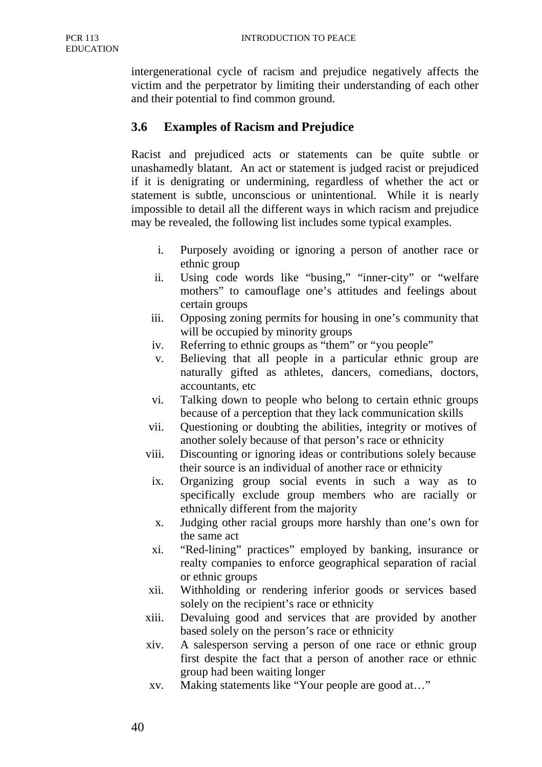intergenerational cycle of racism and prejudice negatively affects the victim and the perpetrator by limiting their understanding of each other and their potential to find common ground.

### **3.6 Examples of Racism and Prejudice**

Racist and prejudiced acts or statements can be quite subtle or unashamedly blatant. An act or statement is judged racist or prejudiced if it is denigrating or undermining, regardless of whether the act or statement is subtle, unconscious or unintentional. While it is nearly impossible to detail all the different ways in which racism and prejudice may be revealed, the following list includes some typical examples.

- i. Purposely avoiding or ignoring a person of another race or ethnic group
- ii. Using code words like "busing," "inner-city" or "welfare mothers" to camouflage one's attitudes and feelings about certain groups
- iii. Opposing zoning permits for housing in one's community that will be occupied by minority groups
- iv. Referring to ethnic groups as "them" or "you people"
- v. Believing that all people in a particular ethnic group are naturally gifted as athletes, dancers, comedians, doctors, accountants, etc
- vi. Talking down to people who belong to certain ethnic groups because of a perception that they lack communication skills
- vii. Questioning or doubting the abilities, integrity or motives of another solely because of that person's race or ethnicity
- viii. Discounting or ignoring ideas or contributions solely because their source is an individual of another race or ethnicity
- ix. Organizing group social events in such a way as to specifically exclude group members who are racially or ethnically different from the majority
- x. Judging other racial groups more harshly than one's own for the same act
- xi. "Red-lining" practices" employed by banking, insurance or realty companies to enforce geographical separation of racial or ethnic groups
- xii. Withholding or rendering inferior goods or services based solely on the recipient's race or ethnicity
- xiii. Devaluing good and services that are provided by another based solely on the person's race or ethnicity
- xiv. A salesperson serving a person of one race or ethnic group first despite the fact that a person of another race or ethnic group had been waiting longer
- xv. Making statements like "Your people are good at…"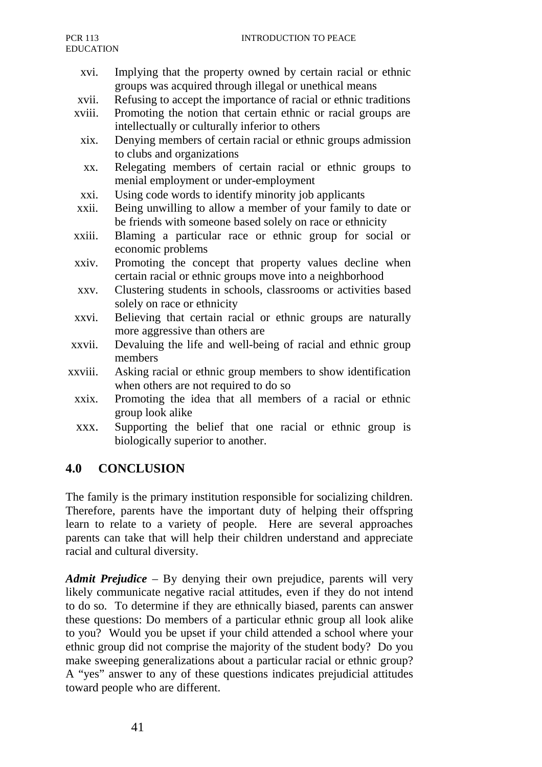- xvi. Implying that the property owned by certain racial or ethnic groups was acquired through illegal or unethical means
- xvii. Refusing to accept the importance of racial or ethnic traditions
- xviii. Promoting the notion that certain ethnic or racial groups are intellectually or culturally inferior to others
	- xix. Denying members of certain racial or ethnic groups admission to clubs and organizations
	- xx. Relegating members of certain racial or ethnic groups to menial employment or under-employment
	- xxi. Using code words to identify minority job applicants
- xxii. Being unwilling to allow a member of your family to date or be friends with someone based solely on race or ethnicity
- xxiii. Blaming a particular race or ethnic group for social or economic problems
- xxiv. Promoting the concept that property values decline when certain racial or ethnic groups move into a neighborhood
- xxv. Clustering students in schools, classrooms or activities based solely on race or ethnicity
- xxvi. Believing that certain racial or ethnic groups are naturally more aggressive than others are
- xxvii. Devaluing the life and well-being of racial and ethnic group members
- xxviii. Asking racial or ethnic group members to show identification when others are not required to do so
	- xxix. Promoting the idea that all members of a racial or ethnic group look alike
	- xxx. Supporting the belief that one racial or ethnic group is biologically superior to another.

# **4.0 CONCLUSION**

The family is the primary institution responsible for socializing children. Therefore, parents have the important duty of helping their offspring learn to relate to a variety of people. Here are several approaches parents can take that will help their children understand and appreciate racial and cultural diversity.

*Admit Prejudice* – By denying their own prejudice, parents will very likely communicate negative racial attitudes, even if they do not intend to do so. To determine if they are ethnically biased, parents can answer these questions: Do members of a particular ethnic group all look alike to you? Would you be upset if your child attended a school where your ethnic group did not comprise the majority of the student body? Do you make sweeping generalizations about a particular racial or ethnic group? A "yes" answer to any of these questions indicates prejudicial attitudes toward people who are different.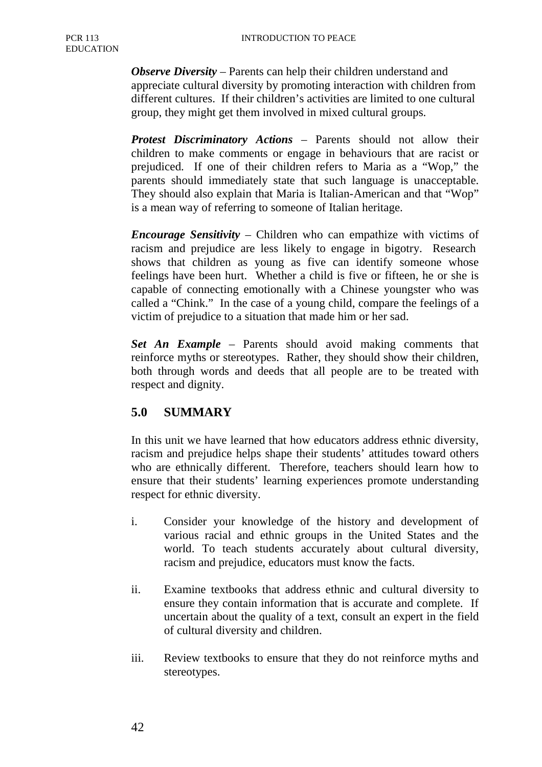*Observe Diversity* – Parents can help their children understand and appreciate cultural diversity by promoting interaction with children from different cultures. If their children's activities are limited to one cultural group, they might get them involved in mixed cultural groups.

*Protest Discriminatory Actions* – Parents should not allow their children to make comments or engage in behaviours that are racist or prejudiced. If one of their children refers to Maria as a "Wop," the parents should immediately state that such language is unacceptable. They should also explain that Maria is Italian-American and that "Wop" is a mean way of referring to someone of Italian heritage.

*Encourage Sensitivity* – Children who can empathize with victims of racism and prejudice are less likely to engage in bigotry. Research shows that children as young as five can identify someone whose feelings have been hurt. Whether a child is five or fifteen, he or she is capable of connecting emotionally with a Chinese youngster who was called a "Chink." In the case of a young child, compare the feelings of a victim of prejudice to a situation that made him or her sad.

*Set An Example* – Parents should avoid making comments that reinforce myths or stereotypes. Rather, they should show their children, both through words and deeds that all people are to be treated with respect and dignity.

# **5.0 SUMMARY**

In this unit we have learned that how educators address ethnic diversity, racism and prejudice helps shape their students' attitudes toward others who are ethnically different. Therefore, teachers should learn how to ensure that their students' learning experiences promote understanding respect for ethnic diversity.

- i. Consider your knowledge of the history and development of various racial and ethnic groups in the United States and the world. To teach students accurately about cultural diversity, racism and prejudice, educators must know the facts.
- ii. Examine textbooks that address ethnic and cultural diversity to ensure they contain information that is accurate and complete. If uncertain about the quality of a text, consult an expert in the field of cultural diversity and children.
- iii. Review textbooks to ensure that they do not reinforce myths and stereotypes.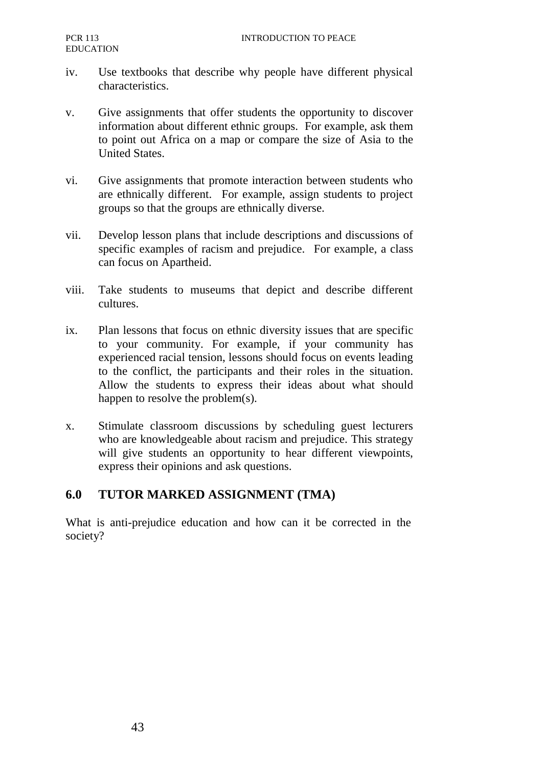- iv. Use textbooks that describe why people have different physical characteristics.
- v. Give assignments that offer students the opportunity to discover information about different ethnic groups. For example, ask them to point out Africa on a map or compare the size of Asia to the United States.
- vi. Give assignments that promote interaction between students who are ethnically different. For example, assign students to project groups so that the groups are ethnically diverse.
- vii. Develop lesson plans that include descriptions and discussions of specific examples of racism and prejudice. For example, a class can focus on Apartheid.
- viii. Take students to museums that depict and describe different cultures.
- ix. Plan lessons that focus on ethnic diversity issues that are specific to your community. For example, if your community has experienced racial tension, lessons should focus on events leading to the conflict, the participants and their roles in the situation. Allow the students to express their ideas about what should happen to resolve the problem(s).
- x. Stimulate classroom discussions by scheduling guest lecturers who are knowledgeable about racism and prejudice. This strategy will give students an opportunity to hear different viewpoints, express their opinions and ask questions.

# **6.0 TUTOR MARKED ASSIGNMENT (TMA)**

What is anti-prejudice education and how can it be corrected in the society?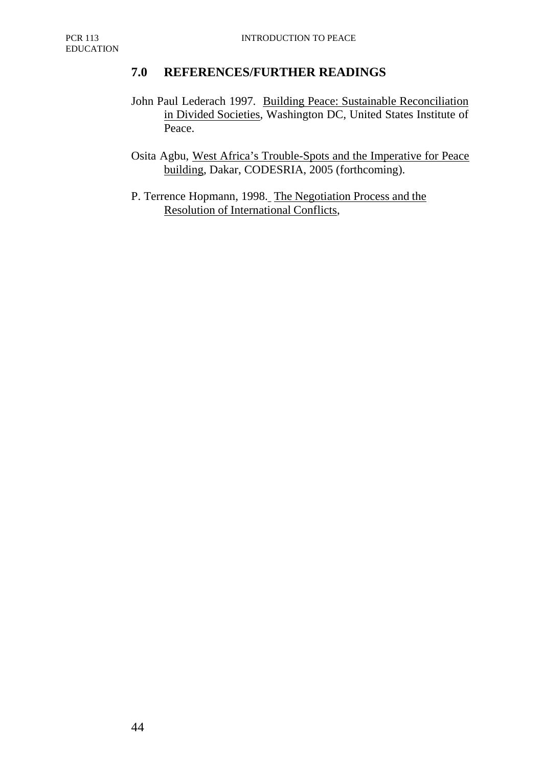# **7.0 REFERENCES/FURTHER READINGS**

John Paul Lederach 1997. Building Peace: Sustainable Reconciliation in Divided Societies, Washington DC, United States Institute of Peace.

Osita Agbu, West Africa's Trouble-Spots and the Imperative for Peace building, Dakar, CODESRIA, 2005 (forthcoming).

P. Terrence Hopmann, 1998. The Negotiation Process and the Resolution of International Conflicts,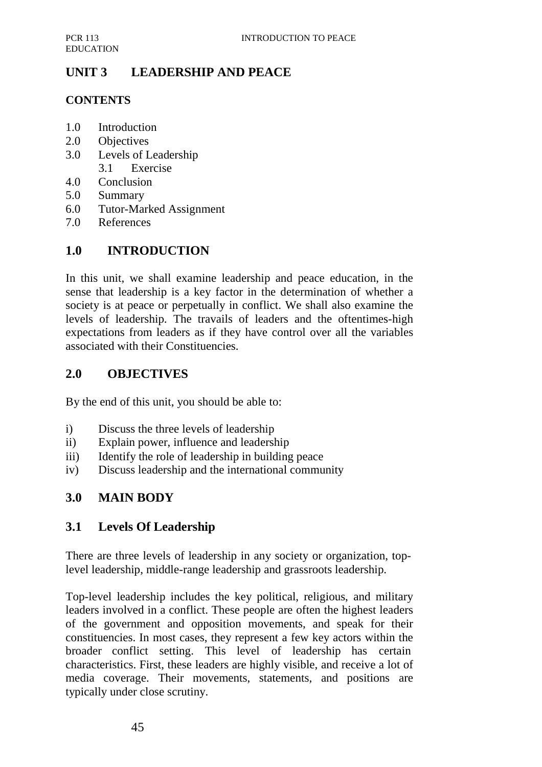# **UNIT 3 LEADERSHIP AND PEACE**

# **CONTENTS**

- 1.0 Introduction
- 2.0 Objectives
- 3.0 Levels of Leadership 3.1 Exercise
- 4.0 Conclusion
- 5.0 Summary
- 6.0 Tutor-Marked Assignment
- 7.0 References

# **1.0 INTRODUCTION**

In this unit, we shall examine leadership and peace education, in the sense that leadership is a key factor in the determination of whether a society is at peace or perpetually in conflict. We shall also examine the levels of leadership. The travails of leaders and the oftentimes-high expectations from leaders as if they have control over all the variables associated with their Constituencies.

# **2.0 OBJECTIVES**

By the end of this unit, you should be able to:

- i) Discuss the three levels of leadership
- ii) Explain power, influence and leadership
- iii) Identify the role of leadership in building peace
- iv) Discuss leadership and the international community

# **3.0 MAIN BODY**

# **3.1 Levels Of Leadership**

There are three levels of leadership in any society or organization, toplevel leadership, middle-range leadership and grassroots leadership.

Top-level leadership includes the key political, religious, and military leaders involved in a conflict. These people are often the highest leaders of the government and opposition movements, and speak for their constituencies. In most cases, they represent a few key actors within the broader conflict setting. This level of leadership has certain characteristics. First, these leaders are highly visible, and receive a lot of media coverage. Their movements, statements, and positions are typically under close scrutiny.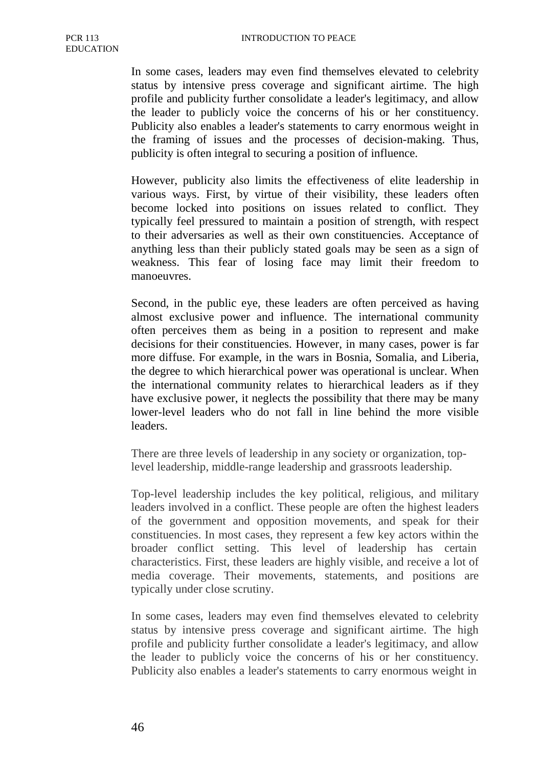In some cases, leaders may even find themselves elevated to celebrity status by intensive press coverage and significant airtime. The high profile and publicity further consolidate a leader's legitimacy, and allow the leader to publicly voice the concerns of his or her constituency. Publicity also enables a leader's statements to carry enormous weight in the framing of issues and the processes of decision-making. Thus, publicity is often integral to securing a position of influence.

However, publicity also limits the effectiveness of elite leadership in various ways. First, by virtue of their visibility, these leaders often become locked into positions on issues related to conflict. They typically feel pressured to maintain a position of strength, with respect to their adversaries as well as their own constituencies. Acceptance of anything less than their publicly stated goals may be seen as a sign of weakness. This fear of losing face may limit their freedom to manoeuvres.

Second, in the public eye, these leaders are often perceived as having almost exclusive power and influence. The international community often perceives them as being in a position to represent and make decisions for their constituencies. However, in many cases, power is far more diffuse. For example, in the wars in Bosnia, Somalia, and Liberia, the degree to which hierarchical power was operational is unclear. When the international community relates to hierarchical leaders as if they have exclusive power, it neglects the possibility that there may be many lower-level leaders who do not fall in line behind the more visible leaders.

There are three levels of leadership in any society or organization, toplevel leadership, middle-range leadership and grassroots leadership.

Top-level leadership includes the key political, religious, and military leaders involved in a conflict. These people are often the highest leaders of the government and opposition movements, and speak for their constituencies. In most cases, they represent a few key actors within the broader conflict setting. This level of leadership has certain characteristics. First, these leaders are highly visible, and receive a lot of media coverage. Their movements, statements, and positions are typically under close scrutiny.

In some cases, leaders may even find themselves elevated to celebrity status by intensive press coverage and significant airtime. The high profile and publicity further consolidate a leader's legitimacy, and allow the leader to publicly voice the concerns of his or her constituency. Publicity also enables a leader's statements to carry enormous weight in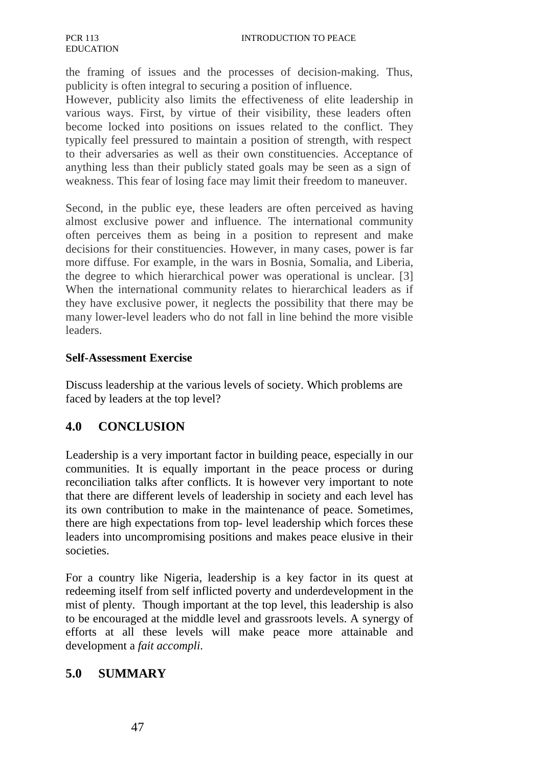the framing of issues and the processes of decision-making. Thus, publicity is often integral to securing a position of influence.

However, publicity also limits the effectiveness of elite leadership in various ways. First, by virtue of their visibility, these leaders often become locked into positions on issues related to the conflict. They typically feel pressured to maintain a position of strength, with respect to their adversaries as well as their own constituencies. Acceptance of anything less than their publicly stated goals may be seen as a sign of weakness. This fear of losing face may limit their freedom to maneuver.

Second, in the public eye, these leaders are often perceived as having almost exclusive power and influence. The international community often perceives them as being in a position to represent and make decisions for their constituencies. However, in many cases, power is far more diffuse. For example, in the wars in Bosnia, Somalia, and Liberia, the degree to which hierarchical power was operational is unclear. [3] When the international community relates to hierarchical leaders as if they have exclusive power, it neglects the possibility that there may be many lower-level leaders who do not fall in line behind the more visible leaders.

#### **Self-Assessment Exercise**

Discuss leadership at the various levels of society. Which problems are faced by leaders at the top level?

# **4.0 CONCLUSION**

Leadership is a very important factor in building peace, especially in our communities. It is equally important in the peace process or during reconciliation talks after conflicts. It is however very important to note that there are different levels of leadership in society and each level has its own contribution to make in the maintenance of peace. Sometimes, there are high expectations from top- level leadership which forces these leaders into uncompromising positions and makes peace elusive in their societies.

For a country like Nigeria, leadership is a key factor in its quest at redeeming itself from self inflicted poverty and underdevelopment in the mist of plenty. Though important at the top level, this leadership is also to be encouraged at the middle level and grassroots levels. A synergy of efforts at all these levels will make peace more attainable and development a *fait accompli*.

# **5.0 SUMMARY**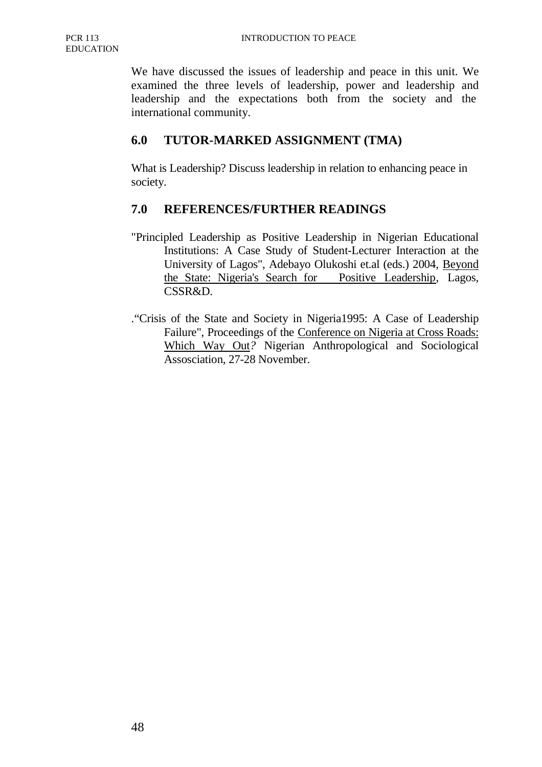We have discussed the issues of leadership and peace in this unit. We examined the three levels of leadership, power and leadership and leadership and the expectations both from the society and the international community.

# **6.0 TUTOR-MARKED ASSIGNMENT (TMA)**

What is Leadership? Discuss leadership in relation to enhancing peace in society.

# **7.0 REFERENCES/FURTHER READINGS**

- "Principled Leadership as Positive Leadership in Nigerian Educational Institutions: A Case Study of Student-Lecturer Interaction at the University of Lagos", Adebayo Olukoshi et.al (eds.) 2004, Beyond the State: Nigeria's Search for Positive Leadership, Lagos, CSSR&D.
- ."Crisis of the State and Society in Nigeria1995: A Case of Leadership Failure", Proceedings of the Conference on Nigeria at Cross Roads: Which Way Out*?* Nigerian Anthropological and Sociological Assosciation, 27-28 November.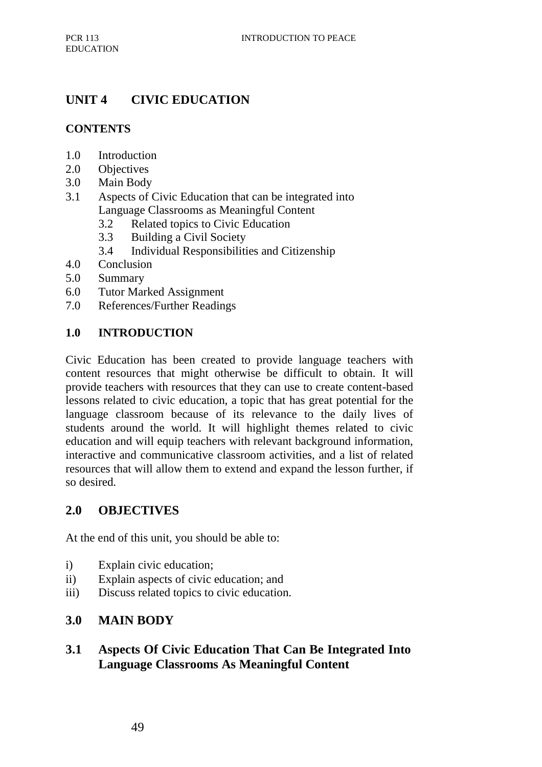# **UNIT 4 CIVIC EDUCATION**

# **CONTENTS**

- 1.0 Introduction
- 2.0 Objectives
- 3.0 Main Body
- 3.1 Aspects of Civic Education that can be integrated into Language Classrooms as Meaningful Content
	- 3.2 Related topics to Civic Education
	- 3.3 Building a Civil Society
	- 3.4 Individual Responsibilities and Citizenship
- 4.0 Conclusion
- 5.0 Summary
- 6.0 Tutor Marked Assignment
- 7.0 References/Further Readings

### **1.0 INTRODUCTION**

Civic Education has been created to provide language teachers with content resources that might otherwise be difficult to obtain. It will provide teachers with resources that they can use to create content-based lessons related to civic education, a topic that has great potential for the language classroom because of its relevance to the daily lives of students around the world. It will highlight themes related to civic education and will equip teachers with relevant background information, interactive and communicative classroom activities, and a list of related resources that will allow them to extend and expand the lesson further, if so desired.

# **2.0 OBJECTIVES**

At the end of this unit, you should be able to:

- i) Explain civic education;
- ii) Explain aspects of civic education; and
- iii) Discuss related topics to civic education.

# **3.0 MAIN BODY**

# **3.1 Aspects Of Civic Education That Can Be Integrated Into Language Classrooms As Meaningful Content**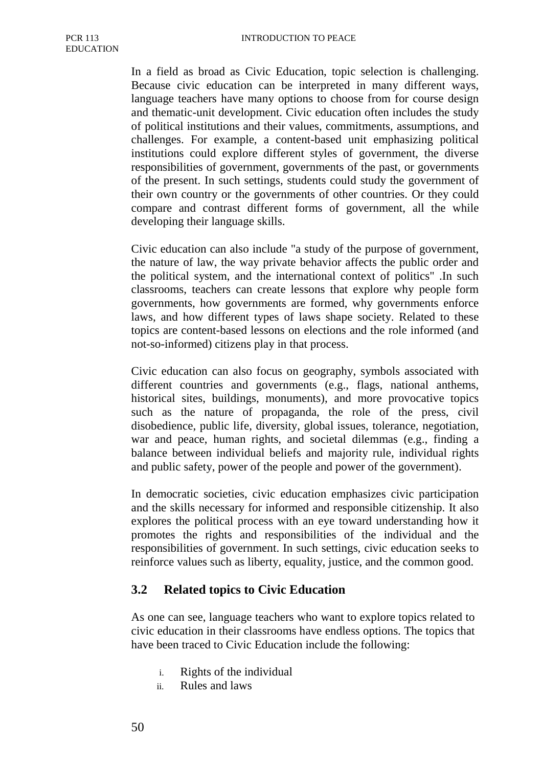In a field as broad as Civic Education, topic selection is challenging. Because civic education can be interpreted in many different ways, language teachers have many options to choose from for course design and thematic-unit development. Civic education often includes the study of political institutions and their values, commitments, assumptions, and challenges. For example, a content-based unit emphasizing political institutions could explore different styles of government, the diverse responsibilities of government, governments of the past, or governments of the present. In such settings, students could study the government of their own country or the governments of other countries. Or they could compare and contrast different forms of government, all the while developing their language skills.

Civic education can also include "a study of the purpose of government, the nature of law, the way private behavior affects the public order and the political system, and the international context of politics" .In such classrooms, teachers can create lessons that explore why people form governments, how governments are formed, why governments enforce laws, and how different types of laws shape society. Related to these topics are content-based lessons on elections and the role informed (and not-so-informed) citizens play in that process.

Civic education can also focus on geography, symbols associated with different countries and governments (e.g., flags, national anthems, historical sites, buildings, monuments), and more provocative topics such as the nature of propaganda, the role of the press, civil disobedience, public life, diversity, global issues, tolerance, negotiation, war and peace, human rights, and societal dilemmas (e.g., finding a balance between individual beliefs and majority rule, individual rights and public safety, power of the people and power of the government).

In democratic societies, civic education emphasizes civic participation and the skills necessary for informed and responsible citizenship. It also explores the political process with an eye toward understanding how it promotes the rights and responsibilities of the individual and the responsibilities of government. In such settings, civic education seeks to reinforce values such as liberty, equality, justice, and the common good.

### **3.2 Related topics to Civic Education**

As one can see, language teachers who want to explore topics related to civic education in their classrooms have endless options. The topics that have been traced to Civic Education include the following:

- i. Rights of the individual
- ii. Rules and laws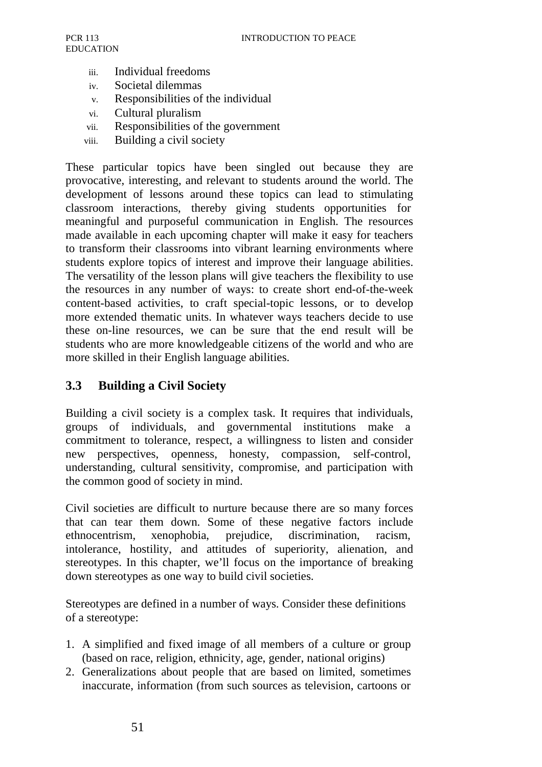- iii. Individual freedoms
- iv. Societal dilemmas
- v. Responsibilities of the individual
- vi. Cultural pluralism
- vii. Responsibilities of the government
- viii. Building a civil society

These particular topics have been singled out because they are provocative, interesting, and relevant to students around the world. The development of lessons around these topics can lead to stimulating classroom interactions, thereby giving students opportunities for meaningful and purposeful communication in English. The resources made available in each upcoming chapter will make it easy for teachers to transform their classrooms into vibrant learning environments where students explore topics of interest and improve their language abilities. The versatility of the lesson plans will give teachers the flexibility to use the resources in any number of ways: to create short end-of-the-week content-based activities, to craft special-topic lessons, or to develop more extended thematic units. In whatever ways teachers decide to use these on-line resources, we can be sure that the end result will be students who are more knowledgeable citizens of the world and who are more skilled in their English language abilities.

### **3.3 Building a Civil Society**

Building a civil society is a complex task. It requires that individuals, groups of individuals, and governmental institutions make a commitment to tolerance, respect, a willingness to listen and consider new perspectives, openness, honesty, compassion, self-control, understanding, cultural sensitivity, compromise, and participation with the common good of society in mind.

Civil societies are difficult to nurture because there are so many forces that can tear them down. Some of these negative factors include ethnocentrism, xenophobia, prejudice, discrimination, racism, intolerance, hostility, and attitudes of superiority, alienation, and stereotypes. In this chapter, we'll focus on the importance of breaking down stereotypes as one way to build civil societies.

Stereotypes are defined in a number of ways. Consider these definitions of a stereotype:

- 1. A simplified and fixed image of all members of a culture or group (based on race, religion, ethnicity, age, gender, national origins)
- 2. Generalizations about people that are based on limited, sometimes inaccurate, information (from such sources as television, cartoons or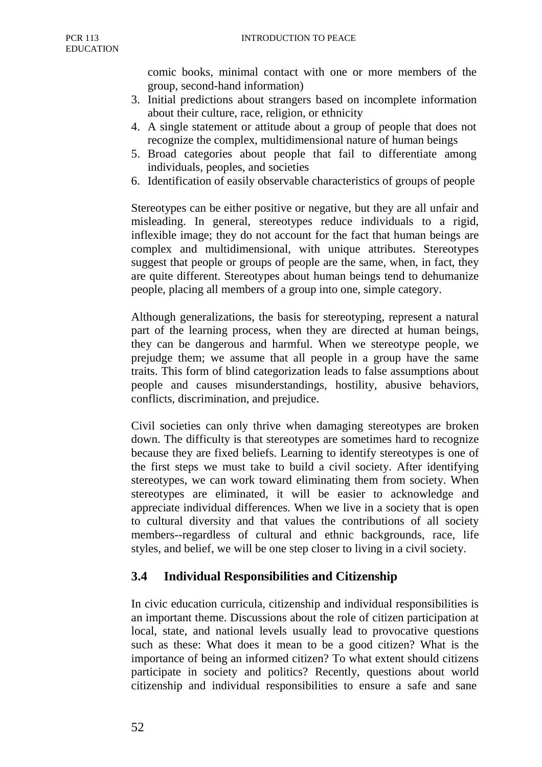comic books, minimal contact with one or more members of the group, second-hand information)

- 3. Initial predictions about strangers based on incomplete information about their culture, race, religion, or ethnicity
- 4. A single statement or attitude about a group of people that does not recognize the complex, multidimensional nature of human beings
- 5. Broad categories about people that fail to differentiate among individuals, peoples, and societies
- 6. Identification of easily observable characteristics of groups of people

Stereotypes can be either positive or negative, but they are all unfair and misleading. In general, stereotypes reduce individuals to a rigid, inflexible image; they do not account for the fact that human beings are complex and multidimensional, with unique attributes. Stereotypes suggest that people or groups of people are the same, when, in fact, they are quite different. Stereotypes about human beings tend to dehumanize people, placing all members of a group into one, simple category.

Although generalizations, the basis for stereotyping, represent a natural part of the learning process, when they are directed at human beings, they can be dangerous and harmful. When we stereotype people, we prejudge them; we assume that all people in a group have the same traits. This form of blind categorization leads to false assumptions about people and causes misunderstandings, hostility, abusive behaviors, conflicts, discrimination, and prejudice.

Civil societies can only thrive when damaging stereotypes are broken down. The difficulty is that stereotypes are sometimes hard to recognize because they are fixed beliefs. Learning to identify stereotypes is one of the first steps we must take to build a civil society. After identifying stereotypes, we can work toward eliminating them from society. When stereotypes are eliminated, it will be easier to acknowledge and appreciate individual differences. When we live in a society that is open to cultural diversity and that values the contributions of all society members--regardless of cultural and ethnic backgrounds, race, life styles, and belief, we will be one step closer to living in a civil society.

# **3.4 Individual Responsibilities and Citizenship**

In civic education curricula, citizenship and individual responsibilities is an important theme. Discussions about the role of citizen participation at local, state, and national levels usually lead to provocative questions such as these: What does it mean to be a good citizen? What is the importance of being an informed citizen? To what extent should citizens participate in society and politics? Recently, questions about world citizenship and individual responsibilities to ensure a safe and sane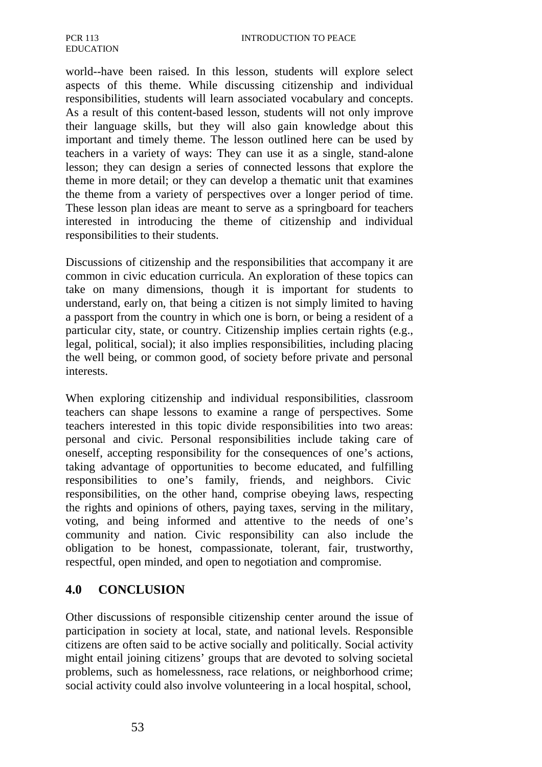world--have been raised. In this lesson, students will explore select aspects of this theme. While discussing citizenship and individual responsibilities, students will learn associated vocabulary and concepts. As a result of this content-based lesson, students will not only improve their language skills, but they will also gain knowledge about this important and timely theme. The lesson outlined here can be used by teachers in a variety of ways: They can use it as a single, stand-alone lesson; they can design a series of connected lessons that explore the theme in more detail; or they can develop a thematic unit that examines the theme from a variety of perspectives over a longer period of time. These lesson plan ideas are meant to serve as a springboard for teachers interested in introducing the theme of citizenship and individual responsibilities to their students.

Discussions of citizenship and the responsibilities that accompany it are common in civic education curricula. An exploration of these topics can take on many dimensions, though it is important for students to understand, early on, that being a citizen is not simply limited to having a passport from the country in which one is born, or being a resident of a particular city, state, or country. Citizenship implies certain rights (e.g., legal, political, social); it also implies responsibilities, including placing the well being, or common good, of society before private and personal interests.

When exploring citizenship and individual responsibilities, classroom teachers can shape lessons to examine a range of perspectives. Some teachers interested in this topic divide responsibilities into two areas: personal and civic. Personal responsibilities include taking care of oneself, accepting responsibility for the consequences of one's actions, taking advantage of opportunities to become educated, and fulfilling responsibilities to one's family, friends, and neighbors. Civic responsibilities, on the other hand, comprise obeying laws, respecting the rights and opinions of others, paying taxes, serving in the military, voting, and being informed and attentive to the needs of one's community and nation. Civic responsibility can also include the obligation to be honest, compassionate, tolerant, fair, trustworthy, respectful, open minded, and open to negotiation and compromise.

### **4.0 CONCLUSION**

Other discussions of responsible citizenship center around the issue of participation in society at local, state, and national levels. Responsible citizens are often said to be active socially and politically. Social activity might entail joining citizens' groups that are devoted to solving societal problems, such as homelessness, race relations, or neighborhood crime; social activity could also involve volunteering in a local hospital, school,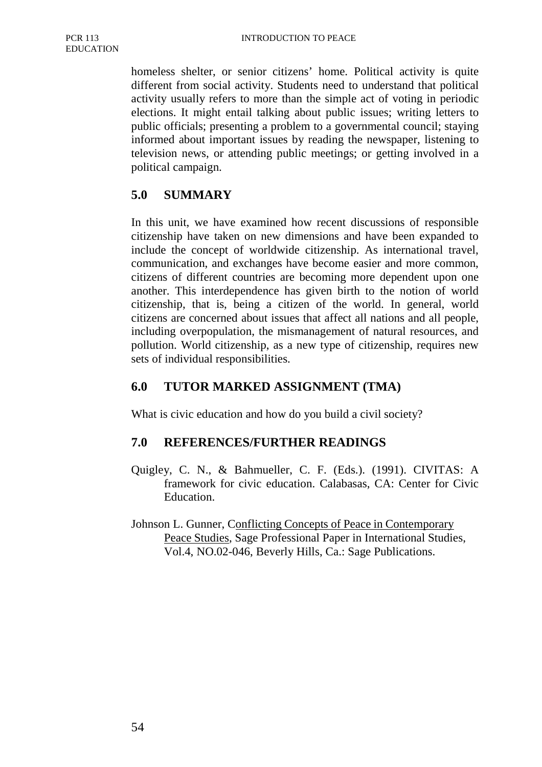homeless shelter, or senior citizens' home. Political activity is quite different from social activity. Students need to understand that political activity usually refers to more than the simple act of voting in periodic elections. It might entail talking about public issues; writing letters to public officials; presenting a problem to a governmental council; staying informed about important issues by reading the newspaper, listening to television news, or attending public meetings; or getting involved in a political campaign.

# **5.0 SUMMARY**

In this unit, we have examined how recent discussions of responsible citizenship have taken on new dimensions and have been expanded to include the concept of worldwide citizenship. As international travel, communication, and exchanges have become easier and more common, citizens of different countries are becoming more dependent upon one another. This interdependence has given birth to the notion of world citizenship, that is, being a citizen of the world. In general, world citizens are concerned about issues that affect all nations and all people, including overpopulation, the mismanagement of natural resources, and pollution. World citizenship, as a new type of citizenship, requires new sets of individual responsibilities.

### **6.0 TUTOR MARKED ASSIGNMENT (TMA)**

What is civic education and how do you build a civil society?

### **7.0 REFERENCES/FURTHER READINGS**

- Quigley, C. N., & Bahmueller, C. F. (Eds.). (1991). CIVITAS: A framework for civic education. Calabasas, CA: Center for Civic Education.
- Johnson L. Gunner, Conflicting Concepts of Peace in Contemporary Peace Studies, Sage Professional Paper in International Studies, Vol.4, NO.02-046, Beverly Hills, Ca.: Sage Publications.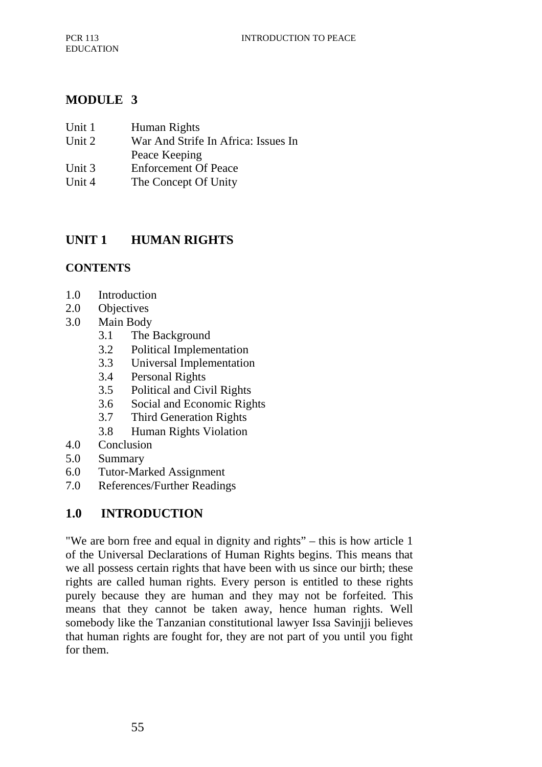### **MODULE 3**

| Unit 1 | Human Rights                        |
|--------|-------------------------------------|
| Unit 2 | War And Strife In Africa: Issues In |
|        | Peace Keeping                       |
| Unit 3 | <b>Enforcement Of Peace</b>         |
| Unit 4 | The Concept Of Unity                |

## **UNIT 1 HUMAN RIGHTS**

#### **CONTENTS**

- 1.0 Introduction
- 2.0 Objectives
- 3.0 Main Body
	- 3.1 The Background
	- 3.2 Political Implementation
	- 3.3 Universal Implementation
	- 3.4 Personal Rights
	- 3.5 Political and Civil Rights
	- 3.6 Social and Economic Rights
	- 3.7 Third Generation Rights
	- 3.8 Human Rights Violation
- 4.0 Conclusion
- 5.0 Summary
- 6.0 Tutor-Marked Assignment
- 7.0 References/Further Readings

### **1.0 INTRODUCTION**

"We are born free and equal in dignity and rights" – this is how article 1 of the Universal Declarations of Human Rights begins. This means that we all possess certain rights that have been with us since our birth; these rights are called human rights. Every person is entitled to these rights purely because they are human and they may not be forfeited. This means that they cannot be taken away, hence human rights. Well somebody like the Tanzanian constitutional lawyer Issa Saviniii believes that human rights are fought for, they are not part of you until you fight for them.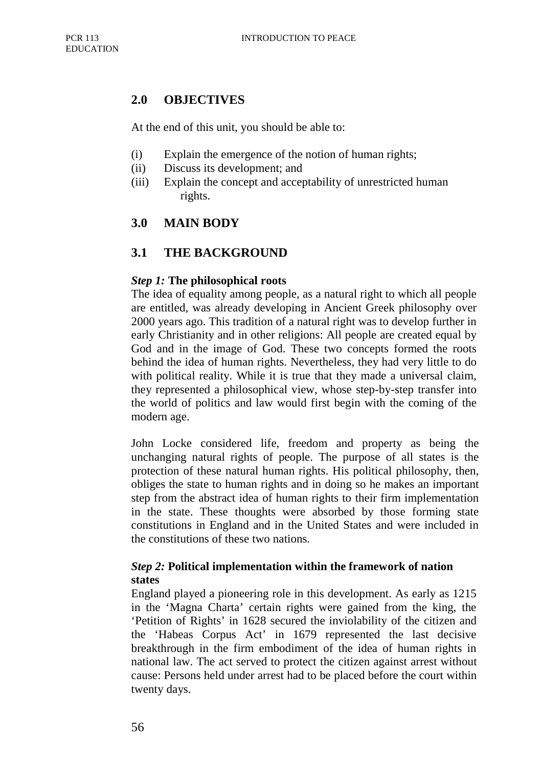## **2.0 OBJECTIVES**

At the end of this unit, you should be able to:

- (i) Explain the emergence of the notion of human rights;
- (ii) Discuss its development; and
- (iii) Explain the concept and acceptability of unrestricted human rights.

### **3.0 MAIN BODY**

#### **3.1 THE BACKGROUND**

#### *Step 1:* **The philosophical roots**

The idea of equality among people, as a natural right to which all people are entitled, was already developing in Ancient Greek philosophy over 2000 years ago. This tradition of a natural right was to develop further in early Christianity and in other religions: All people are created equal by God and in the image of God. These two concepts formed the roots behind the idea of human rights. Nevertheless, they had very little to do with political reality. While it is true that they made a universal claim, they represented a philosophical view, whose step-by-step transfer into the world of politics and law would first begin with the coming of the modern age.

John Locke considered life, freedom and property as being the unchanging natural rights of people. The purpose of all states is the protection of these natural human rights. His political philosophy, then, obliges the state to human rights and in doing so he makes an important step from the abstract idea of human rights to their firm implementation in the state. These thoughts were absorbed by those forming state constitutions in England and in the United States and were included in the constitutions of these two nations.

#### *Step 2:* **Political implementation within the framework of nation states**

England played a pioneering role in this development. As early as 1215 in the 'Magna Charta' certain rights were gained from the king, the 'Petition of Rights' in 1628 secured the inviolability of the citizen and the 'Habeas Corpus Act' in 1679 represented the last decisive breakthrough in the firm embodiment of the idea of human rights in national law. The act served to protect the citizen against arrest without cause: Persons held under arrest had to be placed before the court within twenty days.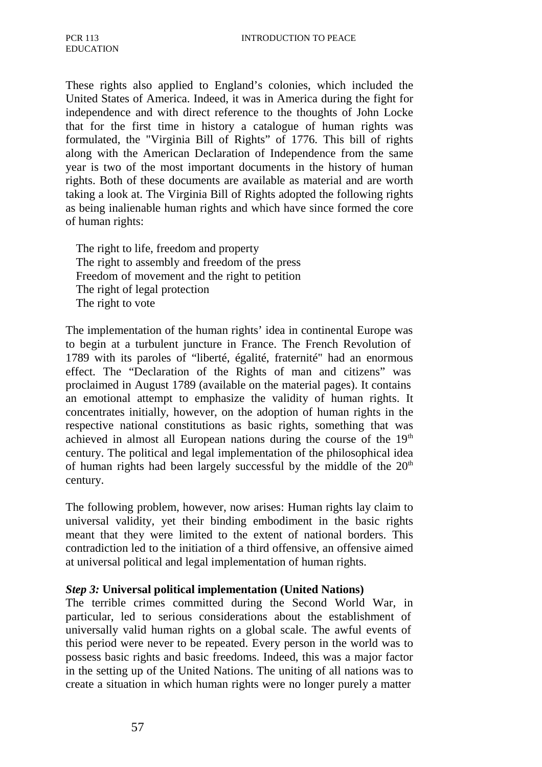These rights also applied to England's colonies, which included the United States of America. Indeed, it was in America during the fight for independence and with direct reference to the thoughts of John Locke that for the first time in history a catalogue of human rights was formulated, the "Virginia Bill of Rights" of 1776. This bill of rights along with the American Declaration of Independence from the same year is two of the most important documents in the history of human rights. Both of these documents are available as material and are worth taking a look at. The Virginia Bill of Rights adopted the following rights as being inalienable human rights and which have since formed the core of human rights:

The right to life, freedom and property The right to assembly and freedom of the press Freedom of movement and the right to petition The right of legal protection The right to vote

The implementation of the human rights' idea in continental Europe was to begin at a turbulent juncture in France. The French Revolution of 1789 with its paroles of "liberté, égalité, fraternité" had an enormous effect. The "Declaration of the Rights of man and citizens" was proclaimed in August 1789 (available on the material pages). It contains an emotional attempt to emphasize the validity of human rights. It concentrates initially, however, on the adoption of human rights in the respective national constitutions as basic rights, something that was achieved in almost all European nations during the course of the  $19<sup>th</sup>$ century. The political and legal implementation of the philosophical idea of human rights had been largely successful by the middle of the  $20<sup>th</sup>$ century.

The following problem, however, now arises: Human rights lay claim to universal validity, yet their binding embodiment in the basic rights meant that they were limited to the extent of national borders. This contradiction led to the initiation of a third offensive, an offensive aimed at universal political and legal implementation of human rights.

#### *Step 3:* **Universal political implementation (United Nations)**

The terrible crimes committed during the Second World War, in particular, led to serious considerations about the establishment of universally valid human rights on a global scale. The awful events of this period were never to be repeated. Every person in the world was to possess basic rights and basic freedoms. Indeed, this was a major factor in the setting up of the United Nations. The uniting of all nations was to create a situation in which human rights were no longer purely a matter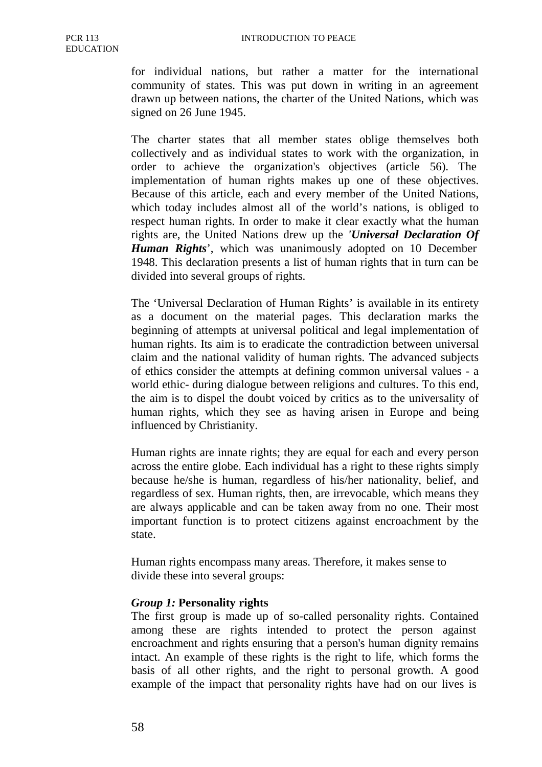for individual nations, but rather a matter for the international community of states. This was put down in writing in an agreement drawn up between nations, the charter of the United Nations, which was signed on 26 June 1945.

The charter states that all member states oblige themselves both collectively and as individual states to work with the organization, in order to achieve the organization's objectives (article 56). The implementation of human rights makes up one of these objectives. Because of this article, each and every member of the United Nations, which today includes almost all of the world's nations, is obliged to respect human rights. In order to make it clear exactly what the human rights are, the United Nations drew up the *'Universal Declaration Of Human Rights*', which was unanimously adopted on 10 December 1948. This declaration presents a list of human rights that in turn can be divided into several groups of rights.

The 'Universal Declaration of Human Rights' is available in its entirety as a document on the material pages. This declaration marks the beginning of attempts at universal political and legal implementation of human rights. Its aim is to eradicate the contradiction between universal claim and the national validity of human rights. The advanced subjects of ethics consider the attempts at defining common universal values - a world ethic- during dialogue between religions and cultures. To this end, the aim is to dispel the doubt voiced by critics as to the universality of human rights, which they see as having arisen in Europe and being influenced by Christianity.

Human rights are innate rights; they are equal for each and every person across the entire globe. Each individual has a right to these rights simply because he/she is human, regardless of his/her nationality, belief, and regardless of sex. Human rights, then, are irrevocable, which means they are always applicable and can be taken away from no one. Their most important function is to protect citizens against encroachment by the state.

Human rights encompass many areas. Therefore, it makes sense to divide these into several groups:

#### *Group 1:* **Personality rights**

The first group is made up of so-called personality rights. Contained among these are rights intended to protect the person against encroachment and rights ensuring that a person's human dignity remains intact. An example of these rights is the right to life, which forms the basis of all other rights, and the right to personal growth. A good example of the impact that personality rights have had on our lives is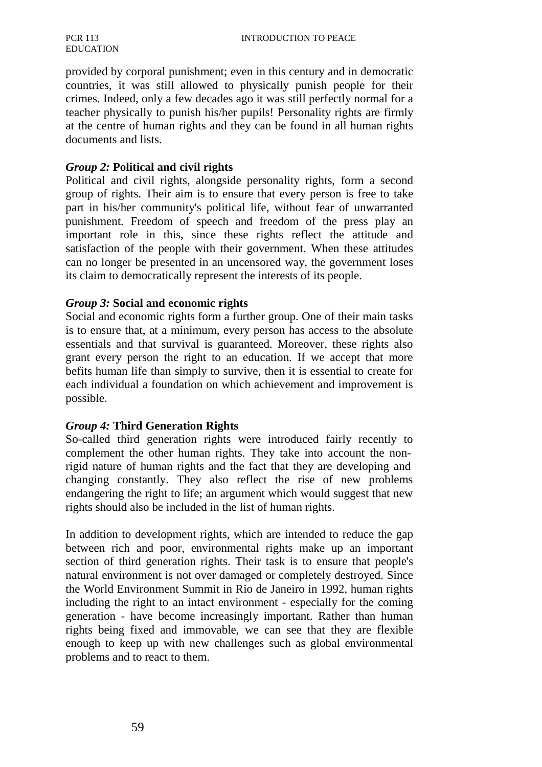#### PCR 113 EDUCATION

provided by corporal punishment; even in this century and in democratic countries, it was still allowed to physically punish people for their crimes. Indeed, only a few decades ago it was still perfectly normal for a teacher physically to punish his/her pupils! Personality rights are firmly at the centre of human rights and they can be found in all human rights documents and lists.

#### *Group 2:* **Political and civil rights**

Political and civil rights, alongside personality rights, form a second group of rights. Their aim is to ensure that every person is free to take part in his/her community's political life, without fear of unwarranted punishment. Freedom of speech and freedom of the press play an important role in this, since these rights reflect the attitude and satisfaction of the people with their government. When these attitudes can no longer be presented in an uncensored way, the government loses its claim to democratically represent the interests of its people.

#### *Group 3:* **Social and economic rights**

Social and economic rights form a further group. One of their main tasks is to ensure that, at a minimum, every person has access to the absolute essentials and that survival is guaranteed. Moreover, these rights also grant every person the right to an education. If we accept that more befits human life than simply to survive, then it is essential to create for each individual a foundation on which achievement and improvement is possible.

#### *Group 4:* **Third Generation Rights**

So-called third generation rights were introduced fairly recently to complement the other human rights. They take into account the nonrigid nature of human rights and the fact that they are developing and changing constantly. They also reflect the rise of new problems endangering the right to life; an argument which would suggest that new rights should also be included in the list of human rights.

In addition to development rights, which are intended to reduce the gap between rich and poor, environmental rights make up an important section of third generation rights. Their task is to ensure that people's natural environment is not over damaged or completely destroyed. Since the World Environment Summit in Rio de Janeiro in 1992, human rights including the right to an intact environment - especially for the coming generation - have become increasingly important. Rather than human rights being fixed and immovable, we can see that they are flexible enough to keep up with new challenges such as global environmental problems and to react to them.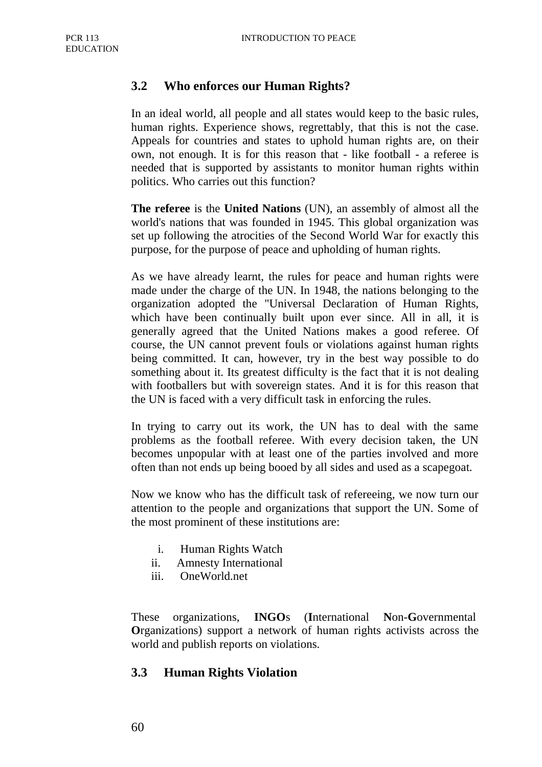### **3.2 Who enforces our Human Rights?**

In an ideal world, all people and all states would keep to the basic rules, human rights. Experience shows, regrettably, that this is not the case. Appeals for countries and states to uphold human rights are, on their own, not enough. It is for this reason that - like football - a referee is needed that is supported by assistants to monitor human rights within politics. Who carries out this function?

**The referee** is the **United Nations** (UN), an assembly of almost all the world's nations that was founded in 1945. This global organization was set up following the atrocities of the Second World War for exactly this purpose, for the purpose of peace and upholding of human rights.

As we have already learnt, the rules for peace and human rights were made under the charge of the UN. In 1948, the nations belonging to the organization adopted the "Universal Declaration of Human Rights, which have been continually built upon ever since. All in all, it is generally agreed that the United Nations makes a good referee. Of course, the UN cannot prevent fouls or violations against human rights being committed. It can, however, try in the best way possible to do something about it. Its greatest difficulty is the fact that it is not dealing with footballers but with sovereign states. And it is for this reason that the UN is faced with a very difficult task in enforcing the rules.

In trying to carry out its work, the UN has to deal with the same problems as the football referee. With every decision taken, the UN becomes unpopular with at least one of the parties involved and more often than not ends up being booed by all sides and used as a scapegoat.

Now we know who has the difficult task of refereeing, we now turn our attention to the people and organizations that support the UN. Some of the most prominent of these institutions are:

- i. Human Rights Watch
- ii. Amnesty International
- iii. OneWorld.net

These organizations, **INGO**s (**I**nternational **N**on-**G**overnmental **O**rganizations) support a network of human rights activists across the world and publish reports on violations.

#### **3.3 Human Rights Violation**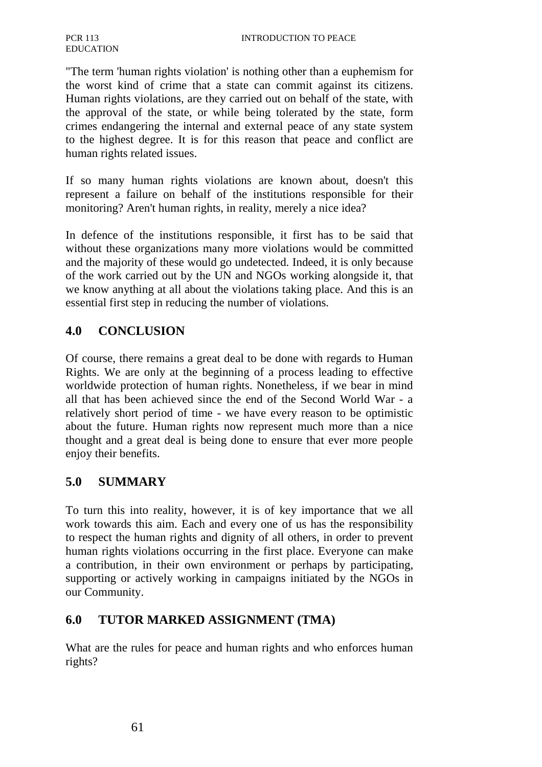"The term 'human rights violation' is nothing other than a euphemism for the worst kind of crime that a state can commit against its citizens. Human rights violations, are they carried out on behalf of the state, with the approval of the state, or while being tolerated by the state, form crimes endangering the internal and external peace of any state system to the highest degree. It is for this reason that peace and conflict are human rights related issues.

If so many human rights violations are known about, doesn't this represent a failure on behalf of the institutions responsible for their monitoring? Aren't human rights, in reality, merely a nice idea?

In defence of the institutions responsible, it first has to be said that without these organizations many more violations would be committed and the majority of these would go undetected. Indeed, it is only because of the work carried out by the UN and NGOs working alongside it, that we know anything at all about the violations taking place. And this is an essential first step in reducing the number of violations.

### **4.0 CONCLUSION**

Of course, there remains a great deal to be done with regards to Human Rights. We are only at the beginning of a process leading to effective worldwide protection of human rights. Nonetheless, if we bear in mind all that has been achieved since the end of the Second World War - a relatively short period of time - we have every reason to be optimistic about the future. Human rights now represent much more than a nice thought and a great deal is being done to ensure that ever more people enjoy their benefits.

### **5.0 SUMMARY**

To turn this into reality, however, it is of key importance that we all work towards this aim. Each and every one of us has the responsibility to respect the human rights and dignity of all others, in order to prevent human rights violations occurring in the first place. Everyone can make a contribution, in their own environment or perhaps by participating, supporting or actively working in campaigns initiated by the NGOs in our Community.

### **6.0 TUTOR MARKED ASSIGNMENT (TMA)**

What are the rules for peace and human rights and who enforces human rights?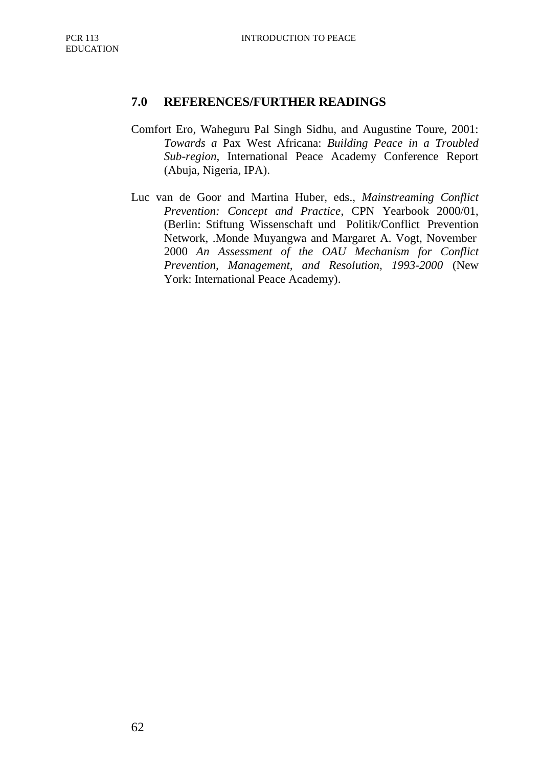#### **7.0 REFERENCES/FURTHER READINGS**

- Comfort Ero, Waheguru Pal Singh Sidhu, and Augustine Toure, 2001: *Towards a* Pax West Africana: *Building Peace in a Troubled Sub-region*, International Peace Academy Conference Report (Abuja, Nigeria, IPA).
- Luc van de Goor and Martina Huber, eds., *Mainstreaming Conflict Prevention: Concept and Practice*, CPN Yearbook 2000/01, (Berlin: Stiftung Wissenschaft und Politik/Conflict Prevention Network, .Monde Muyangwa and Margaret A. Vogt, November 2000 *An Assessment of the OAU Mechanism for Conflict Prevention, Management, and Resolution, 1993-2000* (New York: International Peace Academy).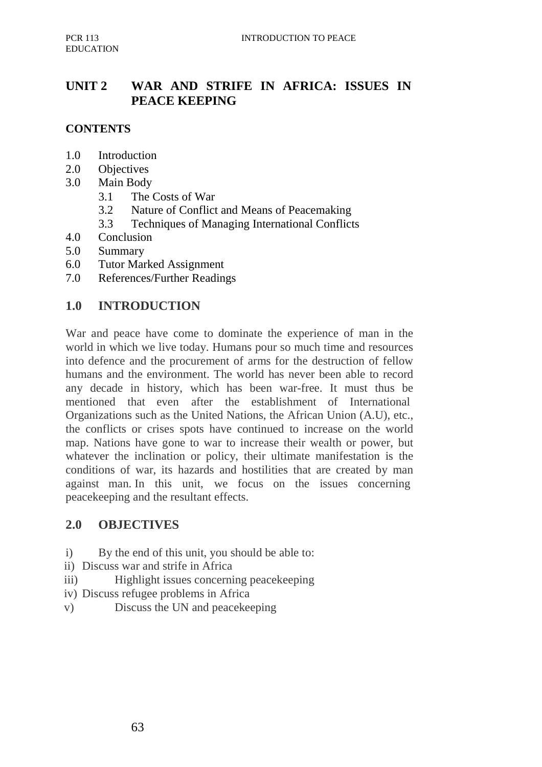# **UNIT 2 WAR AND STRIFE IN AFRICA: ISSUES IN PEACE KEEPING**

## **CONTENTS**

- 1.0 Introduction
- 2.0 Objectives
- 3.0 Main Body
	- 3.1 The Costs of War
	- 3.2 Nature of Conflict and Means of Peacemaking
	- 3.3 Techniques of Managing International Conflicts
- 4.0 Conclusion
- 5.0 Summary
- 6.0 Tutor Marked Assignment
- 7.0 References/Further Readings

#### **1.0 INTRODUCTION**

War and peace have come to dominate the experience of man in the world in which we live today. Humans pour so much time and resources into defence and the procurement of arms for the destruction of fellow humans and the environment. The world has never been able to record any decade in history, which has been war-free. It must thus be mentioned that even after the establishment of International Organizations such as the United Nations, the African Union (A.U), etc., the conflicts or crises spots have continued to increase on the world map. Nations have gone to war to increase their wealth or power, but whatever the inclination or policy, their ultimate manifestation is the conditions of war, its hazards and hostilities that are created by man against man. In this unit, we focus on the issues concerning peacekeeping and the resultant effects.

#### **2.0 OBJECTIVES**

- i) By the end of this unit, you should be able to:
- ii) Discuss war and strife in Africa
- iii) Highlight issues concerning peacekeeping
- iv) Discuss refugee problems in Africa
- v) Discuss the UN and peacekeeping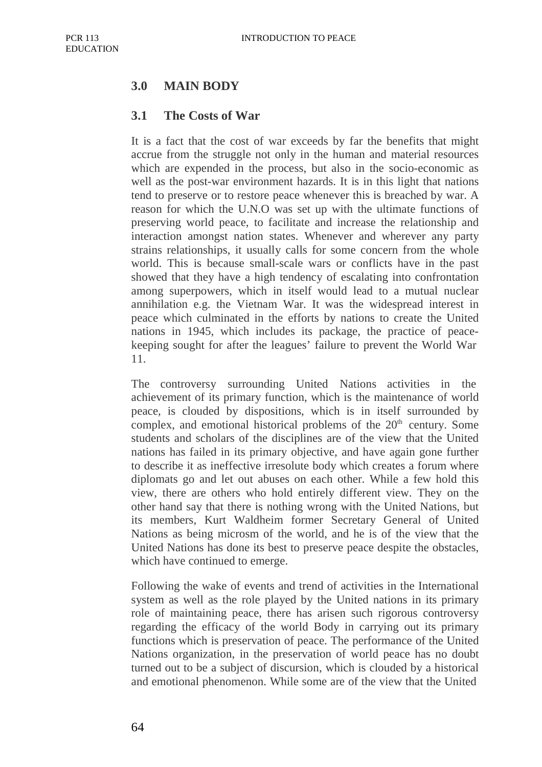## **3.0 MAIN BODY**

#### **3.1 The Costs of War**

It is a fact that the cost of war exceeds by far the benefits that might accrue from the struggle not only in the human and material resources which are expended in the process, but also in the socio-economic as well as the post-war environment hazards. It is in this light that nations tend to preserve or to restore peace whenever this is breached by war. A reason for which the U.N.O was set up with the ultimate functions of preserving world peace, to facilitate and increase the relationship and interaction amongst nation states. Whenever and wherever any party strains relationships, it usually calls for some concern from the whole world. This is because small-scale wars or conflicts have in the past showed that they have a high tendency of escalating into confrontation among superpowers, which in itself would lead to a mutual nuclear annihilation e.g. the Vietnam War. It was the widespread interest in peace which culminated in the efforts by nations to create the United nations in 1945, which includes its package, the practice of peacekeeping sought for after the leagues' failure to prevent the World War 11.

The controversy surrounding United Nations activities in the achievement of its primary function, which is the maintenance of world peace, is clouded by dispositions, which is in itself surrounded by complex, and emotional historical problems of the  $20<sup>th</sup>$  century. Some students and scholars of the disciplines are of the view that the United nations has failed in its primary objective, and have again gone further to describe it as ineffective irresolute body which creates a forum where diplomats go and let out abuses on each other. While a few hold this view, there are others who hold entirely different view. They on the other hand say that there is nothing wrong with the United Nations, but its members, Kurt Waldheim former Secretary General of United Nations as being microsm of the world, and he is of the view that the United Nations has done its best to preserve peace despite the obstacles, which have continued to emerge.

Following the wake of events and trend of activities in the International system as well as the role played by the United nations in its primary role of maintaining peace, there has arisen such rigorous controversy regarding the efficacy of the world Body in carrying out its primary functions which is preservation of peace. The performance of the United Nations organization, in the preservation of world peace has no doubt turned out to be a subject of discursion, which is clouded by a historical and emotional phenomenon. While some are of the view that the United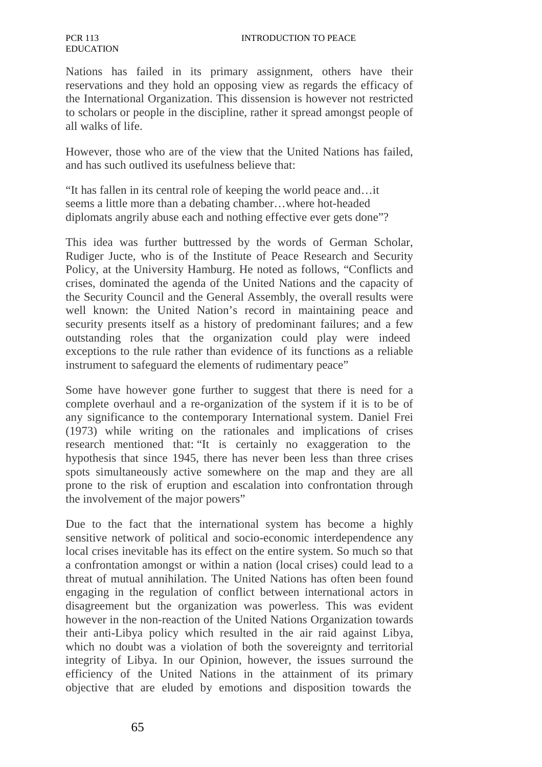Nations has failed in its primary assignment, others have their reservations and they hold an opposing view as regards the efficacy of the International Organization. This dissension is however not restricted to scholars or people in the discipline, rather it spread amongst people of all walks of life.

However, those who are of the view that the United Nations has failed, and has such outlived its usefulness believe that:

"It has fallen in its central role of keeping the world peace and…it seems a little more than a debating chamber…where hot-headed diplomats angrily abuse each and nothing effective ever gets done"?

This idea was further buttressed by the words of German Scholar, Rudiger Jucte, who is of the Institute of Peace Research and Security Policy, at the University Hamburg. He noted as follows, "Conflicts and crises, dominated the agenda of the United Nations and the capacity of the Security Council and the General Assembly, the overall results were well known: the United Nation's record in maintaining peace and security presents itself as a history of predominant failures; and a few outstanding roles that the organization could play were indeed exceptions to the rule rather than evidence of its functions as a reliable instrument to safeguard the elements of rudimentary peace"

Some have however gone further to suggest that there is need for a complete overhaul and a re-organization of the system if it is to be of any significance to the contemporary International system. Daniel Frei (1973) while writing on the rationales and implications of crises research mentioned that: "It is certainly no exaggeration to the hypothesis that since 1945, there has never been less than three crises spots simultaneously active somewhere on the map and they are all prone to the risk of eruption and escalation into confrontation through the involvement of the major powers"

Due to the fact that the international system has become a highly sensitive network of political and socio-economic interdependence any local crises inevitable has its effect on the entire system. So much so that a confrontation amongst or within a nation (local crises) could lead to a threat of mutual annihilation. The United Nations has often been found engaging in the regulation of conflict between international actors in disagreement but the organization was powerless. This was evident however in the non-reaction of the United Nations Organization towards their anti-Libya policy which resulted in the air raid against Libya, which no doubt was a violation of both the sovereignty and territorial integrity of Libya. In our Opinion, however, the issues surround the efficiency of the United Nations in the attainment of its primary objective that are eluded by emotions and disposition towards the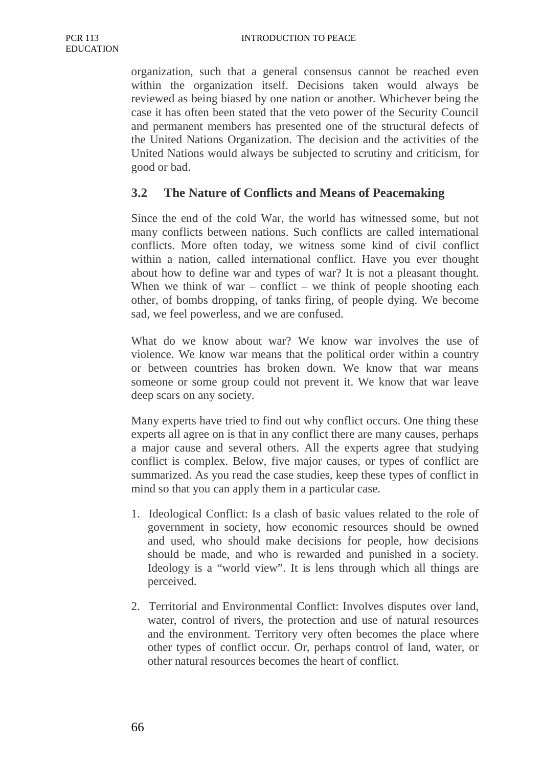organization, such that a general consensus cannot be reached even within the organization itself. Decisions taken would always be reviewed as being biased by one nation or another. Whichever being the case it has often been stated that the veto power of the Security Council and permanent members has presented one of the structural defects of the United Nations Organization. The decision and the activities of the United Nations would always be subjected to scrutiny and criticism, for good or bad.

### **3.2 The Nature of Conflicts and Means of Peacemaking**

Since the end of the cold War, the world has witnessed some, but not many conflicts between nations. Such conflicts are called international conflicts. More often today, we witness some kind of civil conflict within a nation, called international conflict. Have you ever thought about how to define war and types of war? It is not a pleasant thought. When we think of war – conflict – we think of people shooting each other, of bombs dropping, of tanks firing, of people dying. We become sad, we feel powerless, and we are confused.

What do we know about war? We know war involves the use of violence. We know war means that the political order within a country or between countries has broken down. We know that war means someone or some group could not prevent it. We know that war leave deep scars on any society.

Many experts have tried to find out why conflict occurs. One thing these experts all agree on is that in any conflict there are many causes, perhaps a major cause and several others. All the experts agree that studying conflict is complex. Below, five major causes, or types of conflict are summarized. As you read the case studies, keep these types of conflict in mind so that you can apply them in a particular case.

- 1. Ideological Conflict: Is a clash of basic values related to the role of government in society, how economic resources should be owned and used, who should make decisions for people, how decisions should be made, and who is rewarded and punished in a society. Ideology is a "world view". It is lens through which all things are perceived.
- 2. Territorial and Environmental Conflict: Involves disputes over land, water, control of rivers, the protection and use of natural resources and the environment. Territory very often becomes the place where other types of conflict occur. Or, perhaps control of land, water, or other natural resources becomes the heart of conflict.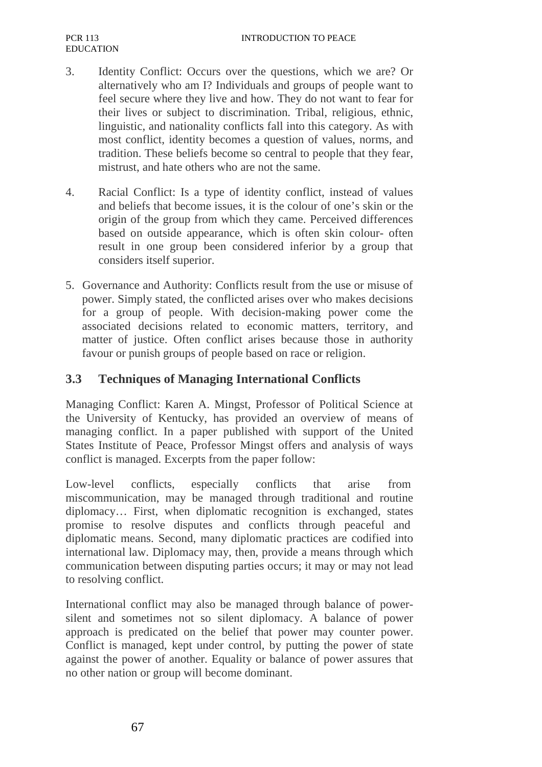- 3. Identity Conflict: Occurs over the questions, which we are? Or alternatively who am I? Individuals and groups of people want to feel secure where they live and how. They do not want to fear for their lives or subject to discrimination. Tribal, religious, ethnic, linguistic, and nationality conflicts fall into this category. As with most conflict, identity becomes a question of values, norms, and tradition. These beliefs become so central to people that they fear, mistrust, and hate others who are not the same.
- 4. Racial Conflict: Is a type of identity conflict, instead of values and beliefs that become issues, it is the colour of one's skin or the origin of the group from which they came. Perceived differences based on outside appearance, which is often skin colour- often result in one group been considered inferior by a group that considers itself superior.
- 5. Governance and Authority: Conflicts result from the use or misuse of power. Simply stated, the conflicted arises over who makes decisions for a group of people. With decision-making power come the associated decisions related to economic matters, territory, and matter of justice. Often conflict arises because those in authority favour or punish groups of people based on race or religion.

### **3.3 Techniques of Managing International Conflicts**

Managing Conflict: Karen A. Mingst, Professor of Political Science at the University of Kentucky, has provided an overview of means of managing conflict. In a paper published with support of the United States Institute of Peace, Professor Mingst offers and analysis of ways conflict is managed. Excerpts from the paper follow:

Low-level conflicts, especially conflicts that arise from miscommunication, may be managed through traditional and routine diplomacy… First, when diplomatic recognition is exchanged, states promise to resolve disputes and conflicts through peaceful and diplomatic means. Second, many diplomatic practices are codified into international law. Diplomacy may, then, provide a means through which communication between disputing parties occurs; it may or may not lead to resolving conflict.

International conflict may also be managed through balance of powersilent and sometimes not so silent diplomacy. A balance of power approach is predicated on the belief that power may counter power. Conflict is managed, kept under control, by putting the power of state against the power of another. Equality or balance of power assures that no other nation or group will become dominant.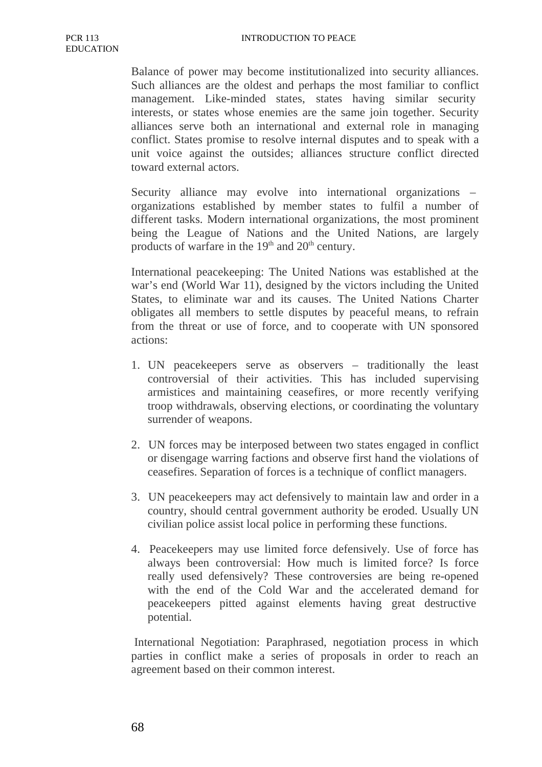Balance of power may become institutionalized into security alliances. Such alliances are the oldest and perhaps the most familiar to conflict management. Like-minded states, states having similar security interests, or states whose enemies are the same join together. Security alliances serve both an international and external role in managing conflict. States promise to resolve internal disputes and to speak with a unit voice against the outsides; alliances structure conflict directed toward external actors.

Security alliance may evolve into international organizations – organizations established by member states to fulfil a number of different tasks. Modern international organizations, the most prominent being the League of Nations and the United Nations, are largely products of warfare in the  $19<sup>th</sup>$  and  $20<sup>th</sup>$  century.

International peacekeeping: The United Nations was established at the war's end (World War 11), designed by the victors including the United States, to eliminate war and its causes. The United Nations Charter obligates all members to settle disputes by peaceful means, to refrain from the threat or use of force, and to cooperate with UN sponsored actions:

- 1. UN peacekeepers serve as observers traditionally the least controversial of their activities. This has included supervising armistices and maintaining ceasefires, or more recently verifying troop withdrawals, observing elections, or coordinating the voluntary surrender of weapons.
- 2. UN forces may be interposed between two states engaged in conflict or disengage warring factions and observe first hand the violations of ceasefires. Separation of forces is a technique of conflict managers.
- 3. UN peacekeepers may act defensively to maintain law and order in a country, should central government authority be eroded. Usually UN civilian police assist local police in performing these functions.
- 4. Peacekeepers may use limited force defensively. Use of force has always been controversial: How much is limited force? Is force really used defensively? These controversies are being re-opened with the end of the Cold War and the accelerated demand for peacekeepers pitted against elements having great destructive potential.

International Negotiation: Paraphrased, negotiation process in which parties in conflict make a series of proposals in order to reach an agreement based on their common interest.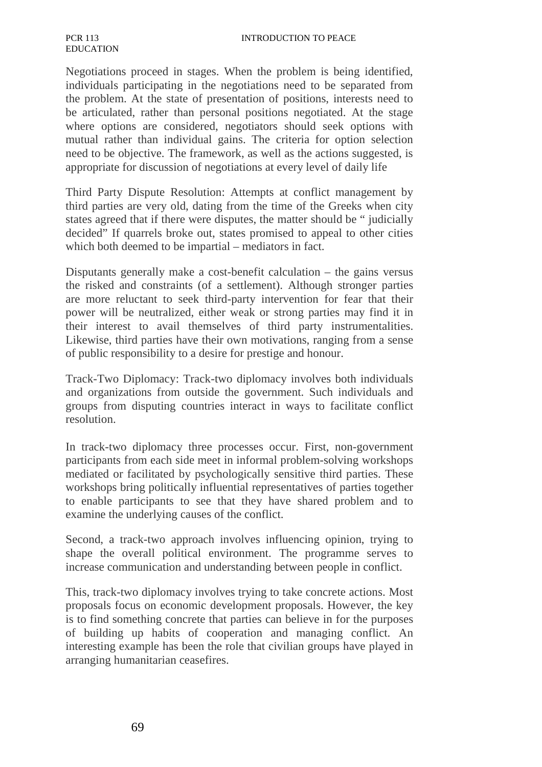Negotiations proceed in stages. When the problem is being identified, individuals participating in the negotiations need to be separated from the problem. At the state of presentation of positions, interests need to be articulated, rather than personal positions negotiated. At the stage where options are considered, negotiators should seek options with mutual rather than individual gains. The criteria for option selection need to be objective. The framework, as well as the actions suggested, is appropriate for discussion of negotiations at every level of daily life

Third Party Dispute Resolution: Attempts at conflict management by third parties are very old, dating from the time of the Greeks when city states agreed that if there were disputes, the matter should be " judicially decided" If quarrels broke out, states promised to appeal to other cities which both deemed to be impartial – mediators in fact.

Disputants generally make a cost-benefit calculation – the gains versus the risked and constraints (of a settlement). Although stronger parties are more reluctant to seek third-party intervention for fear that their power will be neutralized, either weak or strong parties may find it in their interest to avail themselves of third party instrumentalities. Likewise, third parties have their own motivations, ranging from a sense of public responsibility to a desire for prestige and honour.

Track-Two Diplomacy: Track-two diplomacy involves both individuals and organizations from outside the government. Such individuals and groups from disputing countries interact in ways to facilitate conflict resolution.

In track-two diplomacy three processes occur. First, non-government participants from each side meet in informal problem-solving workshops mediated or facilitated by psychologically sensitive third parties. These workshops bring politically influential representatives of parties together to enable participants to see that they have shared problem and to examine the underlying causes of the conflict.

Second, a track-two approach involves influencing opinion, trying to shape the overall political environment. The programme serves to increase communication and understanding between people in conflict.

This, track-two diplomacy involves trying to take concrete actions. Most proposals focus on economic development proposals. However, the key is to find something concrete that parties can believe in for the purposes of building up habits of cooperation and managing conflict. An interesting example has been the role that civilian groups have played in arranging humanitarian ceasefires.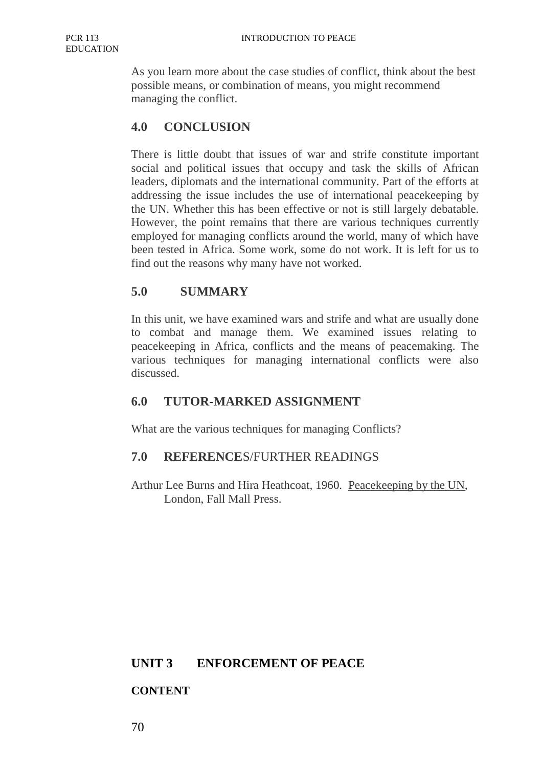As you learn more about the case studies of conflict, think about the best possible means, or combination of means, you might recommend managing the conflict.

## **4.0 CONCLUSION**

There is little doubt that issues of war and strife constitute important social and political issues that occupy and task the skills of African leaders, diplomats and the international community. Part of the efforts at addressing the issue includes the use of international peacekeeping by the UN. Whether this has been effective or not is still largely debatable. However, the point remains that there are various techniques currently employed for managing conflicts around the world, many of which have been tested in Africa. Some work, some do not work. It is left for us to find out the reasons why many have not worked.

#### **5.0 SUMMARY**

In this unit, we have examined wars and strife and what are usually done to combat and manage them. We examined issues relating to peacekeeping in Africa, conflicts and the means of peacemaking. The various techniques for managing international conflicts were also discussed.

### **6.0 TUTOR-MARKED ASSIGNMENT**

What are the various techniques for managing Conflicts?

#### **7.0 REFERENCE**S/FURTHER READINGS

Arthur Lee Burns and Hira Heathcoat, 1960. Peacekeeping by the UN, London, Fall Mall Press.

#### **UNIT 3 ENFORCEMENT OF PEACE**

### **CONTENT**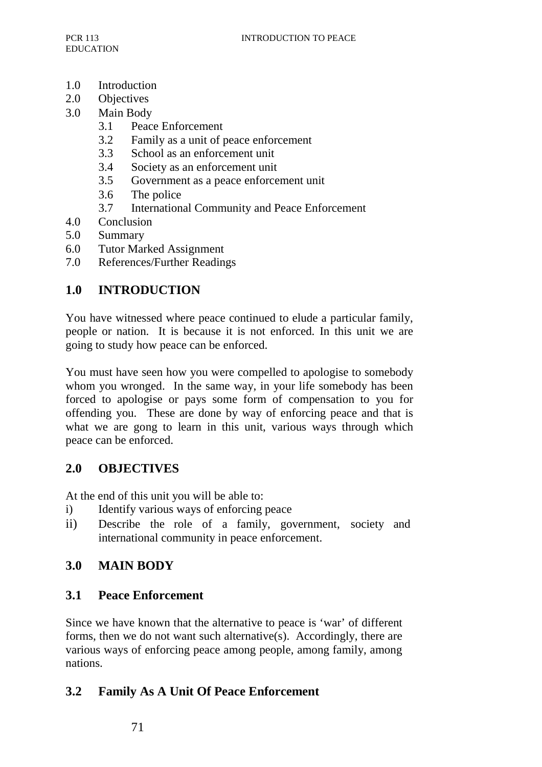- 1.0 Introduction
- 2.0 Objectives
- 3.0 Main Body
	- 3.1 Peace Enforcement
	- 3.2 Family as a unit of peace enforcement
	- 3.3 School as an enforcement unit
	- 3.4 Society as an enforcement unit
	- 3.5 Government as a peace enforcement unit
	- 3.6 The police
	- 3.7 International Community and Peace Enforcement
- 4.0 Conclusion
- 5.0 Summary
- 6.0 Tutor Marked Assignment
- 7.0 References/Further Readings

## **1.0 INTRODUCTION**

You have witnessed where peace continued to elude a particular family, people or nation. It is because it is not enforced. In this unit we are going to study how peace can be enforced.

You must have seen how you were compelled to apologise to somebody whom you wronged. In the same way, in your life somebody has been forced to apologise or pays some form of compensation to you for offending you. These are done by way of enforcing peace and that is what we are gong to learn in this unit, various ways through which peace can be enforced.

### **2.0 OBJECTIVES**

At the end of this unit you will be able to:

- i) Identify various ways of enforcing peace
- ii) Describe the role of a family, government, society and international community in peace enforcement.

## **3.0 MAIN BODY**

### **3.1 Peace Enforcement**

Since we have known that the alternative to peace is 'war' of different forms, then we do not want such alternative(s). Accordingly, there are various ways of enforcing peace among people, among family, among nations.

### **3.2 Family As A Unit Of Peace Enforcement**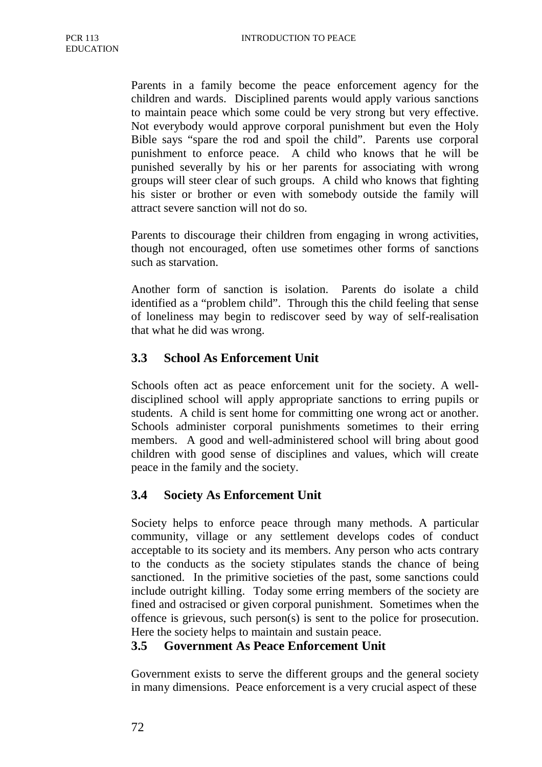Parents in a family become the peace enforcement agency for the children and wards. Disciplined parents would apply various sanctions to maintain peace which some could be very strong but very effective. Not everybody would approve corporal punishment but even the Holy Bible says "spare the rod and spoil the child". Parents use corporal punishment to enforce peace. A child who knows that he will be punished severally by his or her parents for associating with wrong groups will steer clear of such groups. A child who knows that fighting his sister or brother or even with somebody outside the family will attract severe sanction will not do so.

Parents to discourage their children from engaging in wrong activities, though not encouraged, often use sometimes other forms of sanctions such as starvation.

Another form of sanction is isolation. Parents do isolate a child identified as a "problem child". Through this the child feeling that sense of loneliness may begin to rediscover seed by way of self-realisation that what he did was wrong.

### **3.3 School As Enforcement Unit**

Schools often act as peace enforcement unit for the society. A welldisciplined school will apply appropriate sanctions to erring pupils or students. A child is sent home for committing one wrong act or another. Schools administer corporal punishments sometimes to their erring members. A good and well-administered school will bring about good children with good sense of disciplines and values, which will create peace in the family and the society.

### **3.4 Society As Enforcement Unit**

Society helps to enforce peace through many methods. A particular community, village or any settlement develops codes of conduct acceptable to its society and its members. Any person who acts contrary to the conducts as the society stipulates stands the chance of being sanctioned. In the primitive societies of the past, some sanctions could include outright killing. Today some erring members of the society are fined and ostracised or given corporal punishment. Sometimes when the offence is grievous, such person(s) is sent to the police for prosecution. Here the society helps to maintain and sustain peace.

### **3.5 Government As Peace Enforcement Unit**

Government exists to serve the different groups and the general society in many dimensions. Peace enforcement is a very crucial aspect of these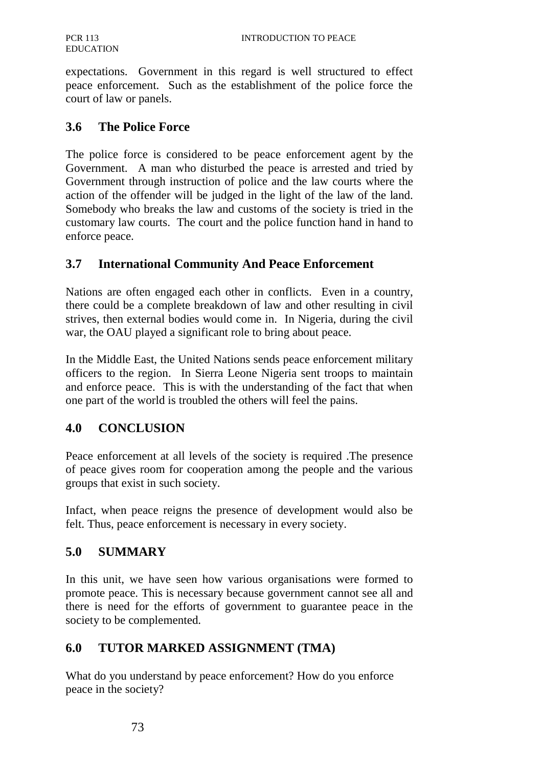expectations. Government in this regard is well structured to effect peace enforcement. Such as the establishment of the police force the court of law or panels.

#### **3.6 The Police Force**

The police force is considered to be peace enforcement agent by the Government. A man who disturbed the peace is arrested and tried by Government through instruction of police and the law courts where the action of the offender will be judged in the light of the law of the land. Somebody who breaks the law and customs of the society is tried in the customary law courts. The court and the police function hand in hand to enforce peace.

#### **3.7 International Community And Peace Enforcement**

Nations are often engaged each other in conflicts. Even in a country, there could be a complete breakdown of law and other resulting in civil strives, then external bodies would come in. In Nigeria, during the civil war, the OAU played a significant role to bring about peace.

In the Middle East, the United Nations sends peace enforcement military officers to the region. In Sierra Leone Nigeria sent troops to maintain and enforce peace. This is with the understanding of the fact that when one part of the world is troubled the others will feel the pains.

### **4.0 CONCLUSION**

Peace enforcement at all levels of the society is required .The presence of peace gives room for cooperation among the people and the various groups that exist in such society.

Infact, when peace reigns the presence of development would also be felt. Thus, peace enforcement is necessary in every society.

### **5.0 SUMMARY**

In this unit, we have seen how various organisations were formed to promote peace. This is necessary because government cannot see all and there is need for the efforts of government to guarantee peace in the society to be complemented.

### **6.0 TUTOR MARKED ASSIGNMENT (TMA)**

What do you understand by peace enforcement? How do you enforce peace in the society?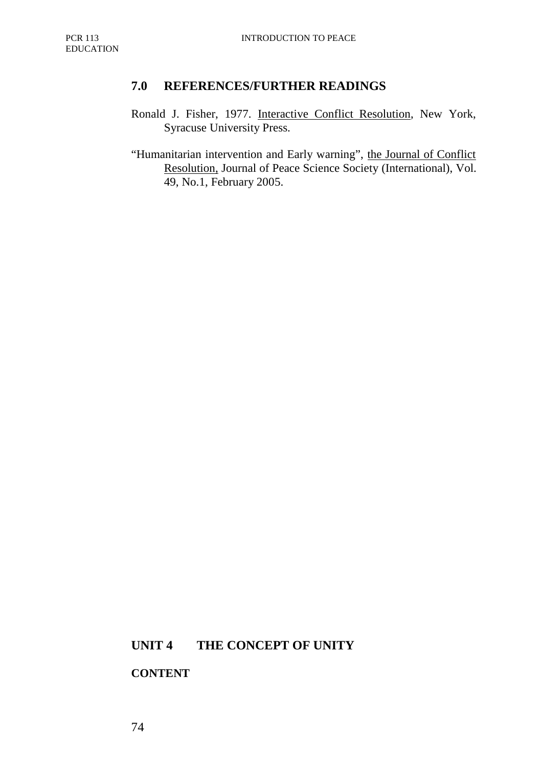### **7.0 REFERENCES/FURTHER READINGS**

- Ronald J. Fisher, 1977. Interactive Conflict Resolution, New York, Syracuse University Press.
- "Humanitarian intervention and Early warning", the Journal of Conflict Resolution, Journal of Peace Science Society (International), Vol. 49, No.1, February 2005.

## **UNIT 4 THE CONCEPT OF UNITY**

#### **CONTENT**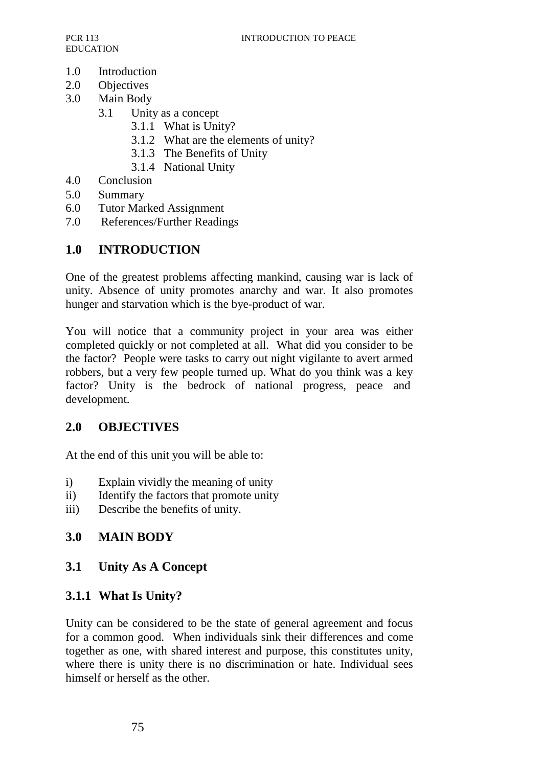- 1.0 Introduction
- 2.0 Objectives
- 3.0 Main Body
	- 3.1 Unity as a concept
		- 3.1.1 What is Unity?
		- 3.1.2 What are the elements of unity?
		- 3.1.3 The Benefits of Unity
		- 3.1.4 National Unity
- 4.0 Conclusion
- 5.0 Summary
- 6.0 Tutor Marked Assignment
- 7.0 References/Further Readings

## **1.0 INTRODUCTION**

One of the greatest problems affecting mankind, causing war is lack of unity. Absence of unity promotes anarchy and war. It also promotes hunger and starvation which is the bye-product of war.

You will notice that a community project in your area was either completed quickly or not completed at all. What did you consider to be the factor? People were tasks to carry out night vigilante to avert armed robbers, but a very few people turned up. What do you think was a key factor? Unity is the bedrock of national progress, peace and development.

### **2.0 OBJECTIVES**

At the end of this unit you will be able to:

- i) Explain vividly the meaning of unity
- ii) Identify the factors that promote unity
- iii) Describe the benefits of unity.

## **3.0 MAIN BODY**

### **3.1 Unity As A Concept**

### **3.1.1 What Is Unity?**

Unity can be considered to be the state of general agreement and focus for a common good. When individuals sink their differences and come together as one, with shared interest and purpose, this constitutes unity, where there is unity there is no discrimination or hate. Individual sees himself or herself as the other.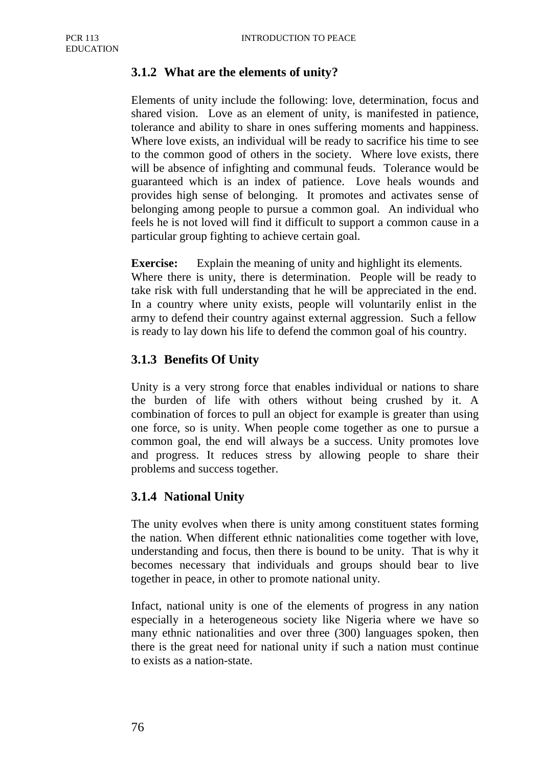## **3.1.2 What are the elements of unity?**

Elements of unity include the following: love, determination, focus and shared vision. Love as an element of unity, is manifested in patience, tolerance and ability to share in ones suffering moments and happiness. Where love exists, an individual will be ready to sacrifice his time to see to the common good of others in the society. Where love exists, there will be absence of infighting and communal feuds. Tolerance would be guaranteed which is an index of patience. Love heals wounds and provides high sense of belonging. It promotes and activates sense of belonging among people to pursue a common goal. An individual who feels he is not loved will find it difficult to support a common cause in a particular group fighting to achieve certain goal.

**Exercise:** Explain the meaning of unity and highlight its elements*.*  Where there is unity, there is determination. People will be ready to take risk with full understanding that he will be appreciated in the end. In a country where unity exists, people will voluntarily enlist in the army to defend their country against external aggression. Such a fellow is ready to lay down his life to defend the common goal of his country.

## **3.1.3 Benefits Of Unity**

Unity is a very strong force that enables individual or nations to share the burden of life with others without being crushed by it. A combination of forces to pull an object for example is greater than using one force, so is unity. When people come together as one to pursue a common goal, the end will always be a success. Unity promotes love and progress. It reduces stress by allowing people to share their problems and success together.

## **3.1.4 National Unity**

The unity evolves when there is unity among constituent states forming the nation. When different ethnic nationalities come together with love, understanding and focus, then there is bound to be unity. That is why it becomes necessary that individuals and groups should bear to live together in peace, in other to promote national unity.

Infact, national unity is one of the elements of progress in any nation especially in a heterogeneous society like Nigeria where we have so many ethnic nationalities and over three (300) languages spoken, then there is the great need for national unity if such a nation must continue to exists as a nation-state.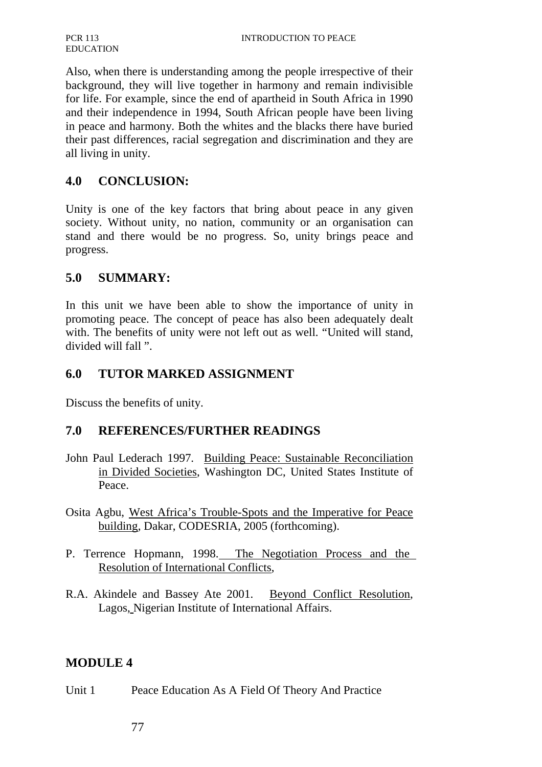Also, when there is understanding among the people irrespective of their background, they will live together in harmony and remain indivisible for life. For example, since the end of apartheid in South Africa in 1990 and their independence in 1994, South African people have been living in peace and harmony. Both the whites and the blacks there have buried their past differences, racial segregation and discrimination and they are all living in unity.

## **4.0 CONCLUSION:**

Unity is one of the key factors that bring about peace in any given society. Without unity, no nation, community or an organisation can stand and there would be no progress. So, unity brings peace and progress.

#### **5.0 SUMMARY:**

In this unit we have been able to show the importance of unity in promoting peace. The concept of peace has also been adequately dealt with. The benefits of unity were not left out as well. "United will stand, divided will fall ".

### **6.0 TUTOR MARKED ASSIGNMENT**

Discuss the benefits of unity.

#### **7.0 REFERENCES/FURTHER READINGS**

- John Paul Lederach 1997. Building Peace: Sustainable Reconciliation in Divided Societies, Washington DC, United States Institute of Peace.
- Osita Agbu, West Africa's Trouble-Spots and the Imperative for Peace building, Dakar, CODESRIA, 2005 (forthcoming).
- P. Terrence Hopmann, 1998. The Negotiation Process and the Resolution of International Conflicts,
- R.A. Akindele and Bassey Ate 2001. Beyond Conflict Resolution, Lagos, Nigerian Institute of International Affairs.

#### **MODULE 4**

Unit 1 Peace Education As A Field Of Theory And Practice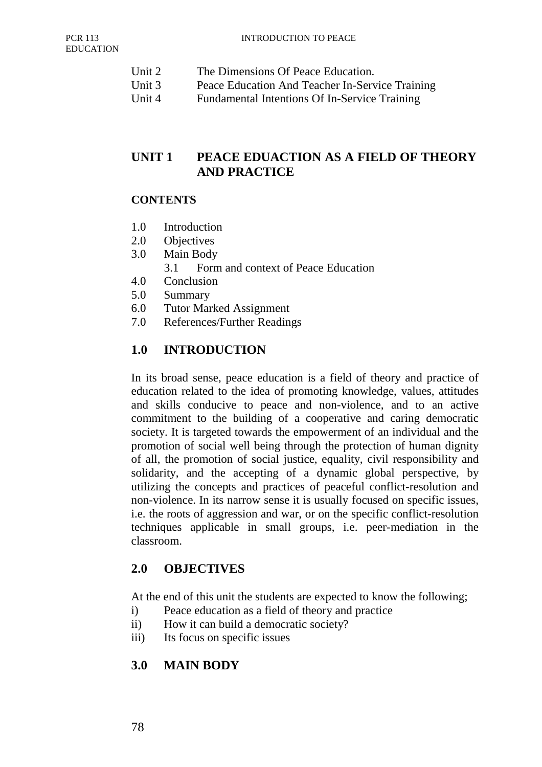- Unit 2 The Dimensions Of Peace Education.
- Unit 3 Peace Education And Teacher In-Service Training
- Unit 4 Fundamental Intentions Of In-Service Training

## **UNIT 1 PEACE EDUACTION AS A FIELD OF THEORY AND PRACTICE**

#### **CONTENTS**

- 1.0 Introduction
- 2.0 Objectives
- 3.0 Main Body
	- 3.1 Form and context of Peace Education
- 4.0 Conclusion
- 5.0 Summary
- 6.0 Tutor Marked Assignment
- 7.0 References/Further Readings

## **1.0 INTRODUCTION**

In its broad sense, peace education is a field of theory and practice of education related to the idea of promoting knowledge, values, attitudes and skills conducive to peace and non-violence, and to an active commitment to the building of a cooperative and caring democratic society. It is targeted towards the empowerment of an individual and the promotion of social well being through the protection of human dignity of all, the promotion of social justice, equality, civil responsibility and solidarity, and the accepting of a dynamic global perspective, by utilizing the concepts and practices of peaceful conflict-resolution and non-violence. In its narrow sense it is usually focused on specific issues, i.e. the roots of aggression and war, or on the specific conflict-resolution techniques applicable in small groups, i.e. peer-mediation in the classroom.

### **2.0 OBJECTIVES**

At the end of this unit the students are expected to know the following;

- i) Peace education as a field of theory and practice
- ii) How it can build a democratic society?
- iii) Its focus on specific issues

### **3.0 MAIN BODY**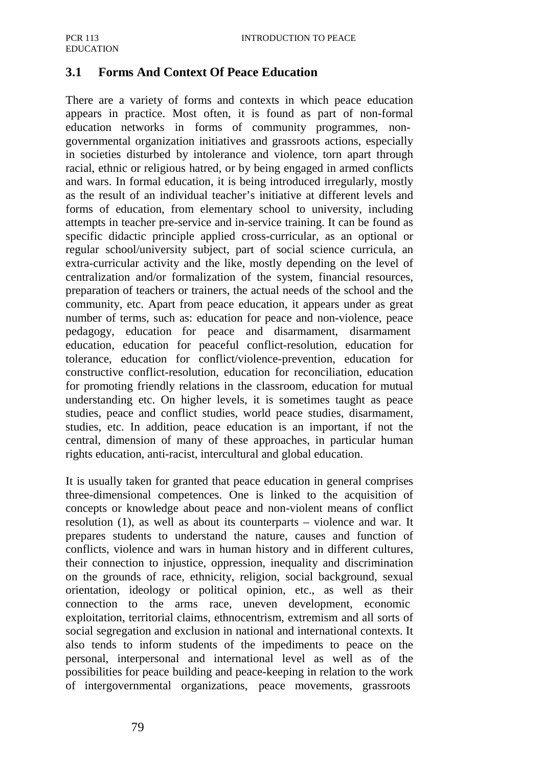## **3.1 Forms And Context Of Peace Education**

There are a variety of forms and contexts in which peace education appears in practice. Most often, it is found as part of non-formal education networks in forms of community programmes, nongovernmental organization initiatives and grassroots actions, especially in societies disturbed by intolerance and violence, torn apart through racial, ethnic or religious hatred, or by being engaged in armed conflicts and wars. In formal education, it is being introduced irregularly, mostly as the result of an individual teacher's initiative at different levels and forms of education, from elementary school to university, including attempts in teacher pre-service and in-service training. It can be found as specific didactic principle applied cross-curricular, as an optional or regular school/university subject, part of social science curricula, an extra-curricular activity and the like, mostly depending on the level of centralization and/or formalization of the system, financial resources, preparation of teachers or trainers, the actual needs of the school and the community, etc. Apart from peace education, it appears under as great number of terms, such as: education for peace and non-violence, peace pedagogy, education for peace and disarmament, disarmament education, education for peaceful conflict-resolution, education for tolerance, education for conflict/violence-prevention, education for constructive conflict-resolution, education for reconciliation, education for promoting friendly relations in the classroom, education for mutual understanding etc. On higher levels, it is sometimes taught as peace studies, peace and conflict studies, world peace studies, disarmament, studies, etc. In addition, peace education is an important, if not the central, dimension of many of these approaches, in particular human rights education, anti-racist, intercultural and global education.

It is usually taken for granted that peace education in general comprises three-dimensional competences. One is linked to the acquisition of concepts or knowledge about peace and non-violent means of conflict resolution (1), as well as about its counterparts – violence and war. It prepares students to understand the nature, causes and function of conflicts, violence and wars in human history and in different cultures, their connection to injustice, oppression, inequality and discrimination on the grounds of race, ethnicity, religion, social background, sexual orientation, ideology or political opinion, etc., as well as their connection to the arms race, uneven development, economic exploitation, territorial claims, ethnocentrism, extremism and all sorts of social segregation and exclusion in national and international contexts. It also tends to inform students of the impediments to peace on the personal, interpersonal and international level as well as of the possibilities for peace building and peace-keeping in relation to the work of intergovernmental organizations, peace movements, grassroots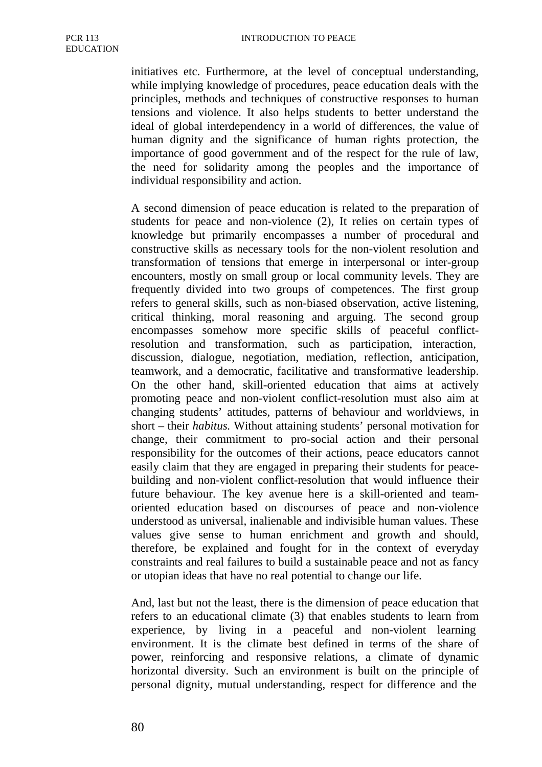initiatives etc. Furthermore, at the level of conceptual understanding, while implying knowledge of procedures, peace education deals with the principles, methods and techniques of constructive responses to human tensions and violence. It also helps students to better understand the ideal of global interdependency in a world of differences, the value of human dignity and the significance of human rights protection, the importance of good government and of the respect for the rule of law, the need for solidarity among the peoples and the importance of individual responsibility and action.

A second dimension of peace education is related to the preparation of students for peace and non-violence (2), It relies on certain types of knowledge but primarily encompasses a number of procedural and constructive skills as necessary tools for the non-violent resolution and transformation of tensions that emerge in interpersonal or inter-group encounters, mostly on small group or local community levels. They are frequently divided into two groups of competences. The first group refers to general skills, such as non-biased observation, active listening, critical thinking, moral reasoning and arguing. The second group encompasses somehow more specific skills of peaceful conflictresolution and transformation, such as participation, interaction, discussion, dialogue, negotiation, mediation, reflection, anticipation, teamwork, and a democratic, facilitative and transformative leadership. On the other hand, skill-oriented education that aims at actively promoting peace and non-violent conflict-resolution must also aim at changing students' attitudes, patterns of behaviour and worldviews, in short – their *habitus.* Without attaining students' personal motivation for change, their commitment to pro-social action and their personal responsibility for the outcomes of their actions, peace educators cannot easily claim that they are engaged in preparing their students for peacebuilding and non-violent conflict-resolution that would influence their future behaviour. The key avenue here is a skill-oriented and teamoriented education based on discourses of peace and non-violence understood as universal, inalienable and indivisible human values. These values give sense to human enrichment and growth and should, therefore, be explained and fought for in the context of everyday constraints and real failures to build a sustainable peace and not as fancy or utopian ideas that have no real potential to change our life.

And, last but not the least, there is the dimension of peace education that refers to an educational climate (3) that enables students to learn from experience, by living in a peaceful and non-violent learning environment. It is the climate best defined in terms of the share of power, reinforcing and responsive relations, a climate of dynamic horizontal diversity. Such an environment is built on the principle of personal dignity, mutual understanding, respect for difference and the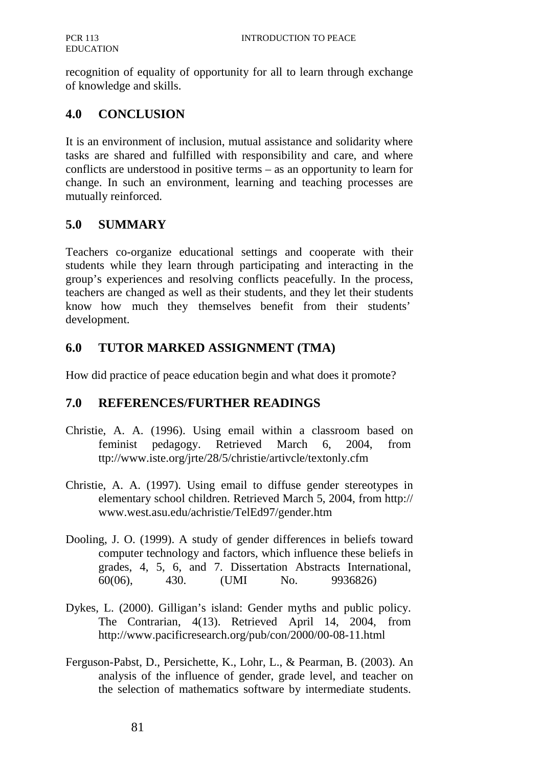recognition of equality of opportunity for all to learn through exchange of knowledge and skills.

## **4.0 CONCLUSION**

It is an environment of inclusion, mutual assistance and solidarity where tasks are shared and fulfilled with responsibility and care, and where conflicts are understood in positive terms – as an opportunity to learn for change. In such an environment, learning and teaching processes are mutually reinforced.

## **5.0 SUMMARY**

Teachers co-organize educational settings and cooperate with their students while they learn through participating and interacting in the group's experiences and resolving conflicts peacefully. In the process, teachers are changed as well as their students, and they let their students know how much they themselves benefit from their students' development.

## **6.0 TUTOR MARKED ASSIGNMENT (TMA)**

How did practice of peace education begin and what does it promote?

## **7.0 REFERENCES/FURTHER READINGS**

- Christie, A. A. (1996). Using email within a classroom based on feminist pedagogy. Retrieved March 6, 2004, from ttp://www.iste.org/jrte/28/5/christie/artivcle/textonly.cfm
- Christie, A. A. (1997). Using email to diffuse gender stereotypes in elementary school children. Retrieved March 5, 2004, from http:// www.west.asu.edu/achristie/TelEd97/gender.htm
- Dooling, J. O. (1999). A study of gender differences in beliefs toward computer technology and factors, which influence these beliefs in grades, 4, 5, 6, and 7. Dissertation Abstracts International, 60(06), 430. (UMI No. 9936826)
- Dykes, L. (2000). Gilligan's island: Gender myths and public policy. The Contrarian, 4(13). Retrieved April 14, 2004, from http://www.pacificresearch.org/pub/con/2000/00-08-11.html
- Ferguson-Pabst, D., Persichette, K., Lohr, L., & Pearman, B. (2003). An analysis of the influence of gender, grade level, and teacher on the selection of mathematics software by intermediate students.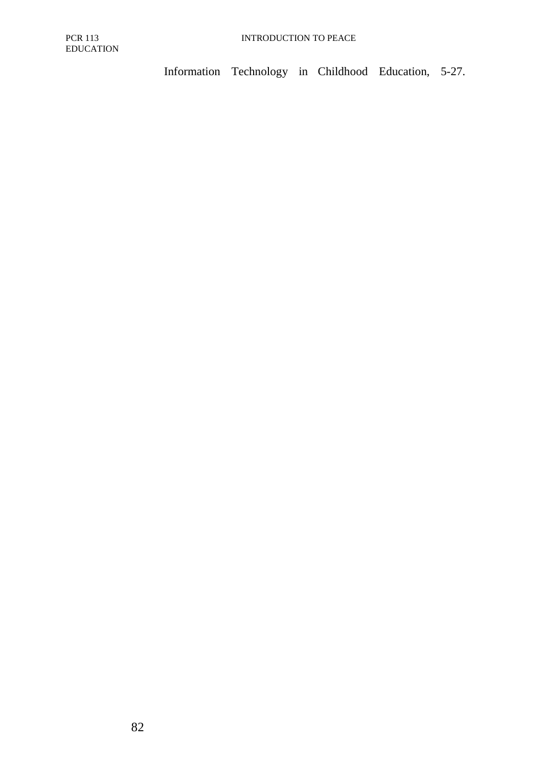Information Technology in Childhood Education, 5-27.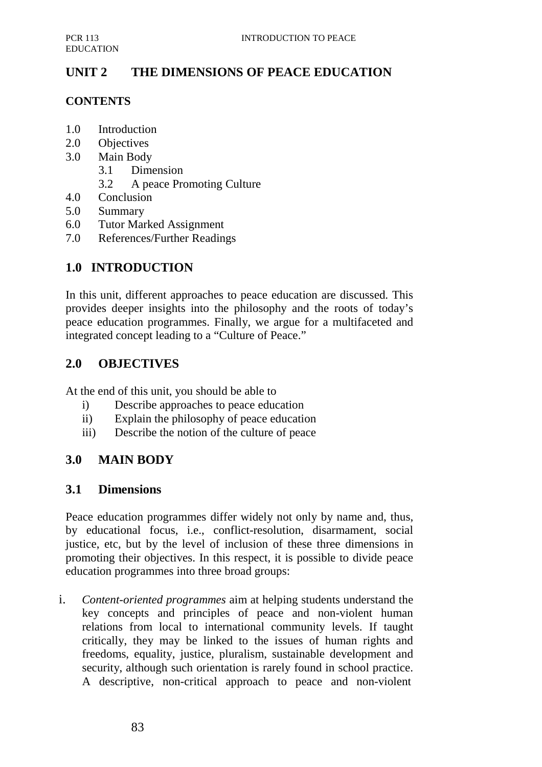# **UNIT 2 THE DIMENSIONS OF PEACE EDUCATION**

#### **CONTENTS**

- 1.0 Introduction
- 2.0 Objectives
- 3.0 Main Body
	- 3.1 Dimension
	- 3.2 A peace Promoting Culture
- 4.0 Conclusion
- 5.0 Summary
- 6.0 Tutor Marked Assignment
- 7.0 References/Further Readings

### **1.0 INTRODUCTION**

In this unit, different approaches to peace education are discussed. This provides deeper insights into the philosophy and the roots of today's peace education programmes. Finally, we argue for a multifaceted and integrated concept leading to a "Culture of Peace."

#### **2.0 OBJECTIVES**

At the end of this unit, you should be able to

- i) Describe approaches to peace education
- ii) Explain the philosophy of peace education
- iii) Describe the notion of the culture of peace

### **3.0 MAIN BODY**

#### **3.1 Dimensions**

Peace education programmes differ widely not only by name and, thus, by educational focus, i.e., conflict-resolution, disarmament, social justice, etc, but by the level of inclusion of these three dimensions in promoting their objectives. In this respect, it is possible to divide peace education programmes into three broad groups:

i. *Content-oriented programmes* aim at helping students understand the key concepts and principles of peace and non-violent human relations from local to international community levels. If taught critically, they may be linked to the issues of human rights and freedoms, equality, justice, pluralism, sustainable development and security, although such orientation is rarely found in school practice. A descriptive, non-critical approach to peace and non-violent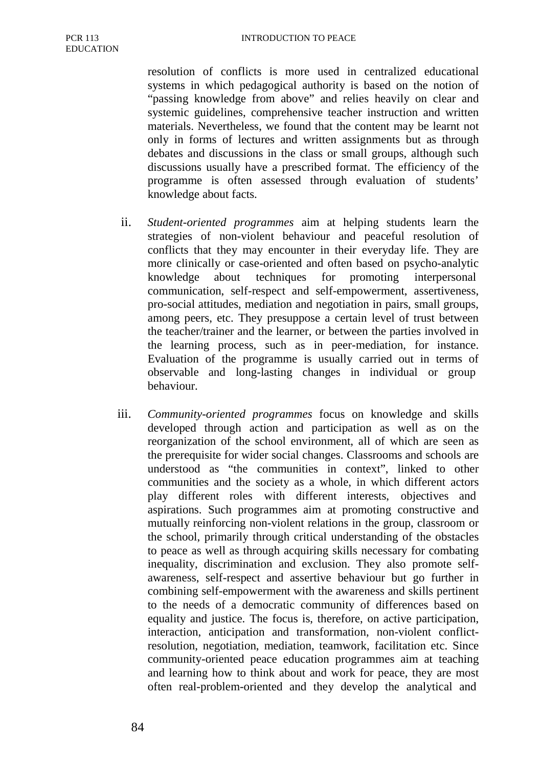resolution of conflicts is more used in centralized educational systems in which pedagogical authority is based on the notion of "passing knowledge from above" and relies heavily on clear and systemic guidelines, comprehensive teacher instruction and written materials. Nevertheless, we found that the content may be learnt not only in forms of lectures and written assignments but as through debates and discussions in the class or small groups, although such discussions usually have a prescribed format. The efficiency of the programme is often assessed through evaluation of students' knowledge about facts.

- ii. *Student-oriented programmes* aim at helping students learn the strategies of non-violent behaviour and peaceful resolution of conflicts that they may encounter in their everyday life. They are more clinically or case-oriented and often based on psycho-analytic knowledge about techniques for promoting interpersonal communication, self-respect and self-empowerment, assertiveness, pro-social attitudes, mediation and negotiation in pairs, small groups, among peers, etc. They presuppose a certain level of trust between the teacher/trainer and the learner, or between the parties involved in the learning process, such as in peer-mediation, for instance. Evaluation of the programme is usually carried out in terms of observable and long-lasting changes in individual or group behaviour.
- iii. *Community-oriented programmes* focus on knowledge and skills developed through action and participation as well as on the reorganization of the school environment, all of which are seen as the prerequisite for wider social changes. Classrooms and schools are understood as "the communities in context", linked to other communities and the society as a whole, in which different actors play different roles with different interests, objectives and aspirations. Such programmes aim at promoting constructive and mutually reinforcing non-violent relations in the group, classroom or the school, primarily through critical understanding of the obstacles to peace as well as through acquiring skills necessary for combating inequality, discrimination and exclusion. They also promote selfawareness, self-respect and assertive behaviour but go further in combining self-empowerment with the awareness and skills pertinent to the needs of a democratic community of differences based on equality and justice. The focus is, therefore, on active participation, interaction, anticipation and transformation, non-violent conflictresolution, negotiation, mediation, teamwork, facilitation etc. Since community-oriented peace education programmes aim at teaching and learning how to think about and work for peace, they are most often real-problem-oriented and they develop the analytical and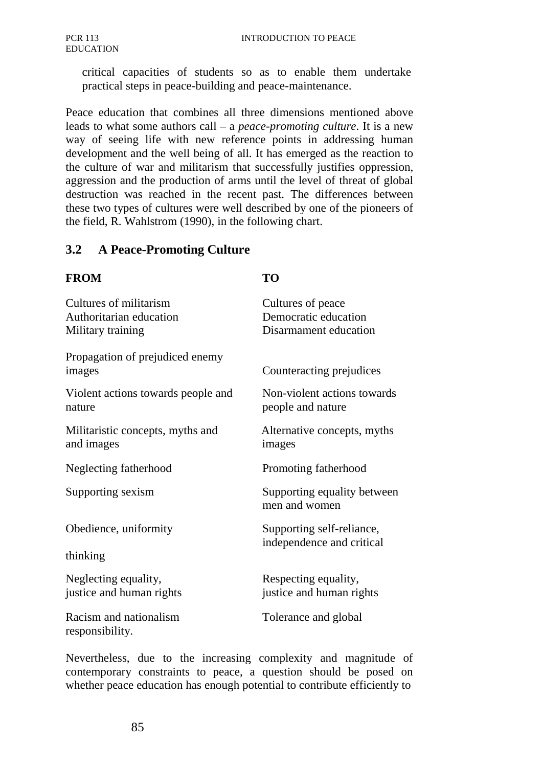critical capacities of students so as to enable them undertake practical steps in peace-building and peace-maintenance.

Peace education that combines all three dimensions mentioned above leads to what some authors call – a *peace-promoting culture*. It is a new way of seeing life with new reference points in addressing human development and the well being of all. It has emerged as the reaction to the culture of war and militarism that successfully justifies oppression, aggression and the production of arms until the level of threat of global destruction was reached in the recent past. The differences between these two types of cultures were well described by one of the pioneers of the field, R. Wahlstrom (1990), in the following chart.

#### **3.2 A Peace-Promoting Culture**

#### **FROM TO**

| Cultures of militarism                    | Cultures of peace                            |
|-------------------------------------------|----------------------------------------------|
| Authoritarian education                   | Democratic education                         |
| Military training                         | Disarmament education                        |
| Propagation of prejudiced enemy<br>images | Counteracting prejudices                     |
| Violent actions towards people and        | Non-violent actions towards                  |
| nature                                    | people and nature                            |
| Militaristic concepts, myths and          | Alternative concepts, myths                  |
| and images                                | images                                       |
| Neglecting fatherhood                     | Promoting fatherhood                         |
| Supporting sexism                         | Supporting equality between<br>men and women |
| Obedience, uniformity                     | Supporting self-reliance,                    |
| thinking                                  | independence and critical                    |
| Neglecting equality,                      | Respecting equality,                         |
| justice and human rights                  | justice and human rights                     |
| Racism and nationalism<br>responsibility. | Tolerance and global                         |

Nevertheless, due to the increasing complexity and magnitude of contemporary constraints to peace, a question should be posed on whether peace education has enough potential to contribute efficiently to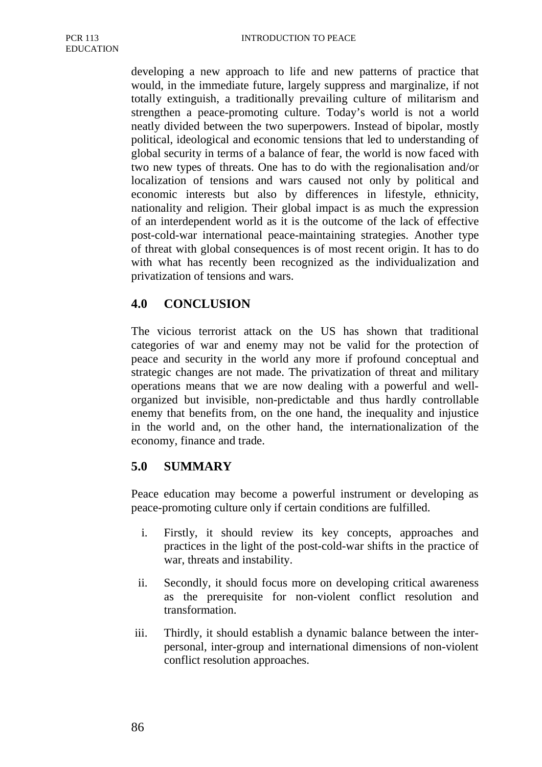developing a new approach to life and new patterns of practice that would, in the immediate future, largely suppress and marginalize, if not totally extinguish, a traditionally prevailing culture of militarism and strengthen a peace-promoting culture. Today's world is not a world neatly divided between the two superpowers. Instead of bipolar, mostly political, ideological and economic tensions that led to understanding of global security in terms of a balance of fear, the world is now faced with two new types of threats. One has to do with the regionalisation and/or localization of tensions and wars caused not only by political and economic interests but also by differences in lifestyle, ethnicity, nationality and religion. Their global impact is as much the expression of an interdependent world as it is the outcome of the lack of effective post-cold-war international peace-maintaining strategies. Another type of threat with global consequences is of most recent origin. It has to do with what has recently been recognized as the individualization and privatization of tensions and wars.

## **4.0 CONCLUSION**

The vicious terrorist attack on the US has shown that traditional categories of war and enemy may not be valid for the protection of peace and security in the world any more if profound conceptual and strategic changes are not made. The privatization of threat and military operations means that we are now dealing with a powerful and wellorganized but invisible, non-predictable and thus hardly controllable enemy that benefits from, on the one hand, the inequality and injustice in the world and, on the other hand, the internationalization of the economy, finance and trade.

#### **5.0 SUMMARY**

Peace education may become a powerful instrument or developing as peace-promoting culture only if certain conditions are fulfilled.

- i. Firstly, it should review its key concepts, approaches and practices in the light of the post-cold-war shifts in the practice of war, threats and instability.
- ii. Secondly, it should focus more on developing critical awareness as the prerequisite for non-violent conflict resolution and transformation.
- iii. Thirdly, it should establish a dynamic balance between the interpersonal, inter-group and international dimensions of non-violent conflict resolution approaches.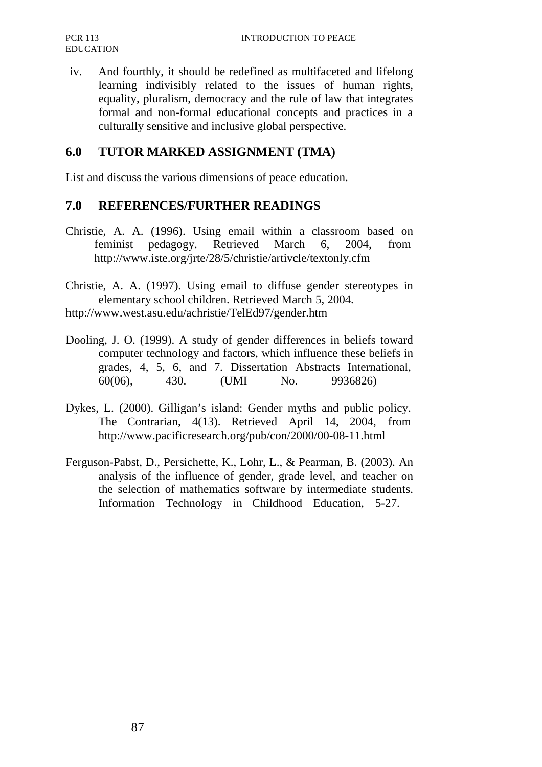iv. And fourthly, it should be redefined as multifaceted and lifelong learning indivisibly related to the issues of human rights, equality, pluralism, democracy and the rule of law that integrates formal and non-formal educational concepts and practices in a culturally sensitive and inclusive global perspective.

#### **6.0 TUTOR MARKED ASSIGNMENT (TMA)**

List and discuss the various dimensions of peace education.

#### **7.0 REFERENCES/FURTHER READINGS**

- Christie, A. A. (1996). Using email within a classroom based on feminist pedagogy. Retrieved March 6, 2004, from http://www.iste.org/jrte/28/5/christie/artivcle/textonly.cfm
- Christie, A. A. (1997). Using email to diffuse gender stereotypes in elementary school children. Retrieved March 5, 2004.
- http://www.west.asu.edu/achristie/TelEd97/gender.htm
- Dooling, J. O. (1999). A study of gender differences in beliefs toward computer technology and factors, which influence these beliefs in grades, 4, 5, 6, and 7. Dissertation Abstracts International, 60(06), 430. (UMI No. 9936826)
- Dykes, L. (2000). Gilligan's island: Gender myths and public policy. The Contrarian, 4(13). Retrieved April 14, 2004, from http://www.pacificresearch.org/pub/con/2000/00-08-11.html
- Ferguson-Pabst, D., Persichette, K., Lohr, L., & Pearman, B. (2003). An analysis of the influence of gender, grade level, and teacher on the selection of mathematics software by intermediate students. Information Technology in Childhood Education, 5-27.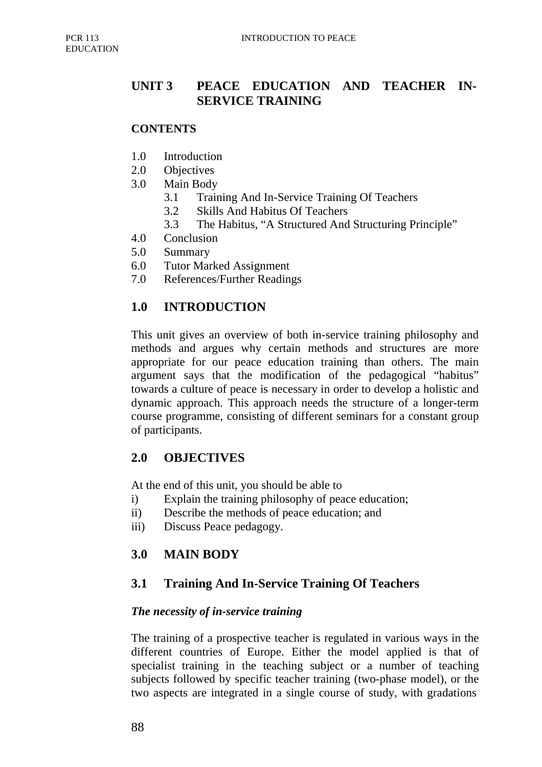# **UNIT 3 PEACE EDUCATION AND TEACHER IN-SERVICE TRAINING**

#### **CONTENTS**

- 1.0 Introduction
- 2.0 Objectives
- 3.0 Main Body
	- 3.1 Training And In-Service Training Of Teachers
	- 3.2 Skills And Habitus Of Teachers
	- 3.3 The Habitus, "A Structured And Structuring Principle"
- 4.0 Conclusion
- 5.0 Summary
- 6.0 Tutor Marked Assignment
- 7.0 References/Further Readings

#### **1.0 INTRODUCTION**

This unit gives an overview of both in-service training philosophy and methods and argues why certain methods and structures are more appropriate for our peace education training than others. The main argument says that the modification of the pedagogical "habitus" towards a culture of peace is necessary in order to develop a holistic and dynamic approach. This approach needs the structure of a longer-term course programme, consisting of different seminars for a constant group of participants.

#### **2.0 OBJECTIVES**

At the end of this unit, you should be able to

- i) Explain the training philosophy of peace education;
- ii) Describe the methods of peace education; and
- iii) Discuss Peace pedagogy.

### **3.0 MAIN BODY**

### **3.1 Training And In-Service Training Of Teachers**

#### *The necessity of in-service training*

The training of a prospective teacher is regulated in various ways in the different countries of Europe. Either the model applied is that of specialist training in the teaching subject or a number of teaching subjects followed by specific teacher training (two-phase model), or the two aspects are integrated in a single course of study, with gradations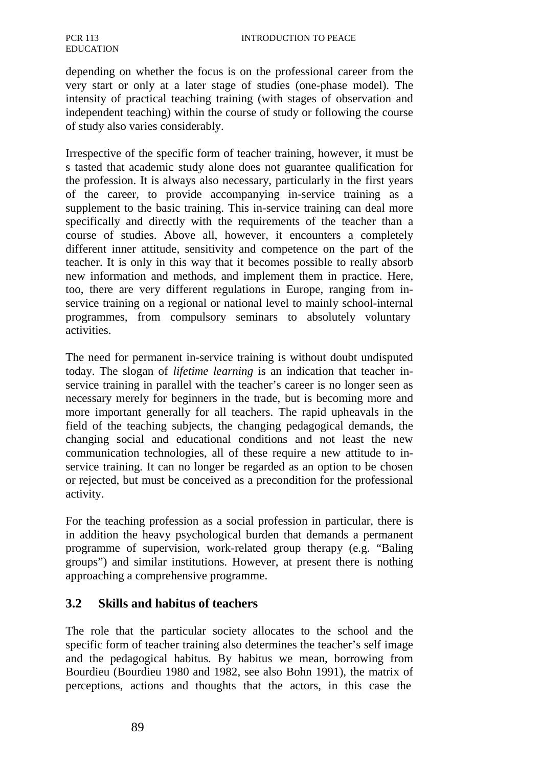depending on whether the focus is on the professional career from the very start or only at a later stage of studies (one-phase model). The intensity of practical teaching training (with stages of observation and independent teaching) within the course of study or following the course of study also varies considerably.

Irrespective of the specific form of teacher training, however, it must be s tasted that academic study alone does not guarantee qualification for the profession. It is always also necessary, particularly in the first years of the career, to provide accompanying in-service training as a supplement to the basic training. This in-service training can deal more specifically and directly with the requirements of the teacher than a course of studies. Above all, however, it encounters a completely different inner attitude, sensitivity and competence on the part of the teacher. It is only in this way that it becomes possible to really absorb new information and methods, and implement them in practice. Here, too, there are very different regulations in Europe, ranging from inservice training on a regional or national level to mainly school-internal programmes, from compulsory seminars to absolutely voluntary activities.

The need for permanent in-service training is without doubt undisputed today. The slogan of *lifetime learning* is an indication that teacher inservice training in parallel with the teacher's career is no longer seen as necessary merely for beginners in the trade, but is becoming more and more important generally for all teachers. The rapid upheavals in the field of the teaching subjects, the changing pedagogical demands, the changing social and educational conditions and not least the new communication technologies, all of these require a new attitude to inservice training. It can no longer be regarded as an option to be chosen or rejected, but must be conceived as a precondition for the professional activity.

For the teaching profession as a social profession in particular, there is in addition the heavy psychological burden that demands a permanent programme of supervision, work-related group therapy (e.g. "Baling groups") and similar institutions. However, at present there is nothing approaching a comprehensive programme.

### **3.2 Skills and habitus of teachers**

The role that the particular society allocates to the school and the specific form of teacher training also determines the teacher's self image and the pedagogical habitus. By habitus we mean, borrowing from Bourdieu (Bourdieu 1980 and 1982, see also Bohn 1991), the matrix of perceptions, actions and thoughts that the actors, in this case the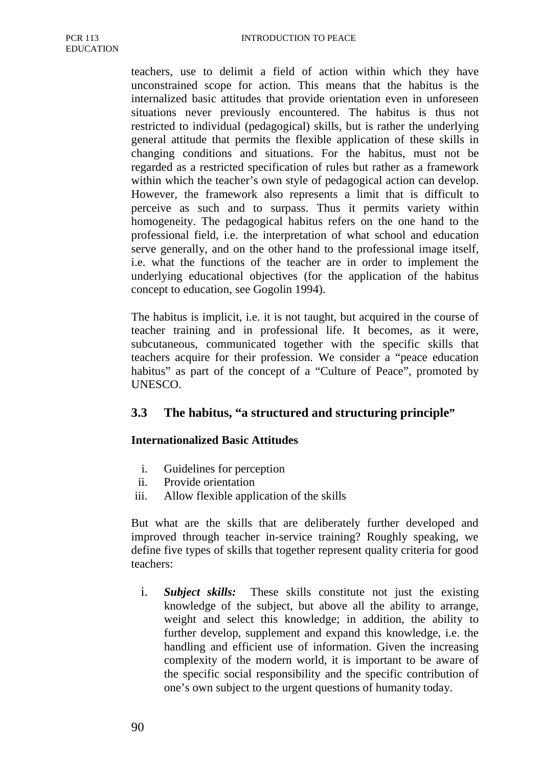teachers, use to delimit a field of action within which they have unconstrained scope for action. This means that the habitus is the internalized basic attitudes that provide orientation even in unforeseen situations never previously encountered. The habitus is thus not restricted to individual (pedagogical) skills, but is rather the underlying general attitude that permits the flexible application of these skills in changing conditions and situations. For the habitus, must not be regarded as a restricted specification of rules but rather as a framework within which the teacher's own style of pedagogical action can develop. However, the framework also represents a limit that is difficult to perceive as such and to surpass. Thus it permits variety within homogeneity. The pedagogical habitus refers on the one hand to the professional field, i.e. the interpretation of what school and education serve generally, and on the other hand to the professional image itself, i.e. what the functions of the teacher are in order to implement the underlying educational objectives (for the application of the habitus concept to education, see Gogolin 1994).

The habitus is implicit, i.e. it is not taught, but acquired in the course of teacher training and in professional life. It becomes, as it were, subcutaneous, communicated together with the specific skills that teachers acquire for their profession. We consider a "peace education habitus" as part of the concept of a "Culture of Peace", promoted by UNESCO.

### **3.3 The habitus, "a structured and structuring principle"**

#### **Internationalized Basic Attitudes**

- i. Guidelines for perception
- ii. Provide orientation
- iii. Allow flexible application of the skills

But what are the skills that are deliberately further developed and improved through teacher in-service training? Roughly speaking, we define five types of skills that together represent quality criteria for good teachers:

i. *Subject skills:* These skills constitute not just the existing knowledge of the subject, but above all the ability to arrange, weight and select this knowledge; in addition, the ability to further develop, supplement and expand this knowledge, i.e. the handling and efficient use of information. Given the increasing complexity of the modern world, it is important to be aware of the specific social responsibility and the specific contribution of one's own subject to the urgent questions of humanity today.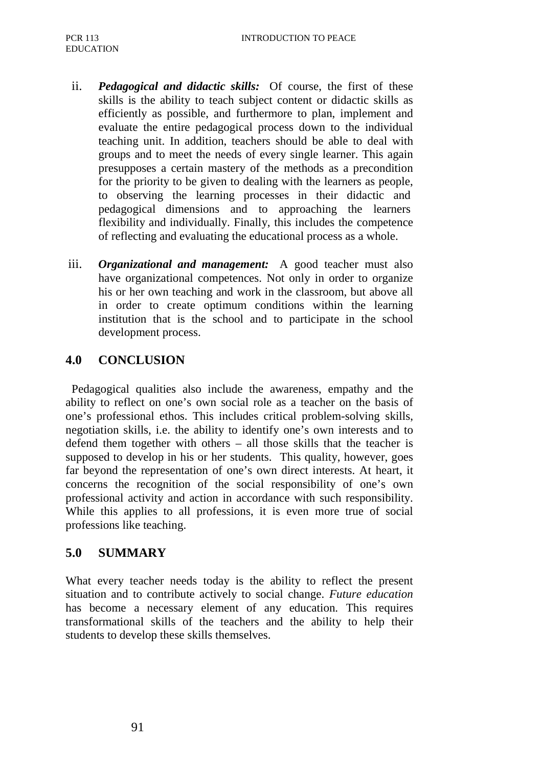- ii. *Pedagogical and didactic skills:* Of course, the first of these skills is the ability to teach subject content or didactic skills as efficiently as possible, and furthermore to plan, implement and evaluate the entire pedagogical process down to the individual teaching unit. In addition, teachers should be able to deal with groups and to meet the needs of every single learner. This again presupposes a certain mastery of the methods as a precondition for the priority to be given to dealing with the learners as people, to observing the learning processes in their didactic and pedagogical dimensions and to approaching the learners flexibility and individually. Finally, this includes the competence of reflecting and evaluating the educational process as a whole.
- iii. *Organizational and management:* A good teacher must also have organizational competences. Not only in order to organize his or her own teaching and work in the classroom, but above all in order to create optimum conditions within the learning institution that is the school and to participate in the school development process.

## **4.0 CONCLUSION**

Pedagogical qualities also include the awareness, empathy and the ability to reflect on one's own social role as a teacher on the basis of one's professional ethos. This includes critical problem-solving skills, negotiation skills, i.e. the ability to identify one's own interests and to defend them together with others – all those skills that the teacher is supposed to develop in his or her students. This quality, however, goes far beyond the representation of one's own direct interests. At heart, it concerns the recognition of the social responsibility of one's own professional activity and action in accordance with such responsibility. While this applies to all professions, it is even more true of social professions like teaching.

## **5.0 SUMMARY**

What every teacher needs today is the ability to reflect the present situation and to contribute actively to social change. *Future education*  has become a necessary element of any education. This requires transformational skills of the teachers and the ability to help their students to develop these skills themselves.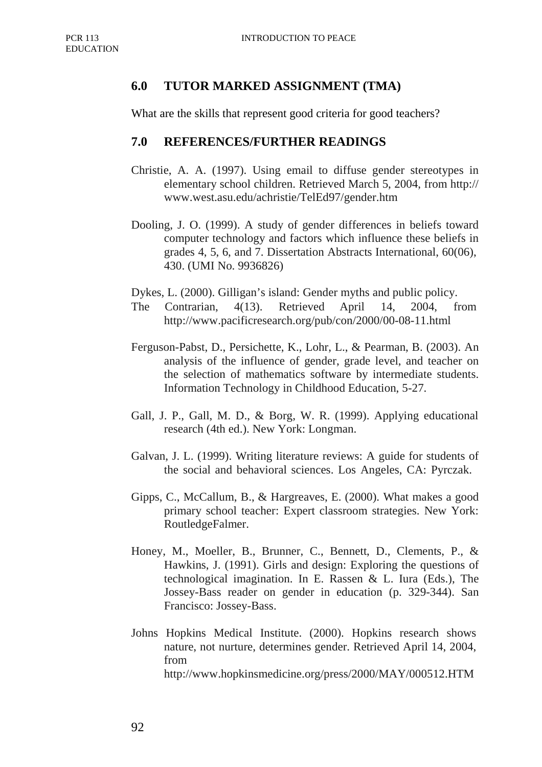## **6.0 TUTOR MARKED ASSIGNMENT (TMA)**

What are the skills that represent good criteria for good teachers?

#### **7.0 REFERENCES/FURTHER READINGS**

- Christie, A. A. (1997). Using email to diffuse gender stereotypes in elementary school children. Retrieved March 5, 2004, from http:// www.west.asu.edu/achristie/TelEd97/gender.htm
- Dooling, J. O. (1999). A study of gender differences in beliefs toward computer technology and factors which influence these beliefs in grades 4, 5, 6, and 7. Dissertation Abstracts International, 60(06), 430. (UMI No. 9936826)
- Dykes, L. (2000). Gilligan's island: Gender myths and public policy.
- The Contrarian, 4(13). Retrieved April 14, 2004, from http://www.pacificresearch.org/pub/con/2000/00-08-11.html
- Ferguson-Pabst, D., Persichette, K., Lohr, L., & Pearman, B. (2003). An analysis of the influence of gender, grade level, and teacher on the selection of mathematics software by intermediate students. Information Technology in Childhood Education, 5-27.
- Gall, J. P., Gall, M. D., & Borg, W. R. (1999). Applying educational research (4th ed.). New York: Longman.
- Galvan, J. L. (1999). Writing literature reviews: A guide for students of the social and behavioral sciences. Los Angeles, CA: Pyrczak.
- Gipps, C., McCallum, B., & Hargreaves, E. (2000). What makes a good primary school teacher: Expert classroom strategies. New York: RoutledgeFalmer.
- Honey, M., Moeller, B., Brunner, C., Bennett, D., Clements, P., & Hawkins, J. (1991). Girls and design: Exploring the questions of technological imagination. In E. Rassen & L. Iura (Eds.), The Jossey-Bass reader on gender in education (p. 329-344). San Francisco: Jossey-Bass.
- Johns Hopkins Medical Institute. (2000). Hopkins research shows nature, not nurture, determines gender. Retrieved April 14, 2004, from http://www.hopkinsmedicine.org/press/2000/MAY/000512.HTM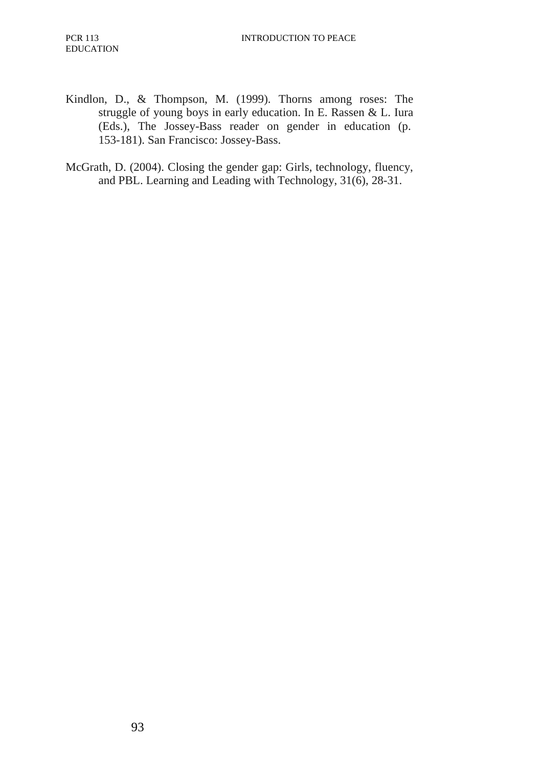- Kindlon, D., & Thompson, M. (1999). Thorns among roses: The struggle of young boys in early education. In E. Rassen & L. Iura (Eds.), The Jossey-Bass reader on gender in education (p. 153-181). San Francisco: Jossey-Bass.
- McGrath, D. (2004). Closing the gender gap: Girls, technology, fluency, and PBL. Learning and Leading with Technology, 31(6), 28-31.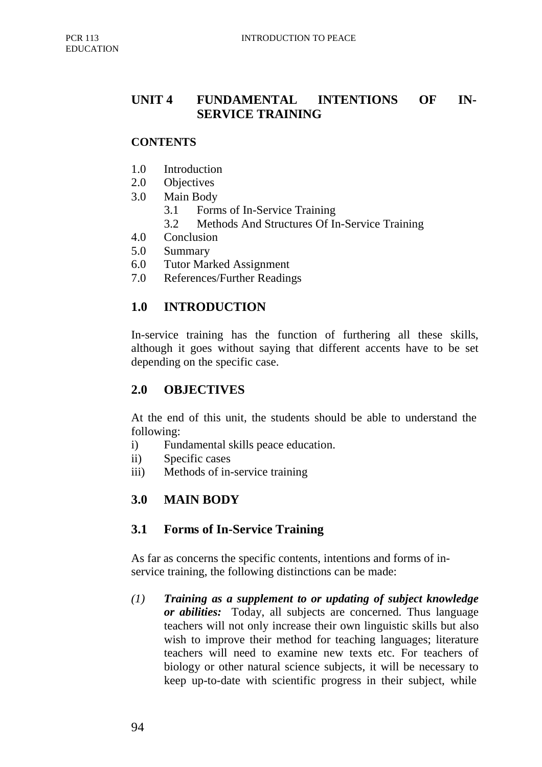## **UNIT 4 FUNDAMENTAL INTENTIONS OF IN-SERVICE TRAINING**

#### **CONTENTS**

- 1.0 Introduction
- 2.0 Objectives
- 3.0 Main Body
	- 3.1 Forms of In-Service Training
	- 3.2 Methods And Structures Of In-Service Training
- 4.0 Conclusion
- 5.0 Summary
- 6.0 Tutor Marked Assignment
- 7.0 References/Further Readings

### **1.0 INTRODUCTION**

In-service training has the function of furthering all these skills, although it goes without saying that different accents have to be set depending on the specific case.

#### **2.0 OBJECTIVES**

At the end of this unit, the students should be able to understand the following:

- i) Fundamental skills peace education.
- ii) Specific cases
- iii) Methods of in-service training

## **3.0 MAIN BODY**

#### **3.1 Forms of In-Service Training**

As far as concerns the specific contents, intentions and forms of inservice training, the following distinctions can be made:

*(1) Training as a supplement to or updating of subject knowledge or abilities:* Today, all subjects are concerned. Thus language teachers will not only increase their own linguistic skills but also wish to improve their method for teaching languages; literature teachers will need to examine new texts etc. For teachers of biology or other natural science subjects, it will be necessary to keep up-to-date with scientific progress in their subject, while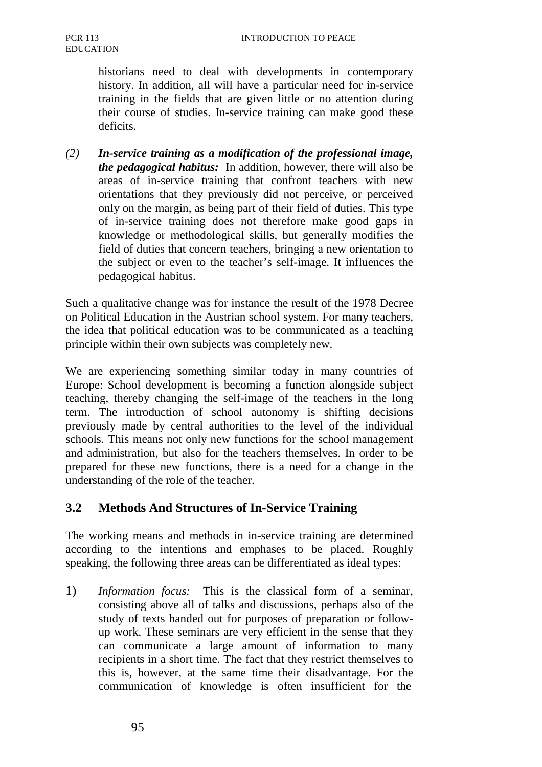historians need to deal with developments in contemporary history. In addition, all will have a particular need for in-service training in the fields that are given little or no attention during their course of studies. In-service training can make good these deficits.

*(2) In-service training as a modification of the professional image, the pedagogical habitus:* In addition, however, there will also be areas of in-service training that confront teachers with new orientations that they previously did not perceive, or perceived only on the margin, as being part of their field of duties. This type of in-service training does not therefore make good gaps in knowledge or methodological skills, but generally modifies the field of duties that concern teachers, bringing a new orientation to the subject or even to the teacher's self-image. It influences the pedagogical habitus.

Such a qualitative change was for instance the result of the 1978 Decree on Political Education in the Austrian school system. For many teachers, the idea that political education was to be communicated as a teaching principle within their own subjects was completely new.

We are experiencing something similar today in many countries of Europe: School development is becoming a function alongside subject teaching, thereby changing the self-image of the teachers in the long term. The introduction of school autonomy is shifting decisions previously made by central authorities to the level of the individual schools. This means not only new functions for the school management and administration, but also for the teachers themselves. In order to be prepared for these new functions, there is a need for a change in the understanding of the role of the teacher.

## **3.2 Methods And Structures of In-Service Training**

The working means and methods in in-service training are determined according to the intentions and emphases to be placed. Roughly speaking, the following three areas can be differentiated as ideal types:

1) *Information focus:* This is the classical form of a seminar, consisting above all of talks and discussions, perhaps also of the study of texts handed out for purposes of preparation or followup work. These seminars are very efficient in the sense that they can communicate a large amount of information to many recipients in a short time. The fact that they restrict themselves to this is, however, at the same time their disadvantage. For the communication of knowledge is often insufficient for the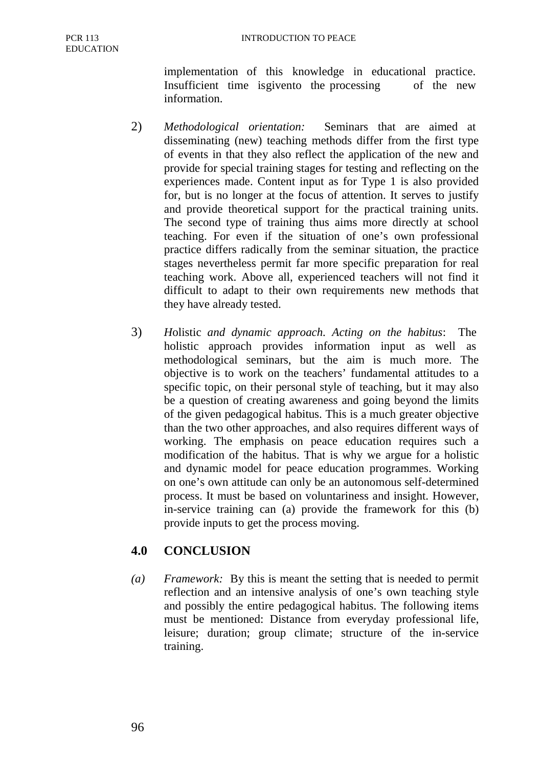implementation of this knowledge in educational practice. Insufficient time is given to the processing of the new information.

- 2) *Methodological orientation:* Seminars that are aimed at disseminating (new) teaching methods differ from the first type of events in that they also reflect the application of the new and provide for special training stages for testing and reflecting on the experiences made. Content input as for Type 1 is also provided for, but is no longer at the focus of attention. It serves to justify and provide theoretical support for the practical training units. The second type of training thus aims more directly at school teaching. For even if the situation of one's own professional practice differs radically from the seminar situation, the practice stages nevertheless permit far more specific preparation for real teaching work. Above all, experienced teachers will not find it difficult to adapt to their own requirements new methods that they have already tested.
- 3) *H*olistic *and dynamic approach. Acting on the habitus*: The holistic approach provides information input as well as methodological seminars, but the aim is much more. The objective is to work on the teachers' fundamental attitudes to a specific topic, on their personal style of teaching, but it may also be a question of creating awareness and going beyond the limits of the given pedagogical habitus. This is a much greater objective than the two other approaches, and also requires different ways of working. The emphasis on peace education requires such a modification of the habitus. That is why we argue for a holistic and dynamic model for peace education programmes. Working on one's own attitude can only be an autonomous self-determined process. It must be based on voluntariness and insight. However, in-service training can (a) provide the framework for this (b) provide inputs to get the process moving.

# **4.0 CONCLUSION**

*(a) Framework:* By this is meant the setting that is needed to permit reflection and an intensive analysis of one's own teaching style and possibly the entire pedagogical habitus. The following items must be mentioned: Distance from everyday professional life, leisure; duration; group climate; structure of the in-service training.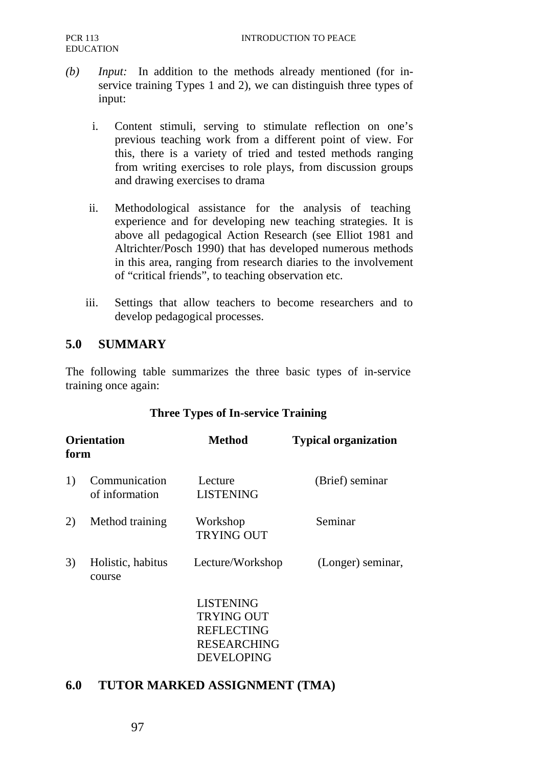- *(b) Input:* In addition to the methods already mentioned (for inservice training Types 1 and 2), we can distinguish three types of input:
	- i. Content stimuli, serving to stimulate reflection on one's previous teaching work from a different point of view. For this, there is a variety of tried and tested methods ranging from writing exercises to role plays, from discussion groups and drawing exercises to drama
	- ii. Methodological assistance for the analysis of teaching experience and for developing new teaching strategies. It is above all pedagogical Action Research (see Elliot 1981 and Altrichter/Posch 1990) that has developed numerous methods in this area, ranging from research diaries to the involvement of "critical friends", to teaching observation etc.
	- iii. Settings that allow teachers to become researchers and to develop pedagogical processes.

## **5.0 SUMMARY**

The following table summarizes the three basic types of in-service training once again:

#### **Three Types of In-service Training**

| <b>Orientation</b><br>form |                                 | <b>Method</b>                                                                    | <b>Typical organization</b> |
|----------------------------|---------------------------------|----------------------------------------------------------------------------------|-----------------------------|
| 1)                         | Communication<br>of information | Lecture<br><b>LISTENING</b>                                                      | (Brief) seminar             |
| 2)                         | Method training                 | Workshop<br><b>TRYING OUT</b>                                                    | Seminar                     |
| 3)                         | Holistic, habitus<br>course     | Lecture/Workshop                                                                 | (Longer) seminar,           |
|                            |                                 | <b>LISTENING</b><br><b>TRYING OUT</b><br><b>REFLECTING</b><br><b>RESEARCHING</b> |                             |

DEVELOPING

#### **6.0 TUTOR MARKED ASSIGNMENT (TMA)**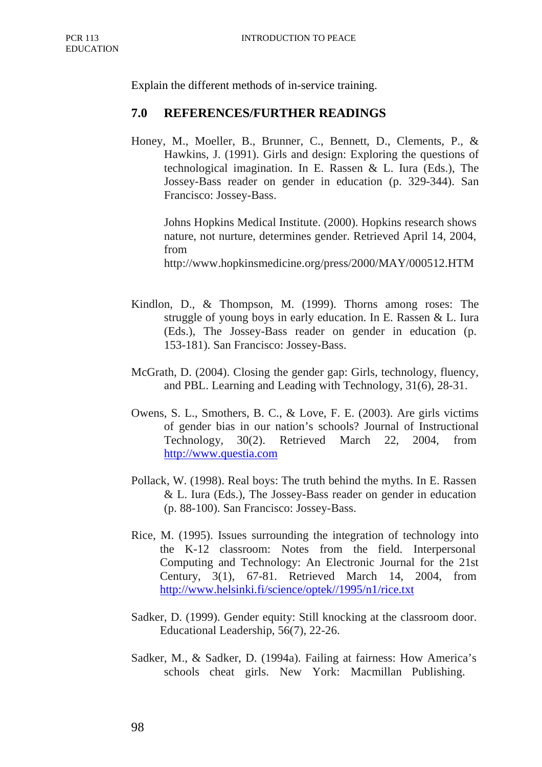Explain the different methods of in-service training.

#### **7.0 REFERENCES/FURTHER READINGS**

Honey, M., Moeller, B., Brunner, C., Bennett, D., Clements, P., & Hawkins, J. (1991). Girls and design: Exploring the questions of technological imagination. In E. Rassen & L. Iura (Eds.), The Jossey-Bass reader on gender in education (p. 329-344). San Francisco: Jossey-Bass.

Johns Hopkins Medical Institute. (2000). Hopkins research shows nature, not nurture, determines gender. Retrieved April 14, 2004, from

http://www.hopkinsmedicine.org/press/2000/MAY/000512.HTM

- Kindlon, D., & Thompson, M. (1999). Thorns among roses: The struggle of young boys in early education. In E. Rassen & L. Iura (Eds.), The Jossey-Bass reader on gender in education (p. 153-181). San Francisco: Jossey-Bass.
- McGrath, D. (2004). Closing the gender gap: Girls, technology, fluency, and PBL. Learning and Leading with Technology, 31(6), 28-31.
- Owens, S. L., Smothers, B. C., & Love, F. E. (2003). Are girls victims of gender bias in our nation's schools? Journal of Instructional Technology, 30(2). Retrieved March 22, 2004, from http://www.questia.com
- Pollack, W. (1998). Real boys: The truth behind the myths. In E. Rassen & L. Iura (Eds.), The Jossey-Bass reader on gender in education (p. 88-100). San Francisco: Jossey-Bass.
- Rice, M. (1995). Issues surrounding the integration of technology into the K-12 classroom: Notes from the field. Interpersonal Computing and Technology: An Electronic Journal for the 21st Century, 3(1), 67-81. Retrieved March 14, 2004, from http://www.helsinki.fi/science/optek//1995/n1/rice.txt
- Sadker, D. (1999). Gender equity: Still knocking at the classroom door. Educational Leadership, 56(7), 22-26.
- Sadker, M., & Sadker, D. (1994a). Failing at fairness: How America's schools cheat girls. New York: Macmillan Publishing.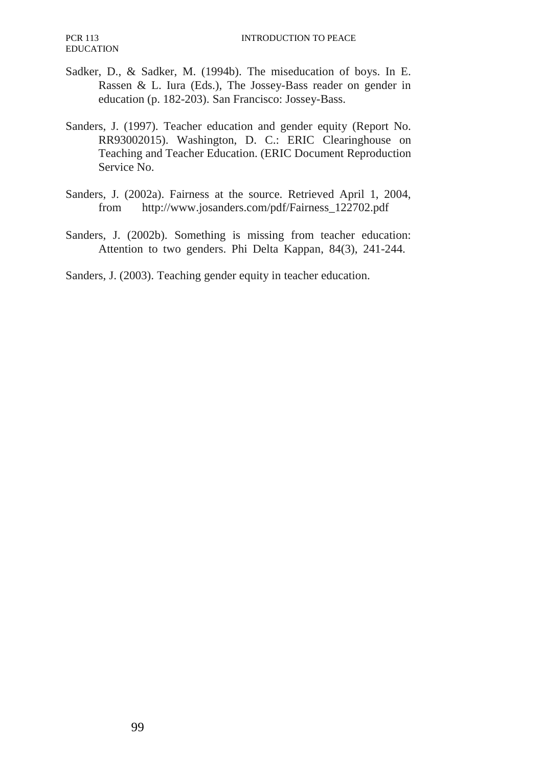- Sadker, D., & Sadker, M. (1994b). The miseducation of boys. In E. Rassen & L. Iura (Eds.), The Jossey-Bass reader on gender in education (p. 182-203). San Francisco: Jossey-Bass.
- Sanders, J. (1997). Teacher education and gender equity (Report No. RR93002015). Washington, D. C.: ERIC Clearinghouse on Teaching and Teacher Education. (ERIC Document Reproduction Service No.
- Sanders, J. (2002a). Fairness at the source. Retrieved April 1, 2004, from http://www.josanders.com/pdf/Fairness\_122702.pdf
- Sanders, J. (2002b). Something is missing from teacher education: Attention to two genders. Phi Delta Kappan, 84(3), 241-244.

Sanders, J. (2003). Teaching gender equity in teacher education.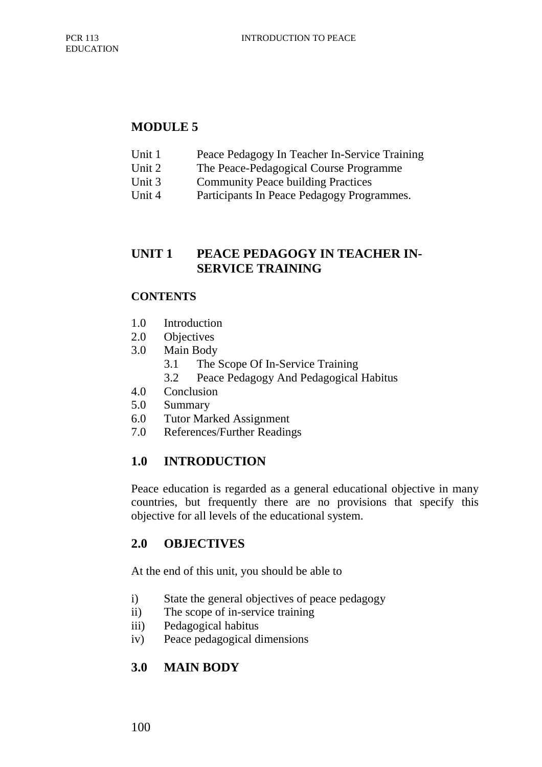### **MODULE 5**

- Unit 1 Peace Pedagogy In Teacher In-Service Training
- Unit 2 The Peace-Pedagogical Course Programme
- Unit 3 Community Peace building Practices
- Unit 4 Participants In Peace Pedagogy Programmes.

## **UNIT 1 PEACE PEDAGOGY IN TEACHER IN-SERVICE TRAINING**

#### **CONTENTS**

- 1.0 Introduction
- 2.0 Objectives
- 3.0 Main Body
	- 3.1 The Scope Of In-Service Training
	- 3.2 Peace Pedagogy And Pedagogical Habitus
- 4.0 Conclusion
- 5.0 Summary
- 6.0 Tutor Marked Assignment
- 7.0 References/Further Readings

# **1.0 INTRODUCTION**

Peace education is regarded as a general educational objective in many countries, but frequently there are no provisions that specify this objective for all levels of the educational system.

## **2.0 OBJECTIVES**

At the end of this unit, you should be able to

- i) State the general objectives of peace pedagogy
- ii) The scope of in-service training
- iii) Pedagogical habitus
- iv) Peace pedagogical dimensions

# **3.0 MAIN BODY**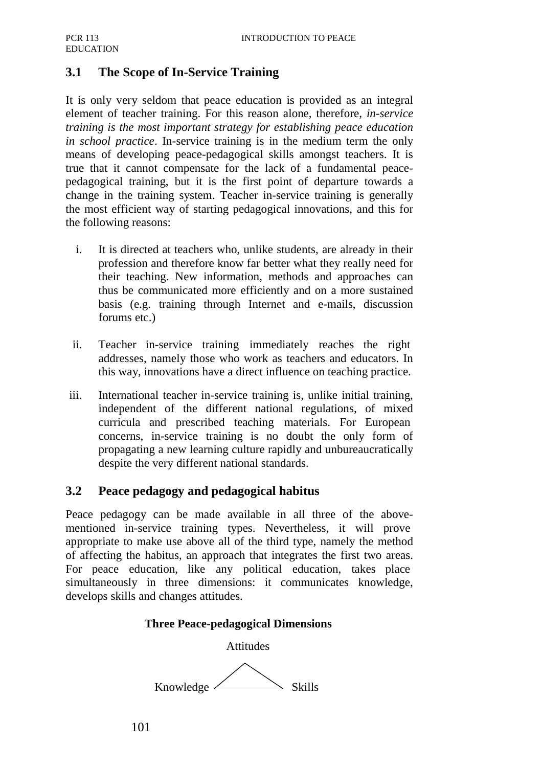## **3.1 The Scope of In-Service Training**

It is only very seldom that peace education is provided as an integral element of teacher training. For this reason alone, therefore, *in-service training is the most important strategy for establishing peace education in school practice*. In-service training is in the medium term the only means of developing peace-pedagogical skills amongst teachers. It is true that it cannot compensate for the lack of a fundamental peacepedagogical training, but it is the first point of departure towards a change in the training system. Teacher in-service training is generally the most efficient way of starting pedagogical innovations, and this for the following reasons:

- i. It is directed at teachers who, unlike students, are already in their profession and therefore know far better what they really need for their teaching. New information, methods and approaches can thus be communicated more efficiently and on a more sustained basis (e.g. training through Internet and e-mails, discussion forums etc.)
- ii. Teacher in-service training immediately reaches the right addresses, namely those who work as teachers and educators. In this way, innovations have a direct influence on teaching practice.
- iii. International teacher in-service training is, unlike initial training, independent of the different national regulations, of mixed curricula and prescribed teaching materials. For European concerns, in-service training is no doubt the only form of propagating a new learning culture rapidly and unbureaucratically despite the very different national standards.

## **3.2 Peace pedagogy and pedagogical habitus**

Peace pedagogy can be made available in all three of the abovementioned in-service training types. Nevertheless, it will prove appropriate to make use above all of the third type, namely the method of affecting the habitus, an approach that integrates the first two areas. For peace education, like any political education, takes place simultaneously in three dimensions: it communicates knowledge, develops skills and changes attitudes.

#### **Three Peace-pedagogical Dimensions**

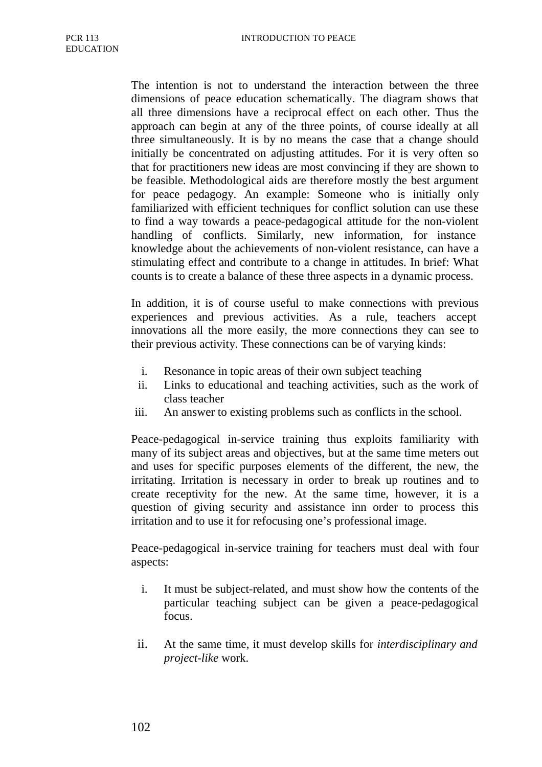The intention is not to understand the interaction between the three dimensions of peace education schematically. The diagram shows that all three dimensions have a reciprocal effect on each other. Thus the approach can begin at any of the three points, of course ideally at all three simultaneously. It is by no means the case that a change should initially be concentrated on adjusting attitudes. For it is very often so that for practitioners new ideas are most convincing if they are shown to be feasible. Methodological aids are therefore mostly the best argument for peace pedagogy. An example: Someone who is initially only familiarized with efficient techniques for conflict solution can use these to find a way towards a peace-pedagogical attitude for the non-violent handling of conflicts. Similarly, new information, for instance knowledge about the achievements of non-violent resistance, can have a stimulating effect and contribute to a change in attitudes. In brief: What counts is to create a balance of these three aspects in a dynamic process.

In addition, it is of course useful to make connections with previous experiences and previous activities. As a rule, teachers accept innovations all the more easily, the more connections they can see to their previous activity. These connections can be of varying kinds:

- i. Resonance in topic areas of their own subject teaching
- ii. Links to educational and teaching activities, such as the work of class teacher
- iii. An answer to existing problems such as conflicts in the school.

Peace-pedagogical in-service training thus exploits familiarity with many of its subject areas and objectives, but at the same time meters out and uses for specific purposes elements of the different, the new, the irritating. Irritation is necessary in order to break up routines and to create receptivity for the new. At the same time, however, it is a question of giving security and assistance inn order to process this irritation and to use it for refocusing one's professional image.

Peace-pedagogical in-service training for teachers must deal with four aspects:

- i. It must be subject-related, and must show how the contents of the particular teaching subject can be given a peace-pedagogical focus.
- ii. At the same time, it must develop skills for *interdisciplinary and project-like* work.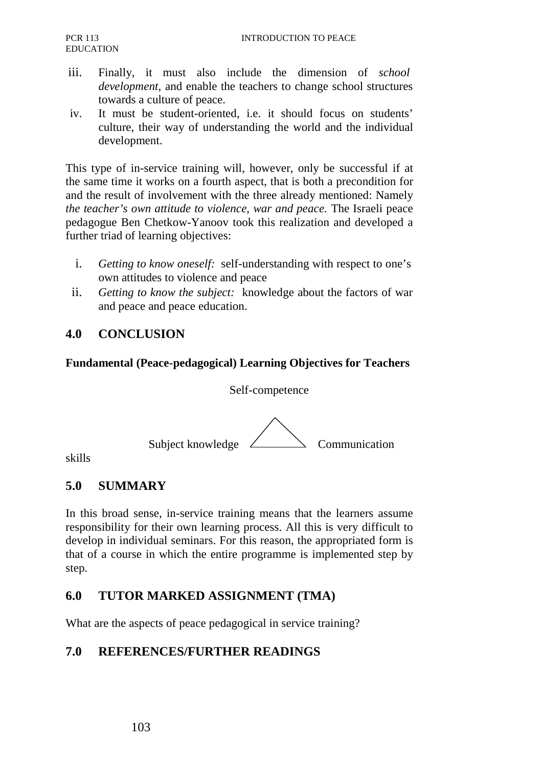- iii. Finally, it must also include the dimension of *school development,* and enable the teachers to change school structures towards a culture of peace.
- iv. It must be student-oriented, i.e. it should focus on students' culture, their way of understanding the world and the individual development.

This type of in-service training will, however, only be successful if at the same time it works on a fourth aspect, that is both a precondition for and the result of involvement with the three already mentioned: Namely *the teacher's own attitude to violence, war and peace.* The Israeli peace pedagogue Ben Chetkow-Yanoov took this realization and developed a further triad of learning objectives:

- i. *Getting to know oneself:* self-understanding with respect to one's own attitudes to violence and peace
- ii. *Getting to know the subject:* knowledge about the factors of war and peace and peace education.

### **4.0 CONCLUSION**

#### **Fundamental (Peace-pedagogical) Learning Objectives for Teachers**

#### Self-competence



skills

#### **5.0 SUMMARY**

In this broad sense, in-service training means that the learners assume responsibility for their own learning process. All this is very difficult to develop in individual seminars. For this reason, the appropriated form is that of a course in which the entire programme is implemented step by step.

#### **6.0 TUTOR MARKED ASSIGNMENT (TMA)**

What are the aspects of peace pedagogical in service training?

## **7.0 REFERENCES/FURTHER READINGS**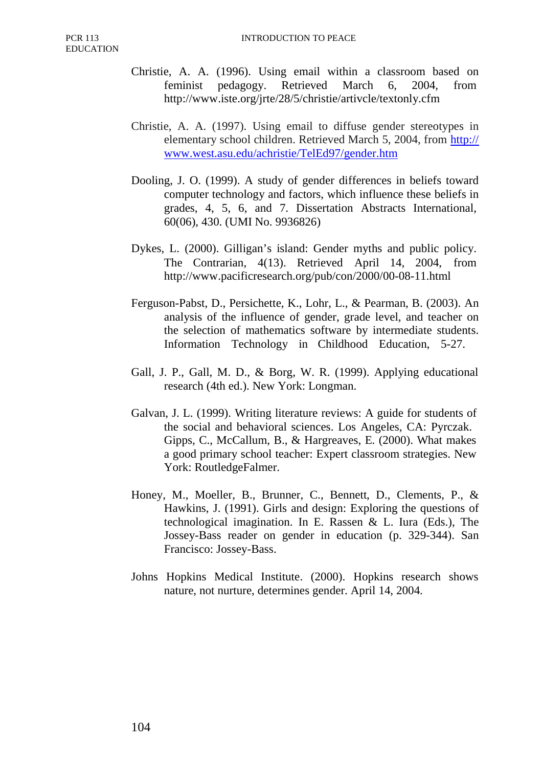- Christie, A. A. (1996). Using email within a classroom based on feminist pedagogy. Retrieved March 6, 2004, from http://www.iste.org/jrte/28/5/christie/artivcle/textonly.cfm
- Christie, A. A. (1997). Using email to diffuse gender stereotypes in elementary school children. Retrieved March 5, 2004, from http:// www.west.asu.edu/achristie/TelEd97/gender.htm
- Dooling, J. O. (1999). A study of gender differences in beliefs toward computer technology and factors, which influence these beliefs in grades, 4, 5, 6, and 7. Dissertation Abstracts International, 60(06), 430. (UMI No. 9936826)
- Dykes, L. (2000). Gilligan's island: Gender myths and public policy. The Contrarian, 4(13). Retrieved April 14, 2004, from http://www.pacificresearch.org/pub/con/2000/00-08-11.html
- Ferguson-Pabst, D., Persichette, K., Lohr, L., & Pearman, B. (2003). An analysis of the influence of gender, grade level, and teacher on the selection of mathematics software by intermediate students. Information Technology in Childhood Education, 5-27.
- Gall, J. P., Gall, M. D., & Borg, W. R. (1999). Applying educational research (4th ed.). New York: Longman.
- Galvan, J. L. (1999). Writing literature reviews: A guide for students of the social and behavioral sciences. Los Angeles, CA: Pyrczak. Gipps, C., McCallum, B., & Hargreaves, E. (2000). What makes a good primary school teacher: Expert classroom strategies. New York: RoutledgeFalmer.
- Honey, M., Moeller, B., Brunner, C., Bennett, D., Clements, P., & Hawkins, J. (1991). Girls and design: Exploring the questions of technological imagination. In E. Rassen & L. Iura (Eds.), The Jossey-Bass reader on gender in education (p. 329-344). San Francisco: Jossey-Bass.
- Johns Hopkins Medical Institute. (2000). Hopkins research shows nature, not nurture, determines gender. April 14, 2004.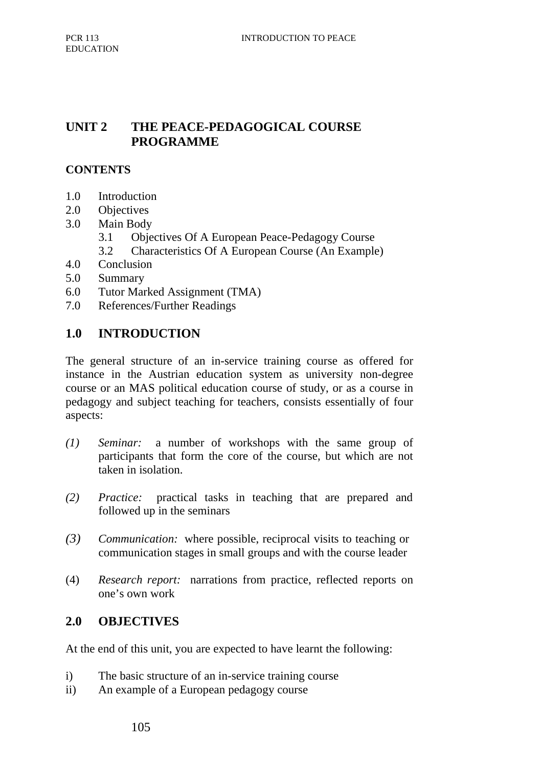## **UNIT 2 THE PEACE-PEDAGOGICAL COURSE PROGRAMME**

## **CONTENTS**

- 1.0 Introduction
- 2.0 Objectives
- 3.0 Main Body
	- 3.1 Objectives Of A European Peace-Pedagogy Course
	- 3.2 Characteristics Of A European Course (An Example)
- 4.0 Conclusion
- 5.0 Summary
- 6.0 Tutor Marked Assignment (TMA)
- 7.0 References/Further Readings

## **1.0 INTRODUCTION**

The general structure of an in-service training course as offered for instance in the Austrian education system as university non-degree course or an MAS political education course of study, or as a course in pedagogy and subject teaching for teachers, consists essentially of four aspects:

- *(1) Seminar:* a number of workshops with the same group of participants that form the core of the course, but which are not taken in isolation.
- *(2) Practice:* practical tasks in teaching that are prepared and followed up in the seminars
- *(3) Communication:* where possible, reciprocal visits to teaching or communication stages in small groups and with the course leader
- (4) *Research report:* narrations from practice, reflected reports on one's own work

## **2.0 OBJECTIVES**

At the end of this unit, you are expected to have learnt the following:

- i) The basic structure of an in-service training course
- ii) An example of a European pedagogy course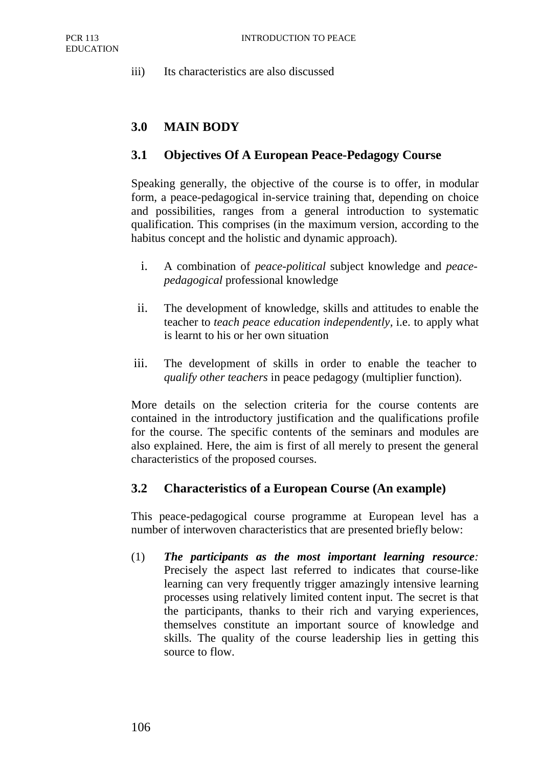iii) Its characteristics are also discussed

## **3.0 MAIN BODY**

### **3.1 Objectives Of A European Peace-Pedagogy Course**

Speaking generally, the objective of the course is to offer, in modular form, a peace-pedagogical in-service training that, depending on choice and possibilities, ranges from a general introduction to systematic qualification. This comprises (in the maximum version, according to the habitus concept and the holistic and dynamic approach).

- i. A combination of *peace-political* subject knowledge and *peacepedagogical* professional knowledge
- ii. The development of knowledge, skills and attitudes to enable the teacher to *teach peace education independently,* i.e. to apply what is learnt to his or her own situation
- iii. The development of skills in order to enable the teacher to *qualify other teachers* in peace pedagogy (multiplier function).

More details on the selection criteria for the course contents are contained in the introductory justification and the qualifications profile for the course. The specific contents of the seminars and modules are also explained. Here, the aim is first of all merely to present the general characteristics of the proposed courses.

#### **3.2 Characteristics of a European Course (An example)**

This peace-pedagogical course programme at European level has a number of interwoven characteristics that are presented briefly below:

(1) *The participants as the most important learning resource:*  Precisely the aspect last referred to indicates that course-like learning can very frequently trigger amazingly intensive learning processes using relatively limited content input. The secret is that the participants, thanks to their rich and varying experiences, themselves constitute an important source of knowledge and skills. The quality of the course leadership lies in getting this source to flow.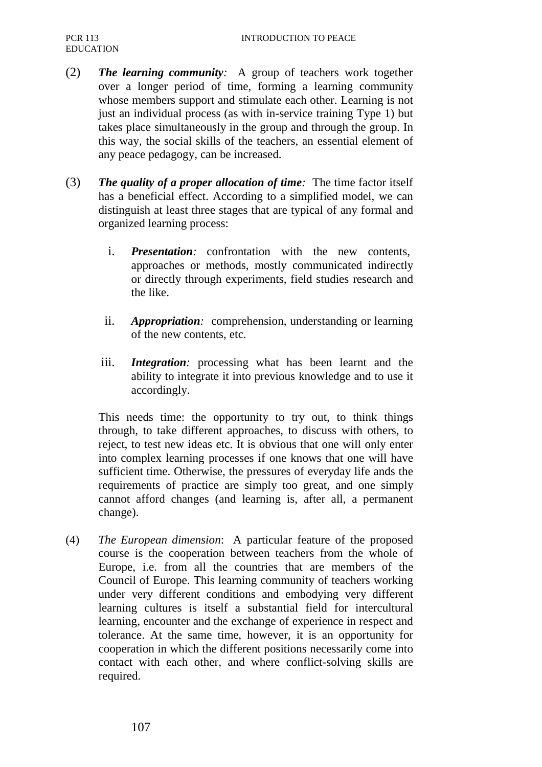- (2) *The learning community:* A group of teachers work together over a longer period of time, forming a learning community whose members support and stimulate each other. Learning is not just an individual process (as with in-service training Type 1) but takes place simultaneously in the group and through the group. In this way, the social skills of the teachers, an essential element of any peace pedagogy, can be increased.
- (3) *The quality of a proper allocation of time:* The time factor itself has a beneficial effect. According to a simplified model, we can distinguish at least three stages that are typical of any formal and organized learning process:
	- i. *Presentation:* confrontation with the new contents, approaches or methods, mostly communicated indirectly or directly through experiments, field studies research and the like.
	- ii. *Appropriation:* comprehension, understanding or learning of the new contents, etc.
	- iii. *Integration:* processing what has been learnt and the ability to integrate it into previous knowledge and to use it accordingly.

This needs time: the opportunity to try out, to think things through, to take different approaches, to discuss with others, to reject, to test new ideas etc. It is obvious that one will only enter into complex learning processes if one knows that one will have sufficient time. Otherwise, the pressures of everyday life ands the requirements of practice are simply too great, and one simply cannot afford changes (and learning is, after all, a permanent change).

(4) *The European dimension*: A particular feature of the proposed course is the cooperation between teachers from the whole of Europe, i.e. from all the countries that are members of the Council of Europe. This learning community of teachers working under very different conditions and embodying very different learning cultures is itself a substantial field for intercultural learning, encounter and the exchange of experience in respect and tolerance. At the same time, however, it is an opportunity for cooperation in which the different positions necessarily come into contact with each other, and where conflict-solving skills are required.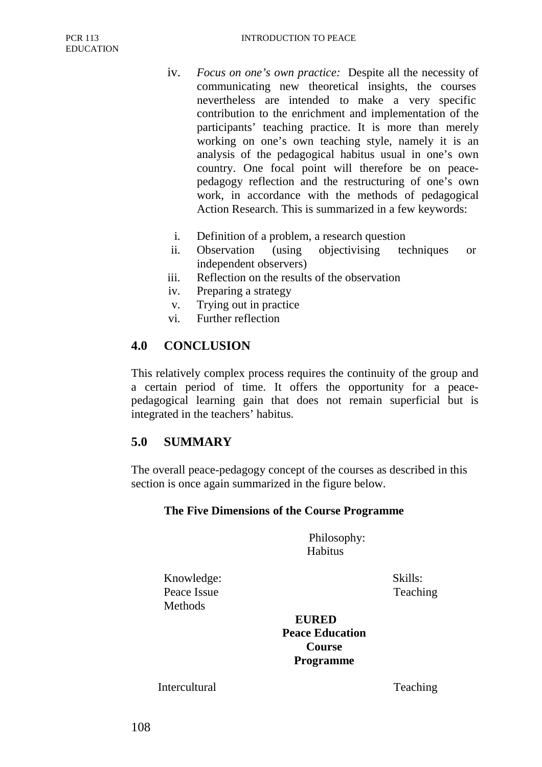- iv. *Focus on one's own practice:* Despite all the necessity of communicating new theoretical insights, the courses nevertheless are intended to make a very specific contribution to the enrichment and implementation of the participants' teaching practice. It is more than merely working on one's own teaching style, namely it is an analysis of the pedagogical habitus usual in one's own country. One focal point will therefore be on peacepedagogy reflection and the restructuring of one's own work, in accordance with the methods of pedagogical Action Research. This is summarized in a few keywords:
	- i. Definition of a problem, a research question
- ii. Observation (using objectivising techniques or independent observers)
- iii. Reflection on the results of the observation
- iv. Preparing a strategy
- v. Trying out in practice
- vi. Further reflection

#### **4.0 CONCLUSION**

This relatively complex process requires the continuity of the group and a certain period of time. It offers the opportunity for a peacepedagogical learning gain that does not remain superficial but is integrated in the teachers' habitus.

#### **5.0 SUMMARY**

The overall peace-pedagogy concept of the courses as described in this section is once again summarized in the figure below.

#### **The Five Dimensions of the Course Programme**

Philosophy: Habitus

Knowledge: Skills: Peace Issue Teaching **Methods** 

**EURED Peace Education Course Programme**

Intercultural Teaching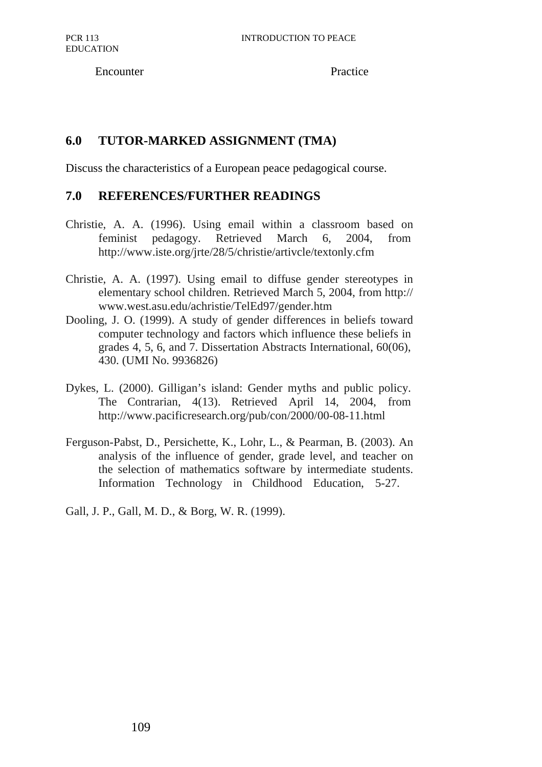Encounter Practice

### **6.0 TUTOR-MARKED ASSIGNMENT (TMA)**

Discuss the characteristics of a European peace pedagogical course.

#### **7.0 REFERENCES/FURTHER READINGS**

- Christie, A. A. (1996). Using email within a classroom based on feminist pedagogy. Retrieved March 6, 2004, from http://www.iste.org/jrte/28/5/christie/artivcle/textonly.cfm
- Christie, A. A. (1997). Using email to diffuse gender stereotypes in elementary school children. Retrieved March 5, 2004, from http:// www.west.asu.edu/achristie/TelEd97/gender.htm
- Dooling, J. O. (1999). A study of gender differences in beliefs toward computer technology and factors which influence these beliefs in grades 4, 5, 6, and 7. Dissertation Abstracts International, 60(06), 430. (UMI No. 9936826)
- Dykes, L. (2000). Gilligan's island: Gender myths and public policy. The Contrarian, 4(13). Retrieved April 14, 2004, from http://www.pacificresearch.org/pub/con/2000/00-08-11.html
- Ferguson-Pabst, D., Persichette, K., Lohr, L., & Pearman, B. (2003). An analysis of the influence of gender, grade level, and teacher on the selection of mathematics software by intermediate students. Information Technology in Childhood Education, 5-27.

Gall, J. P., Gall, M. D., & Borg, W. R. (1999).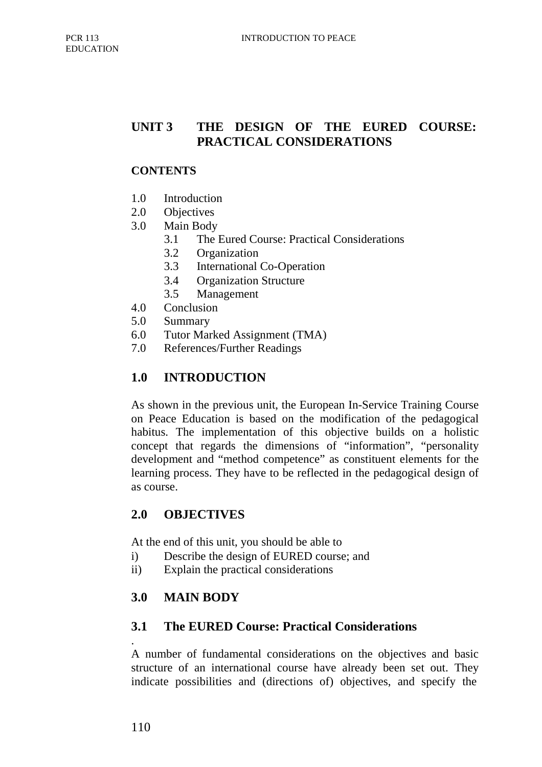# **UNIT 3 THE DESIGN OF THE EURED COURSE: PRACTICAL CONSIDERATIONS**

#### **CONTENTS**

- 1.0 Introduction
- 2.0 Objectives
- 3.0 Main Body
	- 3.1 The Eured Course: Practical Considerations
	- 3.2 Organization
	- 3.3 International Co-Operation
	- 3.4 Organization Structure
	- 3.5 Management
- 4.0 Conclusion
- 5.0 Summary
- 6.0 Tutor Marked Assignment (TMA)
- 7.0 References/Further Readings

## **1.0 INTRODUCTION**

As shown in the previous unit, the European In-Service Training Course on Peace Education is based on the modification of the pedagogical habitus. The implementation of this objective builds on a holistic concept that regards the dimensions of "information", "personality development and "method competence" as constituent elements for the learning process. They have to be reflected in the pedagogical design of as course.

## **2.0 OBJECTIVES**

At the end of this unit, you should be able to

- i) Describe the design of EURED course; and
- ii) Explain the practical considerations

## **3.0 MAIN BODY**

## **3.1 The EURED Course: Practical Considerations**

. A number of fundamental considerations on the objectives and basic structure of an international course have already been set out. They indicate possibilities and (directions of) objectives, and specify the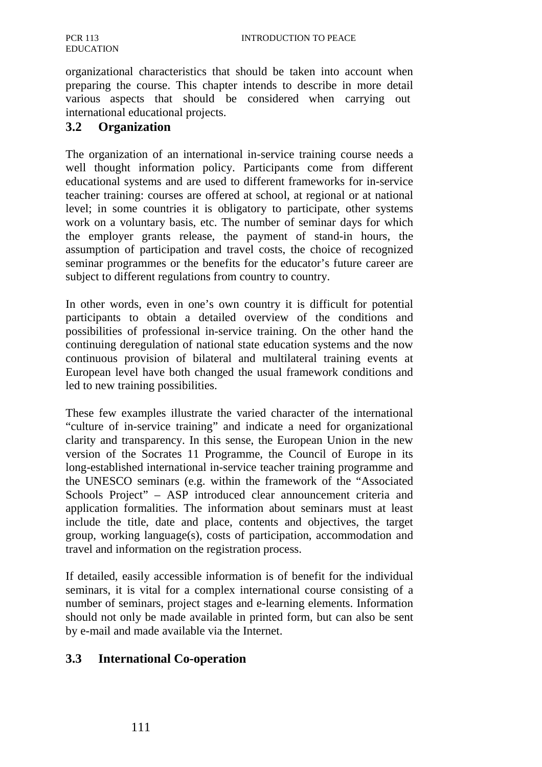organizational characteristics that should be taken into account when preparing the course. This chapter intends to describe in more detail various aspects that should be considered when carrying out international educational projects.

#### **3.2 Organization**

The organization of an international in-service training course needs a well thought information policy. Participants come from different educational systems and are used to different frameworks for in-service teacher training: courses are offered at school, at regional or at national level; in some countries it is obligatory to participate, other systems work on a voluntary basis, etc. The number of seminar days for which the employer grants release, the payment of stand-in hours, the assumption of participation and travel costs, the choice of recognized seminar programmes or the benefits for the educator's future career are subject to different regulations from country to country.

In other words, even in one's own country it is difficult for potential participants to obtain a detailed overview of the conditions and possibilities of professional in-service training. On the other hand the continuing deregulation of national state education systems and the now continuous provision of bilateral and multilateral training events at European level have both changed the usual framework conditions and led to new training possibilities.

These few examples illustrate the varied character of the international "culture of in-service training" and indicate a need for organizational clarity and transparency. In this sense, the European Union in the new version of the Socrates 11 Programme, the Council of Europe in its long-established international in-service teacher training programme and the UNESCO seminars (e.g. within the framework of the "Associated Schools Project" – ASP introduced clear announcement criteria and application formalities. The information about seminars must at least include the title, date and place, contents and objectives, the target group, working language(s), costs of participation, accommodation and travel and information on the registration process.

If detailed, easily accessible information is of benefit for the individual seminars, it is vital for a complex international course consisting of a number of seminars, project stages and e-learning elements. Information should not only be made available in printed form, but can also be sent by e-mail and made available via the Internet.

#### **3.3 International Co-operation**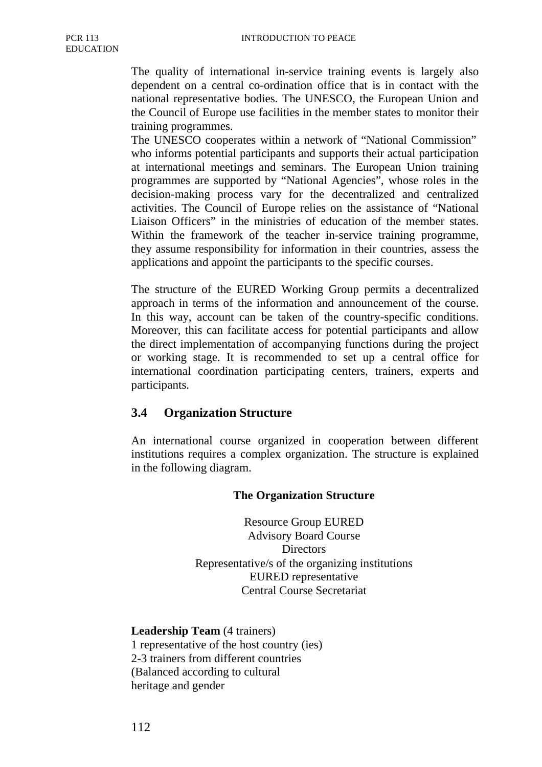The quality of international in-service training events is largely also dependent on a central co-ordination office that is in contact with the national representative bodies. The UNESCO, the European Union and the Council of Europe use facilities in the member states to monitor their training programmes.

The UNESCO cooperates within a network of "National Commission" who informs potential participants and supports their actual participation at international meetings and seminars. The European Union training programmes are supported by "National Agencies", whose roles in the decision-making process vary for the decentralized and centralized activities. The Council of Europe relies on the assistance of "National Liaison Officers" in the ministries of education of the member states. Within the framework of the teacher in-service training programme, they assume responsibility for information in their countries, assess the applications and appoint the participants to the specific courses.

The structure of the EURED Working Group permits a decentralized approach in terms of the information and announcement of the course. In this way, account can be taken of the country-specific conditions. Moreover, this can facilitate access for potential participants and allow the direct implementation of accompanying functions during the project or working stage. It is recommended to set up a central office for international coordination participating centers, trainers, experts and participants.

#### **3.4 Organization Structure**

An international course organized in cooperation between different institutions requires a complex organization. The structure is explained in the following diagram.

#### **The Organization Structure**

Resource Group EURED Advisory Board Course **Directors** Representative/s of the organizing institutions EURED representative Central Course Secretariat

**Leadership Team** (4 trainers) 1 representative of the host country (ies) 2-3 trainers from different countries (Balanced according to cultural heritage and gender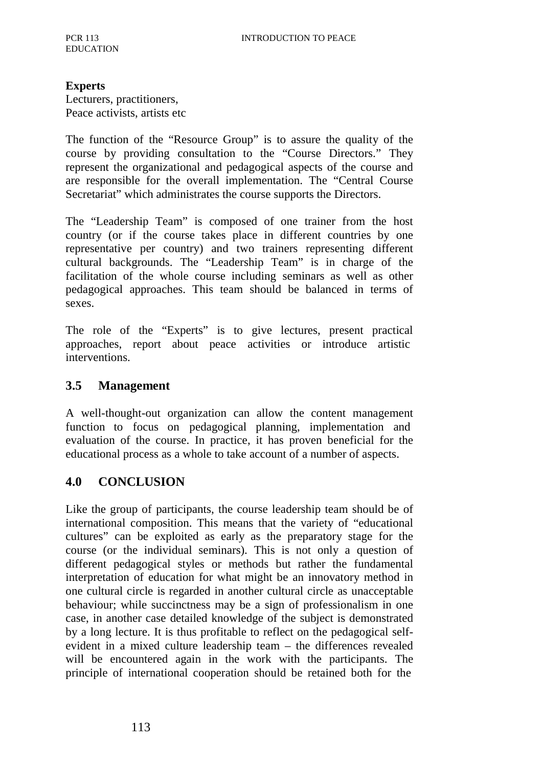#### **Experts**

Lecturers, practitioners, Peace activists, artists etc

The function of the "Resource Group" is to assure the quality of the course by providing consultation to the "Course Directors." They represent the organizational and pedagogical aspects of the course and are responsible for the overall implementation. The "Central Course Secretariat" which administrates the course supports the Directors.

The "Leadership Team" is composed of one trainer from the host country (or if the course takes place in different countries by one representative per country) and two trainers representing different cultural backgrounds. The "Leadership Team" is in charge of the facilitation of the whole course including seminars as well as other pedagogical approaches. This team should be balanced in terms of sexes.

The role of the "Experts" is to give lectures, present practical approaches, report about peace activities or introduce artistic interventions.

#### **3.5 Management**

A well-thought-out organization can allow the content management function to focus on pedagogical planning, implementation and evaluation of the course. In practice, it has proven beneficial for the educational process as a whole to take account of a number of aspects.

#### **4.0 CONCLUSION**

Like the group of participants, the course leadership team should be of international composition. This means that the variety of "educational cultures" can be exploited as early as the preparatory stage for the course (or the individual seminars). This is not only a question of different pedagogical styles or methods but rather the fundamental interpretation of education for what might be an innovatory method in one cultural circle is regarded in another cultural circle as unacceptable behaviour; while succinctness may be a sign of professionalism in one case, in another case detailed knowledge of the subject is demonstrated by a long lecture. It is thus profitable to reflect on the pedagogical selfevident in a mixed culture leadership team – the differences revealed will be encountered again in the work with the participants. The principle of international cooperation should be retained both for the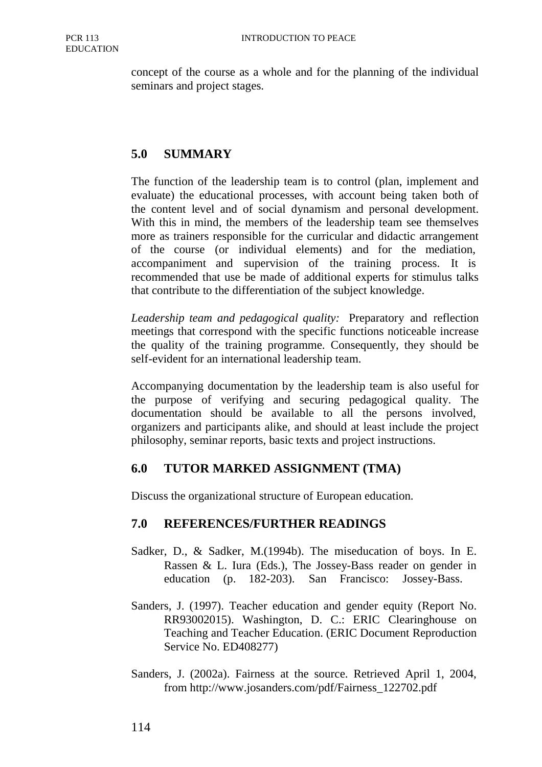concept of the course as a whole and for the planning of the individual seminars and project stages.

### **5.0 SUMMARY**

The function of the leadership team is to control (plan, implement and evaluate) the educational processes, with account being taken both of the content level and of social dynamism and personal development. With this in mind, the members of the leadership team see themselves more as trainers responsible for the curricular and didactic arrangement of the course (or individual elements) and for the mediation, accompaniment and supervision of the training process. It is recommended that use be made of additional experts for stimulus talks that contribute to the differentiation of the subject knowledge.

*Leadership team and pedagogical quality:* Preparatory and reflection meetings that correspond with the specific functions noticeable increase the quality of the training programme. Consequently, they should be self-evident for an international leadership team.

Accompanying documentation by the leadership team is also useful for the purpose of verifying and securing pedagogical quality. The documentation should be available to all the persons involved, organizers and participants alike, and should at least include the project philosophy, seminar reports, basic texts and project instructions.

#### **6.0 TUTOR MARKED ASSIGNMENT (TMA)**

Discuss the organizational structure of European education.

#### **7.0 REFERENCES/FURTHER READINGS**

- Sadker, D., & Sadker, M.(1994b). The miseducation of boys. In E. Rassen & L. Iura (Eds.), The Jossey-Bass reader on gender in education (p. 182-203). San Francisco: Jossey-Bass.
- Sanders, J. (1997). Teacher education and gender equity (Report No. RR93002015). Washington, D. C.: ERIC Clearinghouse on Teaching and Teacher Education. (ERIC Document Reproduction Service No. ED408277)
- Sanders, J. (2002a). Fairness at the source. Retrieved April 1, 2004, from http://www.josanders.com/pdf/Fairness\_122702.pdf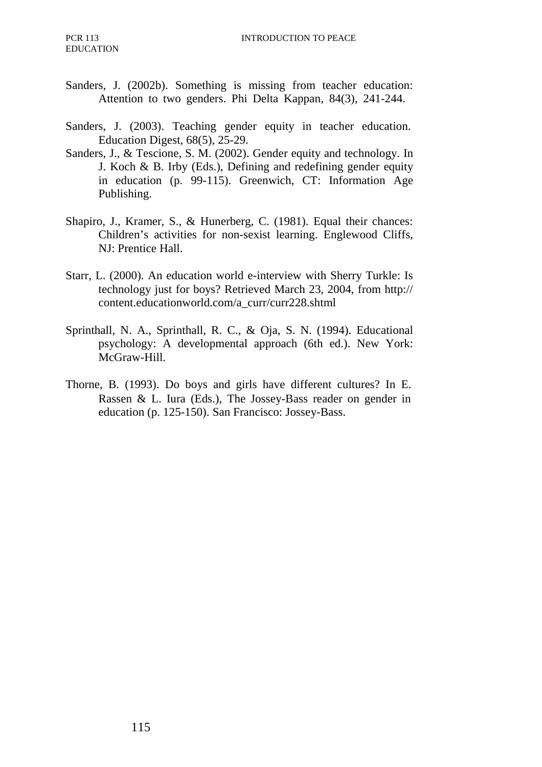- Sanders, J. (2002b). Something is missing from teacher education: Attention to two genders. Phi Delta Kappan, 84(3), 241-244.
- Sanders, J. (2003). Teaching gender equity in teacher education. Education Digest, 68(5), 25-29.
- Sanders, J., & Tescione, S. M. (2002). Gender equity and technology. In J. Koch & B. Irby (Eds.), Defining and redefining gender equity in education (p. 99-115). Greenwich, CT: Information Age Publishing.
- Shapiro, J., Kramer, S., & Hunerberg, C. (1981). Equal their chances: Children's activities for non-sexist learning. Englewood Cliffs, NJ: Prentice Hall.
- Starr, L. (2000). An education world e-interview with Sherry Turkle: Is technology just for boys? Retrieved March 23, 2004, from http:// content.educationworld.com/a\_curr/curr228.shtml
- Sprinthall, N. A., Sprinthall, R. C., & Oja, S. N. (1994). Educational psychology: A developmental approach (6th ed.). New York: McGraw-Hill.
- Thorne, B. (1993). Do boys and girls have different cultures? In E. Rassen & L. Iura (Eds.), The Jossey-Bass reader on gender in education (p. 125-150). San Francisco: Jossey-Bass.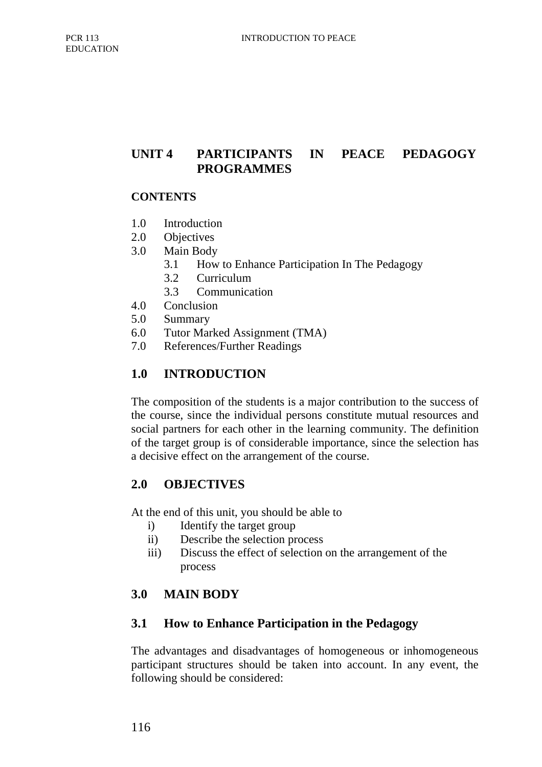## **UNIT 4 PARTICIPANTS IN PEACE PEDAGOGY PROGRAMMES**

#### **CONTENTS**

- 1.0 Introduction
- 2.0 Objectives
- 3.0 Main Body
	- 3.1 How to Enhance Participation In The Pedagogy
	- 3.2 Curriculum
	- 3.3 Communication
- 4.0 Conclusion
- 5.0 Summary
- 6.0 Tutor Marked Assignment (TMA)
- 7.0 References/Further Readings

### **1.0 INTRODUCTION**

The composition of the students is a major contribution to the success of the course, since the individual persons constitute mutual resources and social partners for each other in the learning community. The definition of the target group is of considerable importance, since the selection has a decisive effect on the arrangement of the course.

#### **2.0 OBJECTIVES**

At the end of this unit, you should be able to

- i) Identify the target group
- ii) Describe the selection process
- iii) Discuss the effect of selection on the arrangement of the process

## **3.0 MAIN BODY**

#### **3.1 How to Enhance Participation in the Pedagogy**

The advantages and disadvantages of homogeneous or inhomogeneous participant structures should be taken into account. In any event, the following should be considered: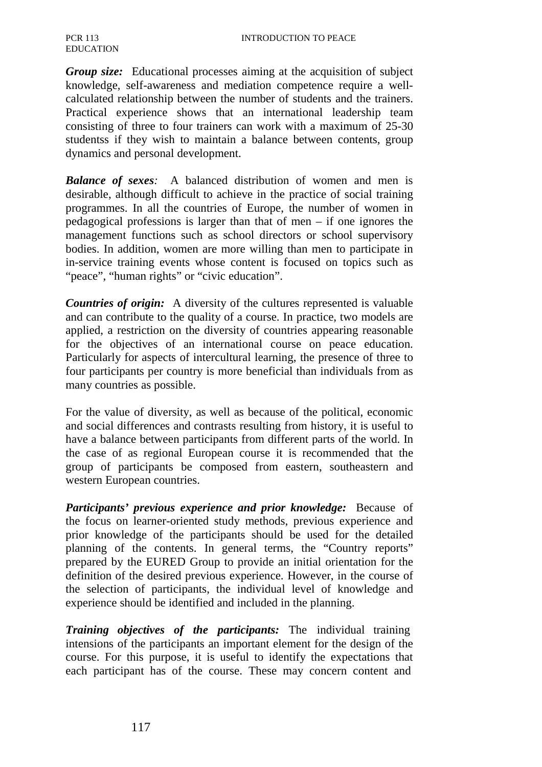*Group size:* Educational processes aiming at the acquisition of subject knowledge, self-awareness and mediation competence require a wellcalculated relationship between the number of students and the trainers. Practical experience shows that an international leadership team consisting of three to four trainers can work with a maximum of 25-30 studentss if they wish to maintain a balance between contents, group dynamics and personal development.

*Balance of sexes:* A balanced distribution of women and men is desirable, although difficult to achieve in the practice of social training programmes. In all the countries of Europe, the number of women in pedagogical professions is larger than that of men – if one ignores the management functions such as school directors or school supervisory bodies. In addition, women are more willing than men to participate in in-service training events whose content is focused on topics such as "peace", "human rights" or "civic education".

*Countries of origin:* A diversity of the cultures represented is valuable and can contribute to the quality of a course. In practice, two models are applied, a restriction on the diversity of countries appearing reasonable for the objectives of an international course on peace education. Particularly for aspects of intercultural learning, the presence of three to four participants per country is more beneficial than individuals from as many countries as possible.

For the value of diversity, as well as because of the political, economic and social differences and contrasts resulting from history, it is useful to have a balance between participants from different parts of the world. In the case of as regional European course it is recommended that the group of participants be composed from eastern, southeastern and western European countries.

*Participants' previous experience and prior knowledge:* Because of the focus on learner-oriented study methods, previous experience and prior knowledge of the participants should be used for the detailed planning of the contents. In general terms, the "Country reports" prepared by the EURED Group to provide an initial orientation for the definition of the desired previous experience. However, in the course of the selection of participants, the individual level of knowledge and experience should be identified and included in the planning.

*Training objectives of the participants:* The individual training intensions of the participants an important element for the design of the course. For this purpose, it is useful to identify the expectations that each participant has of the course. These may concern content and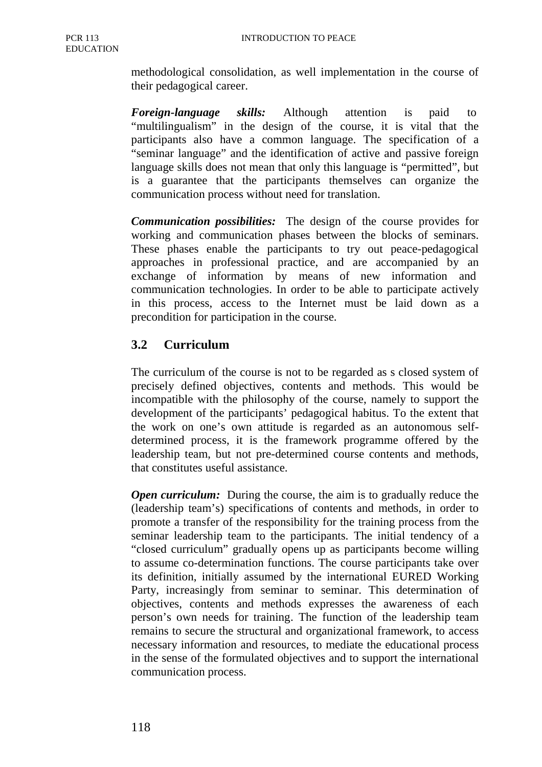methodological consolidation, as well implementation in the course of their pedagogical career.

*Foreign-language skills:* Although attention is paid to "multilingualism" in the design of the course, it is vital that the participants also have a common language. The specification of a "seminar language" and the identification of active and passive foreign language skills does not mean that only this language is "permitted", but is a guarantee that the participants themselves can organize the communication process without need for translation.

*Communication possibilities:* The design of the course provides for working and communication phases between the blocks of seminars. These phases enable the participants to try out peace-pedagogical approaches in professional practice, and are accompanied by an exchange of information by means of new information and communication technologies. In order to be able to participate actively in this process, access to the Internet must be laid down as a precondition for participation in the course.

## **3.2 Curriculum**

The curriculum of the course is not to be regarded as s closed system of precisely defined objectives, contents and methods. This would be incompatible with the philosophy of the course, namely to support the development of the participants' pedagogical habitus. To the extent that the work on one's own attitude is regarded as an autonomous selfdetermined process, it is the framework programme offered by the leadership team, but not pre-determined course contents and methods, that constitutes useful assistance.

*Open curriculum:* During the course, the aim is to gradually reduce the (leadership team's) specifications of contents and methods, in order to promote a transfer of the responsibility for the training process from the seminar leadership team to the participants. The initial tendency of a "closed curriculum" gradually opens up as participants become willing to assume co-determination functions. The course participants take over its definition, initially assumed by the international EURED Working Party, increasingly from seminar to seminar. This determination of objectives, contents and methods expresses the awareness of each person's own needs for training. The function of the leadership team remains to secure the structural and organizational framework, to access necessary information and resources, to mediate the educational process in the sense of the formulated objectives and to support the international communication process.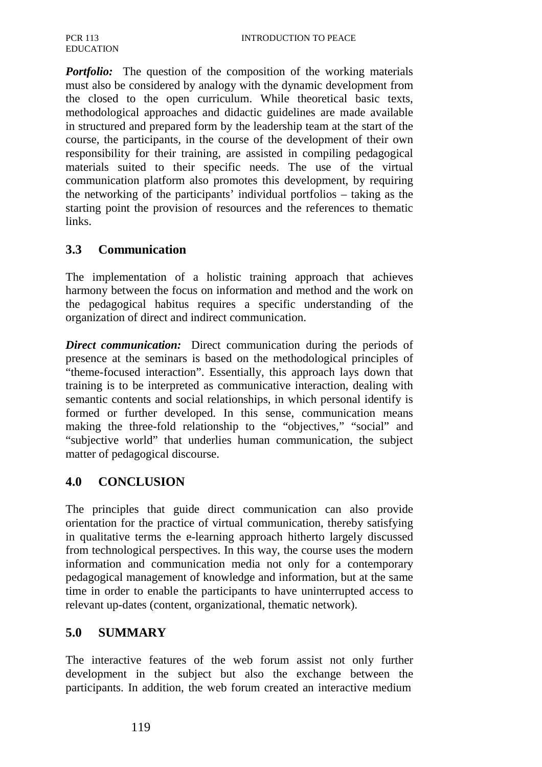*Portfolio:* The question of the composition of the working materials must also be considered by analogy with the dynamic development from the closed to the open curriculum. While theoretical basic texts, methodological approaches and didactic guidelines are made available in structured and prepared form by the leadership team at the start of the course, the participants, in the course of the development of their own responsibility for their training, are assisted in compiling pedagogical materials suited to their specific needs. The use of the virtual communication platform also promotes this development, by requiring the networking of the participants' individual portfolios – taking as the starting point the provision of resources and the references to thematic links.

## **3.3 Communication**

The implementation of a holistic training approach that achieves harmony between the focus on information and method and the work on the pedagogical habitus requires a specific understanding of the organization of direct and indirect communication.

*Direct communication:* Direct communication during the periods of presence at the seminars is based on the methodological principles of "theme-focused interaction". Essentially, this approach lays down that training is to be interpreted as communicative interaction, dealing with semantic contents and social relationships, in which personal identify is formed or further developed. In this sense, communication means making the three-fold relationship to the "objectives," "social" and "subjective world" that underlies human communication, the subject matter of pedagogical discourse.

#### **4.0 CONCLUSION**

The principles that guide direct communication can also provide orientation for the practice of virtual communication, thereby satisfying in qualitative terms the e-learning approach hitherto largely discussed from technological perspectives. In this way, the course uses the modern information and communication media not only for a contemporary pedagogical management of knowledge and information, but at the same time in order to enable the participants to have uninterrupted access to relevant up-dates (content, organizational, thematic network).

### **5.0 SUMMARY**

The interactive features of the web forum assist not only further development in the subject but also the exchange between the participants. In addition, the web forum created an interactive medium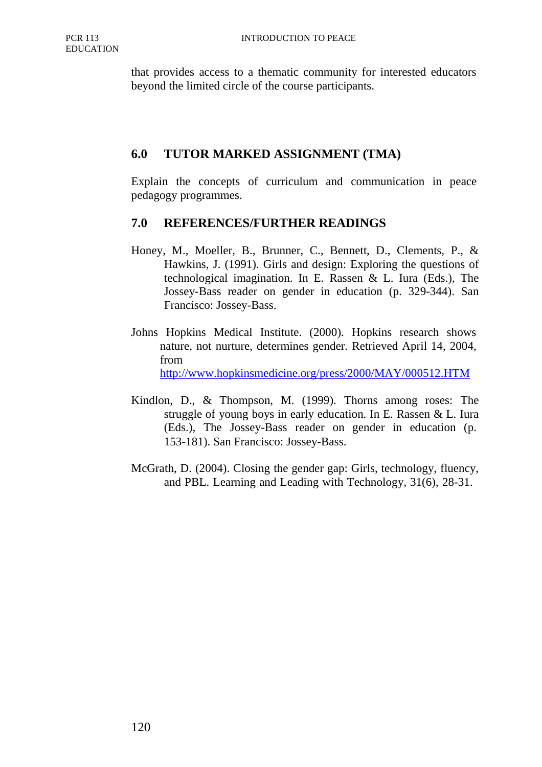that provides access to a thematic community for interested educators beyond the limited circle of the course participants.

#### **6.0 TUTOR MARKED ASSIGNMENT (TMA)**

Explain the concepts of curriculum and communication in peace pedagogy programmes.

#### **7.0 REFERENCES/FURTHER READINGS**

- Honey, M., Moeller, B., Brunner, C., Bennett, D., Clements, P., & Hawkins, J. (1991). Girls and design: Exploring the questions of technological imagination. In E. Rassen & L. Iura (Eds.), The Jossey-Bass reader on gender in education (p. 329-344). San Francisco: Jossey-Bass.
- Johns Hopkins Medical Institute. (2000). Hopkins research shows nature, not nurture, determines gender. Retrieved April 14, 2004, from http://www.hopkinsmedicine.org/press/2000/MAY/000512.HTM
- Kindlon, D., & Thompson, M. (1999). Thorns among roses: The struggle of young boys in early education. In E. Rassen & L. Iura (Eds.), The Jossey-Bass reader on gender in education (p. 153-181). San Francisco: Jossey-Bass.
- McGrath, D. (2004). Closing the gender gap: Girls, technology, fluency, and PBL. Learning and Leading with Technology, 31(6), 28-31.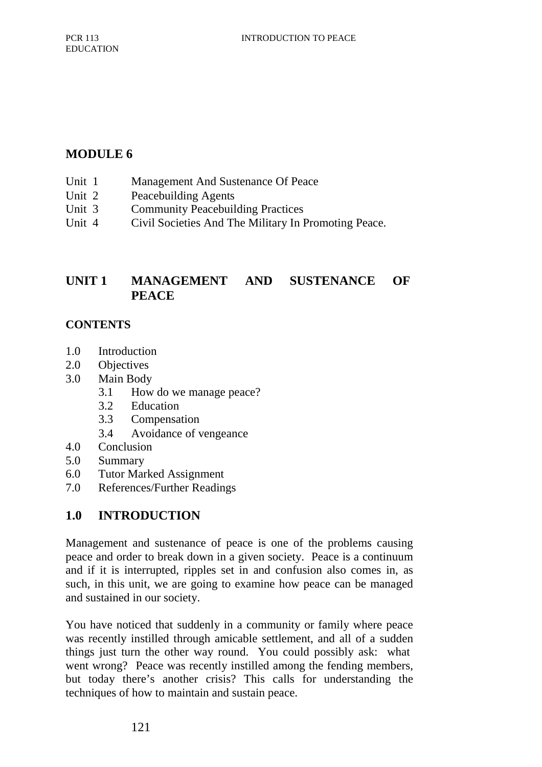# **MODULE 6**

- Unit 1 Management And Sustenance Of Peace
- Unit 2 Peacebuilding Agents
- Unit 3 Community Peacebuilding Practices
- Unit 4 Civil Societies And The Military In Promoting Peace.

## **UNIT 1 MANAGEMENT AND SUSTENANCE OF PEACE**

#### **CONTENTS**

- 1.0 Introduction
- 2.0 Objectives
- 3.0 Main Body
	- 3.1 How do we manage peace?
	- 3.2 Education
	- 3.3 Compensation
	- 3.4 Avoidance of vengeance
- 4.0 Conclusion
- 5.0 Summary
- 6.0 Tutor Marked Assignment
- 7.0 References/Further Readings

## **1.0 INTRODUCTION**

Management and sustenance of peace is one of the problems causing peace and order to break down in a given society. Peace is a continuum and if it is interrupted, ripples set in and confusion also comes in, as such, in this unit, we are going to examine how peace can be managed and sustained in our society.

You have noticed that suddenly in a community or family where peace was recently instilled through amicable settlement, and all of a sudden things just turn the other way round. You could possibly ask: what went wrong? Peace was recently instilled among the fending members, but today there's another crisis? This calls for understanding the techniques of how to maintain and sustain peace.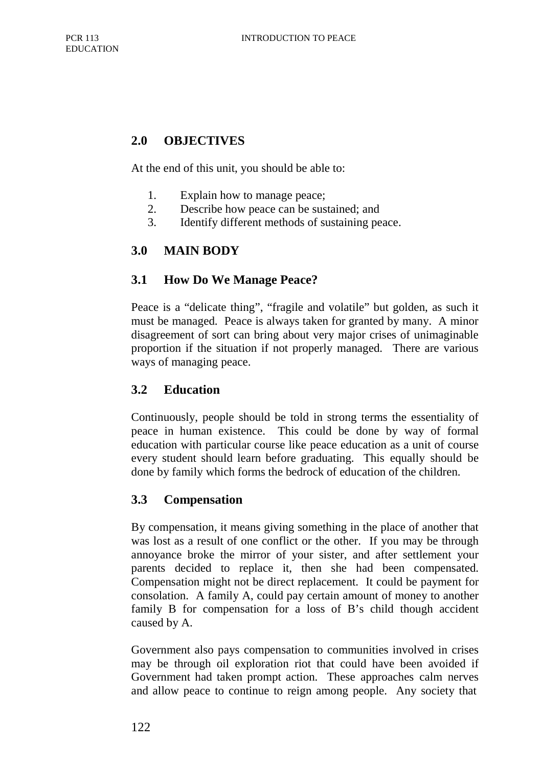## **2.0 OBJECTIVES**

At the end of this unit, you should be able to:

- 1. Explain how to manage peace;
- 2. Describe how peace can be sustained; and
- 3. Identify different methods of sustaining peace.

## **3.0 MAIN BODY**

#### **3.1 How Do We Manage Peace?**

Peace is a "delicate thing", "fragile and volatile" but golden, as such it must be managed. Peace is always taken for granted by many. A minor disagreement of sort can bring about very major crises of unimaginable proportion if the situation if not properly managed. There are various ways of managing peace.

#### **3.2 Education**

Continuously, people should be told in strong terms the essentiality of peace in human existence. This could be done by way of formal education with particular course like peace education as a unit of course every student should learn before graduating. This equally should be done by family which forms the bedrock of education of the children.

#### **3.3 Compensation**

By compensation, it means giving something in the place of another that was lost as a result of one conflict or the other. If you may be through annoyance broke the mirror of your sister, and after settlement your parents decided to replace it, then she had been compensated. Compensation might not be direct replacement. It could be payment for consolation. A family A, could pay certain amount of money to another family B for compensation for a loss of B's child though accident caused by A.

Government also pays compensation to communities involved in crises may be through oil exploration riot that could have been avoided if Government had taken prompt action. These approaches calm nerves and allow peace to continue to reign among people. Any society that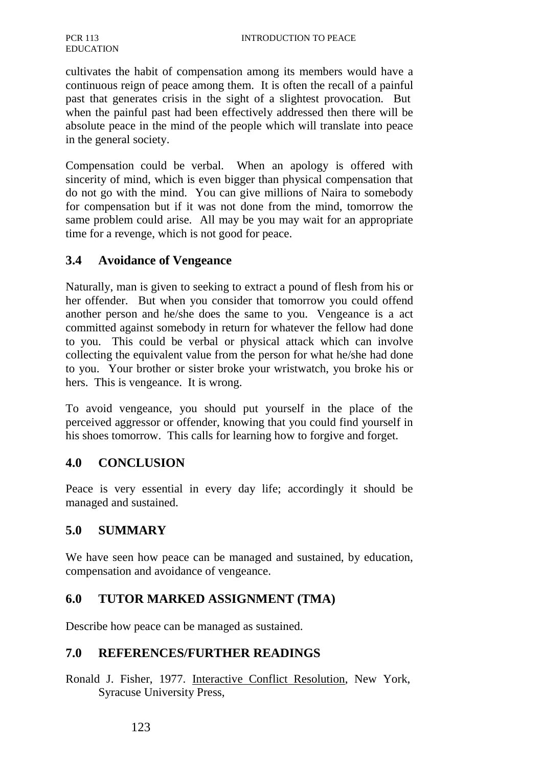cultivates the habit of compensation among its members would have a continuous reign of peace among them. It is often the recall of a painful past that generates crisis in the sight of a slightest provocation. But when the painful past had been effectively addressed then there will be absolute peace in the mind of the people which will translate into peace in the general society.

Compensation could be verbal. When an apology is offered with sincerity of mind, which is even bigger than physical compensation that do not go with the mind. You can give millions of Naira to somebody for compensation but if it was not done from the mind, tomorrow the same problem could arise. All may be you may wait for an appropriate time for a revenge, which is not good for peace.

#### **3.4 Avoidance of Vengeance**

Naturally, man is given to seeking to extract a pound of flesh from his or her offender. But when you consider that tomorrow you could offend another person and he/she does the same to you. Vengeance is a act committed against somebody in return for whatever the fellow had done to you. This could be verbal or physical attack which can involve collecting the equivalent value from the person for what he/she had done to you. Your brother or sister broke your wristwatch, you broke his or hers. This is vengeance. It is wrong.

To avoid vengeance, you should put yourself in the place of the perceived aggressor or offender, knowing that you could find yourself in his shoes tomorrow. This calls for learning how to forgive and forget.

#### **4.0 CONCLUSION**

Peace is very essential in every day life; accordingly it should be managed and sustained.

## **5.0 SUMMARY**

We have seen how peace can be managed and sustained, by education, compensation and avoidance of vengeance.

#### **6.0 TUTOR MARKED ASSIGNMENT (TMA)**

Describe how peace can be managed as sustained.

#### **7.0 REFERENCES/FURTHER READINGS**

Ronald J. Fisher, 1977. Interactive Conflict Resolution, New York, Syracuse University Press,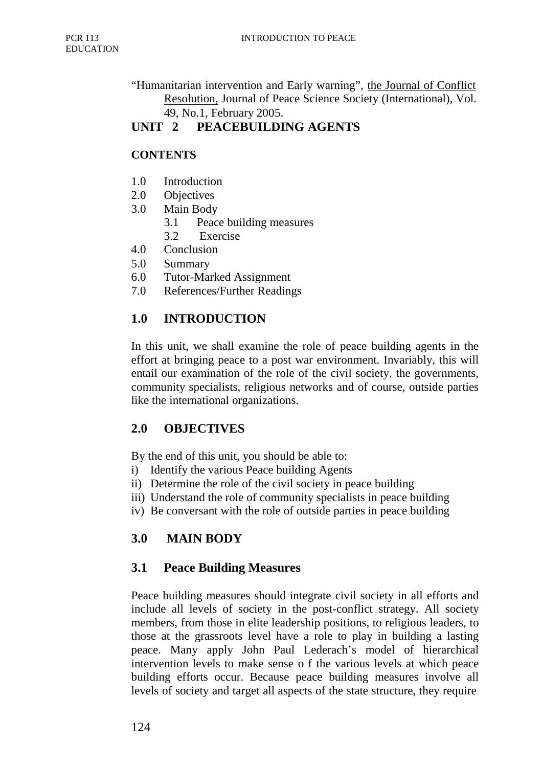"Humanitarian intervention and Early warning", the Journal of Conflict Resolution, Journal of Peace Science Society (International), Vol. 49, No.1, February 2005.

# **UNIT 2 PEACEBUILDING AGENTS**

### **CONTENTS**

- 1.0 Introduction
- 2.0 Objectives
- 3.0 Main Body
	- 3.1 Peace building measures
	- 3.2 Exercise
- 4.0 Conclusion
- 5.0 Summary
- 6.0 Tutor-Marked Assignment
- 7.0 References/Further Readings

## **1.0 INTRODUCTION**

In this unit, we shall examine the role of peace building agents in the effort at bringing peace to a post war environment. Invariably, this will entail our examination of the role of the civil society, the governments, community specialists, religious networks and of course, outside parties like the international organizations.

## **2.0 OBJECTIVES**

By the end of this unit, you should be able to:

- i) Identify the various Peace building Agents
- ii) Determine the role of the civil society in peace building
- iii) Understand the role of community specialists in peace building
- iv) Be conversant with the role of outside parties in peace building

# **3.0 MAIN BODY**

## **3.1 Peace Building Measures**

Peace building measures should integrate civil society in all efforts and include all levels of society in the post-conflict strategy. All society members, from those in elite leadership positions, to religious leaders, to those at the grassroots level have a role to play in building a lasting peace. Many apply John Paul Lederach's model of hierarchical intervention levels to make sense o f the various levels at which peace building efforts occur. Because peace building measures involve all levels of society and target all aspects of the state structure, they require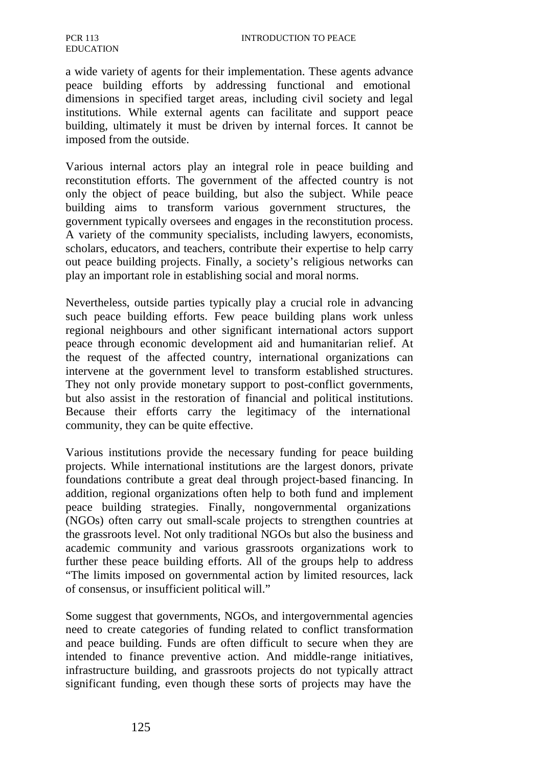a wide variety of agents for their implementation. These agents advance peace building efforts by addressing functional and emotional dimensions in specified target areas, including civil society and legal institutions. While external agents can facilitate and support peace building, ultimately it must be driven by internal forces. It cannot be imposed from the outside.

Various internal actors play an integral role in peace building and reconstitution efforts. The government of the affected country is not only the object of peace building, but also the subject. While peace building aims to transform various government structures, the government typically oversees and engages in the reconstitution process. A variety of the community specialists, including lawyers, economists, scholars, educators, and teachers, contribute their expertise to help carry out peace building projects. Finally, a society's religious networks can play an important role in establishing social and moral norms.

Nevertheless, outside parties typically play a crucial role in advancing such peace building efforts. Few peace building plans work unless regional neighbours and other significant international actors support peace through economic development aid and humanitarian relief. At the request of the affected country, international organizations can intervene at the government level to transform established structures. They not only provide monetary support to post-conflict governments, but also assist in the restoration of financial and political institutions. Because their efforts carry the legitimacy of the international community, they can be quite effective.

Various institutions provide the necessary funding for peace building projects. While international institutions are the largest donors, private foundations contribute a great deal through project-based financing. In addition, regional organizations often help to both fund and implement peace building strategies. Finally, nongovernmental organizations (NGOs) often carry out small-scale projects to strengthen countries at the grassroots level. Not only traditional NGOs but also the business and academic community and various grassroots organizations work to further these peace building efforts. All of the groups help to address "The limits imposed on governmental action by limited resources, lack of consensus, or insufficient political will."

Some suggest that governments, NGOs, and intergovernmental agencies need to create categories of funding related to conflict transformation and peace building. Funds are often difficult to secure when they are intended to finance preventive action. And middle-range initiatives, infrastructure building, and grassroots projects do not typically attract significant funding, even though these sorts of projects may have the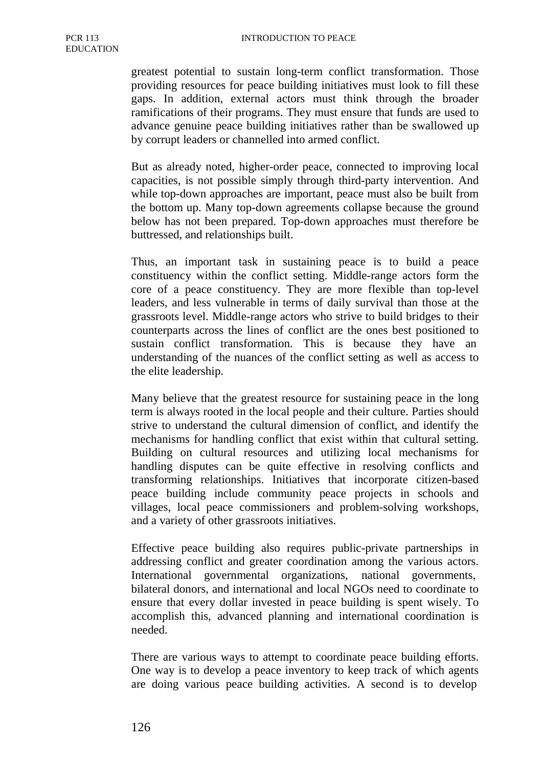greatest potential to sustain long-term conflict transformation. Those providing resources for peace building initiatives must look to fill these gaps. In addition, external actors must think through the broader ramifications of their programs. They must ensure that funds are used to advance genuine peace building initiatives rather than be swallowed up by corrupt leaders or channelled into armed conflict.

But as already noted, higher-order peace, connected to improving local capacities, is not possible simply through third-party intervention. And while top-down approaches are important, peace must also be built from the bottom up. Many top-down agreements collapse because the ground below has not been prepared. Top-down approaches must therefore be buttressed, and relationships built.

Thus, an important task in sustaining peace is to build a peace constituency within the conflict setting. Middle-range actors form the core of a peace constituency. They are more flexible than top-level leaders, and less vulnerable in terms of daily survival than those at the grassroots level. Middle-range actors who strive to build bridges to their counterparts across the lines of conflict are the ones best positioned to sustain conflict transformation. This is because they have an understanding of the nuances of the conflict setting as well as access to the elite leadership.

Many believe that the greatest resource for sustaining peace in the long term is always rooted in the local people and their culture. Parties should strive to understand the cultural dimension of conflict, and identify the mechanisms for handling conflict that exist within that cultural setting. Building on cultural resources and utilizing local mechanisms for handling disputes can be quite effective in resolving conflicts and transforming relationships. Initiatives that incorporate citizen-based peace building include community peace projects in schools and villages, local peace commissioners and problem-solving workshops, and a variety of other grassroots initiatives.

Effective peace building also requires public-private partnerships in addressing conflict and greater coordination among the various actors. International governmental organizations, national governments, bilateral donors, and international and local NGOs need to coordinate to ensure that every dollar invested in peace building is spent wisely. To accomplish this, advanced planning and international coordination is needed.

There are various ways to attempt to coordinate peace building efforts. One way is to develop a peace inventory to keep track of which agents are doing various peace building activities. A second is to develop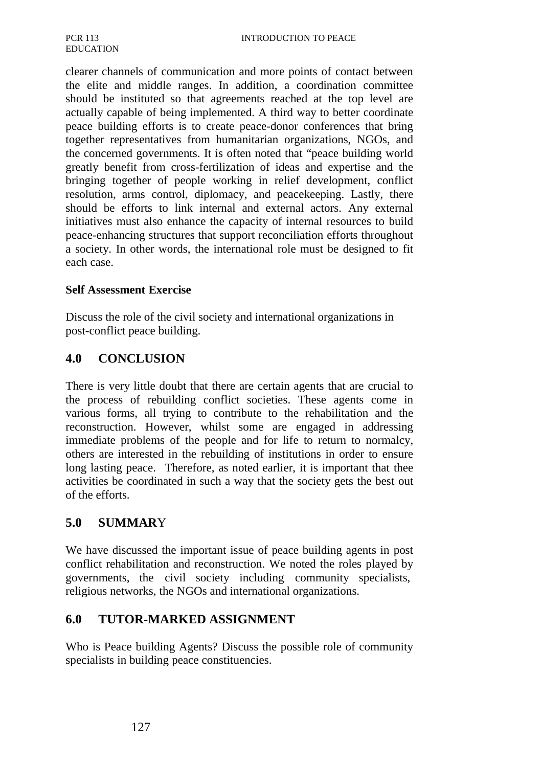clearer channels of communication and more points of contact between the elite and middle ranges. In addition, a coordination committee should be instituted so that agreements reached at the top level are actually capable of being implemented. A third way to better coordinate peace building efforts is to create peace-donor conferences that bring together representatives from humanitarian organizations, NGOs, and the concerned governments. It is often noted that "peace building world greatly benefit from cross-fertilization of ideas and expertise and the bringing together of people working in relief development, conflict resolution, arms control, diplomacy, and peacekeeping. Lastly, there should be efforts to link internal and external actors. Any external initiatives must also enhance the capacity of internal resources to build peace-enhancing structures that support reconciliation efforts throughout a society. In other words, the international role must be designed to fit each case.

#### **Self Assessment Exercise**

Discuss the role of the civil society and international organizations in post-conflict peace building.

### **4.0 CONCLUSION**

There is very little doubt that there are certain agents that are crucial to the process of rebuilding conflict societies. These agents come in various forms, all trying to contribute to the rehabilitation and the reconstruction. However, whilst some are engaged in addressing immediate problems of the people and for life to return to normalcy, others are interested in the rebuilding of institutions in order to ensure long lasting peace. Therefore, as noted earlier, it is important that thee activities be coordinated in such a way that the society gets the best out of the efforts.

### **5.0 SUMMAR**Y

We have discussed the important issue of peace building agents in post conflict rehabilitation and reconstruction. We noted the roles played by governments, the civil society including community specialists, religious networks, the NGOs and international organizations.

## **6.0 TUTOR-MARKED ASSIGNMENT**

Who is Peace building Agents? Discuss the possible role of community specialists in building peace constituencies.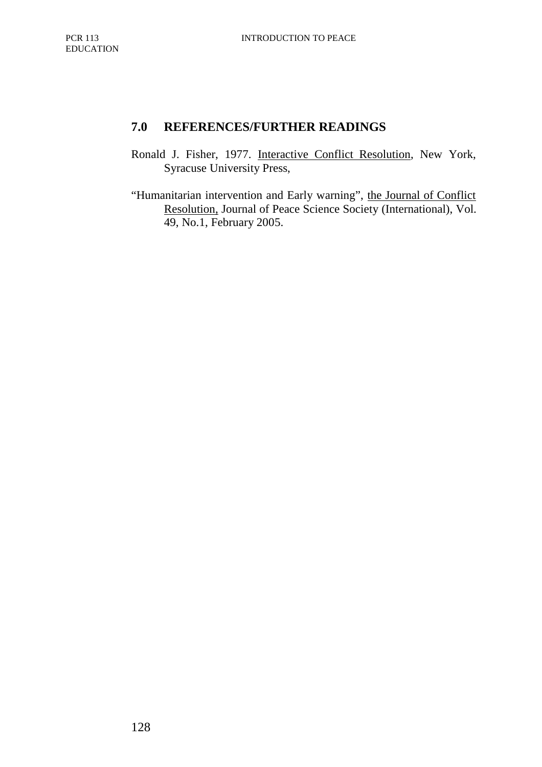# **7.0 REFERENCES/FURTHER READINGS**

- Ronald J. Fisher, 1977. Interactive Conflict Resolution, New York, Syracuse University Press,
- "Humanitarian intervention and Early warning", the Journal of Conflict Resolution, Journal of Peace Science Society (International), Vol. 49, No.1, February 2005.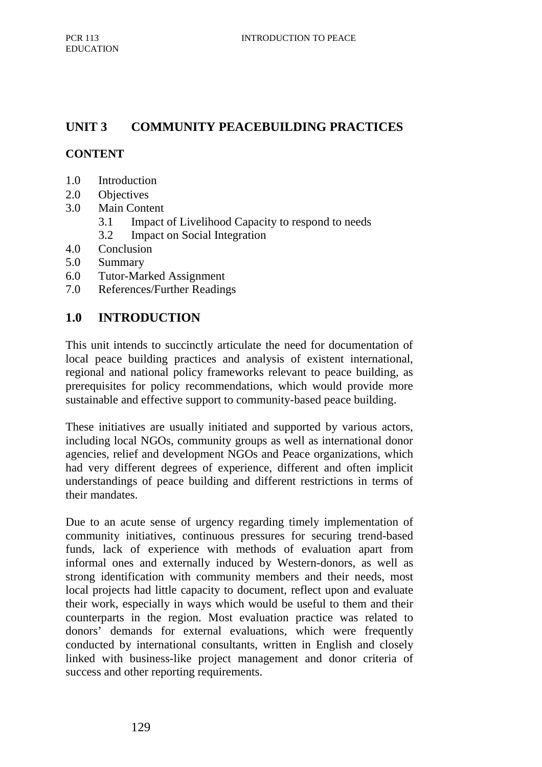## **UNIT 3 COMMUNITY PEACEBUILDING PRACTICES**

### **CONTENT**

- 1.0 Introduction
- 2.0 Objectives
- 3.0 Main Content
	- 3.1 Impact of Livelihood Capacity to respond to needs
	- 3.2 Impact on Social Integration
- 4.0 Conclusion
- 5.0 Summary
- 6.0 Tutor-Marked Assignment
- 7.0 References/Further Readings

### **1.0 INTRODUCTION**

This unit intends to succinctly articulate the need for documentation of local peace building practices and analysis of existent international, regional and national policy frameworks relevant to peace building, as prerequisites for policy recommendations, which would provide more sustainable and effective support to community-based peace building.

These initiatives are usually initiated and supported by various actors, including local NGOs, community groups as well as international donor agencies, relief and development NGOs and Peace organizations, which had very different degrees of experience, different and often implicit understandings of peace building and different restrictions in terms of their mandates.

Due to an acute sense of urgency regarding timely implementation of community initiatives, continuous pressures for securing trend-based funds, lack of experience with methods of evaluation apart from informal ones and externally induced by Western-donors, as well as strong identification with community members and their needs, most local projects had little capacity to document, reflect upon and evaluate their work, especially in ways which would be useful to them and their counterparts in the region. Most evaluation practice was related to donors' demands for external evaluations, which were frequently conducted by international consultants, written in English and closely linked with business-like project management and donor criteria of success and other reporting requirements.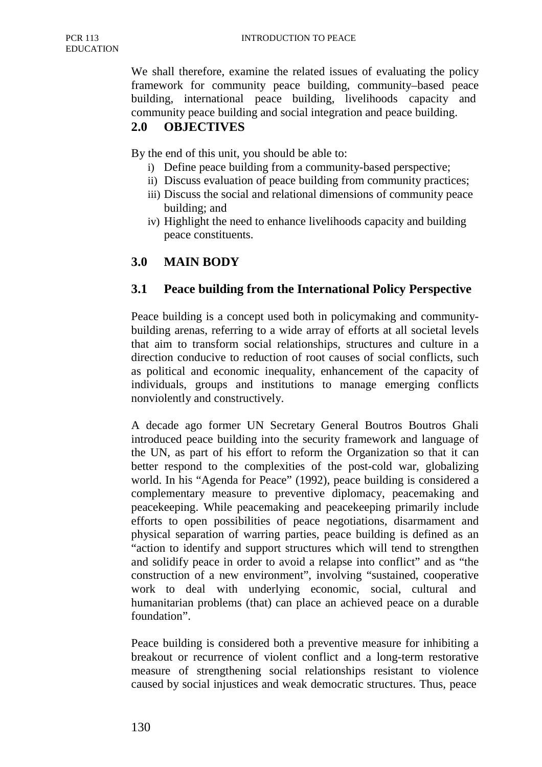We shall therefore, examine the related issues of evaluating the policy framework for community peace building, community–based peace building, international peace building, livelihoods capacity and community peace building and social integration and peace building.

## **2.0 OBJECTIVES**

By the end of this unit, you should be able to:

- i) Define peace building from a community-based perspective;
- ii) Discuss evaluation of peace building from community practices;
- iii) Discuss the social and relational dimensions of community peace building; and
- iv) Highlight the need to enhance livelihoods capacity and building peace constituents.

## **3.0 MAIN BODY**

## **3.1 Peace building from the International Policy Perspective**

Peace building is a concept used both in policymaking and communitybuilding arenas, referring to a wide array of efforts at all societal levels that aim to transform social relationships, structures and culture in a direction conducive to reduction of root causes of social conflicts, such as political and economic inequality, enhancement of the capacity of individuals, groups and institutions to manage emerging conflicts nonviolently and constructively.

A decade ago former UN Secretary General Boutros Boutros Ghali introduced peace building into the security framework and language of the UN, as part of his effort to reform the Organization so that it can better respond to the complexities of the post-cold war, globalizing world. In his "Agenda for Peace" (1992), peace building is considered a complementary measure to preventive diplomacy, peacemaking and peacekeeping. While peacemaking and peacekeeping primarily include efforts to open possibilities of peace negotiations, disarmament and physical separation of warring parties, peace building is defined as an "action to identify and support structures which will tend to strengthen and solidify peace in order to avoid a relapse into conflict" and as "the construction of a new environment", involving "sustained, cooperative work to deal with underlying economic, social, cultural and humanitarian problems (that) can place an achieved peace on a durable foundation".

Peace building is considered both a preventive measure for inhibiting a breakout or recurrence of violent conflict and a long-term restorative measure of strengthening social relationships resistant to violence caused by social injustices and weak democratic structures. Thus, peace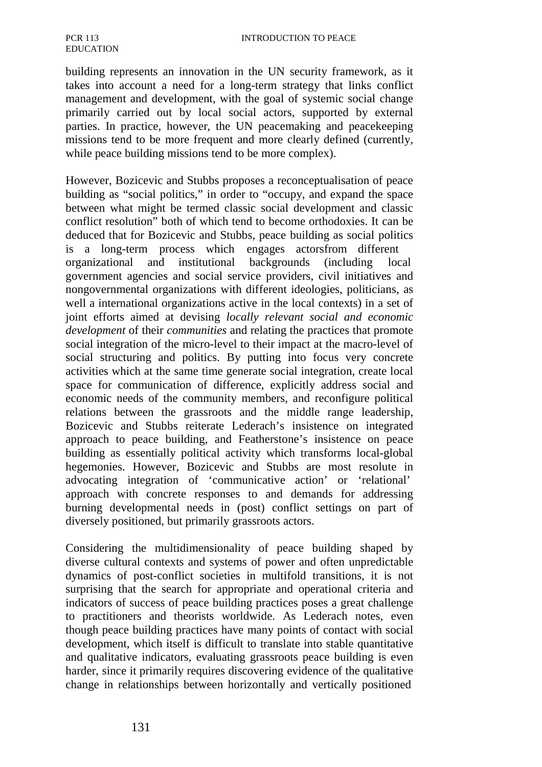building represents an innovation in the UN security framework, as it takes into account a need for a long-term strategy that links conflict management and development, with the goal of systemic social change primarily carried out by local social actors, supported by external parties. In practice, however, the UN peacemaking and peacekeeping missions tend to be more frequent and more clearly defined (currently, while peace building missions tend to be more complex).

However, Bozicevic and Stubbs proposes a reconceptualisation of peace building as "social politics," in order to "occupy, and expand the space between what might be termed classic social development and classic conflict resolution" both of which tend to become orthodoxies. It can be deduced that for Bozicevic and Stubbs, peace building as social politics is a long-term process which engages actorsfrom different organizational and institutional backgrounds (including local government agencies and social service providers, civil initiatives and nongovernmental organizations with different ideologies, politicians, as well a international organizations active in the local contexts) in a set of joint efforts aimed at devising *locally relevant social and economic development* of their *communities* and relating the practices that promote social integration of the micro-level to their impact at the macro-level of social structuring and politics. By putting into focus very concrete activities which at the same time generate social integration, create local space for communication of difference, explicitly address social and economic needs of the community members, and reconfigure political relations between the grassroots and the middle range leadership, Bozicevic and Stubbs reiterate Lederach's insistence on integrated approach to peace building, and Featherstone's insistence on peace building as essentially political activity which transforms local-global hegemonies. However, Bozicevic and Stubbs are most resolute in advocating integration of 'communicative action' or 'relational' approach with concrete responses to and demands for addressing burning developmental needs in (post) conflict settings on part of diversely positioned, but primarily grassroots actors.

Considering the multidimensionality of peace building shaped by diverse cultural contexts and systems of power and often unpredictable dynamics of post-conflict societies in multifold transitions, it is not surprising that the search for appropriate and operational criteria and indicators of success of peace building practices poses a great challenge to practitioners and theorists worldwide. As Lederach notes, even though peace building practices have many points of contact with social development, which itself is difficult to translate into stable quantitative and qualitative indicators, evaluating grassroots peace building is even harder, since it primarily requires discovering evidence of the qualitative change in relationships between horizontally and vertically positioned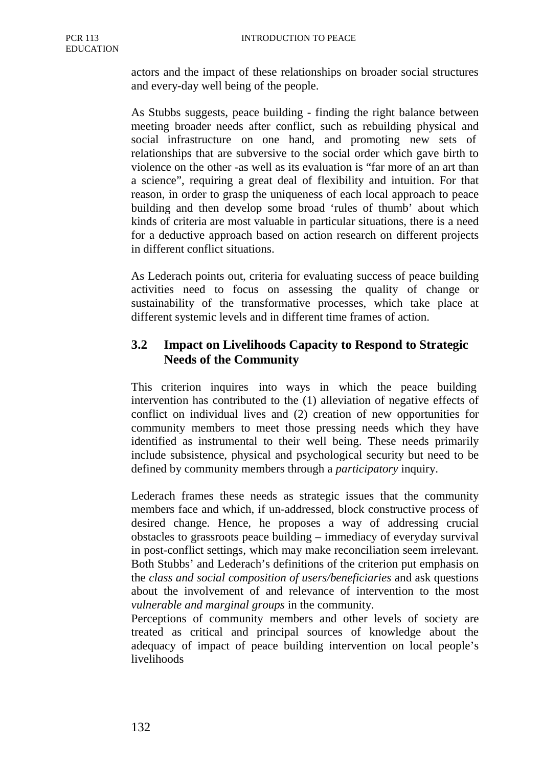actors and the impact of these relationships on broader social structures and every-day well being of the people.

As Stubbs suggests, peace building - finding the right balance between meeting broader needs after conflict, such as rebuilding physical and social infrastructure on one hand, and promoting new sets of relationships that are subversive to the social order which gave birth to violence on the other -as well as its evaluation is "far more of an art than a science", requiring a great deal of flexibility and intuition. For that reason, in order to grasp the uniqueness of each local approach to peace building and then develop some broad 'rules of thumb' about which kinds of criteria are most valuable in particular situations, there is a need for a deductive approach based on action research on different projects in different conflict situations.

As Lederach points out, criteria for evaluating success of peace building activities need to focus on assessing the quality of change or sustainability of the transformative processes, which take place at different systemic levels and in different time frames of action.

## **3.2 Impact on Livelihoods Capacity to Respond to Strategic Needs of the Community**

This criterion inquires into ways in which the peace building intervention has contributed to the (1) alleviation of negative effects of conflict on individual lives and (2) creation of new opportunities for community members to meet those pressing needs which they have identified as instrumental to their well being. These needs primarily include subsistence, physical and psychological security but need to be defined by community members through a *participatory* inquiry.

Lederach frames these needs as strategic issues that the community members face and which, if un-addressed, block constructive process of desired change. Hence, he proposes a way of addressing crucial obstacles to grassroots peace building – immediacy of everyday survival in post-conflict settings, which may make reconciliation seem irrelevant. Both Stubbs' and Lederach's definitions of the criterion put emphasis on the *class and social composition of users/beneficiaries* and ask questions about the involvement of and relevance of intervention to the most *vulnerable and marginal groups* in the community.

Perceptions of community members and other levels of society are treated as critical and principal sources of knowledge about the adequacy of impact of peace building intervention on local people's livelihoods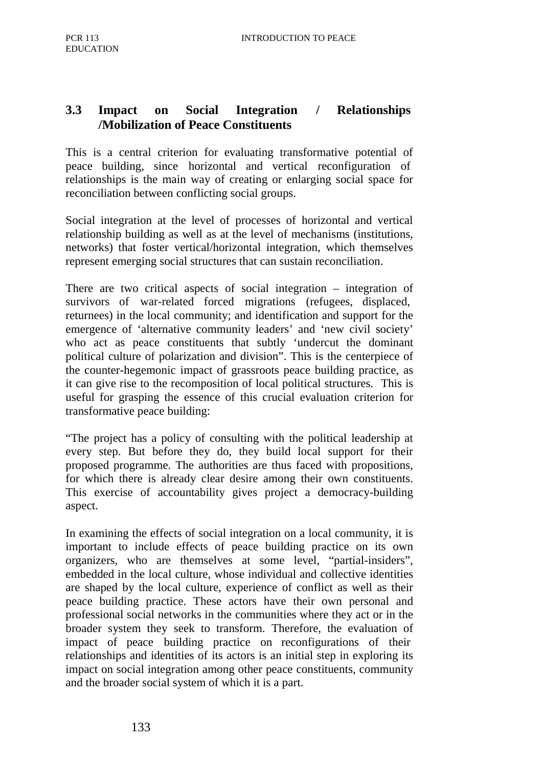## **3.3 Impact on Social Integration / Relationships /Mobilization of Peace Constituents**

This is a central criterion for evaluating transformative potential of peace building, since horizontal and vertical reconfiguration of relationships is the main way of creating or enlarging social space for reconciliation between conflicting social groups.

Social integration at the level of processes of horizontal and vertical relationship building as well as at the level of mechanisms (institutions, networks) that foster vertical/horizontal integration, which themselves represent emerging social structures that can sustain reconciliation.

There are two critical aspects of social integration – integration of survivors of war-related forced migrations (refugees, displaced, returnees) in the local community; and identification and support for the emergence of 'alternative community leaders' and 'new civil society' who act as peace constituents that subtly 'undercut the dominant political culture of polarization and division". This is the centerpiece of the counter-hegemonic impact of grassroots peace building practice, as it can give rise to the recomposition of local political structures. This is useful for grasping the essence of this crucial evaluation criterion for transformative peace building:

"The project has a policy of consulting with the political leadership at every step. But before they do, they build local support for their proposed programme. The authorities are thus faced with propositions, for which there is already clear desire among their own constituents. This exercise of accountability gives project a democracy-building aspect.

In examining the effects of social integration on a local community, it is important to include effects of peace building practice on its own organizers, who are themselves at some level, "partial-insiders", embedded in the local culture, whose individual and collective identities are shaped by the local culture, experience of conflict as well as their peace building practice. These actors have their own personal and professional social networks in the communities where they act or in the broader system they seek to transform. Therefore, the evaluation of impact of peace building practice on reconfigurations of their relationships and identities of its actors is an initial step in exploring its impact on social integration among other peace constituents, community and the broader social system of which it is a part.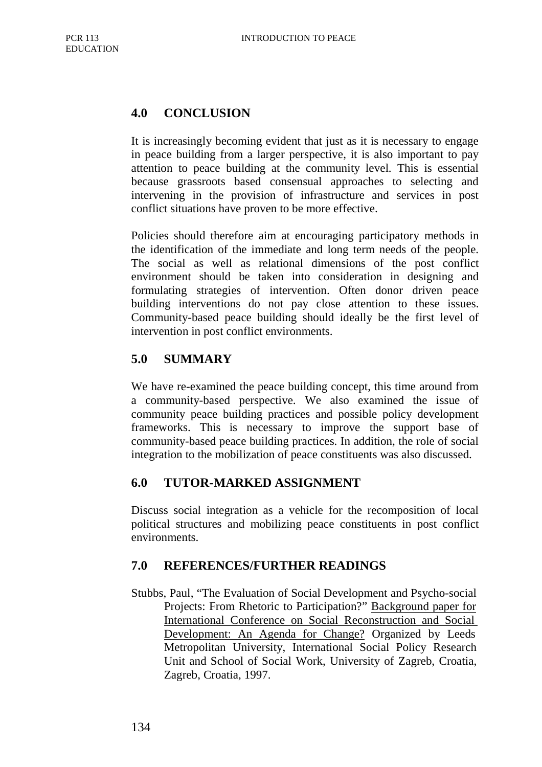# **4.0 CONCLUSION**

It is increasingly becoming evident that just as it is necessary to engage in peace building from a larger perspective, it is also important to pay attention to peace building at the community level. This is essential because grassroots based consensual approaches to selecting and intervening in the provision of infrastructure and services in post conflict situations have proven to be more effective.

Policies should therefore aim at encouraging participatory methods in the identification of the immediate and long term needs of the people. The social as well as relational dimensions of the post conflict environment should be taken into consideration in designing and formulating strategies of intervention. Often donor driven peace building interventions do not pay close attention to these issues. Community-based peace building should ideally be the first level of intervention in post conflict environments.

## **5.0 SUMMARY**

We have re-examined the peace building concept, this time around from a community-based perspective. We also examined the issue of community peace building practices and possible policy development frameworks. This is necessary to improve the support base of community-based peace building practices. In addition, the role of social integration to the mobilization of peace constituents was also discussed.

## **6.0 TUTOR-MARKED ASSIGNMENT**

Discuss social integration as a vehicle for the recomposition of local political structures and mobilizing peace constituents in post conflict environments.

## **7.0 REFERENCES/FURTHER READINGS**

Stubbs, Paul, "The Evaluation of Social Development and Psycho-social Projects: From Rhetoric to Participation?" Background paper for International Conference on Social Reconstruction and Social Development: An Agenda for Change? Organized by Leeds Metropolitan University, International Social Policy Research Unit and School of Social Work, University of Zagreb, Croatia, Zagreb, Croatia, 1997.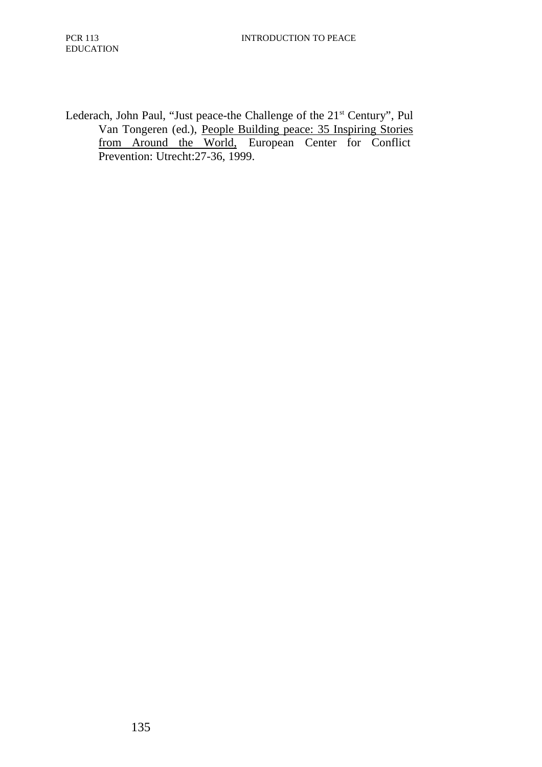Lederach, John Paul, "Just peace-the Challenge of the 21<sup>st</sup> Century", Pul Van Tongeren (ed.), People Building peace: 35 Inspiring Stories from Around the World, European Center for Conflict Prevention: Utrecht:27-36, 1999.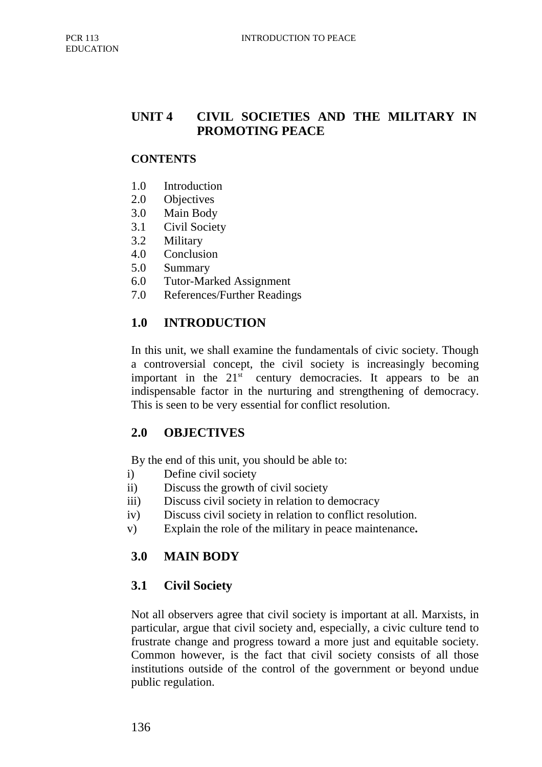## **UNIT 4 CIVIL SOCIETIES AND THE MILITARY IN PROMOTING PEACE**

### **CONTENTS**

- 1.0 Introduction
- 2.0 Objectives
- 3.0 Main Body
- 3.1 Civil Society
- 3.2 Military
- 4.0 Conclusion
- 5.0 Summary
- 6.0 Tutor-Marked Assignment
- 7.0 References/Further Readings

## **1.0 INTRODUCTION**

In this unit, we shall examine the fundamentals of civic society. Though a controversial concept, the civil society is increasingly becoming important in the  $21<sup>st</sup>$  century democracies. It appears to be an indispensable factor in the nurturing and strengthening of democracy. This is seen to be very essential for conflict resolution.

## **2.0 OBJECTIVES**

By the end of this unit, you should be able to:

- i) Define civil society
- ii) Discuss the growth of civil society
- iii) Discuss civil society in relation to democracy
- iv) Discuss civil society in relation to conflict resolution.
- v) Explain the role of the military in peace maintenance**.**

## **3.0 MAIN BODY**

### **3.1 Civil Society**

Not all observers agree that civil society is important at all. Marxists, in particular, argue that civil society and, especially, a civic culture tend to frustrate change and progress toward a more just and equitable society. Common however, is the fact that civil society consists of all those institutions outside of the control of the government or beyond undue public regulation.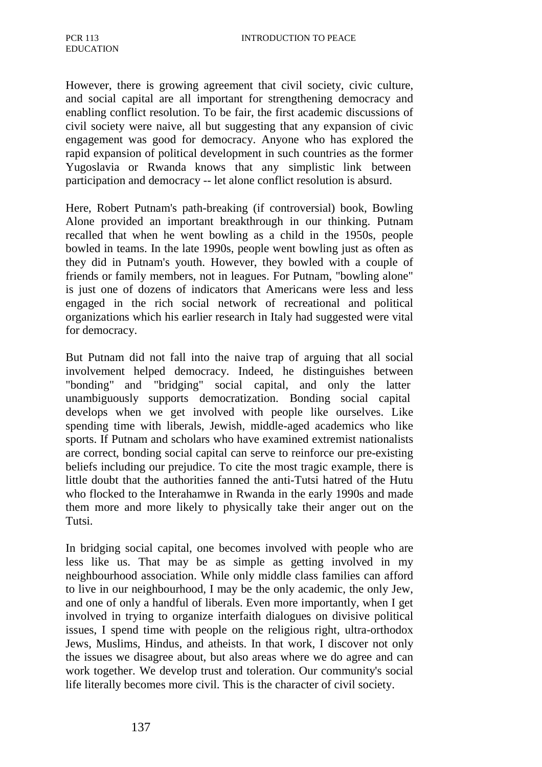However, there is growing agreement that civil society, civic culture, and social capital are all important for strengthening democracy and enabling conflict resolution. To be fair, the first academic discussions of civil society were naive, all but suggesting that any expansion of civic engagement was good for democracy. Anyone who has explored the rapid expansion of political development in such countries as the former Yugoslavia or Rwanda knows that any simplistic link between participation and democracy -- let alone conflict resolution is absurd.

Here, Robert Putnam's path-breaking (if controversial) book, Bowling Alone provided an important breakthrough in our thinking. Putnam recalled that when he went bowling as a child in the 1950s, people bowled in teams. In the late 1990s, people went bowling just as often as they did in Putnam's youth. However, they bowled with a couple of friends or family members, not in leagues. For Putnam, "bowling alone" is just one of dozens of indicators that Americans were less and less engaged in the rich social network of recreational and political organizations which his earlier research in Italy had suggested were vital for democracy.

But Putnam did not fall into the naive trap of arguing that all social involvement helped democracy. Indeed, he distinguishes between "bonding" and "bridging" social capital, and only the latter unambiguously supports democratization. Bonding social capital develops when we get involved with people like ourselves. Like spending time with liberals, Jewish, middle-aged academics who like sports. If Putnam and scholars who have examined extremist nationalists are correct, bonding social capital can serve to reinforce our pre-existing beliefs including our prejudice. To cite the most tragic example, there is little doubt that the authorities fanned the anti-Tutsi hatred of the Hutu who flocked to the Interahamwe in Rwanda in the early 1990s and made them more and more likely to physically take their anger out on the Tutsi.

In bridging social capital, one becomes involved with people who are less like us. That may be as simple as getting involved in my neighbourhood association. While only middle class families can afford to live in our neighbourhood, I may be the only academic, the only Jew, and one of only a handful of liberals. Even more importantly, when I get involved in trying to organize interfaith dialogues on divisive political issues, I spend time with people on the religious right, ultra-orthodox Jews, Muslims, Hindus, and atheists. In that work, I discover not only the issues we disagree about, but also areas where we do agree and can work together. We develop trust and toleration. Our community's social life literally becomes more civil. This is the character of civil society.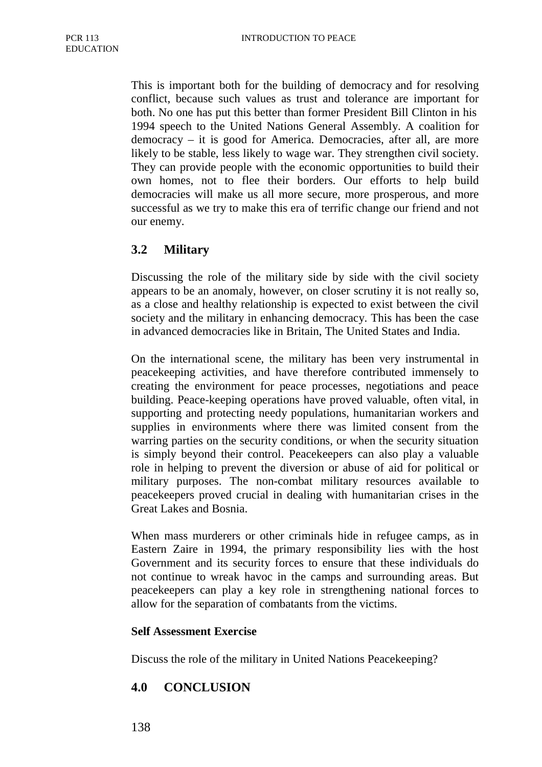This is important both for the building of democracy and for resolving conflict, because such values as trust and tolerance are important for both. No one has put this better than former President Bill Clinton in his 1994 speech to the United Nations General Assembly. A coalition for democracy – it is good for America. Democracies, after all, are more likely to be stable, less likely to wage war. They strengthen civil society. They can provide people with the economic opportunities to build their own homes, not to flee their borders. Our efforts to help build democracies will make us all more secure, more prosperous, and more successful as we try to make this era of terrific change our friend and not our enemy.

## **3.2 Military**

Discussing the role of the military side by side with the civil society appears to be an anomaly, however, on closer scrutiny it is not really so, as a close and healthy relationship is expected to exist between the civil society and the military in enhancing democracy. This has been the case in advanced democracies like in Britain, The United States and India.

On the international scene, the military has been very instrumental in peacekeeping activities, and have therefore contributed immensely to creating the environment for peace processes, negotiations and peace building. Peace-keeping operations have proved valuable, often vital, in supporting and protecting needy populations, humanitarian workers and supplies in environments where there was limited consent from the warring parties on the security conditions, or when the security situation is simply beyond their control. Peacekeepers can also play a valuable role in helping to prevent the diversion or abuse of aid for political or military purposes. The non-combat military resources available to peacekeepers proved crucial in dealing with humanitarian crises in the Great Lakes and Bosnia.

When mass murderers or other criminals hide in refugee camps, as in Eastern Zaire in 1994, the primary responsibility lies with the host Government and its security forces to ensure that these individuals do not continue to wreak havoc in the camps and surrounding areas. But peacekeepers can play a key role in strengthening national forces to allow for the separation of combatants from the victims.

#### **Self Assessment Exercise**

Discuss the role of the military in United Nations Peacekeeping?

### **4.0 CONCLUSION**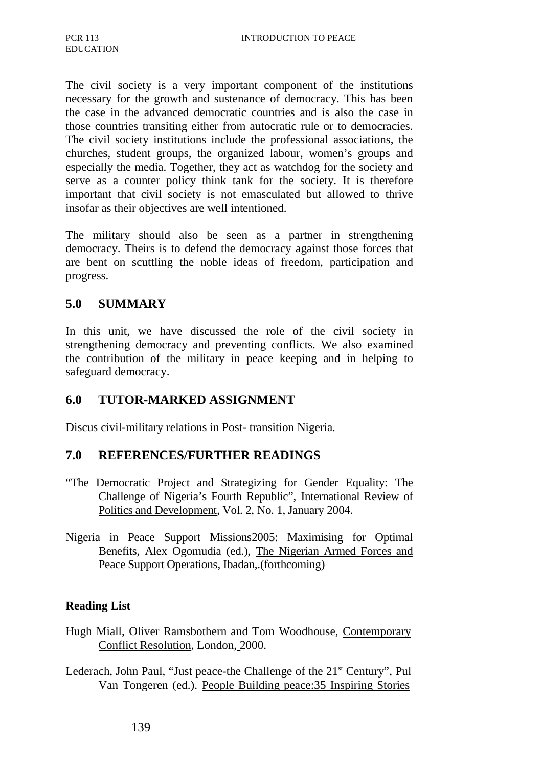The civil society is a very important component of the institutions necessary for the growth and sustenance of democracy. This has been the case in the advanced democratic countries and is also the case in those countries transiting either from autocratic rule or to democracies. The civil society institutions include the professional associations, the churches, student groups, the organized labour, women's groups and especially the media. Together, they act as watchdog for the society and serve as a counter policy think tank for the society. It is therefore important that civil society is not emasculated but allowed to thrive insofar as their objectives are well intentioned.

The military should also be seen as a partner in strengthening democracy. Theirs is to defend the democracy against those forces that are bent on scuttling the noble ideas of freedom, participation and progress.

### **5.0 SUMMARY**

In this unit, we have discussed the role of the civil society in strengthening democracy and preventing conflicts. We also examined the contribution of the military in peace keeping and in helping to safeguard democracy.

### **6.0 TUTOR-MARKED ASSIGNMENT**

Discus civil-military relations in Post- transition Nigeria.

### **7.0 REFERENCES/FURTHER READINGS**

- "The Democratic Project and Strategizing for Gender Equality: The Challenge of Nigeria's Fourth Republic", International Review of Politics and Development, Vol. 2, No. 1, January 2004.
- Nigeria in Peace Support Missions2005: Maximising for Optimal Benefits, Alex Ogomudia (ed.), The Nigerian Armed Forces and Peace Support Operations, Ibadan,.(forthcoming)

### **Reading List**

- Hugh Miall, Oliver Ramsbothern and Tom Woodhouse, Contemporary Conflict Resolution, London, 2000.
- Lederach, John Paul, "Just peace-the Challenge of the  $21<sup>st</sup>$  Century", Pul Van Tongeren (ed.). People Building peace:35 Inspiring Stories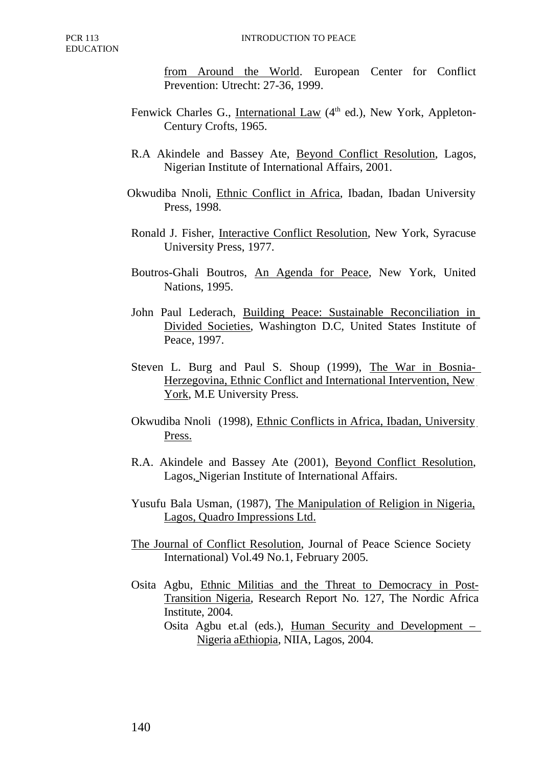from Around the World. European Center for Conflict Prevention: Utrecht: 27-36, 1999.

- Fenwick Charles G., International Law (4<sup>th</sup> ed.), New York, Appleton-Century Crofts, 1965.
- R.A Akindele and Bassey Ate, Beyond Conflict Resolution, Lagos, Nigerian Institute of International Affairs, 2001.
- Okwudiba Nnoli, Ethnic Conflict in Africa, Ibadan, Ibadan University Press, 1998.
- Ronald J. Fisher, Interactive Conflict Resolution, New York, Syracuse University Press, 1977.
- Boutros-Ghali Boutros, An Agenda for Peace, New York, United Nations, 1995.
- John Paul Lederach, Building Peace: Sustainable Reconciliation in Divided Societies, Washington D.C, United States Institute of Peace, 1997.
- Steven L. Burg and Paul S. Shoup (1999), The War in Bosnia-Herzegovina, Ethnic Conflict and International Intervention, New York, M.E University Press.
- Okwudiba Nnoli (1998), Ethnic Conflicts in Africa, Ibadan, University Press.
- R.A. Akindele and Bassey Ate (2001), Beyond Conflict Resolution, Lagos, Nigerian Institute of International Affairs.
- Yusufu Bala Usman, (1987), The Manipulation of Religion in Nigeria, Lagos, Quadro Impressions Ltd.
- The Journal of Conflict Resolution, Journal of Peace Science Society International) Vol.49 No.1, February 2005.
- Osita Agbu, Ethnic Militias and the Threat to Democracy in Post-Transition Nigeria, Research Report No. 127, The Nordic Africa Institute, 2004.
	- Osita Agbu et.al (eds.), Human Security and Development Nigeria aEthiopia, NIIA, Lagos, 2004.